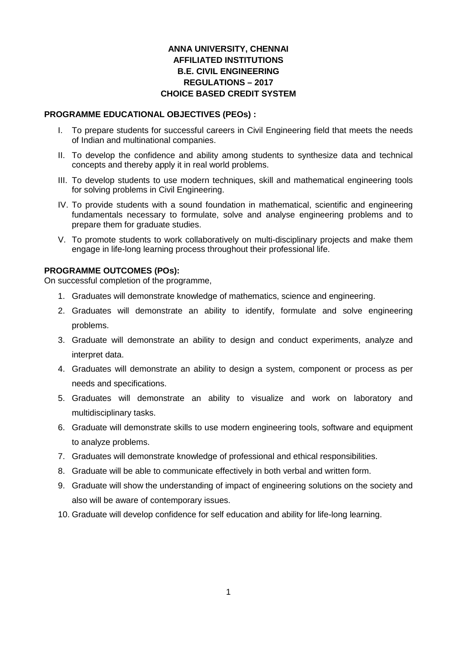## **ANNA UNIVERSITY, CHENNAI AFFILIATED INSTITUTIONS B.E. CIVIL ENGINEERING REGULATIONS – 2017 CHOICE BASED CREDIT SYSTEM**

### **PROGRAMME EDUCATIONAL OBJECTIVES (PEOs) :**

- I. To prepare students for successful careers in Civil Engineering field that meets the needs of Indian and multinational companies.
- II. To develop the confidence and ability among students to synthesize data and technical concepts and thereby apply it in real world problems.
- III. To develop students to use modern techniques, skill and mathematical engineering tools for solving problems in Civil Engineering.
- IV. To provide students with a sound foundation in mathematical, scientific and engineering fundamentals necessary to formulate, solve and analyse engineering problems and to prepare them for graduate studies.
- V. To promote students to work collaboratively on multi-disciplinary projects and make them engage in life-long learning process throughout their professional life.

## **PROGRAMME OUTCOMES (POs):**

On successful completion of the programme,

- 1. Graduates will demonstrate knowledge of mathematics, science and engineering.
- 2. Graduates will demonstrate an ability to identify, formulate and solve engineering problems.
- 3. Graduate will demonstrate an ability to design and conduct experiments, analyze and interpret data.
- 4. Graduates will demonstrate an ability to design a system, component or process as per needs and specifications.
- 5. Graduates will demonstrate an ability to visualize and work on laboratory and multidisciplinary tasks.
- 6. Graduate will demonstrate skills to use modern engineering tools, software and equipment to analyze problems.
- 7. Graduates will demonstrate knowledge of professional and ethical responsibilities.
- 8. Graduate will be able to communicate effectively in both verbal and written form.
- 9. Graduate will show the understanding of impact of engineering solutions on the society and also will be aware of contemporary issues.
- 10. Graduate will develop confidence for self education and ability for life-long learning.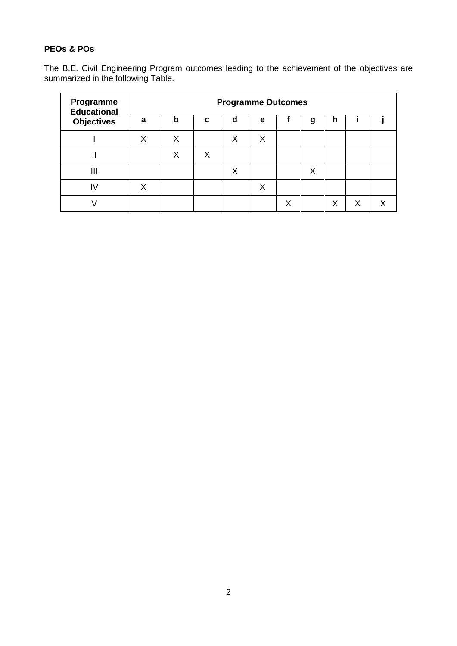## **PEOs & POs**

The B.E. Civil Engineering Program outcomes leading to the achievement of the objectives are summarized in the following Table.

| Programme<br><b>Educational</b> |   |   |   | <b>Programme Outcomes</b> |   |   |   |   |  |
|---------------------------------|---|---|---|---------------------------|---|---|---|---|--|
| <b>Objectives</b>               | a | b | C | d                         | e | g | h |   |  |
|                                 | X | X |   | X                         | X |   |   |   |  |
| Ш                               |   | X | X |                           |   |   |   |   |  |
| Ш                               |   |   |   | X                         |   | X |   |   |  |
| IV                              | Χ |   |   |                           | X |   |   |   |  |
|                                 |   |   |   |                           |   |   | Χ | Х |  |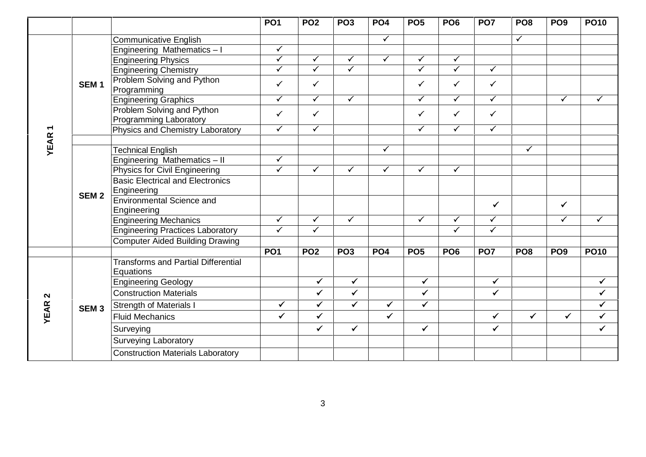|                      |                                         |                                                             | PO <sub>1</sub>         | PO <sub>2</sub> | PO <sub>3</sub> | PO <sub>4</sub> | PO <sub>5</sub> | PO <sub>6</sub> | PO <sub>7</sub>      | PO <sub>8</sub>         | PO <sub>9</sub>      | <b>PO10</b>  |
|----------------------|-----------------------------------------|-------------------------------------------------------------|-------------------------|-----------------|-----------------|-----------------|-----------------|-----------------|----------------------|-------------------------|----------------------|--------------|
|                      |                                         | <b>Communicative English</b>                                |                         |                 |                 | $\checkmark$    |                 |                 |                      | $\overline{\checkmark}$ |                      |              |
|                      |                                         | Engineering Mathematics-I                                   | $\blacktriangledown$    |                 |                 |                 |                 |                 |                      |                         |                      |              |
|                      |                                         | <b>Engineering Physics</b>                                  | $\overline{\checkmark}$ | $\checkmark$    | $\checkmark$    | $\checkmark$    | $\checkmark$    | $\checkmark$    |                      |                         |                      |              |
|                      |                                         | <b>Engineering Chemistry</b>                                | $\checkmark$            | $\checkmark$    | $\checkmark$    |                 | ✓               | $\checkmark$    | $\checkmark$         |                         |                      |              |
|                      | SEM <sub>1</sub>                        | Problem Solving and Python<br>Programming                   | $\checkmark$            | $\checkmark$    |                 |                 | ✓               | $\checkmark$    | $\checkmark$         |                         |                      |              |
|                      |                                         | <b>Engineering Graphics</b>                                 | $\blacktriangledown$    | $\checkmark$    | $\checkmark$    |                 | $\checkmark$    | $\checkmark$    | $\checkmark$         |                         | $\checkmark$         | $\checkmark$ |
|                      |                                         | Problem Solving and Python<br><b>Programming Laboratory</b> | $\checkmark$            | $\checkmark$    |                 |                 | ✓               | $\checkmark$    | $\checkmark$         |                         |                      |              |
| $\blacktriangledown$ |                                         | Physics and Chemistry Laboratory                            | $\checkmark$            | $\checkmark$    |                 |                 | $\checkmark$    | $\checkmark$    | $\blacktriangledown$ |                         |                      |              |
| <b>YEAR</b>          |                                         | <b>Technical English</b>                                    |                         |                 |                 | $\checkmark$    |                 |                 |                      | $\checkmark$            |                      |              |
|                      |                                         | Engineering Mathematics - II                                | $\checkmark$            |                 |                 |                 |                 |                 |                      |                         |                      |              |
|                      | Physics for Civil Engineering           | $\overline{\checkmark}$                                     | $\checkmark$            | $\checkmark$    | ✓               | ✓               | $\checkmark$    |                 |                      |                         |                      |              |
|                      | <b>Basic Electrical and Electronics</b> |                                                             |                         |                 |                 |                 |                 |                 |                      |                         |                      |              |
|                      |                                         | Engineering                                                 |                         |                 |                 |                 |                 |                 |                      |                         |                      |              |
|                      | <b>SEM2</b>                             | <b>Environmental Science and</b>                            |                         |                 |                 |                 |                 |                 | $\checkmark$         |                         | $\checkmark$         |              |
|                      |                                         | Engineering                                                 |                         |                 |                 |                 |                 |                 |                      |                         |                      |              |
|                      |                                         | <b>Engineering Mechanics</b>                                | $\checkmark$            | $\checkmark$    | $\checkmark$    |                 | $\checkmark$    | $\checkmark$    | $\checkmark$         |                         | $\blacktriangledown$ | $\checkmark$ |
|                      |                                         | <b>Engineering Practices Laboratory</b>                     | $\checkmark$            | $\checkmark$    |                 |                 |                 | $\checkmark$    | $\checkmark$         |                         |                      |              |
|                      |                                         | <b>Computer Aided Building Drawing</b>                      |                         |                 |                 |                 |                 |                 |                      |                         |                      |              |
|                      |                                         |                                                             | PO <sub>1</sub>         | PO <sub>2</sub> | PO <sub>3</sub> | PO <sub>4</sub> | PO <sub>5</sub> | PO <sub>6</sub> | PO <sub>7</sub>      | PO <sub>8</sub>         | PO <sub>9</sub>      | <b>PO10</b>  |
|                      |                                         | <b>Transforms and Partial Differential</b><br>Equations     |                         |                 |                 |                 |                 |                 |                      |                         |                      |              |
|                      |                                         | <b>Engineering Geology</b>                                  |                         | $\checkmark$    | $\checkmark$    |                 | $\checkmark$    |                 | $\checkmark$         |                         |                      | $\checkmark$ |
| $\mathbf{\Omega}$    |                                         | <b>Construction Materials</b>                               |                         | $\checkmark$    | $\checkmark$    |                 | $\checkmark$    |                 | $\checkmark$         |                         |                      | $\checkmark$ |
|                      | SEM <sub>3</sub>                        | <b>Strength of Materials I</b>                              | $\checkmark$            | $\checkmark$    | $\checkmark$    | $\checkmark$    | $\checkmark$    |                 |                      |                         |                      | $\checkmark$ |
| <b>YEAR</b>          |                                         | <b>Fluid Mechanics</b>                                      | $\checkmark$            | $\checkmark$    |                 | $\checkmark$    |                 |                 | $\checkmark$         | $\checkmark$            | $\checkmark$         | $\checkmark$ |
|                      |                                         | Surveying                                                   |                         | $\checkmark$    | $\checkmark$    |                 | $\checkmark$    |                 | $\checkmark$         |                         |                      | $\checkmark$ |
|                      |                                         | <b>Surveying Laboratory</b>                                 |                         |                 |                 |                 |                 |                 |                      |                         |                      |              |
|                      |                                         | <b>Construction Materials Laboratory</b>                    |                         |                 |                 |                 |                 |                 |                      |                         |                      |              |
|                      |                                         |                                                             |                         |                 |                 |                 |                 |                 |                      |                         |                      |              |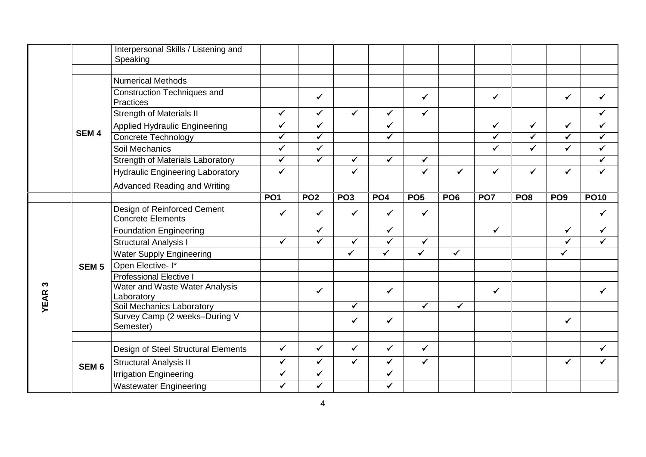|                  | Interpersonal Skills / Listening and<br>Speaking        |                         |                 |                 |                 |                 |                 |                 |                         |                 |              |
|------------------|---------------------------------------------------------|-------------------------|-----------------|-----------------|-----------------|-----------------|-----------------|-----------------|-------------------------|-----------------|--------------|
|                  | <b>Numerical Methods</b>                                |                         |                 |                 |                 |                 |                 |                 |                         |                 |              |
|                  | <b>Construction Techniques and</b><br>Practices         |                         | ✓               |                 |                 | $\checkmark$    |                 | $\checkmark$    |                         | $\checkmark$    | $\checkmark$ |
|                  | <b>Strength of Materials II</b>                         | $\checkmark$            | $\checkmark$    | $\checkmark$    | $\checkmark$    | $\checkmark$    |                 |                 |                         |                 | $\checkmark$ |
|                  | <b>Applied Hydraulic Engineering</b>                    | $\checkmark$            | $\checkmark$    |                 | $\checkmark$    |                 |                 | $\checkmark$    | $\checkmark$            | $\checkmark$    | $\checkmark$ |
| <b>SEM4</b>      | Concrete Technology                                     | $\overline{\checkmark}$ | $\checkmark$    |                 | $\checkmark$    |                 |                 | $\checkmark$    | $\overline{\checkmark}$ | $\checkmark$    | $\checkmark$ |
|                  | Soil Mechanics                                          | $\checkmark$            | $\checkmark$    |                 |                 |                 |                 | $\checkmark$    | $\checkmark$            | $\checkmark$    | $\checkmark$ |
|                  | Strength of Materials Laboratory                        | $\checkmark$            | $\checkmark$    | ✓               | $\checkmark$    | $\checkmark$    |                 |                 |                         |                 | $\checkmark$ |
|                  | <b>Hydraulic Engineering Laboratory</b>                 | $\checkmark$            |                 | $\checkmark$    |                 | $\checkmark$    | $\checkmark$    | $\checkmark$    | $\checkmark$            | $\checkmark$    | $\checkmark$ |
|                  | Advanced Reading and Writing                            |                         |                 |                 |                 |                 |                 |                 |                         |                 |              |
|                  |                                                         | <b>PO1</b>              | PO <sub>2</sub> | PO <sub>3</sub> | PO <sub>4</sub> | PO <sub>5</sub> | PO <sub>6</sub> | PO <sub>7</sub> | PO <sub>8</sub>         | PO <sub>9</sub> | <b>PO10</b>  |
|                  | Design of Reinforced Cement<br><b>Concrete Elements</b> | ✓                       | ✓               | ✓               | ✓               | $\checkmark$    |                 |                 |                         |                 | ✓            |
|                  | <b>Foundation Engineering</b>                           |                         | ✓               |                 | $\checkmark$    |                 |                 | $\checkmark$    |                         | $\checkmark$    | ✓            |
|                  | <b>Structural Analysis I</b>                            | $\checkmark$            | $\checkmark$    | $\checkmark$    | $\checkmark$    | $\checkmark$    |                 |                 |                         | $\checkmark$    | $\checkmark$ |
|                  | <b>Water Supply Engineering</b>                         |                         |                 | $\checkmark$    | $\checkmark$    | $\checkmark$    | $\checkmark$    |                 |                         | $\checkmark$    |              |
| SEM <sub>5</sub> | Open Elective-I*                                        |                         |                 |                 |                 |                 |                 |                 |                         |                 |              |
|                  | <b>Professional Elective I</b>                          |                         |                 |                 |                 |                 |                 |                 |                         |                 |              |
| w<br><b>YEAR</b> | Water and Waste Water Analysis<br>Laboratory            |                         | ✓               |                 | $\checkmark$    |                 |                 | $\checkmark$    |                         |                 | ✓            |
|                  | Soil Mechanics Laboratory                               |                         |                 | ✓               |                 | $\checkmark$    | ✓               |                 |                         |                 |              |
|                  | Survey Camp (2 weeks-During V<br>Semester)              |                         |                 | ✓               | $\checkmark$    |                 |                 |                 |                         | ✔               |              |
|                  | Design of Steel Structural Elements                     | $\checkmark$            | ✓               | $\checkmark$    | $\checkmark$    | $\checkmark$    |                 |                 |                         |                 | ✓            |
| SEM <sub>6</sub> | <b>Structural Analysis II</b>                           | $\checkmark$            | $\checkmark$    | ✓               | $\checkmark$    | $\checkmark$    |                 |                 |                         | $\checkmark$    | ✓            |
|                  | <b>Irrigation Engineering</b>                           | $\checkmark$            | $\checkmark$    |                 | $\checkmark$    |                 |                 |                 |                         |                 |              |
|                  | <b>Wastewater Engineering</b>                           | $\checkmark$            | $\checkmark$    |                 | $\checkmark$    |                 |                 |                 |                         |                 |              |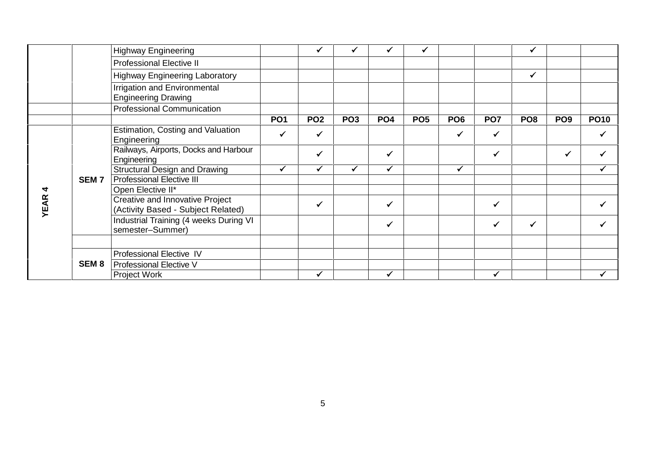|             |                  | <b>Highway Engineering</b>                                                   |                 |                 |                 |                 |                 |                 |                 | ✔               |                 |              |
|-------------|------------------|------------------------------------------------------------------------------|-----------------|-----------------|-----------------|-----------------|-----------------|-----------------|-----------------|-----------------|-----------------|--------------|
|             |                  | <b>Professional Elective II</b>                                              |                 |                 |                 |                 |                 |                 |                 |                 |                 |              |
|             |                  | <b>Highway Engineering Laboratory</b>                                        |                 |                 |                 |                 |                 |                 |                 | $\checkmark$    |                 |              |
|             |                  | Irrigation and Environmental<br><b>Engineering Drawing</b>                   |                 |                 |                 |                 |                 |                 |                 |                 |                 |              |
|             |                  | <b>Professional Communication</b>                                            |                 |                 |                 |                 |                 |                 |                 |                 |                 |              |
|             |                  |                                                                              | PO <sub>1</sub> | PO <sub>2</sub> | PO <sub>3</sub> | PO <sub>4</sub> | PO <sub>5</sub> | PO <sub>6</sub> | PO <sub>7</sub> | PO <sub>8</sub> | PO <sub>9</sub> | <b>PO10</b>  |
|             |                  | Estimation, Costing and Valuation<br>Engineering                             | ✓               | √               |                 |                 |                 | √               | $\checkmark$    |                 |                 | $\checkmark$ |
|             |                  | Railways, Airports, Docks and Harbour<br>Engineering                         |                 | $\checkmark$    |                 | ✔               |                 |                 | $\checkmark$    |                 | ✓               |              |
|             |                  | Structural Design and Drawing                                                | $\checkmark$    | ✓               |                 |                 |                 | $\checkmark$    |                 |                 |                 |              |
|             | <b>SEM7</b>      | <b>Professional Elective III</b>                                             |                 |                 |                 |                 |                 |                 |                 |                 |                 |              |
|             |                  | Open Elective II*                                                            |                 |                 |                 |                 |                 |                 |                 |                 |                 |              |
| <b>YEAR</b> |                  | <b>Creative and Innovative Project</b><br>(Activity Based - Subject Related) |                 | $\checkmark$    |                 |                 |                 |                 |                 |                 |                 |              |
|             |                  | <b>Industrial Training (4 weeks During VI</b><br>semester-Summer)            |                 |                 |                 |                 |                 |                 | $\checkmark$    | √               |                 |              |
|             |                  |                                                                              |                 |                 |                 |                 |                 |                 |                 |                 |                 |              |
|             |                  | Professional Elective IV                                                     |                 |                 |                 |                 |                 |                 |                 |                 |                 |              |
|             | SEM <sub>8</sub> | <b>Professional Elective V</b>                                               |                 |                 |                 |                 |                 |                 |                 |                 |                 |              |
|             |                  | Project Work                                                                 |                 | ✓               |                 |                 |                 |                 | $\checkmark$    |                 |                 |              |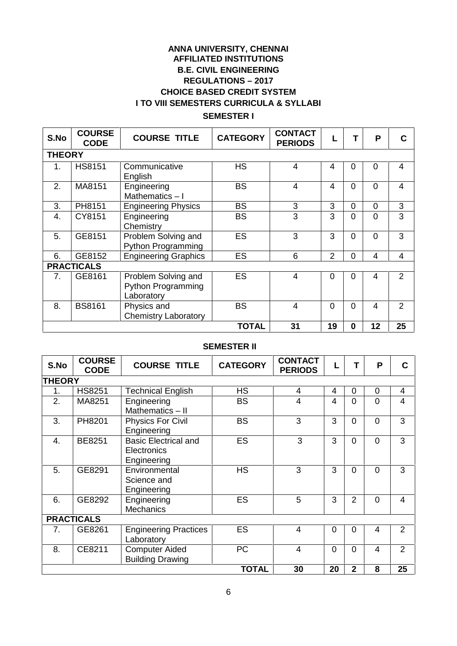## **ANNA UNIVERSITY, CHENNAI AFFILIATED INSTITUTIONS B.E. CIVIL ENGINEERING REGULATIONS – 2017 CHOICE BASED CREDIT SYSTEM I TO VIII SEMESTERS CURRICULA & SYLLABI SEMESTER I**

| S.No          | <b>COURSE</b><br><b>CODE</b> | <b>COURSE TITLE</b>                                            | <b>CATEGORY</b> | <b>CONTACT</b><br><b>PERIODS</b> |                |          | P        | C              |
|---------------|------------------------------|----------------------------------------------------------------|-----------------|----------------------------------|----------------|----------|----------|----------------|
| <b>THEORY</b> |                              |                                                                |                 |                                  |                |          |          |                |
| 1.            | <b>HS8151</b>                | Communicative<br>English                                       | <b>HS</b>       | $\overline{4}$                   | 4              | 0        | $\Omega$ | 4              |
| 2.            | MA8151                       | Engineering<br>Mathematics-I                                   | <b>BS</b>       | $\overline{4}$                   | 4              | $\Omega$ | 0        | $\overline{4}$ |
| 3.            | PH8151                       | <b>Engineering Physics</b>                                     | <b>BS</b>       | 3                                | 3              | 0        | $\Omega$ | 3              |
| 4.            | CY8151                       | Engineering<br>Chemistry                                       | <b>BS</b>       | 3                                | 3              | 0        | 0        | 3              |
| 5.            | GE8151                       | Problem Solving and<br><b>Python Programming</b>               | <b>ES</b>       | 3                                | 3              | $\Omega$ | $\Omega$ | 3              |
| 6.            | GE8152                       | <b>Engineering Graphics</b>                                    | <b>ES</b>       | 6                                | $\overline{2}$ | $\Omega$ | 4        | 4              |
|               | <b>PRACTICALS</b>            |                                                                |                 |                                  |                |          |          |                |
| 7.            | GE8161                       | Problem Solving and<br><b>Python Programming</b><br>Laboratory | <b>ES</b>       | $\overline{4}$                   | $\Omega$       | $\Omega$ | 4        | 2              |
| 8.            | <b>BS8161</b>                | Physics and<br><b>Chemistry Laboratory</b>                     | <b>BS</b>       | $\overline{4}$                   | $\overline{0}$ | $\Omega$ | 4        | 2              |
|               |                              |                                                                | <b>TOTAL</b>    | 31                               | 19             | $\Omega$ | 12       | 25             |

### **SEMESTER II**

| S.No          | <b>COURSE</b><br><b>CODE</b> | <b>COURSE TITLE</b>                                              | <b>CATEGORY</b> | <b>CONTACT</b><br><b>PERIODS</b> |                |                | P        | C              |
|---------------|------------------------------|------------------------------------------------------------------|-----------------|----------------------------------|----------------|----------------|----------|----------------|
| <b>THEORY</b> |                              |                                                                  |                 |                                  |                |                |          |                |
| 1.            | <b>HS8251</b>                | <b>Technical English</b>                                         | <b>HS</b>       | 4                                | 4              | $\Omega$       | $\Omega$ | 4              |
| 2.            | MA8251                       | Engineering<br>Mathematics-II                                    | <b>BS</b>       | 4                                | 4              | 0              | $\Omega$ | 4              |
| 3.            | PH8201                       | <b>Physics For Civil</b><br>Engineering                          | <b>BS</b>       | 3                                | 3              | $\Omega$       | $\Omega$ | 3              |
| 4.            | BE8251                       | <b>Basic Electrical and</b><br><b>Electronics</b><br>Engineering | <b>ES</b>       | 3                                | 3              | $\Omega$       | $\Omega$ | 3              |
| 5.            | GE8291                       | Environmental<br>Science and<br>Engineering                      | <b>HS</b>       | 3                                | 3              | $\Omega$       | U        | 3              |
| 6.            | GE8292                       | Engineering<br><b>Mechanics</b>                                  | <b>ES</b>       | 5                                | 3              | $\overline{2}$ | $\Omega$ | 4              |
|               | <b>PRACTICALS</b>            |                                                                  |                 |                                  |                |                |          |                |
| 7.            | GE8261                       | <b>Engineering Practices</b><br>Laboratory                       | ES              | 4                                | $\overline{0}$ | 0              | 4        | $\overline{2}$ |
| 8.            | CE8211                       | <b>Computer Aided</b><br><b>Building Drawing</b>                 | <b>PC</b>       | 4                                | $\overline{0}$ | $\Omega$       | 4        | $\overline{2}$ |
|               |                              |                                                                  | <b>TOTAL</b>    | 30                               | 20             | $\mathbf{2}$   | 8        | 25             |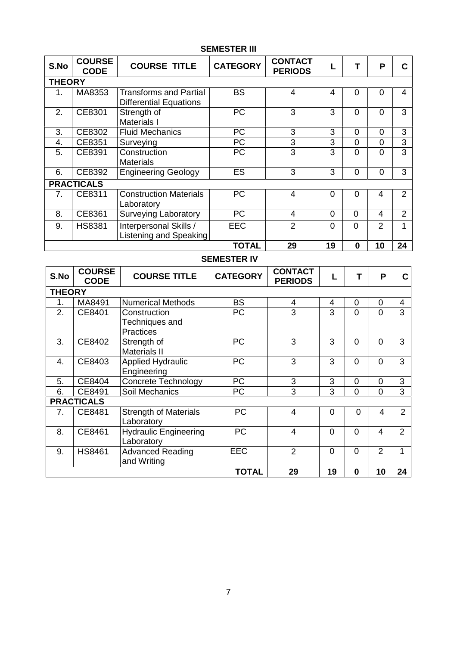| S.No          | <b>COURSE</b><br><b>CODE</b> | <b>COURSE TITLE</b>                                            | <b>CATEGORY</b>    | <b>CONTACT</b><br><b>PERIODS</b> |                | T                   | P                                | $\mathbf c$    |
|---------------|------------------------------|----------------------------------------------------------------|--------------------|----------------------------------|----------------|---------------------|----------------------------------|----------------|
| <b>THEORY</b> |                              |                                                                |                    |                                  |                |                     |                                  |                |
| 1.            | MA8353                       | <b>Transforms and Partial</b><br><b>Differential Equations</b> | <b>BS</b>          | $\overline{4}$                   | 4              | $\mathbf 0$         | $\overline{0}$                   | $\overline{4}$ |
| 2.            | CE8301                       | Strength of<br>Materials I                                     | <b>PC</b>          | 3                                | 3              | $\overline{0}$      | $\Omega$                         | 3              |
| 3.            | CE8302                       | <b>Fluid Mechanics</b>                                         | PC                 | 3                                | 3              | $\mathbf 0$         | $\mathbf 0$                      | 3              |
| 4.            | CE8351                       | Surveying                                                      | PC                 | $\overline{3}$                   | $\overline{3}$ | $\mathbf 0$         | $\mathbf 0$                      | 3              |
| 5.            | CE8391                       | Construction<br><b>Materials</b>                               | PC                 | $\overline{3}$                   | $\overline{3}$ | $\overline{0}$      | $\overline{0}$                   | 3              |
| 6.            | CE8392                       | <b>Engineering Geology</b>                                     | ES                 | 3                                | 3              | $\overline{0}$      | $\overline{0}$                   | 3              |
|               | <b>PRACTICALS</b>            |                                                                |                    |                                  |                |                     |                                  |                |
| 7.            | CE8311                       | <b>Construction Materials</b><br>Laboratory                    | PC                 | $\overline{4}$                   | $\overline{0}$ | $\mathbf 0$         | $\overline{4}$                   | $\overline{2}$ |
| 8.            | CE8361                       | <b>Surveying Laboratory</b>                                    | PC                 | $\overline{4}$                   | $\overline{0}$ | $\Omega$            | $\overline{4}$                   | $\overline{2}$ |
| 9.            | <b>HS8381</b>                | Interpersonal Skills /<br>Listening and Speaking               | <b>EEC</b>         | $\overline{2}$                   | 0              | $\Omega$            | $\overline{2}$                   | 1              |
|               |                              |                                                                | <b>TOTAL</b>       | 29                               | 19             | $\mathbf{0}$        | 10                               | 24             |
|               |                              |                                                                |                    |                                  |                |                     |                                  |                |
|               |                              |                                                                | <b>SEMESTER IV</b> |                                  |                |                     |                                  |                |
| S.No          | <b>COURSE</b><br><b>CODE</b> | <b>COURSE TITLE</b>                                            | <b>CATEGORY</b>    | <b>CONTACT</b><br><b>PERIODS</b> | L              | T                   | P                                | $\mathbf c$    |
| <b>THEORY</b> |                              |                                                                |                    |                                  |                |                     |                                  |                |
| 1.            | MA8491                       | <b>Numerical Methods</b>                                       | <b>BS</b>          | 4                                | 4              | $\pmb{0}$           | 0                                | 4              |
| 2.            | CE8401                       | Construction<br>Techniques and<br><b>Practices</b>             | <b>PC</b>          | 3                                | 3              | $\Omega$            | $\Omega$                         | 3              |
| 3.            | CE8402                       | Strength of<br><b>Materials II</b>                             | <b>PC</b>          | 3                                | 3              | $\mathbf 0$         | $\Omega$                         | 3              |
| 4.            | CE8403                       | <b>Applied Hydraulic</b><br>Engineering                        | PC                 | 3                                | 3              | $\overline{0}$      | $\overline{0}$                   | 3              |
| 5.            | CE8404                       | Concrete Technology                                            | <b>PC</b>          | 3                                | 3              | 0                   | $\overline{0}$                   | 3              |
| 6.            | CE8491                       | Soil Mechanics                                                 | <b>PC</b>          | $\overline{3}$                   | $\overline{3}$ | $\mathsf{O}\xspace$ | $\pmb{0}$                        | 3              |
|               | <b>PRACTICALS</b>            |                                                                |                    |                                  |                |                     |                                  |                |
| 7.            | CE8481                       | <b>Strength of Materials</b><br>Laboratory                     | PC                 | $\overline{4}$                   | $\mathbf 0$    | $\overline{0}$      | $\overline{4}$                   | $\overline{2}$ |
| 8.            | CE8461                       | <b>Hydraulic Engineering</b><br>Laboratory                     | PC<br>EEC          | $\overline{4}$                   | $\mathbf 0$    | $\mathbf 0$         | $\overline{4}$<br>$\overline{2}$ | $\overline{2}$ |

## **SEMESTER III**

**TOTAL 29 19 0 10 24**

and Writing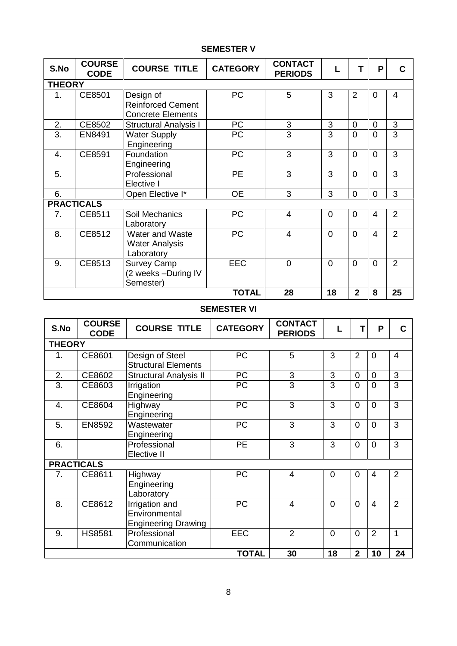### S.No COURSE **CODE COURSE TITLE CATEGORY CONTACT PERIODS <sup>L</sup> <sup>T</sup> <sup>P</sup> <sup>C</sup> THEORY**<br>1. **CE8501** 1. CE8501 Design of Reinforced Cement Concrete Elements PC 5 3 2 0 4 2. CE8502 Structural Analysis I PC 3 3 0 0 3<br>3. EN8491 Water Supply PC 3 3 0 0 3 **Water Supply Engineering** PC | 3 | 3 | 0 | 0 | 3 | 4. CE8591 Foundation Engineering PC | 3 | 3 | 0 | 0 | 3 | 5. Professional Elective I PE | 3 | 3 | 0 | 0 | 3 | 6. Open Elective I\* OE 3 3 0 0 3 **PRACTICALS**<br>7. **CE8511** Soil Mechanics Laboratory PC | 4 | 0 | 0 | 4 | 2 | 8. CE8512 Water and Waste Water Analysis **Laboratory** PC | 4 | 0 | 0 | 4 | 2 | 9. CE8513 Survey Camp (2 weeks –During IV Semester) EEC | 0 |0 |0 |0 |2 | **TOTAL 28 18 2 8 25**

## **SEMESTER V**

### **SEMESTER VI**

| S.No              | <b>COURSE</b><br><b>CODE</b> | <b>COURSE TITLE</b>                                           | <b>CATEGORY</b> | <b>CONTACT</b><br><b>PERIODS</b> | L              | Т              | P              | C              |
|-------------------|------------------------------|---------------------------------------------------------------|-----------------|----------------------------------|----------------|----------------|----------------|----------------|
| <b>THEORY</b>     |                              |                                                               |                 |                                  |                |                |                |                |
| 1.                | CE8601                       | Design of Steel<br><b>Structural Elements</b>                 | <b>PC</b>       | 5                                | 3              | $\overline{2}$ | $\Omega$       | $\overline{4}$ |
| 2.                | CE8602                       | <b>Structural Analysis II</b>                                 | PC              | 3                                | 3              | $\mathbf 0$    | 0              | 3              |
| 3.                | CE8603                       | Irrigation<br>Engineering                                     | PC              | 3                                | 3              | $\Omega$       | $\Omega$       | 3              |
| 4.                | CE8604                       | Highway<br>Engineering                                        | <b>PC</b>       | 3                                | 3              | $\Omega$       | $\Omega$       | 3              |
| 5.                | EN8592                       | Wastewater<br>Engineering                                     | <b>PC</b>       | 3                                | 3              | $\Omega$       | $\mathbf{0}$   | 3              |
| 6.                |                              | Professional<br>Elective II                                   | <b>PE</b>       | 3                                | 3              | $\Omega$       | $\Omega$       | 3              |
| <b>PRACTICALS</b> |                              |                                                               |                 |                                  |                |                |                |                |
| 7.                | CE8611                       | Highway<br>Engineering<br>Laboratory                          | <b>PC</b>       | $\overline{4}$                   | 0              | $\Omega$       | 4              | 2              |
| 8.                | CE8612                       | Irrigation and<br>Environmental<br><b>Engineering Drawing</b> | <b>PC</b>       | $\overline{4}$                   | $\Omega$       | $\Omega$       | $\overline{4}$ | $\overline{2}$ |
| 9.                | <b>HS8581</b>                | Professional<br>Communication                                 | <b>EEC</b>      | $\overline{2}$                   | $\overline{0}$ | $\mathbf 0$    | $\overline{2}$ | 1              |
|                   |                              |                                                               | <b>TOTAL</b>    | 30                               | 18             | $\mathbf{2}$   | 10             | 24             |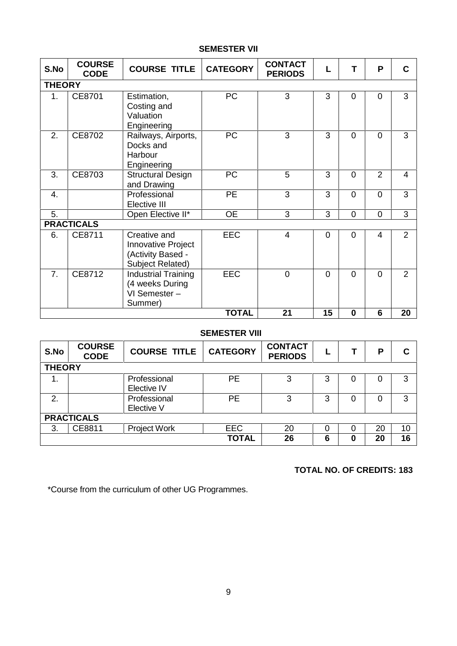## **SEMESTER VII**

| S.No             | <b>COURSE</b><br><b>CODE</b> | <b>COURSE TITLE</b>                                                                | <b>CATEGORY</b> | <b>CONTACT</b><br><b>PERIODS</b> | L              | т              | P               | C              |
|------------------|------------------------------|------------------------------------------------------------------------------------|-----------------|----------------------------------|----------------|----------------|-----------------|----------------|
| <b>THEORY</b>    |                              |                                                                                    |                 |                                  |                |                |                 |                |
| 1.               | CE8701                       | Estimation,<br>Costing and<br>Valuation<br>Engineering                             | PC              | 3                                | 3              | $\Omega$       | $\Omega$        | 3              |
| 2.               | CE8702                       | Railways, Airports,<br>Docks and<br>Harbour<br>Engineering                         | <b>PC</b>       | 3                                | 3              | $\Omega$       | $\Omega$        | 3              |
| 3.               | CE8703                       | <b>Structural Design</b><br>and Drawing                                            | PC              | 5                                | 3              | $\Omega$       | 2               | $\overline{4}$ |
| $\overline{4}$ . |                              | Professional<br>Elective III                                                       | <b>PE</b>       | 3                                | 3              | $\Omega$       | $\Omega$        | 3              |
| 5.               |                              | Open Elective II*                                                                  | <b>OE</b>       | 3                                | 3              | $\overline{0}$ | $\overline{0}$  | 3              |
|                  | <b>PRACTICALS</b>            |                                                                                    |                 |                                  |                |                |                 |                |
| 6.               | CE8711                       | Creative and<br>Innovative Project<br>(Activity Based -<br><b>Subject Related)</b> | <b>EEC</b>      | $\overline{4}$                   | $\overline{0}$ | $\Omega$       | 4               | $\overline{2}$ |
| 7.               | CE8712                       | <b>Industrial Training</b><br>(4 weeks During<br>VI Semester -<br>Summer)          | <b>EEC</b>      | $\Omega$                         | $\overline{0}$ | $\Omega$       | $\Omega$        | $\overline{2}$ |
|                  |                              |                                                                                    | <b>TOTAL</b>    | 21                               | 15             | $\bf{0}$       | $6\phantom{1}6$ | 20             |

## **SEMESTER VIII**

| S.No          | <b>COURSE</b><br><b>CODE</b> | <b>COURSE TITLE</b>         | <b>CATEGORY</b>            | <b>CONTACT</b><br><b>PERIODS</b> |        |   | P        | С        |
|---------------|------------------------------|-----------------------------|----------------------------|----------------------------------|--------|---|----------|----------|
| <b>THEORY</b> |                              |                             |                            |                                  |        |   |          |          |
| 1.            |                              | Professional<br>Elective IV | <b>PE</b>                  | 3                                | 3      |   | 0        | 3        |
| 2.            |                              | Professional<br>Elective V  | <b>PE</b>                  | 3                                | 3      |   | 0        | 3        |
|               | <b>PRACTICALS</b>            |                             |                            |                                  |        |   |          |          |
| 3.            | CE8811                       | <b>Project Work</b>         | <b>EEC</b><br><b>TOTAL</b> | 20<br>26                         | 0<br>6 | 0 | 20<br>20 | 10<br>16 |

## **TOTAL NO. OF CREDITS: 183**

\*Course from the curriculum of other UG Programmes.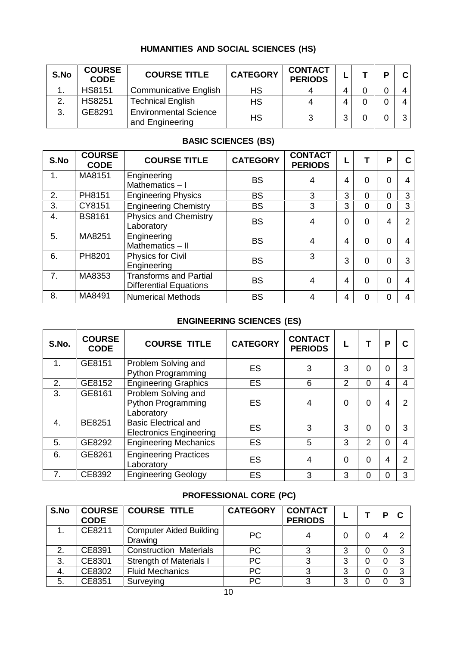## **HUMANITIES AND SOCIAL SCIENCES (HS)**

| S.No         | <b>COURSE</b><br><b>CODE</b> | <b>COURSE TITLE</b>                             | <b>CATEGORY</b> | <b>CONTACT</b><br><b>PERIODS</b> |   | D | C |
|--------------|------------------------------|-------------------------------------------------|-----------------|----------------------------------|---|---|---|
|              | <b>HS8151</b>                | <b>Communicative English</b>                    | <b>HS</b>       | 4                                |   |   | 4 |
| 2.           | <b>HS8251</b>                | <b>Technical English</b>                        | HS              | 4                                |   |   | 4 |
| $\mathbf{3}$ | GE8291                       | <b>Environmental Science</b><br>and Engineering | <b>HS</b>       |                                  | ⌒ |   | 3 |

## **BASIC SCIENCES (BS)**

| S.No | <b>COURSE</b><br><b>CODE</b> | <b>COURSE TITLE</b>                                            | <b>CATEGORY</b> | <b>CONTACT</b><br><b>PERIODS</b> |   |          | P        | C              |
|------|------------------------------|----------------------------------------------------------------|-----------------|----------------------------------|---|----------|----------|----------------|
| 1.   | MA8151                       | Engineering<br>Mathematics $-1$                                | <b>BS</b>       | 4                                | 4 | 0        | $\Omega$ | 4              |
| 2.   | PH8151                       | <b>Engineering Physics</b>                                     | <b>BS</b>       | 3                                | 3 | 0        | 0        | 3              |
| 3.   | CY8151                       | <b>Engineering Chemistry</b>                                   | <b>BS</b>       | 3                                | 3 | $\Omega$ | $\Omega$ | 3              |
| 4.   | <b>BS8161</b>                | <b>Physics and Chemistry</b><br>Laboratory                     | <b>BS</b>       | $\overline{4}$                   | 0 | 0        | 4        | $\overline{2}$ |
| 5.   | MA8251                       | Engineering<br>Mathematics-II                                  | <b>BS</b>       | 4                                | 4 | $\Omega$ | $\Omega$ | 4              |
| 6.   | PH8201                       | Physics for Civil<br>Engineering                               | <b>BS</b>       | 3                                | 3 | 0        | $\Omega$ | 3              |
| 7.   | MA8353                       | <b>Transforms and Partial</b><br><b>Differential Equations</b> | <b>BS</b>       | 4                                | 4 | $\Omega$ | $\Omega$ | 4              |
| 8.   | MA8491                       | <b>Numerical Methods</b>                                       | <b>BS</b>       | 4                                | 4 | 0        | 0        | 4              |

## **ENGINEERING SCIENCES (ES)**

| S.No. | <b>COURSE</b><br><b>CODE</b> | <b>COURSE TITLE</b>                                            | <b>CATEGORY</b> | <b>CONTACT</b><br><b>PERIODS</b> |                |          | P        | C              |
|-------|------------------------------|----------------------------------------------------------------|-----------------|----------------------------------|----------------|----------|----------|----------------|
| 1.    | GE8151                       | Problem Solving and<br>Python Programming                      | ES              | 3                                | 3              | 0        | $\Omega$ | 3              |
| 2.    | GE8152                       | <b>Engineering Graphics</b>                                    | <b>ES</b>       | 6                                | $\overline{2}$ | $\Omega$ | 4        | 4              |
| 3.    | GE8161                       | Problem Solving and<br><b>Python Programming</b><br>Laboratory | <b>ES</b>       | 4                                | $\Omega$       | 0        | 4        | $\overline{2}$ |
| 4.    | <b>BE8251</b>                | <b>Basic Electrical and</b><br><b>Electronics Engineering</b>  | ES              | 3                                | 3              | $\Omega$ | 0        | 3              |
| 5.    | GE8292                       | <b>Engineering Mechanics</b>                                   | <b>ES</b>       | 5                                | 3              | 2        | $\Omega$ | $\overline{4}$ |
| 6.    | GE8261                       | <b>Engineering Practices</b><br>Laboratory                     | ES              | 4                                | $\Omega$       | $\Omega$ | 4        | 2              |
| 7.    | CE8392                       | <b>Engineering Geology</b>                                     | ES              | 3                                | 3              | ი        |          | 3              |

## **PROFESSIONAL CORE (PC)**

| S.No | <b>COURSE</b><br><b>CODE</b> | <b>COURSE TITLE</b>                       | <b>CATEGORY</b> | <b>CONTACT</b><br><b>PERIODS</b> |   | D | C |
|------|------------------------------|-------------------------------------------|-----------------|----------------------------------|---|---|---|
|      | CE8211                       | <b>Computer Aided Building</b><br>Drawing | <b>PC</b>       |                                  |   | 4 | 2 |
| 2.   | CE8391                       | <b>Construction Materials</b>             | <b>PC</b>       |                                  | 3 |   | 3 |
| 3.   | CE8301                       | <b>Strength of Materials I</b>            | <b>PC</b>       | ົ                                | 3 |   | 3 |
| 4.   | CE8302                       | <b>Fluid Mechanics</b>                    | <b>PC</b>       |                                  | 3 |   | 3 |
| 5.   | CE8351                       | Surveying                                 | <b>PC</b>       |                                  | 3 |   | 3 |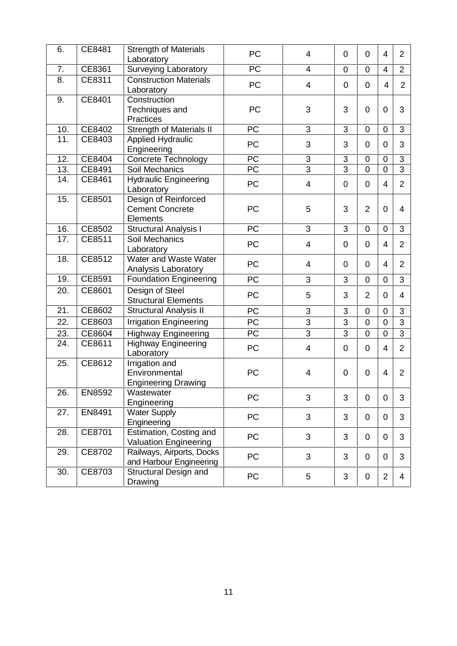| 6.  | CE8481 | <b>Strength of Materials</b>                                      | PC              | 4              | 0              | $\mathbf 0$      | $\overline{4}$ | $\overline{2}$ |
|-----|--------|-------------------------------------------------------------------|-----------------|----------------|----------------|------------------|----------------|----------------|
|     |        | Laboratory                                                        | <b>PC</b>       |                |                |                  |                |                |
| 7.  | CE8361 | Surveying Laboratory                                              |                 | 4              | 0              | $\overline{0}$   | $\overline{4}$ | $\overline{2}$ |
| 8.  | CE8311 | <b>Construction Materials</b><br>Laboratory                       | PC              | 4              | $\mathbf 0$    | $\overline{0}$   | $\overline{4}$ | $\overline{2}$ |
| 9.  | CE8401 | Construction<br>Techniques and<br>Practices                       | PC              | 3              | 3              | 0                | $\mathbf 0$    | 3              |
| 10. | CE8402 | <b>Strength of Materials II</b>                                   | PC              | 3              | 3              | $\mathbf 0$      | $\mathbf 0$    | 3              |
| 11. | CE8403 | <b>Applied Hydraulic</b><br>Engineering                           | <b>PC</b>       | 3              | 3              | $\mathbf 0$      | $\mathbf 0$    | 3              |
| 12. | CE8404 | Concrete Technology                                               | $\overline{PC}$ | $\mathfrak{B}$ | 3              | $\boldsymbol{0}$ | $\mathbf 0$    | 3              |
| 13. | CE8491 | Soil Mechanics                                                    | PC              | 3              | 3              | $\overline{0}$   | $\overline{0}$ | 3              |
| 14. | CE8461 | <b>Hydraulic Engineering</b><br>Laboratory                        | PC              | 4              | 0              | $\overline{0}$   | $\overline{4}$ | $\overline{2}$ |
| 15. | CE8501 | Design of Reinforced<br><b>Cement Concrete</b><br><b>Elements</b> | PC              | 5              | 3              | $\overline{2}$   | $\mathbf 0$    | 4              |
| 16. | CE8502 | <b>Structural Analysis I</b>                                      | PC              | 3              | 3              | $\mathbf 0$      | $\mathbf 0$    | 3              |
| 17. | CE8511 | Soil Mechanics<br>Laboratory                                      | <b>PC</b>       | 4              | 0              | $\overline{0}$   | $\overline{4}$ | $\overline{2}$ |
| 18. | CE8512 | Water and Waste Water<br>Analysis Laboratory                      | PC              | 4              | 0              | $\mathbf 0$      | $\overline{4}$ | $\overline{2}$ |
| 19. | CE8591 | <b>Foundation Engineering</b>                                     | PC              | 3              | 3              | $\overline{0}$   | $\overline{0}$ | 3              |
| 20. | CE8601 | Design of Steel<br><b>Structural Elements</b>                     | PC              | 5              | 3              | $\overline{2}$   | 0              | 4              |
| 21. | CE8602 | <b>Structural Analysis II</b>                                     | PC              | 3              | 3              | $\mathbf 0$      | $\mathbf 0$    | 3              |
| 22. | CE8603 | <b>Irrigation Engineering</b>                                     | PC              | 3              | 3              | $\mathbf 0$      | $\mathbf 0$    | 3              |
| 23. | CE8604 | <b>Highway Engineering</b>                                        | PC              | 3              | $\overline{3}$ | $\mathbf 0$      | $\mathbf 0$    | 3              |
| 24. | CE8611 | <b>Highway Engineering</b><br>Laboratory                          | PC              | 4              | 0              | $\overline{0}$   | $\overline{4}$ | $\overline{2}$ |
| 25. | CE8612 | Irrigation and<br>Environmental<br><b>Engineering Drawing</b>     | PC              | 4              | 0              | 0                | $\overline{4}$ | $\overline{2}$ |
| 26. | EN8592 | Wastewater<br>Engineering                                         | PC              | 3              | 3              | $\mathbf 0$      | $\mathbf 0$    | 3              |
| 27. | EN8491 | <b>Water Supply</b><br>Engineering                                | PC              | 3              | 3              | $\mathbf 0$      | 0              | 3              |
| 28. | CE8701 | Estimation, Costing and<br><b>Valuation Engineering</b>           | <b>PC</b>       | 3              | 3              | $\mathbf 0$      | $\mathbf 0$    | 3              |
| 29. | CE8702 | Railways, Airports, Docks<br>and Harbour Engineering              | PC              | 3              | 3              | 0                | $\mathbf 0$    | 3              |
| 30. | CE8703 | Structural Design and<br>Drawing                                  | PC              | 5              | 3              | 0                | $\overline{2}$ | 4              |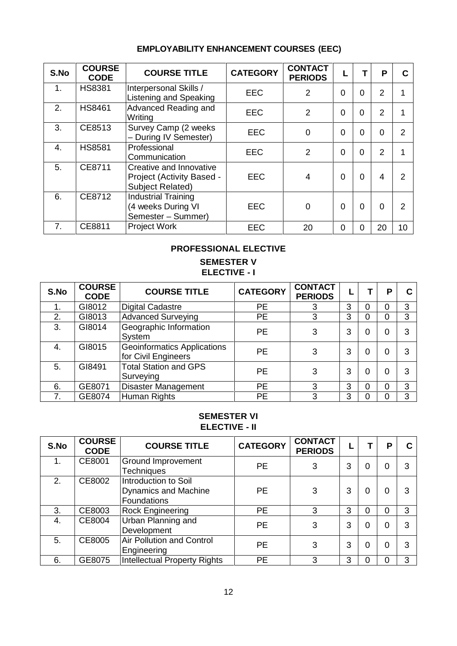## **EMPLOYABILITY ENHANCEMENT COURSES (EEC)**

| S.No             | <b>COURSE</b><br><b>CODE</b> | <b>COURSE TITLE</b>                                                      | <b>CATEGORY</b> | <b>CONTACT</b><br><b>PERIODS</b> |          |                | P              | C               |
|------------------|------------------------------|--------------------------------------------------------------------------|-----------------|----------------------------------|----------|----------------|----------------|-----------------|
| 1.               | <b>HS8381</b>                | Interpersonal Skills /<br>Listening and Speaking                         | <b>EEC</b>      | 2                                | $\Omega$ | $\overline{0}$ | 2              | 1               |
| 2.               | <b>HS8461</b>                | Advanced Reading and<br>Writing                                          | <b>EEC</b>      | $\overline{2}$                   | $\Omega$ | $\Omega$       | $\overline{2}$ | 1               |
| 3.               | CE8513                       | Survey Camp (2 weeks<br>- During IV Semester)                            | <b>EEC</b>      | $\mathbf 0$                      | $\Omega$ | $\Omega$       | $\Omega$       | $\overline{2}$  |
| $\overline{4}$ . | <b>HS8581</b>                | Professional<br>Communication                                            | <b>EEC</b>      | $\overline{2}$                   | $\Omega$ | $\Omega$       | 2              | 1               |
| 5 <sub>1</sub>   | CE8711                       | Creative and Innovative<br>Project (Activity Based -<br>Subject Related) | <b>EEC</b>      | 4                                | $\Omega$ | $\overline{0}$ | 4              | 2               |
| 6.               | CE8712                       | <b>Industrial Training</b><br>(4 weeks During VI<br>Semester - Summer)   | <b>EEC</b>      | $\overline{0}$                   | $\Omega$ | $\overline{0}$ | $\Omega$       | 2               |
| 7 <sub>1</sub>   | CE8811                       | <b>Project Work</b>                                                      | <b>EEC</b>      | 20                               | $\Omega$ | $\Omega$       | 20             | 10 <sup>1</sup> |

## **PROFESSIONAL ELECTIVE**

## **SEMESTER V ELECTIVE - I**

| S.No | <b>COURSE</b><br><b>CODE</b> | <b>COURSE TITLE</b>                                       | <b>CATEGORY</b> | <b>CONTACT</b><br><b>PERIODS</b> |   | Р | С |
|------|------------------------------|-----------------------------------------------------------|-----------------|----------------------------------|---|---|---|
| 1.   | GI8012                       | <b>Digital Cadastre</b>                                   | <b>PE</b>       | 3                                | 3 | 0 | 3 |
| 2.   | GI8013                       | <b>Advanced Surveying</b>                                 | <b>PE</b>       | 3                                | 3 | 0 | 3 |
| 3.   | GI8014                       | Geographic Information<br>System                          | <b>PE</b>       | 3                                | 3 | 0 | 3 |
| 4.   | GI8015                       | <b>Geoinformatics Applications</b><br>for Civil Engineers | <b>PE</b>       | 3                                | 3 | 0 | 3 |
| 5.   | GI8491                       | <b>Total Station and GPS</b><br>Surveying                 | <b>PE</b>       | 3                                | 3 | 0 | 3 |
| 6.   | GE8071                       | Disaster Management                                       | <b>PE</b>       | 3                                | 3 | 0 | 3 |
| 7.   | GE8074                       | Human Rights                                              | <b>PE</b>       | 3                                | 3 | 0 | 3 |

## **SEMESTER VI ELECTIVE - II**

| S.No | <b>COURSE</b><br><b>CODE</b> | <b>COURSE TITLE</b>                                                       | <b>CATEGORY</b> | <b>CONTACT</b><br><b>PERIODS</b> |   | Р | C |
|------|------------------------------|---------------------------------------------------------------------------|-----------------|----------------------------------|---|---|---|
| 1.   | CE8001                       | Ground Improvement<br><b>Techniques</b>                                   | <b>PE</b>       | 3                                | 3 | 0 | 3 |
| 2.   | CE8002                       | Introduction to Soil<br><b>Dynamics and Machine</b><br><b>Foundations</b> | <b>PE</b>       | 3                                | 3 | 0 | 3 |
| 3.   | CE8003                       | <b>Rock Engineering</b>                                                   | PE              | 3                                | 3 | 0 | 3 |
| 4.   | CE8004                       | Urban Planning and<br>Development                                         | <b>PE</b>       | 3                                | 3 | 0 | 3 |
| 5.   | CE8005                       | Air Pollution and Control<br>Engineering                                  | <b>PE</b>       | 3                                | 3 | 0 | 3 |
| 6.   | GE8075                       | <b>Intellectual Property Rights</b>                                       | <b>PE</b>       | 3                                | 3 | 0 | 3 |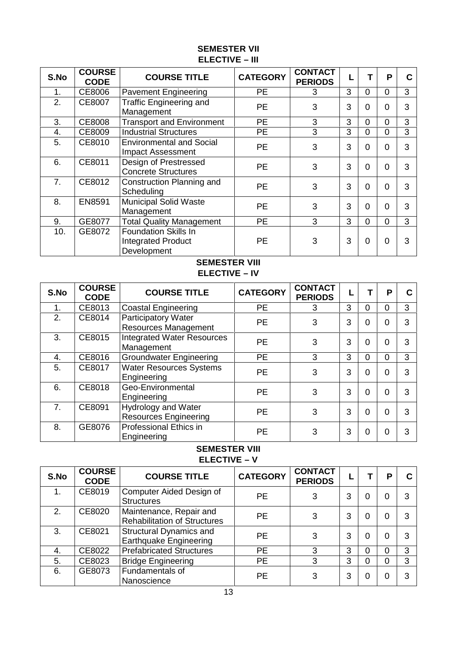## **SEMESTER VII ELECTIVE – III**

| S.No | <b>COURSE</b><br><b>CODE</b> | <b>COURSE TITLE</b>                                                     | <b>CATEGORY</b> | <b>CONTACT</b><br><b>PERIODS</b> |   |          | P              | C |
|------|------------------------------|-------------------------------------------------------------------------|-----------------|----------------------------------|---|----------|----------------|---|
| 1.   | CE8006                       | <b>Pavement Engineering</b>                                             | <b>PE</b>       | 3                                | 3 | $\Omega$ | $\overline{0}$ | 3 |
| 2.   | CE8007                       | <b>Traffic Engineering and</b><br>Management                            | <b>PE</b>       | 3                                | 3 | $\Omega$ | $\Omega$       | 3 |
| 3.   | CE8008                       | <b>Transport and Environment</b>                                        | <b>PE</b>       | 3                                | 3 | $\Omega$ | 0              | 3 |
| 4.   | CE8009                       | <b>Industrial Structures</b>                                            | <b>PE</b>       | 3                                | 3 | $\Omega$ | $\overline{0}$ | 3 |
| 5.   | CE8010                       | <b>Environmental and Social</b><br>Impact Assessment                    | PE              | 3                                | 3 | 0        | $\Omega$       | 3 |
| 6.   | CE8011                       | Design of Prestressed<br><b>Concrete Structures</b>                     | <b>PE</b>       | 3                                | 3 | $\Omega$ | $\Omega$       | 3 |
| 7.   | CE8012                       | Construction Planning and<br>Scheduling                                 | <b>PE</b>       | 3                                | 3 | $\Omega$ | $\overline{0}$ | 3 |
| 8.   | EN8591                       | <b>Municipal Solid Waste</b><br>Management                              | <b>PE</b>       | 3                                | 3 | $\Omega$ | $\overline{0}$ | 3 |
| 9.   | GE8077                       | <b>Total Quality Management</b>                                         | <b>PE</b>       | 3                                | 3 | $\Omega$ | $\overline{0}$ | 3 |
| 10.  | GE8072                       | <b>Foundation Skills In</b><br><b>Integrated Product</b><br>Development | <b>PE</b>       | 3                                | 3 | $\Omega$ | $\overline{0}$ | 3 |

## **SEMESTER VIII ELECTIVE – IV**

| S.No           | <b>COURSE</b><br><b>CODE</b> | <b>COURSE TITLE</b>                                        | <b>CATEGORY</b> | <b>CONTACT</b><br><b>PERIODS</b> |   |          | P              | C |
|----------------|------------------------------|------------------------------------------------------------|-----------------|----------------------------------|---|----------|----------------|---|
| 1.             | CE8013                       | <b>Coastal Engineering</b>                                 | <b>PE</b>       | 3                                | 3 | $\Omega$ | $\overline{0}$ | 3 |
| 2.             | CE8014                       | Participatory Water<br><b>Resources Management</b>         | <b>PE</b>       | 3                                | 3 |          | $\overline{0}$ | 3 |
| 3.             | CE8015                       | <b>Integrated Water Resources</b><br>Management            | <b>PE</b>       | 3                                | 3 | $\Omega$ | $\overline{0}$ | 3 |
| 4.             | CE8016                       | <b>Groundwater Engineering</b>                             | <b>PE</b>       | 3                                | 3 | $\Omega$ | $\mathbf 0$    | 3 |
| 5.             | CE8017                       | <b>Water Resources Systems</b><br>Engineering              | <b>PE</b>       | 3                                | 3 | $\Omega$ | $\Omega$       | 3 |
| 6.             | CE8018                       | Geo-Environmental<br>Engineering                           | <b>PE</b>       | 3                                | 3 | $\Omega$ | $\overline{0}$ | 3 |
| 7 <sub>1</sub> | CE8091                       | <b>Hydrology and Water</b><br><b>Resources Engineering</b> | <b>PE</b>       | 3                                | 3 |          | $\overline{0}$ | 3 |
| 8.             | GE8076                       | <b>Professional Ethics in</b><br>Engineering               | <b>PE</b>       | 3                                | 3 | $\Omega$ | $\Omega$       | 3 |

## **SEMESTER VIII ELECTIVE – V**

| S.No | <b>COURSE</b><br><b>CODE</b> | <b>COURSE TITLE</b>                                             | <b>CATEGORY</b> | <b>CONTACT</b><br><b>PERIODS</b> |   | P | C |
|------|------------------------------|-----------------------------------------------------------------|-----------------|----------------------------------|---|---|---|
| 1.   | CE8019                       | Computer Aided Design of<br><b>Structures</b>                   | <b>PE</b>       | 3                                | 3 | 0 | 3 |
| 2.   | CE8020                       | Maintenance, Repair and<br><b>Rehabilitation of Structures</b>  | <b>PE</b>       | 3                                | 3 | 0 | 3 |
| 3.   | CE8021                       | <b>Structural Dynamics and</b><br><b>Earthquake Engineering</b> | <b>PE</b>       | 3                                | 3 | 0 | 3 |
| 4.   | CE8022                       | <b>Prefabricated Structures</b>                                 | <b>PE</b>       | 3                                | 3 | 0 | 3 |
| 5.   | CE8023                       | <b>Bridge Engineering</b>                                       | <b>PE</b>       | 3                                | 3 | 0 | 3 |
| 6.   | GE8073                       | Fundamentals of<br>Nanoscience                                  | <b>PE</b>       | 3                                | 3 | 0 | 3 |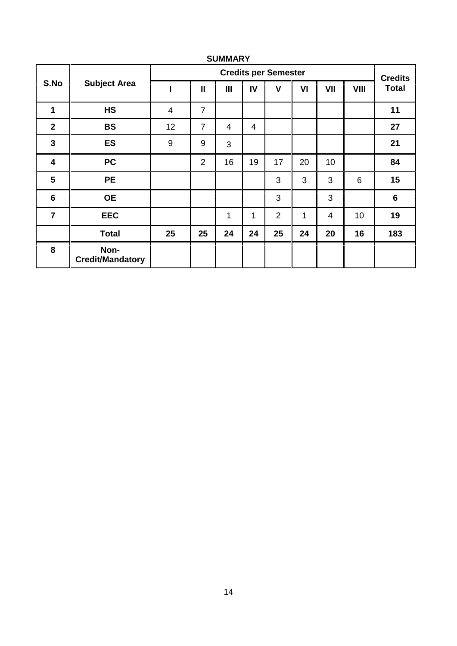|                         |                                 |                |                |                |                | <b>Credits per Semester</b> |             |                |             | <b>Credits</b> |
|-------------------------|---------------------------------|----------------|----------------|----------------|----------------|-----------------------------|-------------|----------------|-------------|----------------|
| S.No                    | <b>Subject Area</b>             |                | $\mathbf{I}$   | III            | IV             | $\mathsf{V}$                | VI          | VII            | <b>VIII</b> | <b>Total</b>   |
| 1                       | <b>HS</b>                       | $\overline{4}$ | $\overline{7}$ |                |                |                             |             |                |             | 11             |
| $\mathbf{2}$            | <b>BS</b>                       | 12             | $\overline{7}$ | $\overline{4}$ | $\overline{4}$ |                             |             |                |             | 27             |
| $\mathbf{3}$            | <b>ES</b>                       | 9              | 9              | 3              |                |                             |             |                |             | 21             |
| $\overline{\mathbf{4}}$ | <b>PC</b>                       |                | $\overline{2}$ | 16             | 19             | 17                          | 20          | 10             |             | 84             |
| 5                       | <b>PE</b>                       |                |                |                |                | 3                           | 3           | 3              | 6           | 15             |
| $6\phantom{1}$          | <b>OE</b>                       |                |                |                |                | 3                           |             | 3              |             | $\bf 6$        |
| $\overline{7}$          | <b>EEC</b>                      |                |                | $\mathbf{1}$   | $\mathbf{1}$   | $\overline{2}$              | $\mathbf 1$ | $\overline{4}$ | 10          | 19             |
|                         | <b>Total</b>                    | 25             | 25             | 24             | 24             | 25                          | 24          | 20             | 16          | 183            |
| 8                       | Non-<br><b>Credit/Mandatory</b> |                |                |                |                |                             |             |                |             |                |

## **SUMMARY**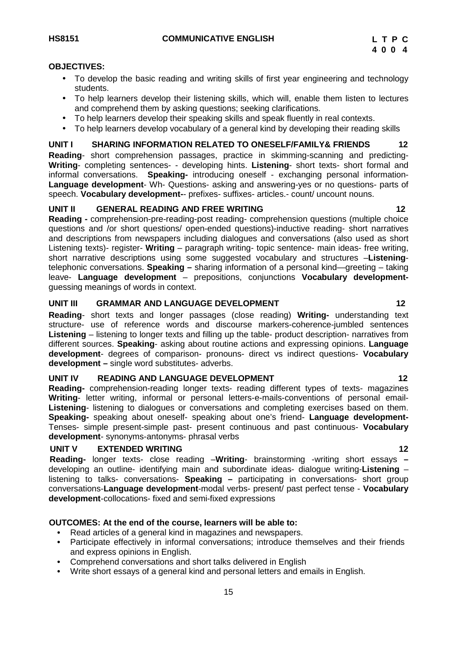## **OBJECTIVES:**

- To develop the basic reading and writing skills of first year engineering and technology students.
- To help learners develop their listening skills, which will, enable them listen to lectures and comprehend them by asking questions; seeking clarifications.
- To help learners develop their speaking skills and speak fluently in real contexts.
- To help learners develop vocabulary of a general kind by developing their reading skills

## **UNIT I SHARING INFORMATION RELATED TO ONESELF/FAMILY& FRIENDS 12**

**Reading**- short comprehension passages, practice in skimming-scanning and predicting- Writing- completing sentences- - developing hints. Listening- short texts- short formal and informations. Speaking- introducing oneself - exchanging personal information-**Speaking-** introducing oneself - exchanging personal information-**Language development**- Wh- Questions- asking and answering-yes or no questions- parts of speech. **Vocabulary development-**- prefixes- suffixes- articles.- count/ uncount nouns.

### **UNIT II GENERAL READING AND FREE WRITING 12**

**Reading -** comprehension-pre-reading-post reading- comprehension questions (multiple choice questions and /or short questions/ open-ended questions)-inductive reading- short narratives and descriptions from newspapers including dialogues and conversations (also used as short Listening texts)- register- **Writing** – paragraph writing- topic sentence- main ideas- free writing, short narrative descriptions using some suggested vocabulary and structures –**Listening**telephonic conversations. **Speaking –** sharing information of a personal kind—greeting – taking leave- **Language development** – prepositions, conjunctions **Vocabulary development** guessing meanings of words in context.

### **UNIT III GRAMMAR AND LANGUAGE DEVELOPMENT 12**

**Reading**- short texts and longer passages (close reading) **Writing-** understanding text structure- use of reference words and discourse markers-coherence-jumbled sentences **Listening** – listening to longer texts and filling up the table- product description- narratives from different sources. **Speaking**- asking about routine actions and expressing opinions. **Language development**- degrees of comparison- pronouns- direct vs indirect questions- **Vocabulary development –** single word substitutes- adverbs.

## **UNIT IV READING AND LANGUAGE DEVELOPMENT 12**

**Reading-** comprehension-reading longer texts- reading different types of texts- magazines **Writing**- letter writing, informal or personal letters-e-mails-conventions of personal email- **Listening**- listening to dialogues or conversations and completing exercises based on them. **Speaking-** speaking about oneself- speaking about one's friend- **Language development-** Tenses- simple present-simple past- present continuous and past continuous- **Vocabulary development**- synonyms-antonyms- phrasal verbs

## **UNIT V EXTENDED WRITING 12**

**Reading-** longer texts- close reading –**Writing**- brainstorming -writing short essays **–** developing an outline- identifying main and subordinate ideas- dialogue writing-**Listening** – listening to talks- conversations- **Speaking –** participating in conversations- short group conversations-**Language development**-modal verbs- present/ past perfect tense - **Vocabulary development**-collocations- fixed and semi-fixed expressions

## **OUTCOMES: At the end of the course, learners will be able to:**

- **•** Read articles of a general kind in magazines and newspapers.
- **•** Participate effectively in informal conversations; introduce themselves and their friends and express opinions in English.
- **•** Comprehend conversations and short talks delivered in English
- **•** Write short essays of a general kind and personal letters and emails in English.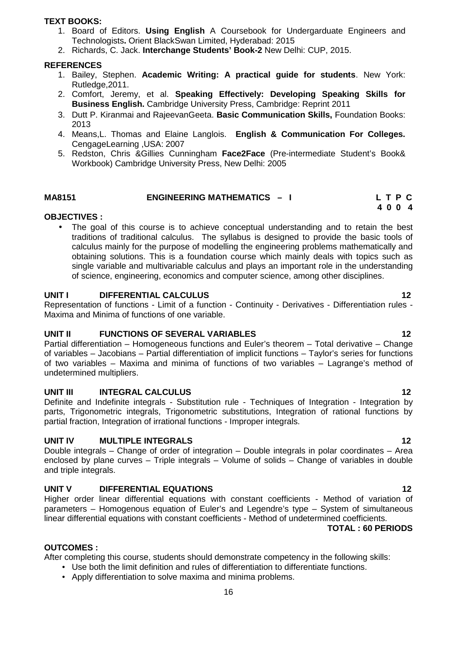## **TEXT BOOKS:**

- 1. Board of Editors. **Using English** A Coursebook for Undergarduate Engineers and Technologists**.** Orient BlackSwan Limited, Hyderabad: 2015
- 2. Richards, C. Jack. **Interchange Students' Book-2** New Delhi: CUP, 2015.

## **REFERENCES**

- 1. Bailey, Stephen. **Academic Writing: A practical guide for students**. New York: Rutledge,2011.
- 2. Comfort, Jeremy, et al. **Speaking Effectively: Developing Speaking Skills for Business English.** Cambridge University Press, Cambridge: Reprint 2011
- 3. Dutt P. Kiranmai and RajeevanGeeta. **Basic Communication Skills,** Foundation Books: 2013
- 4. Means,L. Thomas and Elaine Langlois. **English & Communication For Colleges.** CengageLearning ,USA: 2007
- 5. Redston, Chris &Gillies Cunningham **Face2Face** (Pre-intermediate Student's Book& Workbook) Cambridge University Press, New Delhi: 2005

### **MA8151 ENGINEERING MATHEMATICS – I L T P C 4 0 0 4**

## **OBJECTIVES :**

• The goal of this course is to achieve conceptual understanding and to retain the best traditions of traditional calculus. The syllabus is designed to provide the basic tools of calculus mainly for the purpose of modelling the engineering problems mathematically and obtaining solutions. This is a foundation course which mainly deals with topics such as single variable and multivariable calculus and plays an important role in the understanding of science, engineering, economics and computer science, among other disciplines.

### **UNIT I DIFFERENTIAL CALCULUS 12**

Representation of functions - Limit of a function - Continuity - Derivatives - Differentiation rules - Maxima and Minima of functions of one variable.

## **UNIT II FUNCTIONS OF SEVERAL VARIABLES 12**

Partial differentiation – Homogeneous functions and Euler's theorem – Total derivative – Change of variables – Jacobians – Partial differentiation of implicit functions – Taylor's series for functions of two variables – Maxima and minima of functions of two variables – Lagrange's method of undetermined multipliers.

### **UNIT III INTEGRAL CALCULUS 12**

Definite and Indefinite integrals - Substitution rule - Techniques of Integration - Integration by parts, Trigonometric integrals, Trigonometric substitutions, Integration of rational functions by partial fraction, Integration of irrational functions - Improper integrals.

## **UNIT IV MULTIPLE INTEGRALS 12**

Double integrals – Change of order of integration – Double integrals in polar coordinates – Area enclosed by plane curves – Triple integrals – Volume of solids – Change of variables in double and triple integrals.

## **UNIT V DIFFERENTIAL EQUATIONS 12**

Higher order linear differential equations with constant coefficients - Method of variation of parameters – Homogenous equation of Euler's and Legendre's type – System of simultaneous linear differential equations with constant coefficients - Method of undetermined coefficients.

### **TOTAL : 60 PERIODS**

## **OUTCOMES :**

After completing this course, students should demonstrate competency in the following skills:

- Use both the limit definition and rules of differentiation to differentiate functions.
- Apply differentiation to solve maxima and minima problems.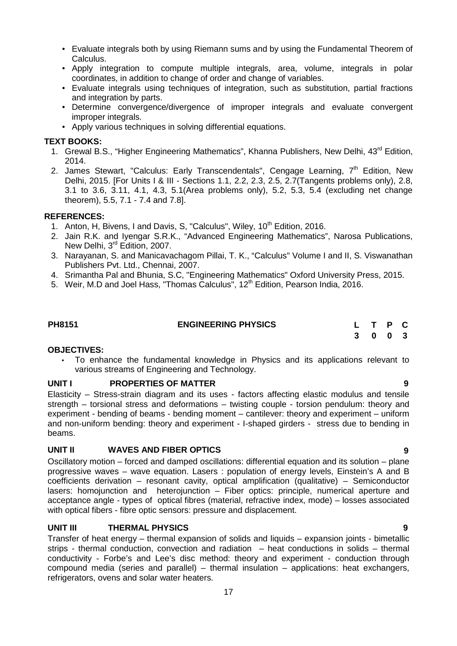- Evaluate integrals both by using Riemann sums and by using the Fundamental Theorem of Calculus.
- Apply integration to compute multiple integrals, area, volume, integrals in polar coordinates, in addition to change of order and change of variables.
- Evaluate integrals using techniques of integration, such as substitution, partial fractions and integration by parts.
- Determine convergence/divergence of improper integrals and evaluate convergent improper integrals.
- Apply various techniques in solving differential equations.

## **TEXT BOOKS:**

- 1. Grewal B.S., "Higher Engineering Mathematics", Khanna Publishers, New Delhi, 43<sup>rd</sup> Edition. 2014.
- 2. James Stewart, "Calculus: Early Transcendentals", Cengage Learning,  $7<sup>th</sup>$  Edition. New Delhi, 2015. [For Units I & III - Sections 1.1, 2.2, 2.3, 2.5, 2.7(Tangents problems only), 2.8, 3.1 to 3.6, 3.11, 4.1, 4.3, 5.1(Area problems only), 5.2, 5.3, 5.4 (excluding net change theorem), 5.5, 7.1 - 7.4 and 7.8].

## **REFERENCES:**

- 1. Anton, H, Bivens, I and Davis, S, "Calculus", Wiley, 10<sup>th</sup> Edition, 2016.
- 2. Jain R.K. and Iyengar S.R.K., "Advanced Engineering Mathematics", Narosa Publications, New Delhi, 3<sup>rd</sup> Edition, 2007.
- 3. Narayanan, S. and Manicavachagom Pillai, T. K., "Calculus" Volume I and II, S. Viswanathan Publishers Pvt. Ltd., Chennai, 2007.
- 4. Srimantha Pal and Bhunia, S.C, "Engineering Mathematics" Oxford University Press, 2015.
- 5. Weir, M.D and Joel Hass, "Thomas Calculus", 12<sup>th</sup> Edition, Pearson India, 2016.

| <b>PH8151</b> | <b>ENGINEERING PHYSICS</b> | L T P C |  |  |
|---------------|----------------------------|---------|--|--|
|               |                            | 3 0 0 3 |  |  |

## **OBJECTIVES:**

 To enhance the fundamental knowledge in Physics and its applications relevant to various streams of Engineering and Technology.

## **UNIT I PROPERTIES OF MATTER 9**

Elasticity – Stress-strain diagram and its uses - factors affecting elastic modulus and tensile strength – torsional stress and deformations – twisting couple - torsion pendulum: theory and experiment - bending of beams - bending moment – cantilever: theory and experiment – uniform and non-uniform bending: theory and experiment - I-shaped girders - stress due to bending in beams.

## **UNIT II WAVES AND FIBER OPTICS 9**

Oscillatory motion – forced and damped oscillations: differential equation and its solution – plane progressive waves – wave equation. Lasers : population of energy levels, Einstein's A and B coefficients derivation – resonant cavity, optical amplification (qualitative) – Semiconductor lasers: homojunction and heterojunction – Fiber optics: principle, numerical aperture and acceptance angle - types of optical fibres (material, refractive index, mode) – losses associated with optical fibers - fibre optic sensors: pressure and displacement.

## **UNIT III THERMAL PHYSICS 9**

Transfer of heat energy – thermal expansion of solids and liquids – expansion joints - bimetallic strips - thermal conduction, convection and radiation – heat conductions in solids – thermal conductivity - Forbe's and Lee's disc method: theory and experiment - conduction through compound media (series and parallel) – thermal insulation – applications: heat exchangers, refrigerators, ovens and solar water heaters.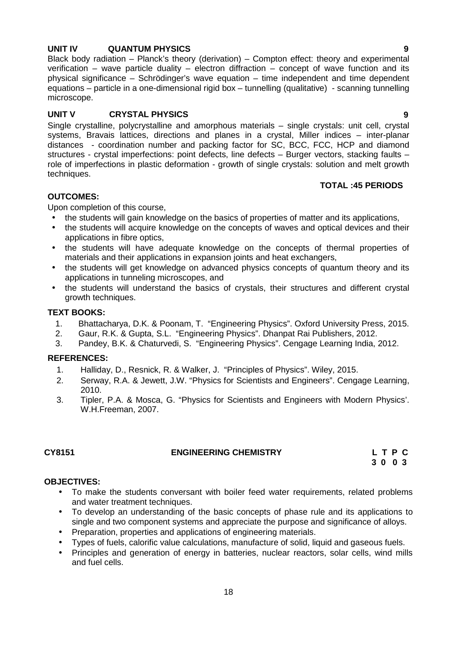## **UNIT IV QUANTUM PHYSICS 9**

Black body radiation – Planck's theory (derivation) – Compton effect: theory and experimental verification – wave particle duality – electron diffraction – concept of wave function and its physical significance – Schrödinger's wave equation – time independent and time dependent equations – particle in a one-dimensional rigid box – tunnelling (qualitative) - scanning tunnelling microscope.

## **UNIT V CRYSTAL PHYSICS 9**

Single crystalline, polycrystalline and amorphous materials – single crystals: unit cell, crystal systems, Bravais lattices, directions and planes in a crystal, Miller indices – inter-planar distances - coordination number and packing factor for SC, BCC, FCC, HCP and diamond structures - crystal imperfections: point defects, line defects - Burger vectors, stacking faults role of imperfections in plastic deformation - growth of single crystals: solution and melt growth techniques.

## **TOTAL :45 PERIODS**

## **OUTCOMES:**

Upon completion of this course,

- the students will gain knowledge on the basics of properties of matter and its applications,
- the students will acquire knowledge on the concepts of waves and optical devices and their applications in fibre optics,
- the students will have adequate knowledge on the concepts of thermal properties of materials and their applications in expansion joints and heat exchangers,
- the students will get knowledge on advanced physics concepts of quantum theory and its applications in tunneling microscopes, and
- the students will understand the basics of crystals, their structures and different crystal growth techniques.

## **TEXT BOOKS:**

- 1. Bhattacharya, D.K. & Poonam, T. "Engineering Physics". Oxford University Press, 2015.
- 2. Gaur, R.K. & Gupta, S.L. "Engineering Physics". Dhanpat Rai Publishers, 2012.
- 3. Pandey, B.K. & Chaturvedi, S. "Engineering Physics". Cengage Learning India, 2012.

## **REFERENCES:**

- 1. Halliday, D., Resnick, R. & Walker, J. "Principles of Physics". Wiley, 2015.
- 2. Serway, R.A. & Jewett, J.W. "Physics for Scientists and Engineers". Cengage Learning, 2010.
- 3. Tipler, P.A. & Mosca, G. "Physics for Scientists and Engineers with Modern Physics'. W.H.Freeman, 2007.

## **CY8151 ENGINEERING CHEMISTRY L T P C**

**3 0 0 3**

## **OBJECTIVES:**

- To make the students conversant with boiler feed water requirements, related problems and water treatment techniques.
- To develop an understanding of the basic concepts of phase rule and its applications to single and two component systems and appreciate the purpose and significance of alloys.
- Preparation, properties and applications of engineering materials.
- Types of fuels, calorific value calculations, manufacture of solid, liquid and gaseous fuels.
- Principles and generation of energy in batteries, nuclear reactors, solar cells, wind mills and fuel cells.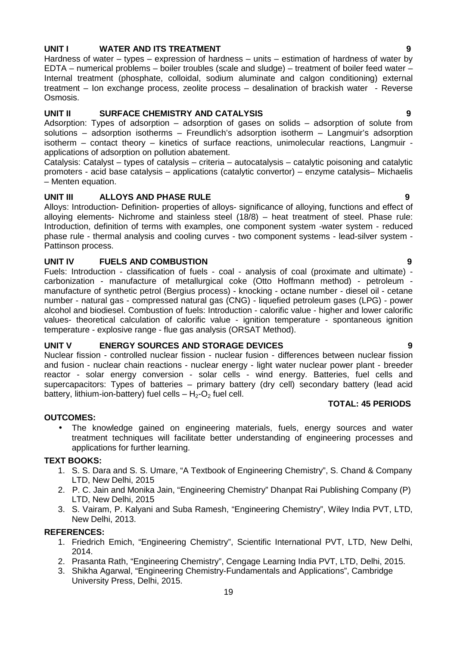Alloys: Introduction- Definition- properties of alloys- significance of alloying, functions and effect of alloying elements- Nichrome and stainless steel (18/8) – heat treatment of steel. Phase rule: Introduction, definition of terms with examples, one component system -water system - reduced phase rule - thermal analysis and cooling curves - two component systems - lead-silver system - Pattinson process.

### **UNIT IV FUELS AND COMBUSTION 9**

Fuels: Introduction - classification of fuels - coal - analysis of coal (proximate and ultimate) carbonization - manufacture of metallurgical coke (Otto Hoffmann method) - petroleum manufacture of synthetic petrol (Bergius process) - knocking - octane number - diesel oil - cetane number - natural gas - compressed natural gas (CNG) - liquefied petroleum gases (LPG) - power alcohol and biodiesel. Combustion of fuels: Introduction - calorific value - higher and lower calorific values- theoretical calculation of calorific value - ignition temperature - spontaneous ignition temperature - explosive range - flue gas analysis (ORSAT Method).

### **UNIT V ENERGY SOURCES AND STORAGE DEVICES 9**

Nuclear fission - controlled nuclear fission - nuclear fusion - differences between nuclear fission and fusion - nuclear chain reactions - nuclear energy - light water nuclear power plant - breeder reactor - solar energy conversion - solar cells - wind energy. Batteries, fuel cells and supercapacitors: Types of batteries – primary battery (dry cell) secondary battery (lead acid battery, lithium-ion-battery) fuel cells  $- H_2-O_2$  fuel cell.

### **OUTCOMES:**

 The knowledge gained on engineering materials, fuels, energy sources and water treatment techniques will facilitate better understanding of engineering processes and applications for further learning.

### **TEXT BOOKS:**

- 1. S. S. Dara and S. S. Umare, "A Textbook of Engineering Chemistry", S. Chand & Company LTD, New Delhi, 2015
- 2. P. C. Jain and Monika Jain, "Engineering Chemistry" Dhanpat Rai Publishing Company (P) LTD, New Delhi, 2015
- 3. S. Vairam, P. Kalyani and Suba Ramesh, "Engineering Chemistry", Wiley India PVT, LTD, New Delhi, 2013.

### **REFERENCES:**

- 1. Friedrich Emich, "Engineering Chemistry", Scientific International PVT, LTD, New Delhi, 2014.
- 2. Prasanta Rath, "Engineering Chemistry", Cengage Learning India PVT, LTD, Delhi, 2015.
- 3. Shikha Agarwal, "Engineering Chemistry-Fundamentals and Applications", Cambridge University Press, Delhi, 2015.

### **UNIT I WATER AND ITS TREATMENT 9**

Hardness of water – types – expression of hardness – units – estimation of hardness of water by EDTA – numerical problems – boiler troubles (scale and sludge) – treatment of boiler feed water – Internal treatment (phosphate, colloidal, sodium aluminate and calgon conditioning) external treatment – Ion exchange process, zeolite process – desalination of brackish water - Reverse Osmosis.

### **UNIT II SURFACE CHEMISTRY AND CATALYSIS 9**

Adsorption: Types of adsorption – adsorption of gases on solids – adsorption of solute from solutions – adsorption isotherms – Freundlich's adsorption isotherm – Langmuir's adsorption isotherm – contact theory – kinetics of surface reactions, unimolecular reactions, Langmuir applications of adsorption on pollution abatement.

Catalysis: Catalyst – types of catalysis – criteria – autocatalysis – catalytic poisoning and catalytic promoters - acid base catalysis – applications (catalytic convertor) – enzyme catalysis– Michaelis – Menten equation.

## **UNIT III** ALLOYS AND PHASE RULE 9

**TOTAL: 45 PERIODS**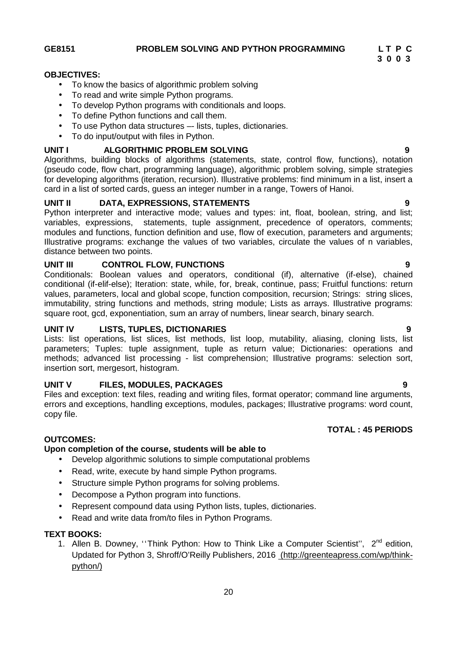## **OBJECTIVES:**

- To know the basics of algorithmic problem solving
- To read and write simple Python programs.
- To develop Python programs with conditionals and loops.
- To define Python functions and call them.
- To use Python data structures –- lists, tuples, dictionaries.
- To do input/output with files in Python.

## **UNIT I ALGORITHMIC PROBLEM SOLVING 9**

Algorithms, building blocks of algorithms (statements, state, control flow, functions), notation (pseudo code, flow chart, programming language), algorithmic problem solving, simple strategies for developing algorithms (iteration, recursion). Illustrative problems: find minimum in a list, insert a card in a list of sorted cards, guess an integer number in a range, Towers of Hanoi.

## **UNIT II DATA, EXPRESSIONS, STATEMENTS 9**

Python interpreter and interactive mode; values and types: int, float, boolean, string, and list; variables, expressions, statements, tuple assignment, precedence of operators, comments; modules and functions, function definition and use, flow of execution, parameters and arguments; Illustrative programs: exchange the values of two variables, circulate the values of n variables, distance between two points.

## **UNIT III CONTROL FLOW, FUNCTIONS 9**

Conditionals: Boolean values and operators, conditional (if), alternative (if-else), chained conditional (if-elif-else); Iteration: state, while, for, break, continue, pass; Fruitful functions: return values, parameters, local and global scope, function composition, recursion; Strings: string slices, immutability, string functions and methods, string module; Lists as arrays. Illustrative programs: square root, gcd, exponentiation, sum an array of numbers, linear search, binary search.

## **UNIT IV LISTS, TUPLES, DICTIONARIES 9**

Lists: list operations, list slices, list methods, list loop, mutability, aliasing, cloning lists, list parameters; Tuples: tuple assignment, tuple as return value; Dictionaries: operations and methods; advanced list processing - list comprehension; Illustrative programs: selection sort, insertion sort, mergesort, histogram.

## **UNIT V FILES, MODULES, PACKAGES 9**

Files and exception: text files, reading and writing files, format operator; command line arguments, errors and exceptions, handling exceptions, modules, packages; Illustrative programs: word count, copy file.

### **OUTCOMES:**

## **Upon completion of the course, students will be able to**

- Develop algorithmic solutions to simple computational problems
- Read, write, execute by hand simple Python programs.
- Structure simple Python programs for solving problems.
- Decompose a Python program into functions.
- Represent compound data using Python lists, tuples, dictionaries.
- Read and write data from/to files in Python Programs.

### **TEXT BOOKS:**

1. Allen B. Downey, "Think Python: How to Think Like a Computer Scientist",  $2^{nd}$  edition, Updated for Python 3, Shroff/O'Reilly Publishers, 2016 (http://greenteapress.com/wp/think python/)

**TOTAL : 45 PERIODS**

**3 0 0 3**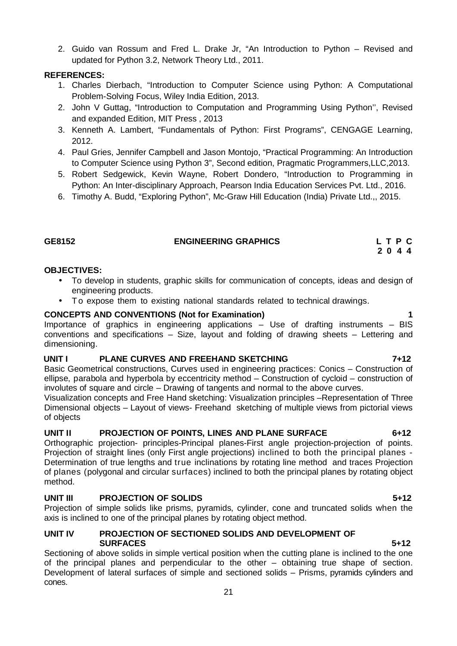2. Guido van Rossum and Fred L. Drake Jr, "An Introduction to Python – Revised and updated for Python 3.2, Network Theory Ltd., 2011.

## **REFERENCES:**

- 1. Charles Dierbach, "Introduction to Computer Science using Python: A Computational Problem-Solving Focus, Wiley India Edition, 2013.
- 2. John V Guttag, "Introduction to Computation and Programming Using Python'', Revised and expanded Edition, MIT Press , 2013
- 3. Kenneth A. Lambert, "Fundamentals of Python: First Programs", CENGAGE Learning, 2012.
- 4. Paul Gries, Jennifer Campbell and Jason Montojo, "Practical Programming: An Introduction to Computer Science using Python 3", Second edition, Pragmatic Programmers,LLC,2013.
- 5. Robert Sedgewick, Kevin Wayne, Robert Dondero, "Introduction to Programming in Python: An Inter-disciplinary Approach, Pearson India Education Services Pvt. Ltd., 2016.
- 6. Timothy A. Budd, "Exploring Python", Mc-Graw Hill Education (India) Private Ltd.,, 2015.

## **GE8152 ENGINEERING GRAPHICS L T P C**

**2 0 4 4**

## **OBJECTIVES:**

- To develop in students, graphic skills for communication of concepts, ideas and design of engineering products. COBJECTIVES:<br>
■ To develop in students, graphic skills for communication of concepts, ideas and design of<br>
■ To expose them to existing national standards related to technical drawings.<br>
CONCEPTS AND CONVENTIONS (Not for
	-

Importance of graphics in engineering applications – Use of drafting instruments – BIS conventions and specifications – Size, layout and folding of drawing sheets – Lettering and dimensioning.

## **UNIT I PLANE CURVES AND FREEHAND SKETCHING 7+12**

Basic Geometrical constructions, Curves used in engineering practices: Conics – Construction of ellipse, parabola and hyperbola by eccentricity method – Construction of cycloid – construction of involutes of square and circle – Drawing of tangents and normal to the above curves.

Visualization concepts and Free Hand sketching: Visualization principles –Representation of Three Dimensional objects – Layout of views- Freehand sketching of multiple views from pictorial views of objects

## **UNIT II PROJECTION OF POINTS, LINES AND PLANE SURFACE 6+12**

Orthographic projection- principles-Principal planes-First angle projection-projection of points. Projection of straight lines (only First angle projections) inclined to both the principal planes - Determination of true lengths and true inclinations by rotating line method and traces Projection of planes (polygonal and circular surfaces) inclined to both the principal planes by rotating object method.

## **UNIT III PROJECTION OF SOLIDS 5+12**

Projection of simple solids like prisms, pyramids, cylinder, cone and truncated solids when the axis is inclined to one of the principal planes by rotating object method.

## **UNIT IV PROJECTION OF SECTIONED SOLIDS AND DEVELOPMENT OF SURFACES 5+12**

Sectioning of above solids in simple vertical position when the cutting plane is inclined to the one of the principal planes and perpendicular to the other – obtaining true shape of section. Development of lateral surfaces of simple and sectioned solids – Prisms, pyramids cylinders and cones.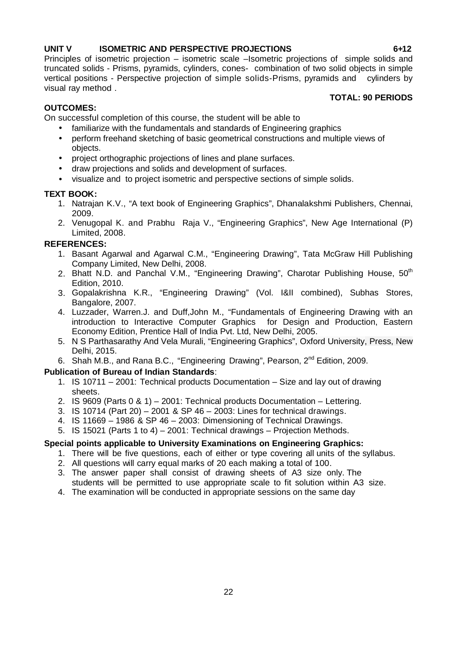## **UNIT V ISOMETRIC AND PERSPECTIVE PROJECTIONS 6 +12**

Principles of isometric projection – isometric scale –Isometric projections of simple solids and truncated solids - Prisms, pyramids, cylinders, cones- combination of two solid objects in simple vertical positions - Perspective projection of simple solids-Prisms, pyramids and cylinders by visual ray method .

## **TOTAL: 90 PERIODS**

## **OUTCOMES:**

On successful completion of this course, the student will be able to

- familiarize with the fundamentals and standards of Engineering graphics
- perform freehand sketching of basic geometrical constructions and multiple views of objects.
- project orthographic projections of lines and plane surfaces.
- draw projections and solids and development of surfaces.
- visualize and to project isometric and perspective sections of simple solids.

## **TEXT BOOK:**

- 1. Natrajan K.V., "A text book of Engineering Graphics", Dhanalakshmi Publishers, Chennai, 2009.
- 2. Venugopal K. and Prabhu Raja V., "Engineering Graphics", New Age International (P) Limited, 2008.

## **REFERENCES:**

- 1. Basant Agarwal and Agarwal C.M., "Engineering Drawing", Tata McGraw Hill Publishing Company Limited, New Delhi, 2008.
- 2. Bhatt N.D. and Panchal V.M., "Engineering Drawing", Charotar Publishing House, 50<sup>th</sup> Edition, 2010.
- 3. Gopalakrishna K.R., "Engineering Drawing" (Vol. I&II combined), Subhas Stores, Bangalore, 2007.
- 4. Luzzader, Warren.J. and Duff,John M., "Fundamentals of Engineering Drawing with an introduction to Interactive Computer Graphics for Design and Production, Eastern Economy Edition, Prentice Hall of India Pvt. Ltd, New Delhi, 2005.
- 5. N S Parthasarathy And Vela Murali, "Engineering Graphics", Oxford University, Press, New Delhi, 2015.
- 6. Shah M.B., and Rana B.C., "Engineering Drawing", Pearson, 2<sup>nd</sup> Edition, 2009.

## **Publication of Bureau of Indian Standards**:

- 1. IS 10711 2001: Technical products Documentation Size and lay out of drawing sheets.
- 2. IS 9609 (Parts 0 & 1) 2001: Technical products Documentation Lettering.
- 3. IS 10714 (Part 20) 2001 & SP 46 2003: Lines for technical drawings.
- 4. IS 11669 1986 & SP 46 2003: Dimensioning of Technical Drawings.
- 5. IS 15021 (Parts 1 to 4) 2001: Technical drawings Projection Methods.

## **Special points applicable to University Examinations on Engineering Graphics:**

- 1. There will be five questions, each of either or type covering all units of the syllabus.
- 2. All questions will carry equal marks of 20 each making a total of 100.
- 3. The answer paper shall consist of drawing sheets of A3 size only. The students will be permitted to use appropriate scale to fit solution within A3 size.
- 4. The examination will be conducted in appropriate sessions on the same day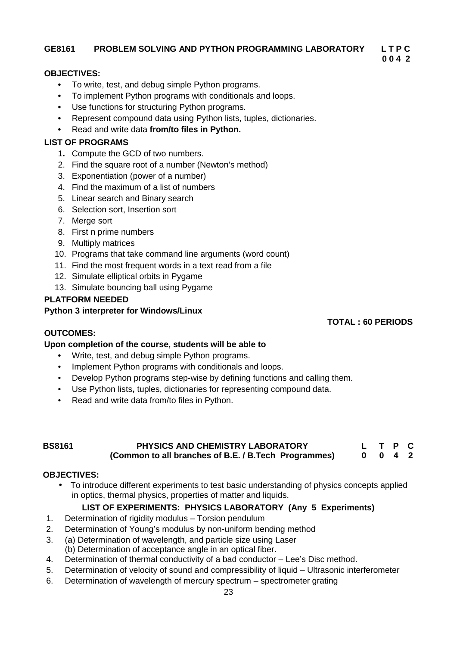## **GE8161 PROBLEM SOLVING AND PYTHON PROGRAMMING LABORATORY L T P C**

## **OBJECTIVES:**

- **•** To write, test, and debug simple Python programs.
- **•** To implement Python programs with conditionals and loops.
- **•** Use functions for structuring Python programs.
- **•** Represent compound data using Python lists, tuples, dictionaries.
- **•** Read and write data **from/to files in Python.**

## **LIST OF PROGRAMS**

- 1**.** Compute the GCD of two numbers.
- 2. Find the square root of a number (Newton's method)
- 3. Exponentiation (power of a number)
- 4. Find the maximum of a list of numbers
- 5. Linear search and Binary search
- 6. Selection sort, Insertion sort
- 7. Merge sort
- 8. First n prime numbers
- 9. Multiply matrices
- 10. Programs that take command line arguments (word count)
- 11. Find the most frequent words in a text read from a file
- 12. Simulate elliptical orbits in Pygame
- 13. Simulate bouncing ball using Pygame

## **PLATFORM NEEDED**

## **Python 3 interpreter for Windows/Linux**

## **OUTCOMES:**

## **Upon completion of the course, students will be able to**

- **•** Write, test, and debug simple Python programs.
- Implement Python programs with conditionals and loops.
- Develop Python programs step-wise by defining functions and calling them.
- Use Python lists**,** tuples, dictionaries for representing compound data.
- Read and write data from/to files in Python.

### **BS8161 PHYSICS AND CHEMISTRY LABORATORY (Common to all branches of B.E. / B.Tech Programmes) L T P C 0 0 4 2**

## **OBJECTIVES:**

 To introduce different experiments to test basic understanding of physics concepts applied in optics, thermal physics, properties of matter and liquids.

## **LIST OF EXPERIMENTS: PHYSICS LABORATORY (Any 5 Experiments)**

- 1. Determination of rigidity modulus Torsion pendulum
- 2. Determination of Young's modulus by non-uniform bending method
- 3. (a) Determination of wavelength, and particle size using Laser
	- (b) Determination of acceptance angle in an optical fiber.
- 4. Determination of thermal conductivity of a bad conductor Lee's Disc method.
- 5. Determination of velocity of sound and compressibility of liquid Ultrasonic interferometer
- 6. Determination of wavelength of mercury spectrum spectrometer grating

**TOTAL : 60 PERIODS**

**0 0 4 2**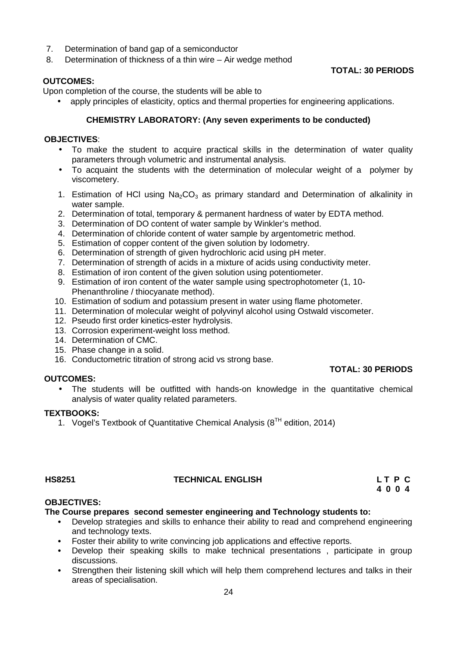- 7. Determination of band gap of a semiconductor
- 8. Determination of thickness of a thin wire Air wedge method

## **TOTAL: 30 PERIODS**

## **OUTCOMES:**

Upon completion of the course, the students will be able to

apply principles of elasticity, optics and thermal properties for engineering applications.

## **CHEMISTRY LABORATORY: (Any seven experiments to be conducted)**

## **OBJECTIVES**:

- To make the student to acquire practical skills in the determination of water quality parameters through volumetric and instrumental analysis.
- To acquaint the students with the determination of molecular weight of a polymer by viscometery.
- 1. Estimation of HCl using  $Na<sub>2</sub>CO<sub>3</sub>$  as primary standard and Determination of alkalinity in water sample.
- 2. Determination of total, temporary & permanent hardness of water by EDTA method.
- 3. Determination of DO content of water sample by Winkler's method.
- 4. Determination of chloride content of water sample by argentometric method.
- 5. Estimation of copper content of the given solution by Iodometry.
- 6. Determination of strength of given hydrochloric acid using pH meter.
- 7. Determination of strength of acids in a mixture of acids using conductivity meter.
- 8. Estimation of iron content of the given solution using potentiometer.
- 9. Estimation of iron content of the water sample using spectrophotometer (1, 10- Phenanthroline / thiocyanate method).
- 10. Estimation of sodium and potassium present in water using flame photometer.
- 11. Determination of molecular weight of polyvinyl alcohol using Ostwald viscometer.
- 12. Pseudo first order kinetics-ester hydrolysis.
- 13. Corrosion experiment-weight loss method.
- 14. Determination of CMC.
- 15. Phase change in a solid.
- 16. Conductometric titration of strong acid vs strong base.

## **OUTCOMES:**

## **TOTAL: 30 PERIODS**

 The students will be outfitted with hands-on knowledge in the quantitative chemical analysis of water quality related parameters.

### **TEXTBOOKS:**

1. Vogel's Textbook of Quantitative Chemical Analysis (8<sup>TH</sup> edition. 2014)

## **HS8251 TECHNICAL ENGLISH L T P C**

**4 0 0 4**

## **OBJECTIVES:**

## **The Course prepares second semester engineering and Technology students to:**

- **•** Develop strategies and skills to enhance their ability to read and comprehend engineering and technology texts.
- **•** Foster their ability to write convincing job applications and effective reports.<br>• Develop their speaking skills to make technical presentations partic
- **•** Develop their speaking skills to make technical presentations , participate in group discussions.
- **•** Strengthen their listening skill which will help them comprehend lectures and talks in their areas of specialisation.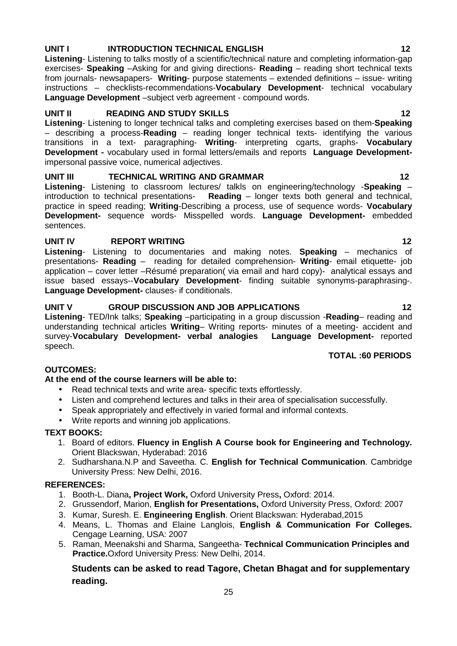### **UNIT III TECHNICAL WRITING AND GRAMMAR 12**

**Listening**- Listening to classroom lectures/ talkls on engineering/technology -**Speaking** – introduction to technical presentations- **Reading** – longer texts both general and technical, practice in speed reading; **Writing**-Describing a process, use of sequence words- **Vocabulary Development-** sequence words- Misspelled words. **Language Development-** embedded sentences.

### **UNIT IV REPORT WRITING 12**

**Listening**- Listening to documentaries and making notes. **Speaking** – mechanics of presentations- **Reading** – reading for detailed comprehension- **Writing**- email etiquette- job application – cover letter –Résumé preparation( via email and hard copy)- analytical essays and issue based essays--**Vocabulary Development**- finding suitable synonyms-paraphrasing-. **Language Development-** clauses- if conditionals.

## **UNIT V GROUP DISCUSSION AND JOB APPLICATIONS 12**

**Listening**- TED/Ink talks; **Speaking** –participating in a group discussion -**Reading**– reading and understanding technical articles **Writing**– Writing reports- minutes of a meeting- accident and survey-**Vocabulary Development- verbal analogies Language Development-** reported speech. **TOTAL :60 PERIODS**

### **OUTCOMES:**

### **At the end of the course learners will be able to:**

- Read technical texts and write area- specific texts effortlessly.
- Listen and comprehend lectures and talks in their area of specialisation successfully.
- Speak appropriately and effectively in varied formal and informal contexts.
- Write reports and winning job applications.

### **TEXT BOOKS:**

- 1. Board of editors. **Fluency in English A Course book for Engineering and Technology.** Orient Blackswan, Hyderabad: 2016
- 2. Sudharshana.N.P and Saveetha. C. **English for Technical Communication**. Cambridge University Press: New Delhi, 2016.

### **REFERENCES:**

- 1. Booth-L. Diana**, Project Work,** Oxford University Press**,** Oxford: 2014.
- 2. Grussendorf, Marion, **English for Presentations,** Oxford University Press, Oxford: 2007
- 3. Kumar, Suresh. E. **Engineering English**. Orient Blackswan: Hyderabad,2015
- 4. Means, L. Thomas and Elaine Langlois, **English & Communication For Colleges.** Cengage Learning, USA: 2007
- 5. Raman, Meenakshi and Sharma, Sangeetha- **Technical Communication Principles and Practice.**Oxford University Press: New Delhi, 2014.

## **Students can be asked to read Tagore, Chetan Bhagat and for supplementary reading.**

## **UNIT I INTRODUCTION TECHNICAL ENGLISH 12**

**Listening**- Listening to talks mostly of a scientific/technical nature and completing information-gap exercises- **Speaking** –Asking for and giving directions- **Reading** – reading short technical texts from journals- newsapapers- **Writing**- purpose statements – extended definitions – issue- writing instructions – checklists-recommendations-**Vocabulary Development**- technical vocabulary **Language Development** –subject verb agreement - compound words.

– describing a process-**Reading** – reading longer technical texts- identifying the various transitions in a text- paragraphing- **Writing**- interpreting cgarts, graphs- **Vocabulary Development -** vocabulary used in formal letters/emails and reports **Language Development-**

impersonal passive voice, numerical adjectives.

### **UNIT II READING AND STUDY SKILLS 12 Listening**- Listening to longer technical talks and completing exercises based on them-**Speaking**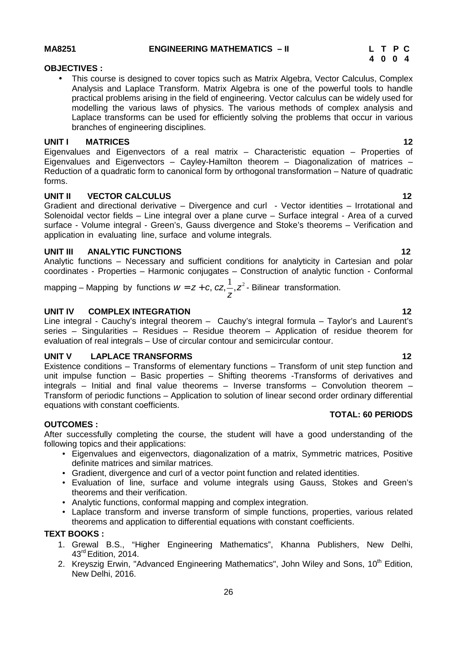**UNIT I MATRICES 12** Eigenvalues and Eigenvectors of a real matrix – Characteristic equation – Properties of Eigenvalues and Eigenvectors – Cayley-Hamilton theorem – Diagonalization of matrices – Reduction of a quadratic form to canonical form by orthogonal transformation – Nature of quadratic forms.

## **UNIT II VECTOR CALCULUS 12**

Gradient and directional derivative – Divergence and curl - Vector identities – Irrotational and Solenoidal vector fields – Line integral over a plane curve – Surface integral - Area of a curved surface - Volume integral - Green's, Gauss divergence and Stoke's theorems – Verification and application in evaluating line, surface and volume integrals.

### **UNIT III ANALYTIC FUNCTIONS 12**

Analytic functions – Necessary and sufficient conditions for analyticity in Cartesian and polar coordinates - Properties – Harmonic conjugates – Construction of analytic function - Conformal

mapping – Mapping by functions  $w = z + c, \, cz, \stackrel{1}{\text{--}}\, z^2$ - Bilinear transformation. *z*<sup>2</sup>  $W = Z + C$ ,  $CZ, \frac{1}{2}$ ,  $Z^2$  - Bilinear transformation.

### **UNIT IV COMPLEX INTEGRATION 12**

Line integral - Cauchy's integral theorem – Cauchy's integral formula – Taylor's and Laurent's series – Singularities – Residues – Residue theorem – Application of residue theorem for evaluation of real integrals – Use of circular contour and semicircular contour.

### **UNIT V LAPLACE TRANSFORMS 12**

Existence conditions – Transforms of elementary functions – Transform of unit step function and unit impulse function – Basic properties – Shifting theorems -Transforms of derivatives and integrals – Initial and final value theorems – Inverse transforms – Convolution theorem – Transform of periodic functions – Application to solution of linear second order ordinary differential equations with constant coefficients.

### **OUTCOMES :**

After successfully completing the course, the student will have a good understanding of the following topics and their applications:

- Eigenvalues and eigenvectors, diagonalization of a matrix, Symmetric matrices, Positive definite matrices and similar matrices.
- Gradient, divergence and curl of a vector point function and related identities.
- Evaluation of line, surface and volume integrals using Gauss, Stokes and Green's theorems and their verification.
- Analytic functions, conformal mapping and complex integration.
- Laplace transform and inverse transform of simple functions, properties, various related theorems and application to differential equations with constant coefficients.

### **TEXT BOOKS :**

- 1. Grewal B.S., "Higher Engineering Mathematics", Khanna Publishers, New Delhi, 43rd Edition, 2014.
- 2. Kreyszig Erwin, "Advanced Engineering Mathematics", John Wiley and Sons, 10<sup>th</sup> Edition, New Delhi, 2016.

**MA8251 ENGINEERING MATHEMATICS – II L T P C**

## **OBJECTIVES :**

 This course is designed to cover topics such as Matrix Algebra, Vector Calculus, Complex Analysis and Laplace Transform. Matrix Algebra is one of the powerful tools to handle practical problems arising in the field of engineering. Vector calculus can be widely used for modelling the various laws of physics. The various methods of complex analysis and Laplace transforms can be used for efficiently solving the problems that occur in various branches of engineering disciplines.

## **TOTAL: 60 PERIODS**

# **4 0 0 4**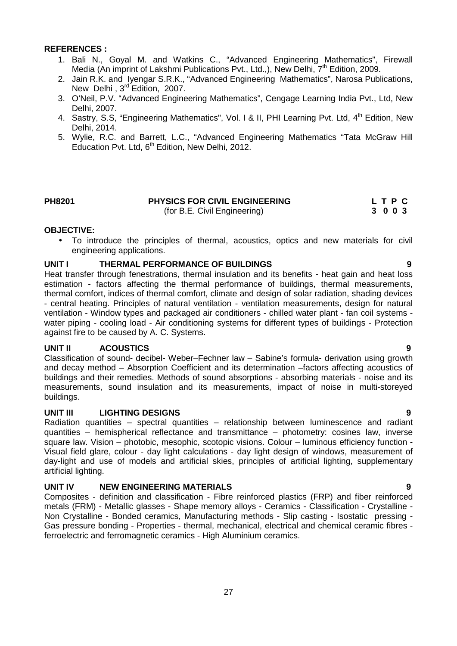### **REFERENCES :**

- 1. Bali N., Goyal M. and Watkins C., "Advanced Engineering Mathematics", Firewall Media (An imprint of Lakshmi Publications Pvt., Ltd.,), New Delhi,  $7<sup>th</sup>$  Edition, 2009.
- 2. Jain R.K. and Iyengar S.R.K., "Advanced Engineering Mathematics", Narosa Publications, New Delhi, 3<sup>rd</sup> Edition, 2007.
- 3. O'Neil, P.V. "Advanced Engineering Mathematics", Cengage Learning India Pvt., Ltd, New Delhi, 2007.
- 4. Sastry, S.S, "Engineering Mathematics", Vol. I & II, PHI Learning Pvt. Ltd, 4<sup>th</sup> Edition, New Delhi, 2014.
- 5. Wylie, R.C. and Barrett, L.C., "Advanced Engineering Mathematics "Tata McGraw Hill Education Pvt. Ltd, 6<sup>th</sup> Edition, New Delhi, 2012.

**PH8201 PHYSICS FOR CIVIL ENGINEERING L T P C** (for B.E. Civil Engineering) **3 0 0 3**

### **OBJECTIVE:**

 To introduce the principles of thermal, acoustics, optics and new materials for civil engineering applications.

### **UNIT I THERMAL PERFORMANCE OF BUILDINGS 9**

Heat transfer through fenestrations, thermal insulation and its benefits - heat gain and heat loss estimation - factors affecting the thermal performance of buildings, thermal measurements, thermal comfort, indices of thermal comfort, climate and design of solar radiation, shading devices - central heating. Principles of natural ventilation - ventilation measurements, design for natural ventilation - Window types and packaged air conditioners - chilled water plant - fan coil systems water piping - cooling load - Air conditioning systems for different types of buildings - Protection against fire to be caused by A. C. Systems.

## **UNIT II ACOUSTICS 9**

Classification of sound- decibel- Weber–Fechner law – Sabine's formula- derivation using growth and decay method – Absorption Coefficient and its determination –factors affecting acoustics of buildings and their remedies. Methods of sound absorptions - absorbing materials - noise and its measurements, sound insulation and its measurements, impact of noise in multi-storeyed buildings.

### **UNIT III LIGHTING DESIGNS 9**

Radiation quantities – spectral quantities – relationship between luminescence and radiant quantities – hemispherical reflectance and transmittance – photometry: cosines law, inverse square law. Vision – photobic, mesophic, scotopic visions. Colour – luminous efficiency function - Visual field glare, colour - day light calculations - day light design of windows, measurement of day-light and use of models and artificial skies, principles of artificial lighting, supplementary artificial lighting.

## **UNIT IV NEW ENGINEERING MATERIALS 9**

Composites - definition and classification - Fibre reinforced plastics (FRP) and fiber reinforced metals (FRM) - Metallic glasses - Shape memory alloys - Ceramics - Classification - Crystalline - Non Crystalline - Bonded ceramics, Manufacturing methods - Slip casting - Isostatic pressing - Gas pressure bonding - Properties - thermal, mechanical, electrical and chemical ceramic fibres ferroelectric and ferromagnetic ceramics - High Aluminium ceramics.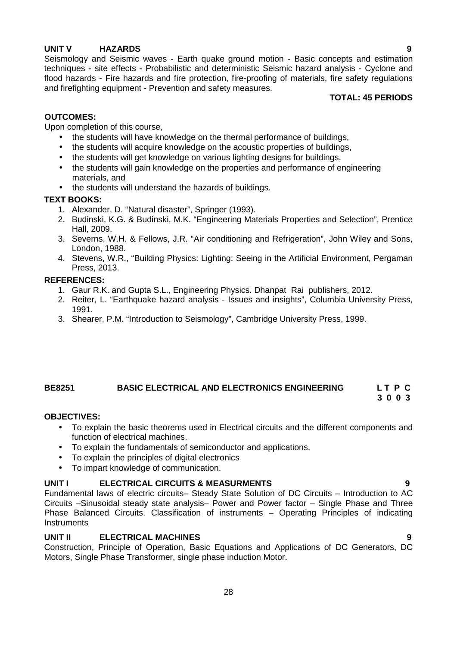## **UNIT V HAZARDS 9**

Seismology and Seismic waves - Earth quake ground motion - Basic concepts and estimation techniques - site effects - Probabilistic and deterministic Seismic hazard analysis - Cyclone and flood hazards - Fire hazards and fire protection, fire-proofing of materials, fire safety regulations and firefighting equipment - Prevention and safety measures.

## **TOTAL: 45 PERIODS**

## **OUTCOMES:**

Upon completion of this course,

- the students will have knowledge on the thermal performance of buildings,
- the students will acquire knowledge on the acoustic properties of buildings,
- the students will get knowledge on various lighting designs for buildings,
- the students will gain knowledge on the properties and performance of engineering materials, and
- the students will understand the hazards of buildings.

## **TEXT BOOKS:**

- 1. Alexander, D. "Natural disaster", Springer (1993).
- 2. Budinski, K.G. & Budinski, M.K. "Engineering Materials Properties and Selection", Prentice Hall, 2009.
- 3. Severns, W.H. & Fellows, J.R. "Air conditioning and Refrigeration", John Wiley and Sons, London, 1988.
- 4. Stevens, W.R., "Building Physics: Lighting: Seeing in the Artificial Environment, Pergaman Press, 2013.

## **REFERENCES:**

- 1. Gaur R.K. and Gupta S.L., Engineering Physics. Dhanpat Rai publishers, 2012.
- 2. Reiter, L. "Earthquake hazard analysis Issues and insights", Columbia University Press, 1991.
- 3. Shearer, P.M. "Introduction to Seismology", Cambridge University Press, 1999.

## **BE8251 BASIC ELECTRICAL AND ELECTRONICS ENGINEERING L T P C**

### **3 0 0 3**

## **OBJECTIVES:**

- To explain the basic theorems used in Electrical circuits and the different components and function of electrical machines.
- To explain the fundamentals of semiconductor and applications.
- To explain the principles of digital electronics
- To impart knowledge of communication.

## **UNIT I ELECTRICAL CIRCUITS & MEASURMENTS 9**

Fundamental laws of electric circuits– Steady State Solution of DC Circuits – Introduction to AC Circuits –Sinusoidal steady state analysis– Power and Power factor – Single Phase and Three Phase Balanced Circuits. Classification of instruments – Operating Principles of indicating **Instruments** 

## **UNIT II ELECTRICAL MACHINES 9**

Construction, Principle of Operation, Basic Equations and Applications of DC Generators, DC Motors, Single Phase Transformer, single phase induction Motor.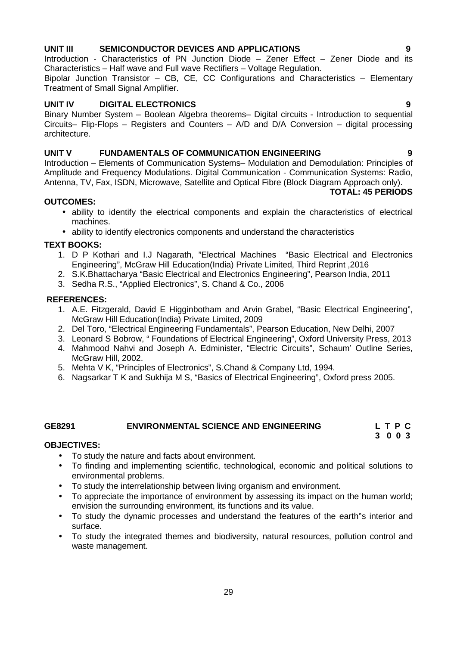• ability to identify electronics components and understand the characteristics

## **TEXT BOOKS:**

- 1. D P Kothari and I.J Nagarath, "Electrical Machines "Basic Electrical and Electronics Engineering", McGraw Hill Education(India) Private Limited, Third Reprint ,2016
- 2. S.K.Bhattacharya "Basic Electrical and Electronics Engineering", Pearson India, 2011
- 3. Sedha R.S., "Applied Electronics", S. Chand & Co., 2006

## **REFERENCES:**

- 1. A.E. Fitzgerald, David E Higginbotham and Arvin Grabel, "Basic Electrical Engineering", McGraw Hill Education(India) Private Limited, 2009
- 2. Del Toro, "Electrical Engineering Fundamentals", Pearson Education, New Delhi, 2007
- 3. Leonard S Bobrow, " Foundations of Electrical Engineering", Oxford University Press, 2013
- 4. Mahmood Nahvi and Joseph A. Edminister, "Electric Circuits", Schaum' Outline Series, McGraw Hill, 2002.
- 5. Mehta V K, "Principles of Electronics", S.Chand & Company Ltd, 1994.
- 6. Nagsarkar T K and Sukhija M S, "Basics of Electrical Engineering", Oxford press 2005.

### **GE8291 ENVIRONMENTAL SCIENCE AND ENGINEERING L T P C**

### **OBJECTIVES:**

- To study the nature and facts about environment.
- To finding and implementing scientific, technological, economic and political solutions to environmental problems.
- To study the interrelationship between living organism and environment.
- To appreciate the importance of environment by assessing its impact on the human world; envision the surrounding environment, its functions and its value.
- To study the dynamic processes and understand the features of the earth"s interior and surface.
- To study the integrated themes and biodiversity, natural resources, pollution control and waste management.

### **UNIT III SEMICONDUCTOR DEVICES AND APPLICATIONS 9**

Introduction - Characteristics of PN Junction Diode – Zener Effect – Zener Diode and its Characteristics – Half wave and Full wave Rectifiers – Voltage Regulation.

Bipolar Junction Transistor – CB, CE, CC Configurations and Characteristics – Elementary Treatment of Small Signal Amplifier.

### **UNIT IV DIGITAL ELECTRONICS 9**

Binary Number System – Boolean Algebra theorems– Digital circuits - Introduction to sequential Circuits– Flip-Flops – Registers and Counters – A/D and D/A Conversion – digital processing architecture.

### **UNIT V FUNDAMENTALS OF COMMUNICATION ENGINEERING 9**

Introduction – Elements of Communication Systems– Modulation and Demodulation: Principles of Amplitude and Frequency Modulations. Digital Communication - Communication Systems: Radio, Antenna, TV, Fax, ISDN, Microwave, Satellite and Optical Fibre (Block Diagram Approach only).

## **OUTCOMES:**

 ability to identify the electrical components and explain the characteristics of electrical machines.

**TOTAL: 45 PERIODS**

- -

**3 0 0 3**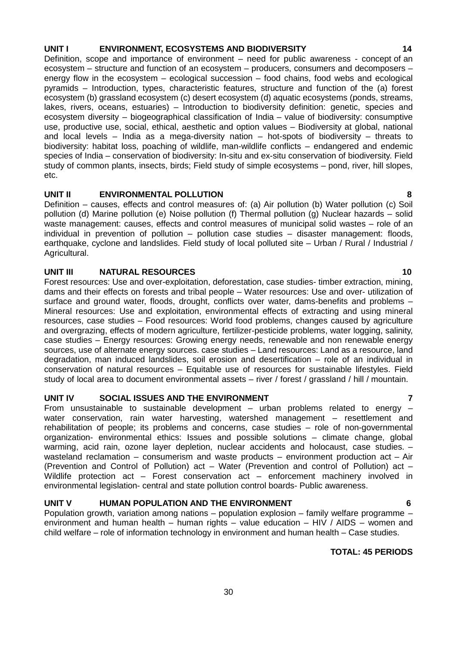### **UNIT I ENVIRONMENT, ECOSYSTEMS AND BIODIVERSITY 14**

Definition, scope and importance of environment  $-$  need for public awareness  $-$  concept of an ecosystem – structure and function of an ecosystem – producers, consumers and decomposers – energy flow in the ecosystem – ecological succession – food chains, food webs and ecological pyramids – Introduction, types, characteristic features, structure and function of the (a) forest ecosystem (b) grassland ecosystem (c) desert ecosystem (d) aquatic ecosystems (ponds, streams, lakes, rivers, oceans, estuaries) – Introduction to biodiversity definition: genetic, species and ecosystem diversity – biogeographical classification of India – value of biodiversity: consumptive use, productive use, social, ethical, aesthetic and option values – Biodiversity at global, national and local levels – India as a mega-diversity nation – hot-spots of biodiversity – threats to biodiversity: habitat loss, poaching of wildlife, man-wildlife conflicts – endangered and endemic species of India – conservation of biodiversity: In-situ and ex-situ conservation of biodiversity. Field study of common plants, insects, birds; Field study of simple ecosystems – pond, river, hill slopes, etc.

## **UNIT II ENVIRONMENTAL POLLUTION 8**

Definition – causes, effects and control measures of: (a) Air pollution (b)Water pollution (c) Soil pollution (d) Marine pollution (e) Noise pollution (f) Thermal pollution (g) Nuclear hazards – solid waste management: causes, effects and control measures of municipal solid wastes – role of an individual in prevention of pollution – pollution case studies – disaster management: floods, earthquake, cyclone and landslides. Field study of local polluted site – Urban / Rural / Industrial / Agricultural.

## **UNIT III NATURAL RESOURCES 10**

Forest resources: Use and over-exploitation, deforestation, case studies- timber extraction, mining, dams and their effects on forests and tribal people – Water resources: Use and over- utilization of surface and ground water, floods, drought, conflicts over water, dams-benefits and problems – Mineral resources: Use and exploitation, environmental effects of extracting and using mineral resources, case studies – Food resources: World food problems, changes caused by agriculture and overgrazing, effects of modern agriculture, fertilizer-pesticide problems, water logging, salinity, case studies – Energy resources: Growing energy needs, renewable and non renewable energy sources, use of alternate energy sources. case studies – Land resources: Land as a resource, land degradation, man induced landslides, soil erosion and desertification – role of an individual in conservation of natural resources – Equitable use of resources for sustainable lifestyles. Field study of local area to document environmental assets – river / forest / grassland / hill / mountain.

## **UNIT IV SOCIAL ISSUES AND THE ENVIRONMENT 7**

From unsustainable to sustainable development – urban problems related to energy – water conservation, rain water harvesting, watershed management – resettlement and rehabilitation of people; its problems and concerns, case studies – role of non-governmental organization- environmental ethics: Issues and possible solutions – climate change, global warming, acid rain, ozone layer depletion, nuclear accidents and holocaust, case studies. – wasteland reclamation – consumerism and waste products – environment production act – Air (Prevention and Control of Pollution) act – Water (Prevention and control of Pollution) act – Wildlife protection act – Forest conservation act – enforcement machinery involved in environmental legislation- central and state pollution control boards- Public awareness.

## **UNIT V HUMAN POPULATION AND THE ENVIRONMENT 6**

Population growth, variation among nations – population explosion – family welfare programme – environment and human health – human rights – value education – HIV / AIDS – women and child welfare – role of information technology in environment and human health – Case studies.

## **TOTAL: 45 PERIODS**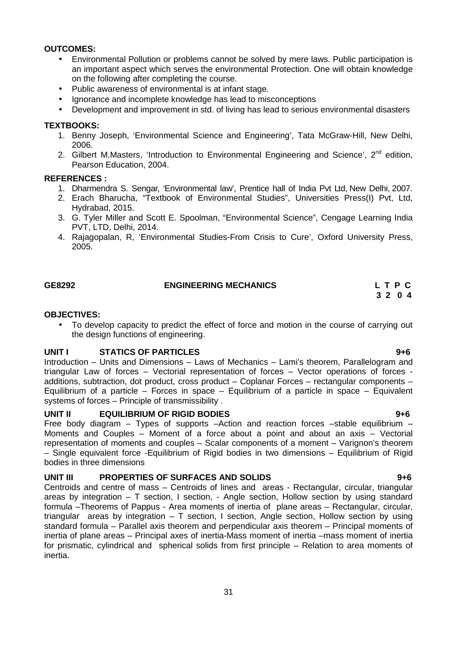## **OUTCOMES:**

- Environmental Pollution or problems cannot be solved by mere laws. Public participation is an important aspect which serves the environmental Protection. One will obtain knowledge on the following after completing the course.
- Public awareness of environmental is at infant stage.
- Ignorance and incomplete knowledge has lead to misconceptions
- Development and improvement in std. of living has lead to serious environmental disasters

### **TEXTBOOKS:**

- 1. Benny Joseph, 'Environmental Science and Engineering', Tata McGraw-Hill, New Delhi, 2006.
- 2. Gilbert M.Masters, 'Introduction to Environmental Engineering and Science', 2<sup>nd</sup> edition, Pearson Education, 2004.

### **REFERENCES :**

- 1. Dharmendra S. Sengar, 'Environmental law', Prentice hall of India Pvt Ltd, New Delhi, 2007.
- 2. Erach Bharucha, "Textbook of Environmental Studies", Universities Press(I) Pvt, Ltd, Hydrabad, 2015.
- 3. G. Tyler Miller and Scott E. Spoolman, "Environmental Science", Cengage Learning India PVT, LTD, Delhi, 2014.
- 4. Rajagopalan, R, 'Environmental Studies-From Crisis to Cure', Oxford University Press, 2005.

## **GE8292 ENGINEERING MECHANICS L T P C**

# **3 2 0 4**

### **OBJECTIVES:**

 To develop capacity to predict the effect of force and motion in the course of carrying out the design functions of engineering.

### **UNIT I STATICS OF PARTICLES 9+6**

Introduction – Units and Dimensions – Laws of Mechanics – Lami's theorem, Parallelogram and triangular Law of forces – Vectorial representation of forces – Vector operations of forces additions, subtraction, dot product, cross product – Coplanar Forces – rectangular components – Equilibrium of a particle – Forces in space – Equilibrium of a particle in space – Equivalent systems of forces – Principle of transmissibility .

### **UNIT II EQUILIBRIUM OF RIGID BODIES 9+6**

Free body diagram  $-$  Types of supports  $-Action$  and reaction forces  $-A$ table equilibrium  $-$ Moments and Couples – Moment of a force about a point and about an axis – Vectorial representation of moments and couples – Scalar components of a moment – Varignon's theorem – Single equivalent force -Equilibrium of Rigid bodies in two dimensions – Equilibrium of Rigid bodies in three dimensions

### **UNIT III PROPERTIES OF SURFACES AND SOLIDS 9+6**

Centroids and centre of mass – Centroids of lines and areas - Rectangular, circular, triangular areas by integration – T section, I section, - Angle section, Hollow section by using standard formula –Theorems of Pappus - Area moments of inertia of plane areas – Rectangular, circular, triangular areas by integration – T section, I section, Angle section, Hollow section by using standard formula – Parallel axis theorem and perpendicular axis theorem – Principal moments of inertia of plane areas – Principal axes of inertia-Mass moment of inertia –mass moment of inertia for prismatic, cylindrical and spherical solids from first principle – Relation to area moments of inertia.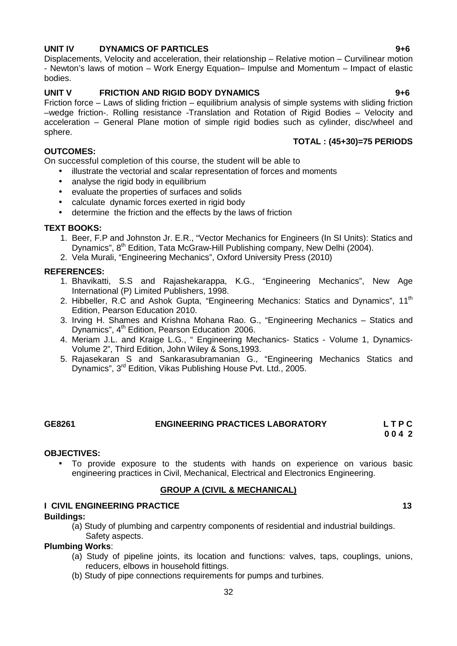## **UNIT IV DYNAMICS OF PARTICLES 9+6**

Displacements, Velocity and acceleration, their relationship – Relative motion – Curvilinear motion - Newton's laws of motion – Work Energy Equation– Impulse and Momentum – Impact of elastic bodies.

## **UNIT V FRICTION AND RIGID BODY DYNAMICS 9+6**

Friction force – Laws of sliding friction – equilibrium analysis of simple systems with sliding friction –wedge friction-. Rolling resistance -Translation and Rotation of Rigid Bodies – Velocity and acceleration – General Plane motion of simple rigid bodies such as cylinder, disc/wheel and sphere. **TOTAL : (45+30)=75 PERIODS**

## **OUTCOMES:**

On successful completion of this course, the student will be able to

- illustrate the vectorial and scalar representation of forces and moments
- analyse the rigid body in equilibrium
- evaluate the properties of surfaces and solids
- calculate dynamic forces exerted in rigid body
- determine the friction and the effects by the laws of friction

### **TEXT BOOKS:**

- 1. Beer, F.P and Johnston Jr. E.R., "Vector Mechanics for Engineers (In SI Units): Statics and Dynamics", 8<sup>th</sup> Edition, Tata McGraw-Hill Publishing company, New Delhi (2004).
- 2. Vela Murali, "Engineering Mechanics", Oxford University Press (2010)

### **REFERENCES:**

- 1. Bhavikatti, S.S and Rajashekarappa, K.G., "Engineering Mechanics", New Age International (P) Limited Publishers, 1998.
- 2. Hibbeller, R.C and Ashok Gupta, "Engineering Mechanics: Statics and Dynamics", 11<sup>th</sup> Edition, Pearson Education 2010.
- 3. Irving H. Shames and Krishna Mohana Rao. G., "Engineering Mechanics Statics and Dynamics",  $4<sup>th</sup>$  Edition, Pearson Education 2006.
- 4. Meriam J.L. and Kraige L.G., " Engineering Mechanics- Statics Volume 1, Dynamics- Volume 2", Third Edition, John Wiley & Sons,1993.
- 5. Rajasekaran S and Sankarasubramanian G., "Engineering Mechanics Statics and Dynamics", 3rd Edition, Vikas Publishing House Pvt. Ltd., 2005.

## **GE8261 ENGINEERING PRACTICES LABORATORY L T P C**

### **0 0 4 2**

### **OBJECTIVES:**

 To provide exposure to the students with hands on experience on various basic engineering practices in Civil, Mechanical, Electrical and Electronics Engineering.

## **GROUP A (CIVIL & MECHANICAL)**

## **I CIVIL ENGINEERING PRACTICE 13**

### **Buildings:**

(a) Study of plumbing and carpentry components of residential and industrial buildings. Safety aspects.

### **Plumbing Works**:

- (a) Study of pipeline joints, its location and functions: valves, taps, couplings, unions, reducers, elbows in household fittings.
- (b) Study of pipe connections requirements for pumps and turbines.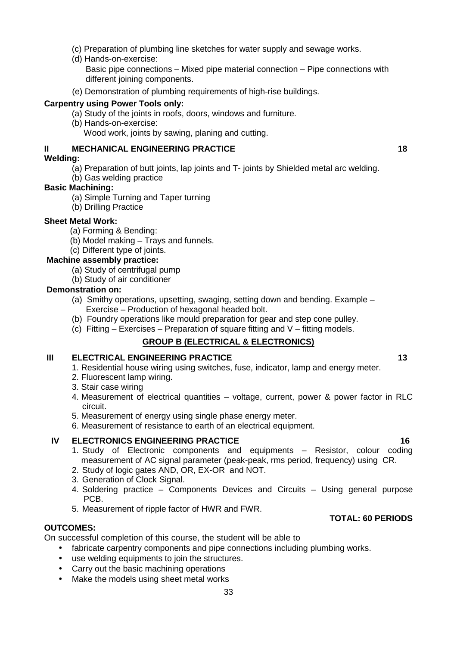- (c) Preparation of plumbing line sketches for water supply and sewage works.
- (d) Hands-on-exercise:

Basic pipe connections – Mixed pipe material connection – Pipe connections with different joining components.

(e) Demonstration of plumbing requirements of high-rise buildings.

## **Carpentry using Power Tools only:**

- (a) Study of the joints in roofs, doors, windows and furniture.
- (b) Hands-on-exercise:

Wood work, joints by sawing, planing and cutting.

## **II MECHANICAL ENGINEERING PRACTICE 18**

## **Welding:**

(a) Preparation of butt joints, lap joints and T- joints by Shielded metal arc welding.

(b) Gas welding practice

## **Basic Machining:**

- (a) Simple Turning and Taper turning
- (b) Drilling Practice

## **Sheet Metal Work:**

- (a) Forming & Bending:
- (b) Model making Trays and funnels.
- (c) Different type of joints.

## **Machine assembly practice:**

- (a) Study of centrifugal pump
- (b) Study of air conditioner

## **Demonstration on:**

- (a) Smithy operations, upsetting, swaging, setting down and bending. Example Exercise – Production of hexagonal headed bolt.
- (b) Foundry operations like mould preparation for gear and step cone pulley.
- (c) Fitting Exercises Preparation of square fitting and  $V$  fitting models.

## **GROUP B (ELECTRICAL & ELECTRONICS)**

## **III ELECTRICAL ENGINEERING PRACTICE 13**

- 1. Residential house wiring using switches, fuse, indicator, lamp and energy meter.
- 2. Fluorescent lamp wiring.
- 3. Stair case wiring
- 4. Measurement of electrical quantities voltage, current, power & power factor in RLC circuit.
- 5. Measurement of energy using single phase energy meter.
- 6. Measurement of resistance to earth of an electrical equipment.

## **IV ELECTRONICS ENGINEERING PRACTICE 16**

- 1. Study of Electronic components and equipments Resistor, colour coding measurement of AC signal parameter (peak-peak, rms period, frequency) using CR.
- 2. Study of logic gates AND, OR, EX-OR and NOT.
- 3. Generation of Clock Signal.
- 4. Soldering practice Components Devices and Circuits Using general purpose PCB.
- 5. Measurement of ripple factor of HWR and FWR.

### **OUTCOMES:**

On successful completion of this course, the student will be able to

- fabricate carpentry components and pipe connections including plumbing works.
- use welding equipments to join the structures.
- Carry out the basic machining operations
- Make the models using sheet metal works

## **TOTAL: 60 PERIODS**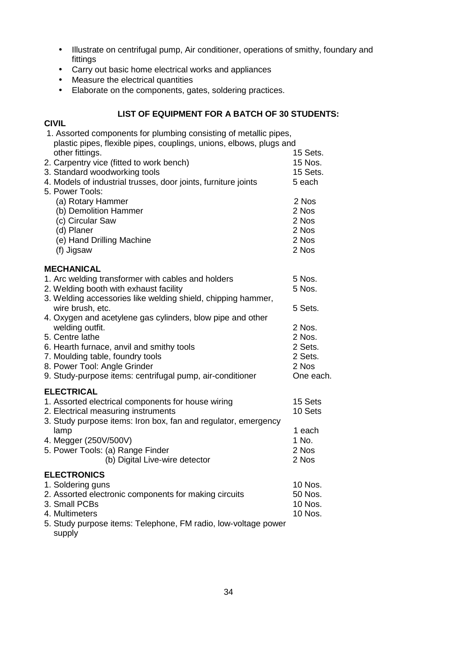- Illustrate on centrifugal pump, Air conditioner, operations of smithy, foundary and fittings
- Carry out basic home electrical works and appliances
- Measure the electrical quantities
- Elaborate on the components, gates, soldering practices.

## **LIST OF EQUIPMENT FOR A BATCH OF 30 STUDENTS:**

## **CIVIL** 1. Assorted components for plumbing consisting of metallic pipes, plastic pipes, flexible pipes, couplings, unions, elbows, plugs and other fittings. The contract of the contract of the contract of the contract of the contract of the contract of the contract of the contract of the contract of the contract of the contract of the contract of the contract o 2. Carpentry vice (fitted to work bench) 15 Nos. 3. Standard woodworking tools 15 Sets.<br>4. Models of industrial trusses, door joints, furniture joints 15 Seach 4. Models of industrial trusses, door joints, furniture joints 5. Power Tools: (a) Rotary Hammer 2 Nos (b) Demolition Hammer 2 Nos (c) Circular Saw 2 Nos (d) Planer 2 Nos<br>
(e) Hand Drilling Machine 2 2 Nos (e) Hand Drilling Machine (f) Jigsaw 2 Nos **MECHANICAL** 1. Arc welding transformer with cables and holders 5 Nos. 2. Welding booth with exhaust facility **5 Nos.** 5 Nos. 3. Welding accessories like welding shield, chipping hammer, wire brush, etc. **5 Sets. 5 Sets.** 4. Oxygen and acetylene gas cylinders, blow pipe and other welding outfit. 2 Nos.<br>
2 Nos.<br>
2 Nos.<br>
2 Nos. 5. Centre lathe 6. Hearth furnace, anvil and smithy tools **2 Sets.**<br>1. The Moulding table, foundry tools **2 Sets.** 2 Sets. 7. Moulding table, foundry tools. 8. Power Tool: Angle Grinder 2 Nos 9. Study-purpose items: centrifugal pump, air-conditioner **One each. ELECTRICAL** 1. Assorted electrical components for house wiring 15 Sets 2. Electrical measuring instruments 10 Sets 3. Study purpose items: Iron box, fan and regulator, emergency lamp **1** each contract the contract of the contract of the contract of the contract of the contract of the contract of the contract of the contract of the contract of the contract of the contract of the contract of the con 4. Megger (250V/500V) 1 No. 5. Power Tools: (a) Range Finder<br>(b) Digital Live-wire detector 2 0 0 2 Nos (b) Digital Live-wire detector **ELECTRONICS** 1. Soldering guns 10 Nos. 2. Assorted electronic components for making circuits 50 Nos. 3. Small PCBs 10 Nos. 10 Nos. 4. Multimeters 10 Nos. 5. Study purpose items: Telephone, FM radio, low-voltage power supply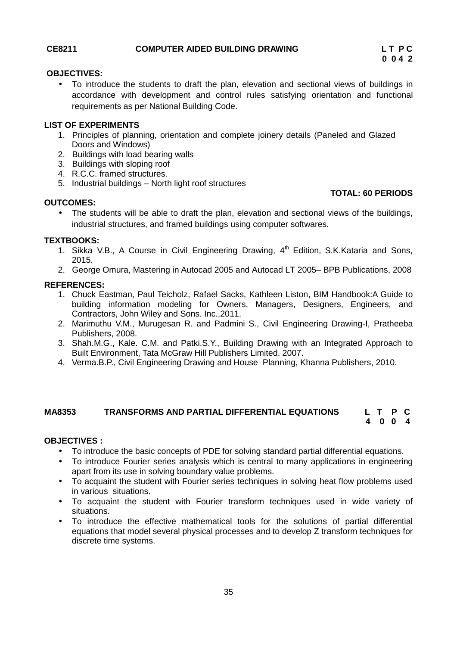## **CE8211 COMPUTER AIDED BUILDING DRAWING L T P C**

### **OBJECTIVES:**

 To introduce the students to draft the plan, elevation and sectional views of buildings in accordance with development and control rules satisfying orientation and functional requirements as per National Building Code.

## **LIST OF EXPERIMENTS**

- 1. Principles of planning, orientation and complete joinery details (Paneled and Glazed Doors and Windows)
- 2. Buildings with load bearing walls
- 3. Buildings with sloping roof
- 4. R.C.C. framed structures.
- 5. Industrial buildings North light roof structures

## **TOTAL: 60 PERIODS**

 The students will be able to draft the plan, elevation and sectional views of the buildings, industrial structures, and framed buildings using computer softwares.

### **TEXTBOOKS:**

**OUTCOMES:**

- 1. Sikka V.B., A Course in Civil Engineering Drawing, 4<sup>th</sup> Edition, S.K.Kataria and Sons, 2015.
- 2. George Omura, Mastering in Autocad 2005 and Autocad LT 2005– BPB Publications, 2008

### **REFERENCES:**

- 1. Chuck Eastman, Paul Teicholz, Rafael Sacks, Kathleen Liston, BIM Handbook:A Guide to building information modeling for Owners, Managers, Designers, Engineers, and Contractors, John Wiley and Sons. Inc.,2011.
- 2. Marimuthu V.M., Murugesan R. and Padmini S., Civil Engineering Drawing-I, Pratheeba Publishers, 2008.
- 3. Shah.M.G., Kale. C.M. and Patki.S.Y., Building Drawing with an Integrated Approach to Built Environment, Tata McGraw Hill Publishers Limited, 2007.
- 4. Verma.B.P., Civil Engineering Drawing and House Planning, Khanna Publishers, 2010.

### **MA8353 TRANSFORMS AND PARTIAL DIFFERENTIAL EQUATIONS L T P C 4 0 0 4**

### **OBJECTIVES :**

- To introduce the basic concepts of PDE for solving standard partial differential equations.
- To introduce Fourier series analysis which is central to many applications in engineering apart from its use in solving boundary value problems.
- To acquaint the student with Fourier series techniques in solving heat flow problems used in various situations.
- To acquaint the student with Fourier transform techniques used in wide variety of situations.
- To introduce the effective mathematical tools for the solutions of partial differential equations that model several physical processes and to develop Z transform techniques for discrete time systems.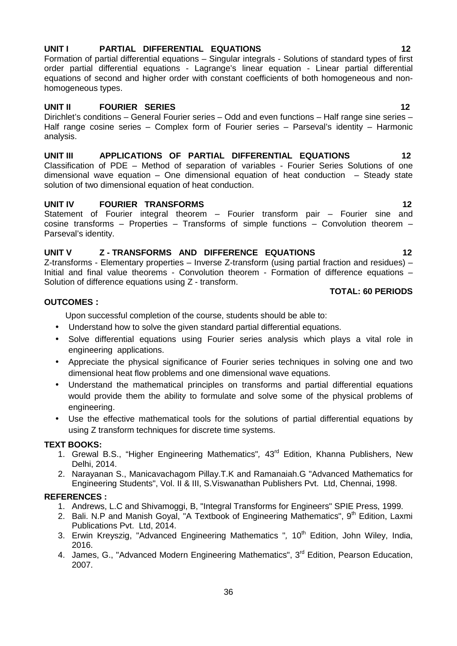## 36

## **UNIT I PARTIAL DIFFERENTIAL EQUATIONS 12**

Formation of partial differential equations – Singular integrals - Solutions of standard types of first order partial differential equations - Lagrange's linear equation - Linear partial differential equations of second and higher order with constant coefficients of both homogeneous and non homogeneous types.

## **UNIT II FOURIER SERIES 12**

Dirichlet's conditions – General Fourier series – Odd and even functions – Half range sine series – Half range cosine series – Complex form of Fourier series – Parseval's identity – Harmonic analysis.

**UNIT III APPLICATIONS OF PARTIAL DIFFERENTIAL EQUATIONS 12** Classification of PDE – Method of separation of variables - Fourier Series Solutions of one dimensional wave equation – One dimensional equation of heat conduction – Steady state solution of two dimensional equation of heat conduction.

## **UNIT IV FOURIER TRANSFORMS 12**

Statement of Fourier integral theorem – Fourier transform pair – Fourier sine and cosine transforms – Properties – Transforms of simple functions – Convolution theorem – Parseval's identity.

## **UNIT V Z - TRANSFORMS AND DIFFERENCE EQUATIONS 12**

Z-transforms - Elementary properties – Inverse Z-transform (using partial fraction and residues) – Initial and final value theorems - Convolution theorem - Formation of difference equations – Solution of difference equations using Z - transform.

## **OUTCOMES :**

Upon successful completion of the course, students should be able to:

- Understand how to solve the given standard partial differential equations.
- Solve differential equations using Fourier series analysis which plays a vital role in engineering applications.
- Appreciate the physical significance of Fourier series techniques in solving one and two dimensional heat flow problems and one dimensional wave equations.
- Understand the mathematical principles on transforms and partial differential equations would provide them the ability to formulate and solve some of the physical problems of engineering.
- Use the effective mathematical tools for the solutions of partial differential equations by using Z transform techniques for discrete time systems.

## **TEXT BOOKS:**

- 1. Grewal B.S., "Higher Engineering Mathematics"*,* 43rd Edition, Khanna Publishers, New Delhi, 2014.
- 2. Narayanan S., Manicavachagom Pillay.T.K and Ramanaiah.G "Advanced Mathematics for Engineering Students", Vol. II & III, S.Viswanathan Publishers Pvt. Ltd, Chennai, 1998.

## **REFERENCES :**

- 1. Andrews, L.C and Shivamoggi, B, "Integral Transforms for Engineers" SPIE Press, 1999.
- 2. Bali. N.P and Manish Goyal, "A Textbook of Engineering Mathematics", 9<sup>th</sup> Edition, Laxmi Publications Pvt. Ltd, 2014.
- 3. Erwin Kreyszig, "Advanced Engineering Mathematics ", 10<sup>th</sup> Edition, John Wiley, India, 2016.
- 4. James, G., "Advanced Modern Engineering Mathematics", 3<sup>rd</sup> Edition, Pearson Education, 2007.

## **TOTAL: 60 PERIODS**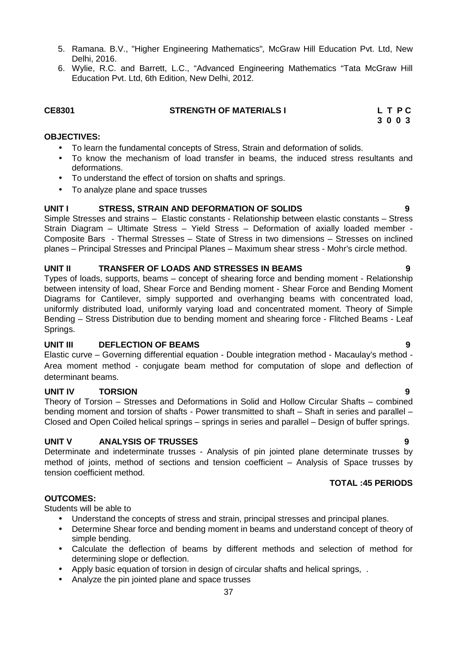- 5. Ramana. B.V., "Higher Engineering Mathematics"*,* McGraw Hill Education Pvt. Ltd, New Delhi, 2016.
- 6. Wylie, R.C. and Barrett, L.C., "Advanced Engineering Mathematics "Tata McGraw Hill Education Pvt. Ltd, 6th Edition, New Delhi, 2012.

| CE8301 | <b>STRENGTH OF MATERIALS I</b> | LTPC |
|--------|--------------------------------|------|

#### **OBJECTIVES:**

- To learn the fundamental concepts of Stress, Strain and deformation of solids.
- To know the mechanism of load transfer in beams, the induced stress resultants and deformations.
- To understand the effect of torsion on shafts and springs.
- To analyze plane and space trusses

#### **UNIT I STRESS, STRAIN AND DEFORMATION OF SOLIDS 9**

Simple Stresses and strains – Elastic constants - Relationship between elastic constants – Stress Strain Diagram – Ultimate Stress – Yield Stress – Deformation of axially loaded member - Composite Bars - Thermal Stresses – State of Stress in two dimensions – Stresses on inclined planes – Principal Stresses and Principal Planes – Maximum shear stress - Mohr's circle method.

#### **UNIT II TRANSFER OF LOADS AND STRESSES IN BEAMS 9**

Types of loads, supports, beams – concept of shearing force and bending moment - Relationship between intensity of load, Shear Force and Bending moment - Shear Force and Bending Moment Diagrams for Cantilever, simply supported and overhanging beams with concentrated load, uniformly distributed load, uniformly varying load and concentrated moment. Theory of Simple Bending – Stress Distribution due to bending moment and shearing force - Flitched Beams - Leaf Springs.

#### **UNIT III DEFLECTION OF BEAMS 9**

Elastic curve – Governing differential equation - Double integration method - Macaulay's method - Area moment method - conjugate beam method for computation of slope and deflection of determinant beams.

#### **UNIT IV TORSION 9**

Theory of Torsion – Stresses and Deformations in Solid and Hollow Circular Shafts – combined bending moment and torsion of shafts - Power transmitted to shaft – Shaft in series and parallel – Closed and Open Coiled helical springs – springs in series and parallel – Design of buffer springs.

#### **UNIT V ANALYSIS OF TRUSSES 9**

Determinate and indeterminate trusses - Analysis of pin jointed plane determinate trusses by method of joints, method of sections and tension coefficient – Analysis of Space trusses by tension coefficient method.

#### **TOTAL :45 PERIODS**

#### **OUTCOMES:**

Students will be able to

- Understand the concepts of stress and strain, principal stresses and principal planes.
- Determine Shear force and bending moment in beams and understand concept of theory of simple bending.
- Calculate the deflection of beams by different methods and selection of method for determining slope or deflection.
- Apply basic equation of torsion in design of circular shafts and helical springs, .
- Analyze the pin jointed plane and space trusses

**3 0 0 3**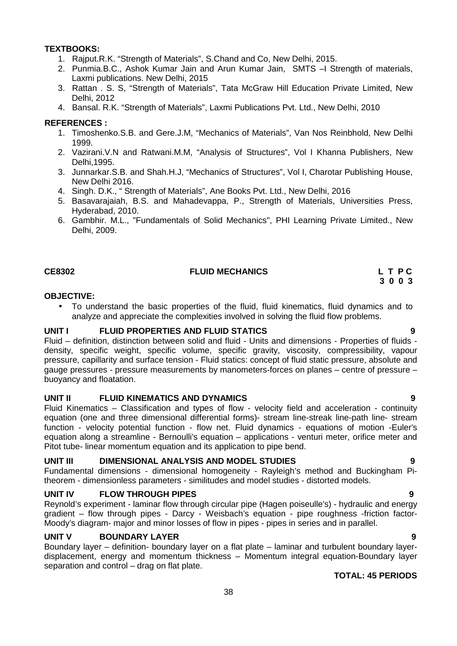#### **TEXTBOOKS:**

- 1. Rajput.R.K. "Strength of Materials", S.Chand and Co, New Delhi, 2015.
- 2. Punmia.B.C., Ashok Kumar Jain and Arun Kumar Jain, SMTS –I Strength of materials, Laxmi publications. New Delhi, 2015
- 3. Rattan . S. S, "Strength of Materials", Tata McGraw Hill Education Private Limited, New Delhi, 2012
- 4. Bansal. R.K. "Strength of Materials", Laxmi Publications Pvt. Ltd., New Delhi, 2010

#### **REFERENCES :**

- 1. Timoshenko.S.B. and Gere.J.M, "Mechanics of Materials", Van Nos Reinbhold, New Delhi 1999.
- 2. Vazirani.V.N and Ratwani.M.M, "Analysis of Structures", Vol I Khanna Publishers, New Delhi,1995.
- 3. Junnarkar.S.B. and Shah.H.J, "Mechanics of Structures", Vol I, Charotar Publishing House, New Delhi 2016.
- 4. Singh. D.K., " Strength of Materials", Ane Books Pvt. Ltd., New Delhi, 2016
- 5. Basavarajaiah, B.S. and Mahadevappa, P., Strength of Materials, Universities Press, Hyderabad, 2010.
- 6. Gambhir. M.L., "Fundamentals of Solid Mechanics", PHI Learning Private Limited., New Delhi, 2009.

#### **CE8302 FLUID MECHANICS L T P C**

#### **OBJECTIVE:**

 To understand the basic properties of the fluid, fluid kinematics, fluid dynamics and to analyze and appreciate the complexities involved in solving the fluid flow problems.

#### **UNIT I FLUID PROPERTIES AND FLUID STATICS 9**

Fluid – definition, distinction between solid and fluid - Units and dimensions - Properties of fluids density, specific weight, specific volume, specific gravity, viscosity, compressibility, vapour pressure, capillarity and surface tension - Fluid statics: concept of fluid static pressure, absolute and gauge pressures - pressure measurements by manometers-forces on planes – centre of pressure – buoyancy and floatation.

#### **UNIT II FLUID KINEMATICS AND DYNAMICS 9**

Fluid Kinematics – Classification and types of flow - velocity field and acceleration - continuity equation (one and three dimensional differential forms)- stream line-streak line-path line- stream function - velocity potential function - flow net. Fluid dynamics - equations of motion -Euler's equation along a streamline - Bernoulli's equation – applications - venturi meter, orifice meter and Pitot tube- linear momentum equation and its application to pipe bend.

#### **UNIT III DIMENSIONAL ANALYSIS AND MODEL STUDIES 9**

Fundamental dimensions - dimensional homogeneity - Rayleigh's method and Buckingham Pitheorem - dimensionless parameters - similitudes and model studies - distorted models.

#### **UNIT IV FLOW THROUGH PIPES 9**

Reynold's experiment - laminar flow through circular pipe (Hagen poiseulle's) - hydraulic and energy gradient – flow through pipes - Darcy - Weisbach's equation - pipe roughness -friction factor- Moody's diagram- major and minor losses of flow in pipes - pipes in series and in parallel.

#### **UNIT V BOUNDARY LAYER 9**

Boundary layer – definition- boundary layer on a flat plate – laminar and turbulent boundary layer displacement, energy and momentum thickness – Momentum integral equation-Boundary layer separation and control – drag on flat plate.

#### **TOTAL: 45 PERIODS**

# **3 0 0 3**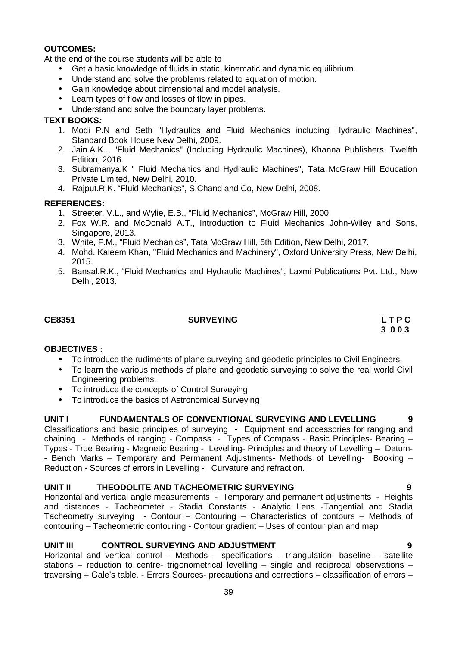#### **OUTCOMES:**

At the end of the course students will be able to

- Get a basic knowledge of fluids in static, kinematic and dynamic equilibrium.
- Understand and solve the problems related to equation of motion.
- Gain knowledge about dimensional and model analysis.<br>• Learn types of flow and losses of flow in pipes
- Learn types of flow and losses of flow in pipes.
- Understand and solve the boundary layer problems.

#### **TEXT BOOKS***:*

- 1. Modi P.N and Seth "Hydraulics and Fluid Mechanics including Hydraulic Machines", Standard Book House New Delhi, 2009.
- 2. Jain.A.K.., "Fluid Mechanics" (Including Hydraulic Machines), Khanna Publishers, Twelfth Edition, 2016.
- 3. Subramanya.K " Fluid Mechanics and Hydraulic Machines", Tata McGraw Hill Education Private Limited, New Delhi, 2010.
- 4. Rajput.R.K. "Fluid Mechanics", S.Chand and Co, New Delhi, 2008.

#### **REFERENCES:**

- 1. Streeter, V.L., and Wylie, E.B., "Fluid Mechanics", McGraw Hill, 2000.
- 2. Fox W.R. and McDonald A.T., Introduction to Fluid Mechanics John-Wiley and Sons, Singapore, 2013.
- 3. White, F.M., "Fluid Mechanics", Tata McGraw Hill, 5th Edition, New Delhi, 2017.
- 4. Mohd. Kaleem Khan, "Fluid Mechanics and Machinery", Oxford University Press, New Delhi, 2015.
- 5. Bansal.R.K., "Fluid Mechanics and Hydraulic Machines", Laxmi Publications Pvt. Ltd., New Delhi, 2013.

#### **CE8351 SURVEYING L T P C**

**3 0 0 3**

#### **OBJECTIVES :**

- To introduce the rudiments of plane surveying and geodetic principles to Civil Engineers.
- To learn the various methods of plane and geodetic surveying to solve the real world Civil Engineering problems.
- To introduce the concepts of Control Surveying
- To introduce the basics of Astronomical Surveying

### **UNIT I FUNDAMENTALS OF CONVENTIONAL SURVEYING AND LEVELLING 9**

Classifications and basic principles of surveying - Equipment and accessories for ranging and chaining - Methods of ranging - Compass - Types of Compass - Basic Principles- Bearing – Types - True Bearing - Magnetic Bearing - Levelling- Principles and theory of Levelling – Datum- - Bench Marks – Temporary and Permanent Adjustments- Methods of Levelling- Booking – Reduction - Sources of errors in Levelling - Curvature and refraction.

#### **UNIT II THEODOLITE AND TACHEOMETRIC SURVEYING 9**

Horizontal and vertical angle measurements - Temporary and permanent adjustments - Heights and distances - Tacheometer - Stadia Constants - Analytic Lens -Tangential and Stadia Tacheometry surveying - Contour – Contouring – Characteristics of contours – Methods of contouring – Tacheometric contouring - Contour gradient – Uses of contour plan and map

#### **UNIT III CONTROL SURVEYING AND ADJUSTMENT 9**

Horizontal and vertical control – Methods – specifications – triangulation- baseline – satellite stations – reduction to centre- trigonometrical levelling – single and reciprocal observations – traversing – Gale's table. - Errors Sources- precautions and corrections – classification of errors –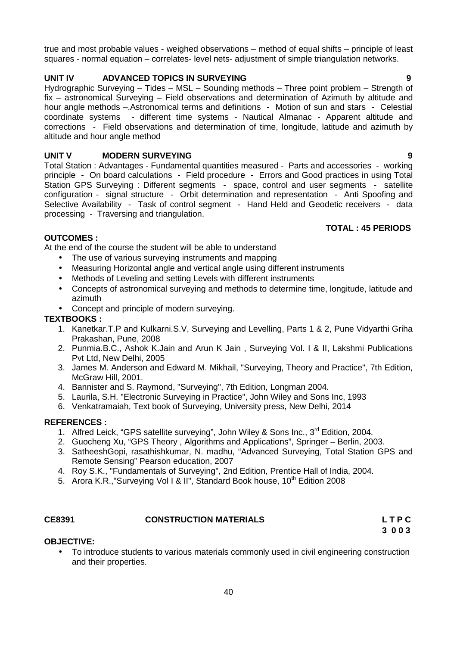40

true and most probable values - weighed observations – method of equal shifts – principle of least squares - normal equation – correlates- level nets- adjustment of simple triangulation networks.

### **UNIT IV ADVANCED TOPICS IN SURVEYING 9**

Hydrographic Surveying – Tides – MSL – Sounding methods – Three point problem – Strength of fix – astronomical Surveying – Field observations and determination of Azimuth by altitude and hour angle methods –.Astronomical terms and definitions - Motion of sun and stars - Celestial coordinate systems - different time systems - Nautical Almanac - Apparent altitude and corrections - Field observations and determination of time, longitude, latitude and azimuth by altitude and hour angle method

### **UNIT V MODERN SURVEYING 9**

Total Station : Advantages - Fundamental quantities measured - Parts and accessories - working principle - On board calculations - Field procedure - Errors and Good practices in using Total Station GPS Surveying : Different segments - space, control and user segments - satellite configuration - signal structure - Orbit determination and representation - Anti Spoofing and Selective Availability - Task of control segment - Hand Held and Geodetic receivers - data processing - Traversing and triangulation.

### **TOTAL : 45 PERIODS**

At the end of the course the student will be able to understand

- The use of various surveving instruments and mapping
- Measuring Horizontal angle and vertical angle using different instruments
- Methods of Leveling and setting Levels with different instruments
- Concepts of astronomical surveying and methods to determine time, longitude, latitude and azimuth
- Concept and principle of modern surveying.

### **TEXTBOOKS :**

**OUTCOMES :**

- 1. Kanetkar.T.P and Kulkarni.S.V, Surveying and Levelling, Parts 1 & 2, Pune Vidyarthi Griha Prakashan, Pune, 2008
- 2. Punmia.B.C., Ashok K.Jain and Arun K Jain , Surveying Vol. I & II, Lakshmi Publications Pvt Ltd, New Delhi, 2005
- 3. James M. Anderson and Edward M. Mikhail, "Surveying, Theory and Practice", 7th Edition, McGraw Hill, 2001.
- 4. Bannister and S. Raymond, "Surveying", 7th Edition, Longman 2004.
- 5. Laurila, S.H. "Electronic Surveying in Practice", John Wiley and Sons Inc, 1993
- 6. Venkatramaiah, Text book of Surveying, University press, New Delhi, 2014

### **REFERENCES :**

- 1. Alfred Leick, "GPS satellite surveying", John Wiley & Sons Inc., 3<sup>rd</sup> Edition, 2004.
- 2. Guocheng Xu, "GPS Theory , Algorithms and Applications", Springer Berlin, 2003.
- 3. SatheeshGopi, rasathishkumar, N. madhu, "Advanced Surveying, Total Station GPS and Remote Sensing" Pearson education, 2007
- 4. Roy S.K., "Fundamentals of Surveying", 2nd Edition, Prentice Hall of India, 2004.
- 5. Arora K.R.,"Surveying Vol I & II", Standard Book house, 10<sup>th</sup> Edition 2008

#### **CE8391 CONSTRUCTION MATERIALS L T P C**

**3 0 0 3**

### **OBJECTIVE:**

 To introduce students to various materials commonly used in civil engineering construction and their properties.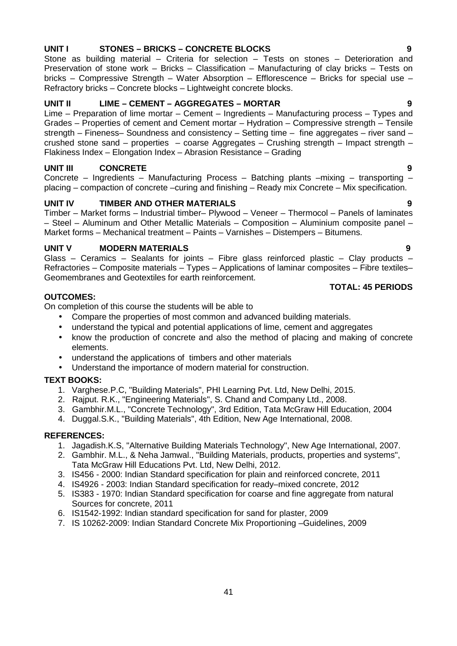Market forms – Mechanical treatment – Paints – Varnishes – Distempers – Bitumens. **UNIT V MODERN MATERIALS 9**

Glass – Ceramics – Sealants for joints – Fibre glass reinforced plastic – Clay products – Refractories – Composite materials – Types – Applications of laminar composites – Fibre textiles– Geomembranes and Geotextiles for earth reinforcement. **TOTAL: 45 PERIODS**

#### **OUTCOMES:**

On completion of this course the students will be able to

- Compare the properties of most common and advanced building materials.
- understand the typical and potential applications of lime, cement and aggregates
- know the production of concrete and also the method of placing and making of concrete elements.
- understand the applications of timbers and other materials
- Understand the importance of modern material for construction.

#### **TEXT BOOKS:**

- 1. Varghese.P.C, "Building Materials", PHI Learning Pvt. Ltd, New Delhi, 2015.
- 2. Rajput. R.K., "Engineering Materials", S. Chand and Company Ltd., 2008.
- 3. Gambhir.M.L., "Concrete Technology", 3rd Edition, Tata McGraw Hill Education, 2004
- 4. Duggal.S.K., "Building Materials", 4th Edition, New Age International, 2008.

#### **REFERENCES:**

- 1. Jagadish.K.S, "Alternative Building Materials Technology", New Age International, 2007.
- 2. Gambhir. M.L., & Neha Jamwal., "Building Materials, products, properties and systems", Tata McGraw Hill Educations Pvt. Ltd, New Delhi, 2012.
- 3. IS456 2000: Indian Standard specification for plain and reinforced concrete, 2011
- 4. IS4926 2003: Indian Standard specification for ready–mixed concrete, 2012
- 5. IS383 1970: Indian Standard specification for coarse and fine aggregate from natural Sources for concrete, 2011
- 6. IS1542-1992: Indian standard specification for sand for plaster, 2009
- 7. IS 10262-2009: Indian Standard Concrete Mix Proportioning –Guidelines, 2009

#### **UNIT I STONES –BRICKS –CONCRETE BLOCKS 9**

Stone as building material – Criteria for selection – Tests on stones – Deterioration and Preservation of stone work – Bricks – Classification – Manufacturing of clay bricks – Tests on bricks – Compressive Strength – Water Absorption – Efflorescence – Bricks for special use – Refractory bricks – Concrete blocks – Lightweight concrete blocks.

#### **UNIT II LIME –CEMENT – AGGREGATES –MORTAR 9**

Lime – Preparation of lime mortar – Cement – Ingredients – Manufacturing process – Types and Grades – Properties of cement and Cement mortar – Hydration – Compressive strength – Tensile strength – Fineness– Soundness and consistency – Setting time – fine aggregates – river sand – crushed stone sand – properties – coarse Aggregates – Crushing strength – Impact strength – Flakiness Index – Elongation Index – Abrasion Resistance – Grading

### **UNIT III CONCRETE 9**

Concrete – Ingredients – Manufacturing Process – Batching plants –mixing – transporting – placing – compaction of concrete –curing and finishing – Ready mix Concrete – Mix specification.

### **UNIT IV TIMBER AND OTHER MATERIALS 9**

Timber – Market forms – Industrial timber– Plywood – Veneer – Thermocol – Panels of laminates – Steel – Aluminum and Other Metallic Materials – Composition – Aluminium composite panel –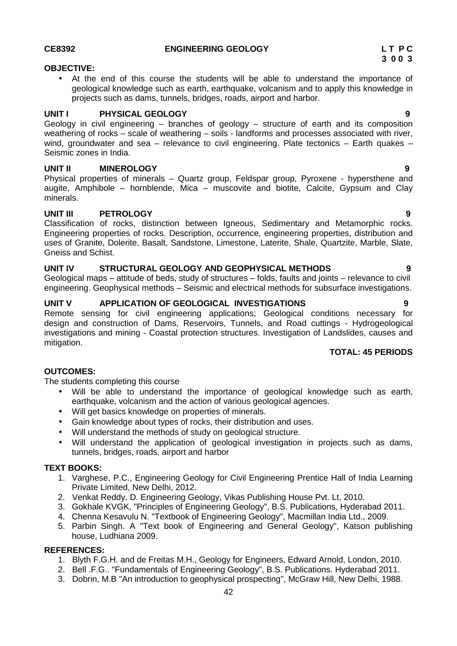### **CE8392 ENGINEERING GEOLOGY L T P C**

### **OBJECTIVE:**

 At the end of this course the students will be able to understand the importance of geological knowledge such as earth, earthquake, volcanism and to apply this knowledge in projects such as dams, tunnels, bridges, roads, airport and harbor.

### **UNIT I PHYSICAL GEOLOGY 9**

Geology in civil engineering – branches of geology – structure of earth and its composition weathering of rocks – scale of weathering – soils - landforms and processes associated with river, wind, groundwater and sea – relevance to civil engineering. Plate tectonics – Earth quakes – Seismic zones in India.

### **UNIT II MINEROLOGY 9**

Physical properties of minerals – Quartz group, Feldspar group, Pyroxene - hypersthene and augite, Amphibole – hornblende, Mica – muscovite and biotite, Calcite, Gypsum and Clay minerals.

### **UNIT III PETROLOGY 9**

Classification of rocks, distinction between Igneous, Sedimentary and Metamorphic rocks. Engineering properties of rocks. Description, occurrence, engineering properties, distribution and uses of Granite, Dolerite, Basalt, Sandstone, Limestone, Laterite, Shale, Quartzite, Marble, Slate, Gneiss and Schist.

### **UNIT IV STRUCTURAL GEOLOGY AND GEOPHYSICAL METHODS 9**

Geological maps – attitude of beds, study of structures – folds, faults and joints – relevance to civil engineering. Geophysical methods – Seismic and electrical methods for subsurface investigations.

#### UNIT V **APPLICATION OF GEOLOGICAL INVESTIGATIONS**

Remote sensing for civil engineering applications; Geological conditions necessary for design and construction of Dams, Reservoirs, Tunnels, and Road cuttings - Hydrogeological investigations and mining - Coastal protection structures. Investigation of Landslides, causes and mitigation.

#### **TOTAL: 45 PERIODS**

#### **OUTCOMES:**

The students completing this course

- Will be able to understand the importance of geological knowledge such as earth, earthquake, volcanism and the action of various geological agencies.
- Will get basics knowledge on properties of minerals.
- Gain knowledge about types of rocks, their distribution and uses.
- Will understand the methods of study on geological structure.
- Will understand the application of geological investigation in projects such as dams, tunnels, bridges, roads, airport and harbor

#### **TEXT BOOKS:**

- 1. Varghese, P.C., Engineering Geology for Civil Engineering Prentice Hall of India Learning Private Limited, New Delhi, 2012.
- 2. Venkat Reddy. D. Engineering Geology, Vikas Publishing House Pvt. Lt, 2010.
- 3. Gokhale KVGK, "Principles of Engineering Geology", B.S. Publications, Hyderabad 2011.
- 4. Chenna Kesavulu N. "Textbook of Engineering Geology", Macmillan India Ltd., 2009.
- 5. Parbin Singh. A "Text book of Engineering and General Geology", Katson publishing house, Ludhiana 2009.

#### **REFERENCES:**

- 1. Blyth F.G.H. and de Freitas M.H., Geology for Engineers, Edward Arnold, London, 2010.
- 2. Bell .F.G.. "Fundamentals of Engineering Geology", B.S. Publications. Hyderabad 2011.
- 3. Dobrin, M.B "An introduction to geophysical prospecting", McGraw Hill, New Delhi, 1988.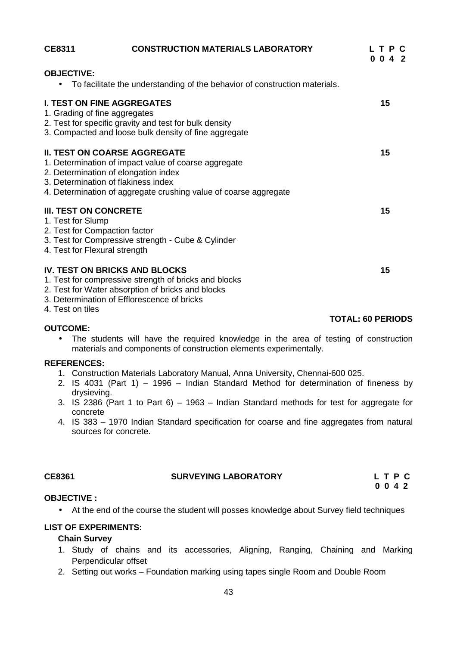| <b>CE8311</b>                                                                                                       | <b>CONSTRUCTION MATERIALS LABORATORY</b>                                                                                 | LTPC<br>0042 |
|---------------------------------------------------------------------------------------------------------------------|--------------------------------------------------------------------------------------------------------------------------|--------------|
| <b>OBJECTIVE:</b><br>$\bullet$                                                                                      | To facilitate the understanding of the behavior of construction materials.                                               |              |
| <b>I. TEST ON FINE AGGREGATES</b><br>1. Grading of fine aggregates                                                  | 2. Test for specific gravity and test for bulk density<br>3. Compacted and loose bulk density of fine aggregate          | 15           |
| <b>II. TEST ON COARSE AGGREGATE</b><br>2. Determination of elongation index<br>3. Determination of flakiness index  | 1. Determination of impact value of coarse aggregate<br>4. Determination of aggregate crushing value of coarse aggregate | 15           |
| <b>III. TEST ON CONCRETE</b><br>1. Test for Slump<br>2. Test for Compaction factor<br>4. Test for Flexural strength | 3. Test for Compressive strength - Cube & Cylinder                                                                       | 15           |
| <b>IV. TEST ON BRICKS AND BLOCKS</b><br>3. Determination of Efflorescence of bricks                                 | 1. Test for compressive strength of bricks and blocks<br>2. Test for Water absorption of bricks and blocks               | 15           |

4. Test on tiles

#### **TOTAL: 60 PERIODS**

**OUTCOME:** The students will have the required knowledge in the area of testing of construction materials and components of construction elements experimentally.

#### **REFERENCES:**

- 1. Construction Materials Laboratory Manual, Anna University, Chennai-600 025.
- 2. IS 4031 (Part 1) 1996 Indian Standard Method for determination of fineness by drysieving.
- 3. IS 2386 (Part 1 to Part 6) 1963 Indian Standard methods for test for aggregate for concrete
- 4. IS 383 1970 Indian Standard specification for coarse and fine aggregates from natural sources for concrete.

| CE8361 | <b>SURVEYING LABORATORY</b> | LTPC |
|--------|-----------------------------|------|
|        |                             | 0042 |

#### **OBJECTIVE :**

At the end of the course the student will posses knowledge about Survey field techniques

#### **LIST OF EXPERIMENTS:**

#### **Chain Survey**

- 1. Study of chains and its accessories, Aligning, Ranging, Chaining and Marking Perpendicular offset
- 2. Setting out works Foundation marking using tapes single Room and Double Room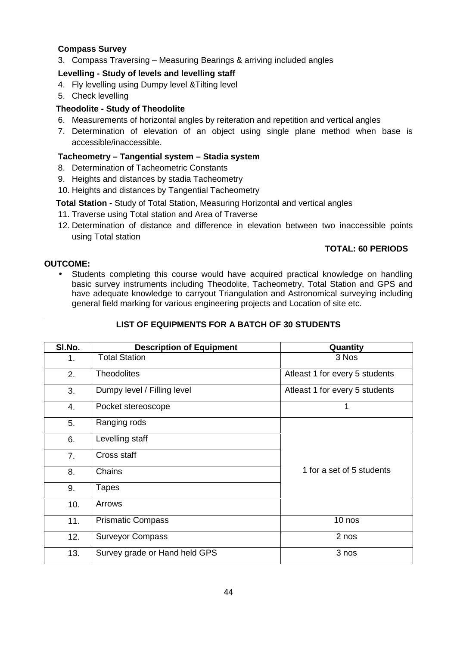### **Compass Survey**

3. Compass Traversing – Measuring Bearings & arriving included angles

### **Levelling - Study of levels and levelling staff**

- 4. Fly levelling using Dumpy level &Tilting level
- 5. Check levelling

### **Theodolite - Study of Theodolite**

- 6. Measurements of horizontal angles by reiteration and repetition and vertical angles
- 7. Determination of elevation of an object using single plane method when base is accessible/inaccessible.

### **Tacheometry – Tangential system – Stadia system**

- 8. Determination of Tacheometric Constants
- 9. Heights and distances by stadia Tacheometry
- 10. Heights and distances by Tangential Tacheometry

### **Total Station -** Study of Total Station, Measuring Horizontal and vertical angles

- 11. Traverse using Total station and Area of Traverse
- 12. Determination of distance and difference in elevation between two inaccessible points using Total station

### **TOTAL: 60 PERIODS**

### **OUTCOME:**

 Students completing this course would have acquired practical knowledge on handling basic survey instruments including Theodolite, Tacheometry, Total Station and GPS and have adequate knowledge to carryout Triangulation and Astronomical surveying including general field marking for various engineering projects and Location of site etc.

### **LIST OF EQUIPMENTS FOR A BATCH OF 30 STUDENTS**

| SI.No.         | <b>Description of Equipment</b> | Quantity                       |
|----------------|---------------------------------|--------------------------------|
| 1.             | <b>Total Station</b>            | 3 Nos                          |
| 2.             | <b>Theodolites</b>              | Atleast 1 for every 5 students |
| 3.             | Dumpy level / Filling level     | Atleast 1 for every 5 students |
| 4.             | Pocket stereoscope              | 1                              |
| 5.             | Ranging rods                    |                                |
| 6.             | Levelling staff                 |                                |
| 7 <sub>1</sub> | Cross staff                     |                                |
| 8.             | Chains                          | 1 for a set of 5 students      |
| 9.             | Tapes                           |                                |
| 10.            | Arrows                          |                                |
| 11.            | <b>Prismatic Compass</b>        | $10$ nos                       |
| 12.            | <b>Surveyor Compass</b>         | 2 nos                          |
| 13.            | Survey grade or Hand held GPS   | 3 nos                          |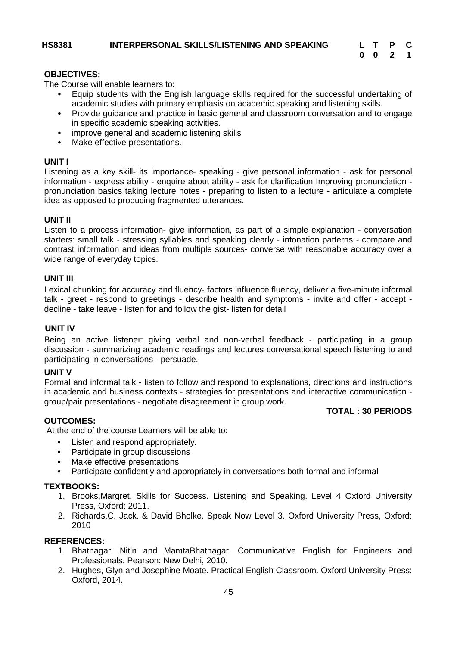|  | L T P C |  |
|--|---------|--|
|  | 0 0 2 1 |  |

#### **OBJECTIVES:**

The Course will enable learners to:

- **•** Equip students with the English language skills required for the successful undertaking of academic studies with primary emphasis on academic speaking and listening skills.
- **•** Provide guidance and practice in basic general and classroom conversation and to engage in specific academic speaking activities.
- **•** improve general and academic listening skills
- **•** Make effective presentations.

#### **UNIT I**

Listening as a key skill- its importance- speaking - give personal information - ask for personal information - express ability - enquire about ability - ask for clarification Improving pronunciation pronunciation basics taking lecture notes - preparing to listen to a lecture - articulate a complete idea as opposed to producing fragmented utterances.

#### **UNIT II**

Listen to a process information- give information, as part of a simple explanation - conversation starters: small talk - stressing syllables and speaking clearly - intonation patterns - compare and contrast information and ideas from multiple sources- converse with reasonable accuracy over a wide range of everyday topics.

#### **UNIT III**

Lexical chunking for accuracy and fluency- factors influence fluency, deliver a five-minute informal talk - greet - respond to greetings - describe health and symptoms - invite and offer - accept decline - take leave - listen for and follow the gist- listen for detail

#### **UNIT IV**

Being an active listener: giving verbal and non-verbal feedback - participating in a group discussion - summarizing academic readings and lectures conversational speech listening to and participating in conversations - persuade.

#### **UNIT V**

Formal and informal talk - listen to follow and respond to explanations, directions and instructions in academic and business contexts - strategies for presentations and interactive communication group/pair presentations - negotiate disagreement in group work.

#### **TOTAL : 30 PERIODS**

#### **OUTCOMES:**

At the end of the course Learners will be able to:

- **•** Listen and respond appropriately.
- **•** Participate in group discussions
- **•** Make effective presentations
- **•** Participate confidently and appropriately in conversations both formal and informal

#### **TEXTBOOKS:**

- 1. Brooks,Margret. Skills for Success. Listening and Speaking. Level 4 Oxford University Press, Oxford: 2011.
- 2. Richards,C. Jack. & David Bholke. Speak Now Level 3. Oxford University Press, Oxford: 2010

#### **REFERENCES:**

- 1. Bhatnagar, Nitin and MamtaBhatnagar. Communicative English for Engineers and Professionals. Pearson: New Delhi, 2010.
- 2. Hughes, Glyn and Josephine Moate. Practical English Classroom. Oxford University Press: Oxford, 2014.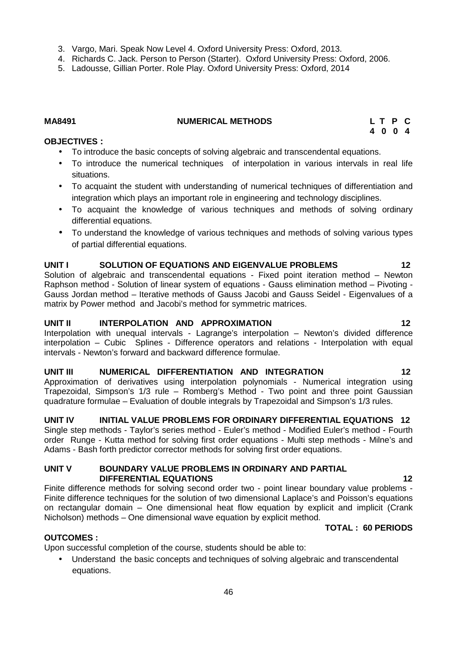- 3. Vargo, Mari. Speak Now Level 4. Oxford University Press: Oxford, 2013.
- 4. Richards C. Jack. Person to Person (Starter). Oxford University Press: Oxford, 2006.
- 5. Ladousse, Gillian Porter. Role Play. Oxford University Press: Oxford, 2014

#### **MA8491 NUMERICAL METHODS L T P C**

**OBJECTIVES :**

- To introduce the basic concepts of solving algebraic and transcendental equations.
- To introduce the numerical techniques of interpolation in various intervals in real life situations.
- To acquaint the student with understanding of numerical techniques of differentiation and integration which plays an important role in engineering and technology disciplines.
- To acquaint the knowledge of various techniques and methods of solving ordinary differential equations.
- To understand the knowledge of various techniques and methods of solving various types of partial differential equations.

### **UNIT I SOLUTION OF EQUATIONS AND EIGENVALUE PROBLEMS 12**

Solution of algebraic and transcendental equations - Fixed point iteration method – Newton Raphson method - Solution of linear system of equations - Gauss elimination method – Pivoting - Gauss Jordan method – Iterative methods of Gauss Jacobi and Gauss Seidel - Eigenvalues of a matrix by Power method and Jacobi's method for symmetric matrices.

#### **UNIT II INTERPOLATION AND APPROXIMATION 12**

Interpolation with unequal intervals - Lagrange's interpolation – Newton's divided difference interpolation – Cubic Splines - Difference operators and relations - Interpolation with equal intervals - Newton's forward and backward difference formulae.

#### **UNIT III NUMERICAL DIFFERENTIATION AND INTEGRATION 12**

Approximation of derivatives using interpolation polynomials - Numerical integration using Trapezoidal, Simpson's 1/3 rule – Romberg's Method - Two point and three point Gaussian quadrature formulae – Evaluation of double integrals by Trapezoidal and Simpson's 1/3 rules.

#### **UNIT IV INITIAL VALUE PROBLEMS FOR ORDINARY DIFFERENTIAL EQUATIONS 12**

Single step methods - Taylor's series method - Euler's method - Modified Euler's method - Fourth order Runge - Kutta method for solving first order equations - Multi step methods - Milne's and Adams - Bash forth predictor corrector methods for solving first order equations.

#### **UNIT V BOUNDARY VALUE PROBLEMS IN ORDINARY AND PARTIAL DIFFERENTIAL EQUATIONS 12**

Finite difference methods for solving second order two - point linear boundary value problems - Finite difference techniques for the solution of two dimensional Laplace's and Poisson's equations on rectangular domain – One dimensional heat flow equation by explicit and implicit (Crank Nicholson) methods – One dimensional wave equation by explicit method.

#### **TOTAL : 60 PERIODS**

**4 0 0 4**

#### **OUTCOMES :**

Upon successful completion of the course, students should be able to:

 Understand the basic concepts and techniques of solving algebraic and transcendental equations.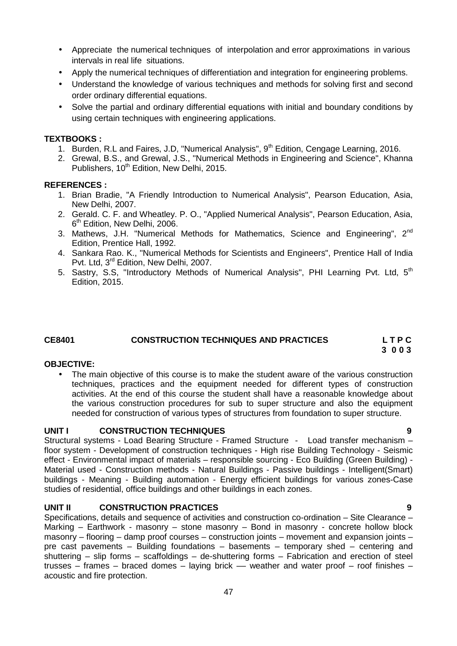- Appreciate the numerical techniques of interpolation and error approximations in various intervals in real life situations.
- Apply the numerical techniques of differentiation and integration for engineering problems.
- Understand the knowledge of various techniques and methods for solving first and second order ordinary differential equations.
- Solve the partial and ordinary differential equations with initial and boundary conditions by using certain techniques with engineering applications.

#### **TEXTBOOKS :**

- 1. Burden, R.L and Faires, J.D, "Numerical Analysis", 9<sup>th</sup> Edition, Cengage Learning, 2016.
- 2. Grewal, B.S., and Grewal, J.S., "Numerical Methods in Engineering and Science", Khanna Publishers, 10<sup>th</sup> Edition, New Delhi, 2015.

#### **REFERENCES :**

- 1. Brian Bradie, "A Friendly Introduction to Numerical Analysis", Pearson Education, Asia, New Delhi, 2007.
- 2. Gerald. C. F. and Wheatley. P. O., "Applied Numerical Analysis", Pearson Education, Asia, 6<sup>th</sup> Edition, New Delhi, 2006.
- 3. Mathews, J.H. "Numerical Methods for Mathematics, Science and Engineering", 2<sup>nd</sup> Edition, Prentice Hall, 1992.
- 4. Sankara Rao. K., "Numerical Methods for Scientists and Engineers", Prentice Hall of India Pvt. Ltd, 3<sup>rd</sup> Edition, New Delhi, 2007.
- 5. Sastry, S.S, "Introductory Methods of Numerical Analysis", PHI Learning Pvt. Ltd, 5<sup>th</sup> Edition, 2015.

### **CE8401 CONSTRUCTION TECHNIQUES AND PRACTICES L T P C**

#### **OBJECTIVE:**

• The main objective of this course is to make the student aware of the various construction techniques, practices and the equipment needed for different types of construction activities. At the end of this course the student shall have a reasonable knowledge about the various construction procedures for sub to super structure and also the equipment needed for construction of various types of structures from foundation to super structure.

#### **UNIT I CONSTRUCTION TECHNIQUES 9**

Structural systems - Load Bearing Structure - Framed Structure - Load transfer mechanism floor system - Development of construction techniques - High rise Building Technology - Seismic effect - Environmental impact of materials – responsible sourcing - Eco Building (Green Building) - Material used - Construction methods - Natural Buildings - Passive buildings - Intelligent(Smart) buildings - Meaning - Building automation - Energy efficient buildings for various zones-Case studies of residential, office buildings and other buildings in each zones.

#### **UNIT II CONSTRUCTION PRACTICES 9**

Specifications, details and sequence of activities and construction co-ordination – Site Clearance – Marking – Earthwork - masonry – stone masonry – Bond in masonry - concrete hollow block masonry – flooring – damp proof courses – construction joints – movement and expansion joints – pre cast pavements – Building foundations – basements – temporary shed – centering and shuttering – slip forms – scaffoldings – de-shuttering forms – Fabrication and erection of steel trusses – frames – braced domes – laying brick –– weather and water proof – roof finishes – acoustic and fire protection.

**3 0 0 3**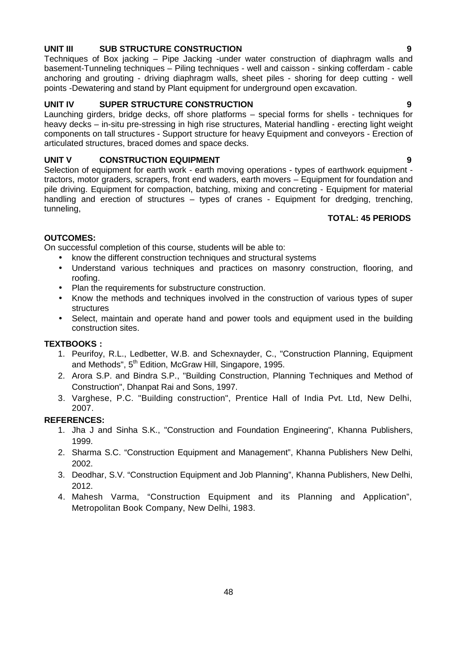### **UNIT III SUB STRUCTURE CONSTRUCTION 9**

Techniques of Box jacking – Pipe Jacking -under water construction of diaphragm walls and basement-Tunneling techniques – Piling techniques - well and caisson - sinking cofferdam - cable anchoring and grouting - driving diaphragm walls, sheet piles - shoring for deep cutting - well points -Dewatering and stand by Plant equipment for underground open excavation.

### **UNIT IV SUPER STRUCTURE CONSTRUCTION 9**

Launching girders, bridge decks, off shore platforms – special forms for shells - techniques for heavy decks – in-situ pre-stressing in high rise structures, Material handling - erecting light weight components on tall structures - Support structure for heavy Equipment and conveyors - Erection of articulated structures, braced domes and space decks.

#### **UNIT V CONSTRUCTION EQUIPMENT 9**

Selection of equipment for earth work - earth moving operations - types of earthwork equipment tractors, motor graders, scrapers, front end waders, earth movers – Equipment for foundation and pile driving. Equipment for compaction, batching, mixing and concreting - Equipment for material handling and erection of structures – types of cranes - Equipment for dredging, trenching, tunneling,

#### **TOTAL: 45 PERIODS**

#### **OUTCOMES:**

On successful completion of this course, students will be able to:

- know the different construction techniques and structural systems
- Understand various techniques and practices on masonry construction, flooring, and roofing.
- Plan the requirements for substructure construction.
- Know the methods and techniques involved in the construction of various types of super structures
- Select, maintain and operate hand and power tools and equipment used in the building construction sites.

#### **TEXTBOOKS :**

- 1. Peurifoy, R.L., Ledbetter, W.B. and Schexnayder, C., "Construction Planning, Equipment and Methods", 5<sup>th</sup> Edition, McGraw Hill, Singapore, 1995.
- 2. Arora S.P. and Bindra S.P., "Building Construction, Planning Techniques and Method of Construction", Dhanpat Rai and Sons, 1997.
- 3. Varghese, P.C. "Building construction", Prentice Hall of India Pvt. Ltd, New Delhi, 2007.

#### **REFERENCES:**

- 1. Jha J and Sinha S.K., "Construction and Foundation Engineering", Khanna Publishers, 1999.
- 2. Sharma S.C. "Construction Equipment and Management", Khanna Publishers New Delhi, 2002.
- 3. Deodhar, S.V. "Construction Equipment and Job Planning", Khanna Publishers, New Delhi, 2012.
- 4. Mahesh Varma, "Construction Equipment and its Planning and Application", Metropolitan Book Company, New Delhi, 1983.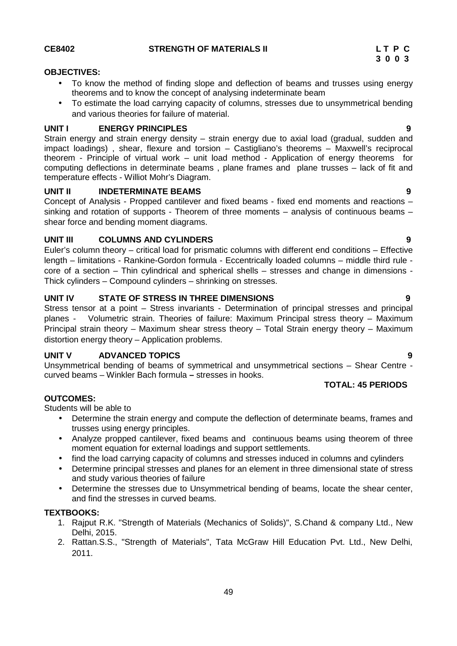#### **CE8402 STRENGTH OF MATERIALS II L T P C**

#### **OBJECTIVES:**

- To know the method of finding slope and deflection of beams and trusses using energy theorems and to know the concept of analysing indeterminate beam
- To estimate the load carrying capacity of columns, stresses due to unsymmetrical bending and various theories for failure of material.

#### **UNIT I ENERGY PRINCIPLES 9**

Strain energy and strain energy density – strain energy due to axial load (gradual, sudden and impact loadings) , shear, flexure and torsion – Castigliano's theorems – Maxwell's reciprocal theorem - Principle of virtual work – unit load method - Application of energy theorems for computing deflections in determinate beams , plane frames and plane trusses – lack of fit and temperature effects - Williot Mohr's Diagram.

#### **UNIT II INDETERMINATE BEAMS 9**

Concept of Analysis - Propped cantilever and fixed beams - fixed end moments and reactions – sinking and rotation of supports - Theorem of three moments – analysis of continuous beams – shear force and bending moment diagrams.

#### **UNIT III COLUMNS AND CYLINDERS 9**

Euler's column theory – critical load for prismatic columns with different end conditions – Effective length – limitations - Rankine-Gordon formula - Eccentrically loaded columns – middle third rule core of a section – Thin cylindrical and spherical shells – stresses and change in dimensions - Thick cylinders – Compound cylinders – shrinking on stresses.

#### **UNIT IV STATE OF STRESS IN THREE DIMENSIONS 9**

Stress tensor at a point – Stress invariants - Determination of principal stresses and principal planes - Volumetric strain. Theories of failure: Maximum Principal stress theory – Maximum Principal strain theory – Maximum shear stress theory – Total Strain energy theory – Maximum distortion energy theory – Application problems.

#### **UNIT V ADVANCED TOPICS 9**

Unsymmetrical bending of beams of symmetrical and unsymmetrical sections – Shear Centre curved beams – Winkler Bach formula **–** stresses in hooks.

### **TOTAL: 45 PERIODS**

#### **OUTCOMES:**

Students will be able to

- Determine the strain energy and compute the deflection of determinate beams, frames and trusses using energy principles.
- Analyze propped cantilever, fixed beams and continuous beams using theorem of three moment equation for external loadings and support settlements.
- find the load carrying capacity of columns and stresses induced in columns and cylinders
- Determine principal stresses and planes for an element in three dimensional state of stress and study various theories of failure
- Determine the stresses due to Unsymmetrical bending of beams, locate the shear center, and find the stresses in curved beams.

#### **TEXTBOOKS:**

- 1. Rajput R.K. "Strength of Materials (Mechanics of Solids)", S.Chand & company Ltd., New Delhi, 2015.
- 2. Rattan.S.S., "Strength of Materials", Tata McGraw Hill Education Pvt. Ltd., New Delhi, 2011.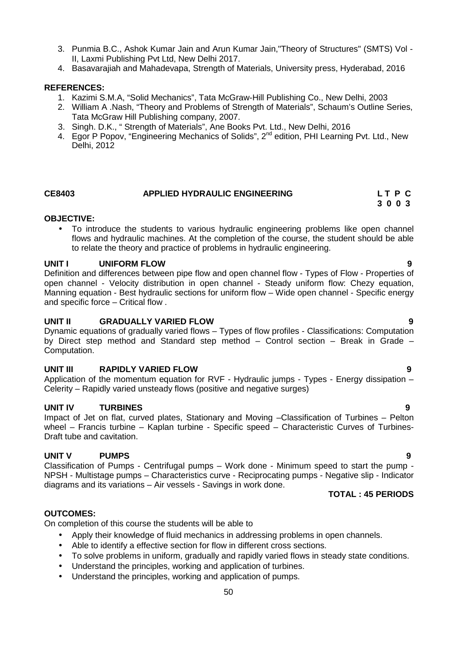- 3. Punmia B.C., Ashok Kumar Jain and Arun Kumar Jain,"Theory of Structures" (SMTS) Vol II, Laxmi Publishing Pvt Ltd, New Delhi 2017.
- 4. Basavarajiah and Mahadevapa, Strength of Materials, University press, Hyderabad, 2016

#### **REFERENCES:**

- 1. Kazimi S.M.A, "Solid Mechanics", Tata McGraw-Hill Publishing Co., New Delhi, 2003
- 2. William A .Nash, "Theory and Problems of Strength of Materials", Schaum's Outline Series, Tata McGraw Hill Publishing company, 2007.
- 3. Singh. D.K., " Strength of Materials", Ane Books Pvt. Ltd., New Delhi, 2016
- 4. Egor P Popov, "Engineering Mechanics of Solids", 2<sup>nd</sup> edition, PHI Learning Pvt. Ltd., New Delhi, 2012

### **CE8403 APPLIED HYDRAULIC ENGINEERING L T P C**

#### **OBJECTIVE:**

 To introduce the students to various hydraulic engineering problems like open channel flows and hydraulic machines. At the completion of the course, the student should be able to relate the theory and practice of problems in hydraulic engineering.

#### **UNIT I UNIFORM FLOW 9**

Definition and differences between pipe flow and open channel flow - Types of Flow - Properties of open channel - Velocity distribution in open channel - Steady uniform flow: Chezy equation, Manning equation - Best hydraulic sections for uniform flow – Wide open channel - Specific energy and specific force – Critical flow .

#### **UNIT II GRADUALLY VARIED FLOW 9**

Dynamic equations of gradually varied flows – Types of flow profiles - Classifications: Computation by Direct step method and Standard step method – Control section – Break in Grade – Computation.

#### **UNIT III RAPIDLY VARIED FLOW 9**

Application of the momentum equation for RVF - Hydraulic jumps - Types - Energy dissipation – Celerity – Rapidly varied unsteady flows (positive and negative surges)

### **UNIT IV TURBINES 9**

Impact of Jet on flat, curved plates, Stationary and Moving –Classification of Turbines – Pelton wheel – Francis turbine – Kaplan turbine - Specific speed – Characteristic Curves of Turbines-Draft tube and cavitation.

#### **UNIT V PUMPS 9**

Classification of Pumps - Centrifugal pumps – Work done - Minimum speed to start the pump - NPSH - Multistage pumps – Characteristics curve - Reciprocating pumps - Negative slip - Indicator diagrams and its variations – Air vessels - Savings in work done.

#### **TOTAL : 45 PERIODS**

#### **OUTCOMES:**

On completion of this course the students will be able to

- Apply their knowledge of fluid mechanics in addressing problems in open channels.
- Able to identify a effective section for flow in different cross sections.
- To solve problems in uniform, gradually and rapidly varied flows in steady state conditions.
- Understand the principles, working and application of turbines.
- Understand the principles, working and application of pumps.

**3 0 0 3**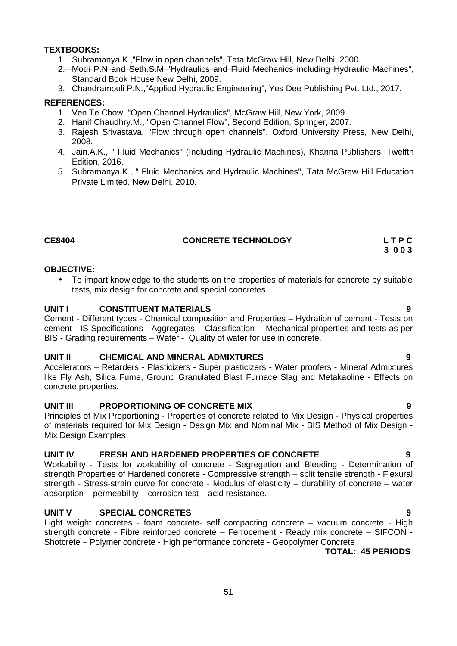#### **TEXTBOOKS:**

- 1. Subramanya.K ,"Flow in open channels", Tata McGraw Hill, New Delhi, 2000.
- 2. Modi P.N and Seth.S.M "Hydraulics and Fluid Mechanics including Hydraulic Machines", Standard Book House New Delhi, 2009.
- 3. Chandramouli P.N.,"Applied Hydraulic Engineering", Yes Dee Publishing Pvt. Ltd., 2017.

#### **REFERENCES:**

- 1. Ven Te Chow, "Open Channel Hydraulics", McGraw Hill, New York, 2009.
- 2. Hanif Chaudhry.M., "Open Channel Flow", Second Edition, Springer, 2007.
- 3. Rajesh Srivastava, "Flow through open channels", Oxford University Press, New Delhi, 2008.
- 4. Jain.A.K., " Fluid Mechanics" (Including Hydraulic Machines), Khanna Publishers, Twelfth Edition, 2016.
- 5. Subramanya.K., " Fluid Mechanics and Hydraulic Machines", Tata McGraw Hill Education Private Limited, New Delhi, 2010.

### **CE8404 CONCRETE TECHNOLOGY L T P C**

**3 0 0 3**

#### **OBJECTIVE:**

 To impart knowledge to the students on the properties of materials for concrete by suitable tests, mix design for concrete and special concretes.

#### **UNIT I CONSTITUENT MATERIALS 9**

Cement - Different types - Chemical composition and Properties – Hydration of cement - Tests on cement - IS Specifications - Aggregates – Classification - Mechanical properties and tests as per BIS - Grading requirements – Water - Quality of water for use in concrete.

#### **UNIT II CHEMICAL AND MINERAL ADMIXTURES 9**

Accelerators – Retarders - Plasticizers - Super plasticizers - Water proofers - Mineral Admixtures like Fly Ash, Silica Fume, Ground Granulated Blast Furnace Slag and Metakaoline - Effects on concrete properties.

#### **UNIT III PROPORTIONING OF CONCRETE MIX 9**

Principles of Mix Proportioning - Properties of concrete related to Mix Design - Physical properties of materials required for Mix Design - Design Mix and Nominal Mix - BIS Method of Mix Design - Mix Design Examples

#### **UNIT IV FRESH AND HARDENED PROPERTIES OF CONCRETE 9**

Workability - Tests for workability of concrete - Segregation and Bleeding - Determination of strength Properties of Hardened concrete - Compressive strength – split tensile strength - Flexural strength - Stress-strain curve for concrete - Modulus of elasticity – durability of concrete – water absorption – permeability – corrosion test – acid resistance.

#### **UNIT V SPECIAL CONCRETES 9**

Light weight concretes - foam concrete- self compacting concrete – vacuum concrete - High strength concrete - Fibre reinforced concrete – Ferrocement - Ready mix concrete – SIFCON - Shotcrete – Polymer concrete - High performance concrete - Geopolymer Concrete

#### **TOTAL: 45 PERIODS**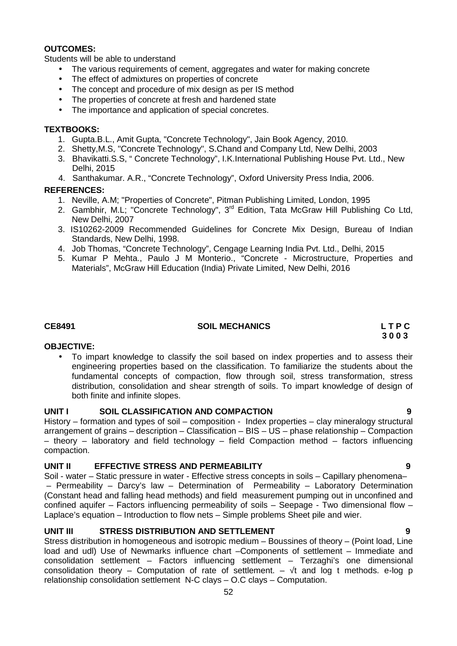#### **OUTCOMES:**

Students will be able to understand

- The various requirements of cement, aggregates and water for making concrete
- The effect of admixtures on properties of concrete
- The concept and procedure of mix design as per IS method
- The properties of concrete at fresh and hardened state
- The importance and application of special concretes.

#### **TEXTBOOKS:**

- 1. Gupta.B.L., Amit Gupta, "Concrete Technology", Jain Book Agency, 2010.
- 2. Shetty,M.S, "Concrete Technology", S.Chand and Company Ltd, New Delhi, 2003
- 3. Bhavikatti.S.S, " Concrete Technology", I.K.International Publishing House Pvt. Ltd., New Delhi, 2015
- 4. Santhakumar. A.R., "Concrete Technology", Oxford University Press India, 2006.

#### **REFERENCES:**

- 1. Neville, A.M; "Properties of Concrete", Pitman Publishing Limited, London, 1995
- 2. Gambhir, M.L; "Concrete Technology", 3<sup>rd</sup> Edition, Tata McGraw Hill Publishing Co Ltd, New Delhi, 2007
- 3. IS10262-2009 Recommended Guidelines for Concrete Mix Design, Bureau of Indian Standards, New Delhi, 1998.
- 4. Job Thomas, "Concrete Technology", Cengage Learning India Pvt. Ltd., Delhi, 2015
- 5. Kumar P Mehta., Paulo J M Monterio., "Concrete Microstructure, Properties and Materials", McGraw Hill Education (India) Private Limited, New Delhi, 2016

#### **CE8491 SOIL MECHANICS L T P C**

# **3 0 0 3**

#### **OBJECTIVE:**

 To impart knowledge to classify the soil based on index properties and to assess their engineering properties based on the classification. To familiarize the students about the fundamental concepts of compaction, flow through soil, stress transformation, stress distribution, consolidation and shear strength of soils. To impart knowledge of design of both finite and infinite slopes.

#### **UNIT I SOIL CLASSIFICATION AND COMPACTION 9**

History – formation and types of soil – composition - Index properties – clay mineralogy structural arrangement of grains – description – Classification – BIS – US – phase relationship – Compaction – theory – laboratory and field technology – field Compaction method – factors influencing compaction.

#### **UNIT II EFFECTIVE STRESS AND PERMEABILITY 9**

Soil - water – Static pressure in water - Effective stress concepts in soils – Capillary phenomena– – Permeability – Darcy's law – Determination of Permeability – Laboratory Determination (Constant head and falling head methods) and field measurement pumping out in unconfined and confined aquifer – Factors influencing permeability of soils – Seepage - Two dimensional flow – Laplace's equation – Introduction to flow nets – Simple problems Sheet pile and wier.

#### **UNIT III STRESS DISTRIBUTION AND SETTLEMENT 9**

Stress distribution in homogeneous and isotropic medium – Boussines of theory – (Point load, Line load and udl) Use of Newmarks influence chart –Components of settlement – Immediate and consolidation settlement – Factors influencing settlement – Terzaghi's one dimensional consolidation theory – Computation of rate of settlement.  $-$  t and log t methods. e-log p relationship consolidation settlement N-C clays – O.C clays – Computation.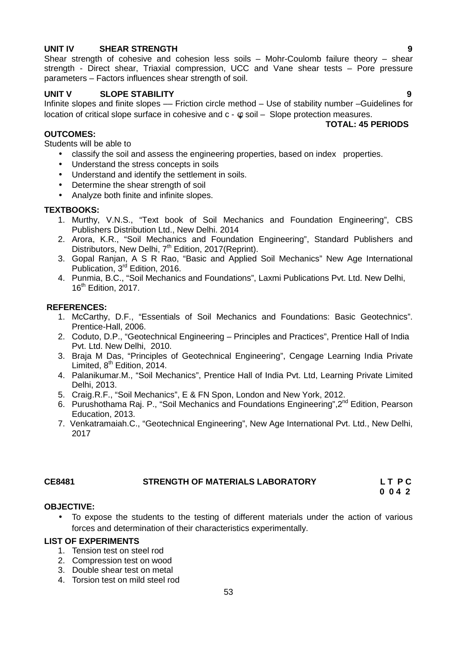#### **UNIT IV SHEAR STRENGTH 9**

Shear strength of cohesive and cohesion less soils – Mohr-Coulomb failure theory – shear strength - Direct shear, Triaxial compression, UCC and Vane shear tests – Pore pressure parameters – Factors influences shear strength of soil.

#### **UNIT V SLOPE STABILITY 9**

Infinite slopes and finite slopes –– Friction circle method – Use of stability number –Guidelines for location of critical slope surface in cohesive and  $c - \varphi$  soil – Slope protection measures.

#### **TOTAL: 45 PERIODS**

Students will be able to

- classify the soil and assess the engineering properties, based on index properties.
- Understand the stress concepts in soils
- Understand and identify the settlement in soils.
- Determine the shear strength of soil
- Analyze both finite and infinite slopes.

#### **TEXTBOOKS:**

**OUTCOMES:**

- 1. Murthy, V.N.S., "Text book of Soil Mechanics and Foundation Engineering", CBS Publishers Distribution Ltd., New Delhi. 2014
- 2. Arora, K.R., "Soil Mechanics and Foundation Engineering", Standard Publishers and Distributors, New Delhi, 7<sup>th</sup> Edition, 2017(Reprint).
- 3. Gopal Ranjan, A S R Rao, "Basic and Applied Soil Mechanics" New Age International Publication, 3<sup>rd</sup> Edition, 2016.
- 4. Punmia, B.C., "Soil Mechanics and Foundations", Laxmi Publications Pvt. Ltd. New Delhi, 16<sup>th</sup> Edition, 2017.

#### **REFERENCES:**

- 1. McCarthy, D.F., "Essentials of Soil Mechanics and Foundations: Basic Geotechnics". Prentice-Hall, 2006.
- 2. Coduto, D.P., "Geotechnical Engineering Principles and Practices", Prentice Hall of India Pvt. Ltd. New Delhi, 2010.
- 3. Braja M Das, "Principles of Geotechnical Engineering", Cengage Learning India Private Limited,  $8<sup>th</sup>$  Edition, 2014.
- 4. Palanikumar.M., "Soil Mechanics", Prentice Hall of India Pvt. Ltd, Learning Private Limited Delhi, 2013.
- 5. Craig.R.F., "Soil Mechanics", E & FN Spon, London and New York, 2012.
- 6. Purushothama Raj. P., "Soil Mechanics and Foundations Engineering", 2<sup>nd</sup> Edition, Pearson Education, 2013.
- 7. Venkatramaiah.C., "Geotechnical Engineering", New Age International Pvt. Ltd., New Delhi, 2017

#### **CE8481 STRENGTH OF MATERIALS LABORATORY L T P C 0 0 4 2**

#### **OBJECTIVE:**

 To expose the students to the testing of different materials under the action of various forces and determination of their characteristics experimentally.

### **LIST OF EXPERIMENTS**

- 1. Tension test on steel rod
- 2. Compression test on wood
- 3. Double shear test on metal
- 4. Torsion test on mild steel rod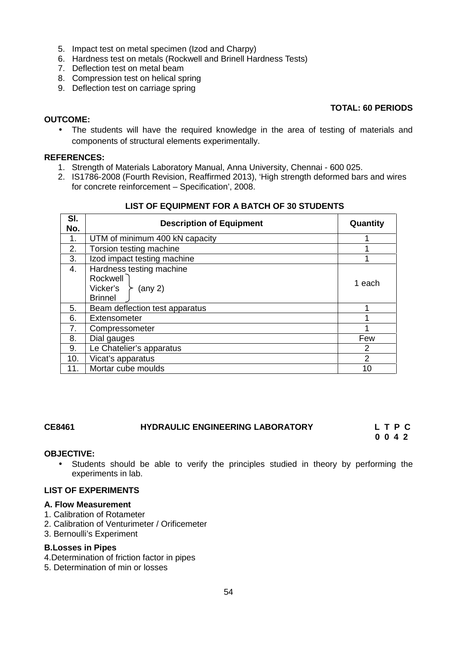- 5. Impact test on metal specimen (Izod and Charpy)
- 6. Hardness test on metals (Rockwell and Brinell Hardness Tests)
- 7. Deflection test on metal beam
- 8. Compression test on helical spring
- 9. Deflection test on carriage spring

#### **TOTAL: 60 PERIODS**

#### **OUTCOME:**

 The students will have the required knowledge in the area of testing of materials and components of structural elements experimentally.

#### **REFERENCES:**

- 1. Strength of Materials Laboratory Manual, Anna University, Chennai 600 025.
- 2. IS1786-2008 (Fourth Revision, Reaffirmed 2013), 'High strength deformed bars and wires for concrete reinforcement – Specification', 2008.

| SI.<br>No. | <b>Description of Equipment</b>                                                         | Quantity       |  |
|------------|-----------------------------------------------------------------------------------------|----------------|--|
| 1.         | UTM of minimum 400 kN capacity                                                          |                |  |
| 2.         | Torsion testing machine                                                                 |                |  |
| 3.         | Izod impact testing machine                                                             |                |  |
| 4.         | Hardness testing machine<br>Rockwell<br>Vicker's<br>$(\text{any } 2)$<br><b>Brinnel</b> | 1 each         |  |
| 5.         | Beam deflection test apparatus                                                          |                |  |
| 6.         | Extensometer                                                                            |                |  |
| 7.         | Compressometer                                                                          |                |  |
| 8.         | Dial gauges                                                                             | Few            |  |
| 9.         | Le Chatelier's apparatus                                                                | 2              |  |
| 10.        | Vicat's apparatus                                                                       | $\overline{2}$ |  |
| 11.        | Mortar cube moulds                                                                      | 10             |  |

#### **LIST OF EQUIPMENT FOR A BATCH OF 30 STUDENTS**

| CE8461 | <b>HYDRAULIC ENGINEERING LABORATORY</b> | LTPC |  |
|--------|-----------------------------------------|------|--|
|        |                                         | 0042 |  |

#### **OBJECTIVE:**

 Students should be able to verify the principles studied in theory by performing the experiments in lab.

#### **LIST OF EXPERIMENTS**

#### **A. Flow Measurement**

- 1. Calibration of Rotameter
- 2. Calibration of Venturimeter / Orificemeter
- 3. Bernoulli's Experiment

#### **B.Losses in Pipes**

- 4.Determination of friction factor in pipes
- 5. Determination of min or losses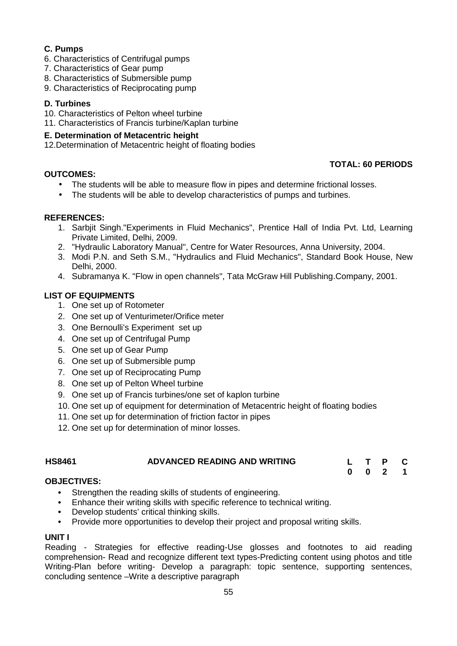### **C. Pumps**

- 6. Characteristics of Centrifugal pumps
- 7. Characteristics of Gear pump
- 8. Characteristics of Submersible pump
- 9. Characteristics of Reciprocating pump

#### **D. Turbines**

- 10. Characteristics of Pelton wheel turbine
- 11. Characteristics of Francis turbine/Kaplan turbine

#### **E. Determination of Metacentric height**

12.Determination of Metacentric height of floating bodies

#### **OUTCOMES:**

#### **TOTAL: 60 PERIODS**

- The students will be able to measure flow in pipes and determine frictional losses.
- The students will be able to develop characteristics of pumps and turbines.

#### **REFERENCES:**

- 1. Sarbjit Singh."Experiments in Fluid Mechanics", Prentice Hall of India Pvt. Ltd, Learning Private Limited, Delhi, 2009.
- 2. "Hydraulic Laboratory Manual", Centre for Water Resources, Anna University, 2004.
- 3. Modi P.N. and Seth S.M., "Hydraulics and Fluid Mechanics", Standard Book House, New Delhi, 2000.
- 4. Subramanya K. "Flow in open channels", Tata McGraw Hill Publishing.Company, 2001.

#### **LIST OF EQUIPMENTS**

- 1. One set up of Rotometer
- 2. One set up of Venturimeter/Orifice meter
- 3. One Bernoulli's Experiment set up
- 4. One set up of Centrifugal Pump
- 5. One set up of Gear Pump
- 6. One set up of Submersible pump
- 7. One set up of Reciprocating Pump
- 8. One set up of Pelton Wheel turbine
- 9. One set up of Francis turbines/one set of kaplon turbine
- 10. One set up of equipment for determination of Metacentric height of floating bodies
- 11. One set up for determination of friction factor in pipes
- 12. One set up for determination of minor losses.

| <b>HS8461</b> | ADVANCED READING AND WRITING |                     |  |
|---------------|------------------------------|---------------------|--|
|               |                              | $0 \quad 0 \quad 2$ |  |

#### **OBJECTIVES:**

- **•** Strengthen the reading skills of students of engineering.<br>• Enhance their writing skills with specific reference to tect
- **•** Enhance their writing skills with specific reference to technical writing.
- **•** Develop students' critical thinking skills.
- **•** Provide more opportunities to develop their project and proposal writing skills.

#### **UNIT I**

Reading - Strategies for effective reading-Use glosses and footnotes to aid reading comprehension- Read and recognize different text types-Predicting content using photos and title Writing-Plan before writing- Develop a paragraph: topic sentence, supporting sentences, concluding sentence –Write a descriptive paragraph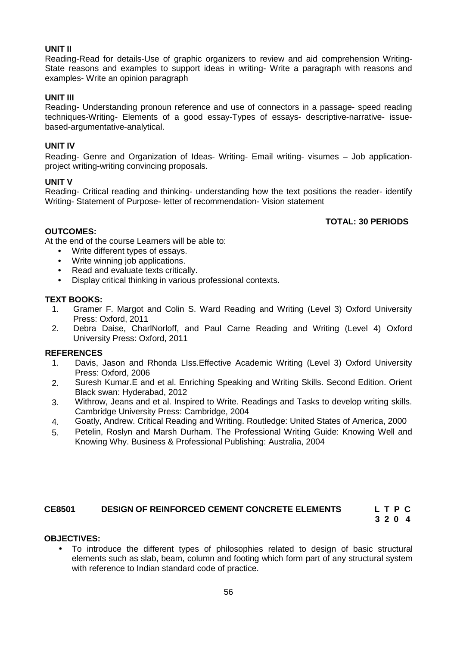#### **UNIT II**

Reading-Read for details-Use of graphic organizers to review and aid comprehension Writing- State reasons and examples to support ideas in writing- Write a paragraph with reasons and examples- Write an opinion paragraph

### **UNIT III**

Reading- Understanding pronoun reference and use of connectors in a passage- speed reading techniques-Writing- Elements of a good essay-Types of essays- descriptive-narrative- issue based-argumentative-analytical.

#### **UNIT IV**

Reading- Genre and Organization of Ideas- Writing- Email writing- visumes – Job application project writing-writing convincing proposals.

#### **UNIT V**

Reading- Critical reading and thinking- understanding how the text positions the reader- identify Writing- Statement of Purpose- letter of recommendation- Vision statement

#### **TOTAL: 30 PERIODS**

#### **OUTCOMES:**

At the end of the course Learners will be able to:<br>
• Write different types of essays

- **•** Write different types of essays.
- **•** Write winning job applications.
- **•** Read and evaluate texts critically.
- **•** Display critical thinking in various professional contexts.

#### **TEXT BOOKS:**

- 1. Gramer F. Margot and Colin S. Ward Reading and Writing (Level 3) Oxford University Press: Oxford, 2011
- 2. Debra Daise, CharlNorloff, and Paul Carne Reading and Writing (Level 4) Oxford University Press: Oxford, 2011

#### **REFERENCES**

- 1. Davis, Jason and Rhonda LIss.Effective Academic Writing (Level 3) Oxford University Press: Oxford, 2006
- 2. Suresh Kumar.E and et al. Enriching Speaking and Writing Skills. Second Edition. Orient Black swan: Hyderabad, 2012
- 3. Withrow, Jeans and et al. Inspired to Write. Readings and Tasks to develop writing skills. Cambridge University Press: Cambridge, 2004
- 4. Goatly, Andrew. Critical Reading and Writing. Routledge: United States of America, 2000
- 5. Petelin, Roslyn and Marsh Durham. The Professional Writing Guide: Knowing Well and Knowing Why. Business & Professional Publishing: Australia, 2004

### **CE8501 DESIGN OF REINFORCED CEMENT CONCRETE ELEMENTS L T P C**

### **3 2 0 4**

#### **OBJECTIVES:**

 To introduce the different types of philosophies related to design of basic structural elements such as slab, beam, column and footing which form part of any structural system with reference to Indian standard code of practice.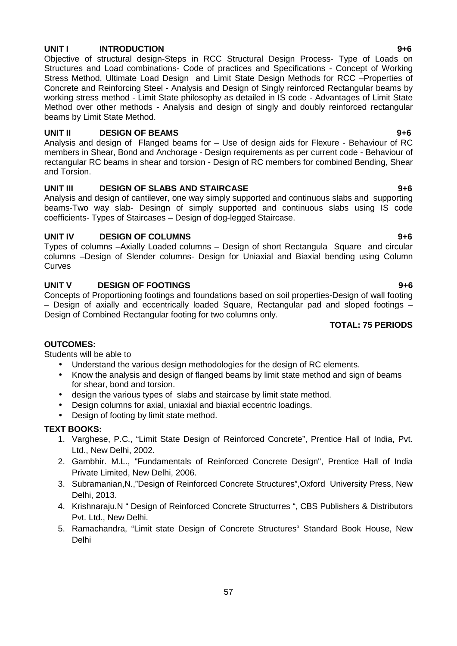#### **UNIT I INTRODUCTION 9+6**

Objective of structural design-Steps in RCC Structural Design Process- Type of Loads on Structures and Load combinations- Code of practices and Specifications - Concept of Working Stress Method, Ultimate Load Design and Limit State Design Methods for RCC –Properties of Concrete and Reinforcing Steel - Analysis and Design of Singly reinforced Rectangular beams by working stress method - Limit State philosophy as detailed in IS code - Advantages of Limit State Method over other methods - Analysis and design of singly and doubly reinforced rectangular beams by Limit State Method.

#### **UNIT II DESIGN OF BEAMS 9+6**

Analysis and design of Flanged beams for – Use of design aids for Flexure - Behaviour of RC members in Shear, Bond and Anchorage - Design requirements as per current code - Behaviour of rectangular RC beams in shear and torsion - Design of RC members for combined Bending, Shear and Torsion.

#### **UNIT III DESIGN OF SLABS AND STAIRCASE 9+6**

Analysis and design of cantilever, one way simply supported and continuous slabs and supporting beams-Two way slab- Desingn of simply supported and continuous slabs using IS code coefficients- Types of Staircases – Design of dog-legged Staircase.

#### **UNIT IV DESIGN OF COLUMNS 9+6**

Types of columns –Axially Loaded columns – Design of short Rectangula Square and circular columns –Design of Slender columns- Design for Uniaxial and Biaxial bending using Column **Curves** 

#### **UNIT V DESIGN OF FOOTINGS 9+6**

Concepts of Proportioning footings and foundations based on soil properties-Design of wall footing – Design of axially and eccentrically loaded Square, Rectangular pad and sloped footings – Design of Combined Rectangular footing for two columns only.

### **TOTAL: 75 PERIODS**

#### **OUTCOMES:**

Students will be able to

- Understand the various design methodologies for the design of RC elements.
- Know the analysis and design of flanged beams by limit state method and sign of beams for shear, bond and torsion.
- design the various types of slabs and staircase by limit state method.
- Design columns for axial, uniaxial and biaxial eccentric loadings.
- Design of footing by limit state method.

#### **TEXT BOOKS:**

- 1. Varghese, P.C., "Limit State Design of Reinforced Concrete", Prentice Hall of India, Pvt. Ltd., New Delhi, 2002.
- 2. Gambhir. M.L., "Fundamentals of Reinforced Concrete Design", Prentice Hall of India Private Limited, New Delhi, 2006.
- 3. Subramanian,N.,"Design of Reinforced Concrete Structures",Oxford University Press, New Delhi, 2013.
- 4. Krishnaraju.N " Design of Reinforced Concrete Structurres ", CBS Publishers & Distributors Pvt. Ltd., New Delhi.
- 5. Ramachandra, "Limit state Design of Concrete Structures" Standard Book House, New Delhi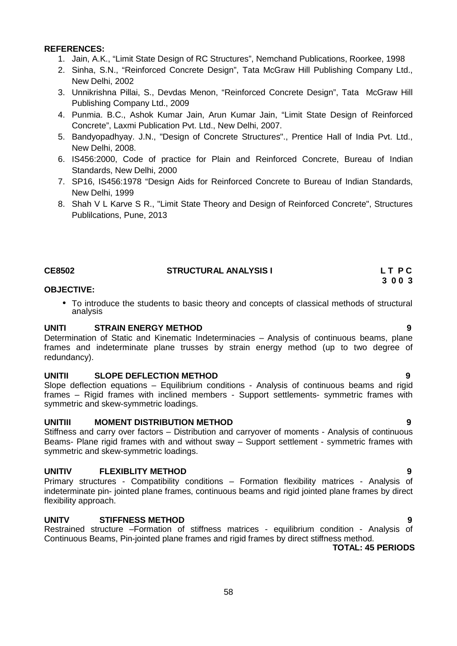#### **REFERENCES:**

- 1. Jain, A.K., "Limit State Design of RC Structures", Nemchand Publications, Roorkee, 1998
- 2. Sinha, S.N., "Reinforced Concrete Design", Tata McGraw Hill Publishing Company Ltd., New Delhi, 2002
- 3. Unnikrishna Pillai, S., Devdas Menon, "Reinforced Concrete Design", Tata McGraw Hill Publishing Company Ltd., 2009
- 4. Punmia. B.C., Ashok Kumar Jain, Arun Kumar Jain, "Limit State Design of Reinforced Concrete", Laxmi Publication Pvt. Ltd., New Delhi, 2007.
- 5. Bandyopadhyay. J.N., "Design of Concrete Structures"., Prentice Hall of India Pvt. Ltd., New Delhi, 2008.
- 6. IS456:2000, Code of practice for Plain and Reinforced Concrete, Bureau of Indian Standards, New Delhi, 2000
- 7. SP16, IS456:1978 "Design Aids for Reinforced Concrete to Bureau of Indian Standards, New Delhi, 1999
- 8. Shah V L Karve S R., "Limit State Theory and Design of Reinforced Concrete", Structures Publilcations, Pune, 2013

#### **CE8502 STRUCTURAL ANALYSIS I L T P C**

#### **OBJECTIVE:**

To introduce the students to basic theory and concepts of classical methods of structural analysis

#### **UNITI STRAIN ENERGY METHOD 9**

Determination of Static and Kinematic Indeterminacies – Analysis of continuous beams, plane frames and indeterminate plane trusses by strain energy method (up to two degree of redundancy).

#### **UNITII SLOPE DEFLECTION METHOD 9**

Slope deflection equations – Equilibrium conditions - Analysis of continuous beams and rigid frames – Rigid frames with inclined members - Support settlements- symmetric frames with symmetric and skew-symmetric loadings.

#### **UNITIII MOMENT DISTRIBUTION METHOD 9**

Stiffness and carry over factors – Distribution and carryover of moments - Analysis of continuous Beams- Plane rigid frames with and without sway – Support settlement - symmetric frames with symmetric and skew-symmetric loadings.

#### **UNITIV FLEXIBLITY METHOD 9**

Primary structures - Compatibility conditions – Formation flexibility matrices - Analysis of indeterminate pin- jointed plane frames, continuous beams and rigid jointed plane frames by direct flexibility approach.

#### **UNITV STIFFNESS METHOD 9**

Restrained structure –Formation of stiffness matrices - equilibrium condition - Analysis of Continuous Beams, Pin-jointed plane frames and rigid frames by direct stiffness method.

**TOTAL: 45 PERIODS**

# **3 0 0 3**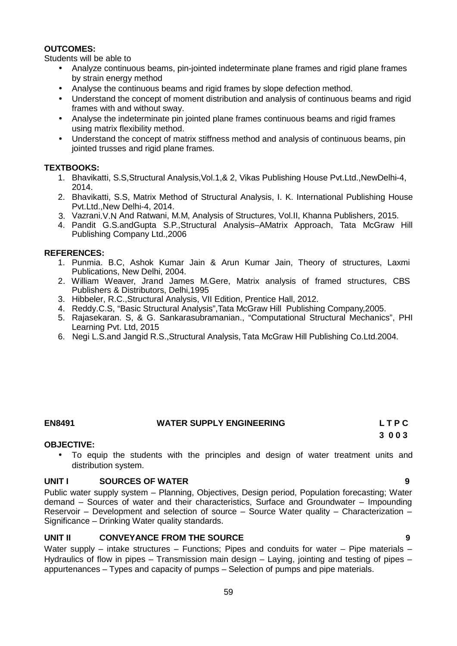#### **OUTCOMES:**

Students will be able to

- Analyze continuous beams, pin-jointed indeterminate plane frames and rigid plane frames by strain energy method
- Analyse the continuous beams and rigid frames by slope defection method.
- Understand the concept of moment distribution and analysis of continuous beams and rigid frames with and without sway.
- Analyse the indeterminate pin jointed plane frames continuous beams and rigid frames using matrix flexibility method.
- Understand the concept of matrix stiffness method and analysis of continuous beams, pin jointed trusses and rigid plane frames.

#### **TEXTBOOKS:**

- 1. Bhavikatti, S.S,Structural Analysis,Vol.1,& 2, Vikas Publishing House Pvt.Ltd.,NewDelhi-4, 2014.
- 2. Bhavikatti, S.S, Matrix Method of Structural Analysis, I. K. International Publishing House Pvt.Ltd.,New Delhi-4, 2014.
- 3. Vazrani.V.N And Ratwani, M.M, Analysis of Structures, Vol.II, Khanna Publishers, 2015.
- 4. Pandit G.S.andGupta S.P.,Structural Analysis–AMatrix Approach, Tata McGraw Hill Publishing Company Ltd.,2006

#### **REFERENCES:**

- 1. Punmia. B.C, Ashok Kumar Jain & Arun Kumar Jain, Theory of structures, Laxmi Publications, New Delhi, 2004.
- 2. William Weaver, Jrand James M.Gere, Matrix analysis of framed structures, CBS Publishers & Distributors, Delhi,1995
- 3. Hibbeler, R.C.,Structural Analysis, VII Edition, Prentice Hall, 2012.
- 4. Reddy.C.S, "Basic Structural Analysis",Tata McGraw Hill Publishing Company,2005.
- 5. Rajasekaran. S, & G. Sankarasubramanian., "Computational Structural Mechanics", PHI Learning Pvt. Ltd, 2015
- 6. Negi L.S.and Jangid R.S.,Structural Analysis, Tata McGraw Hill Publishing Co.Ltd.2004.

#### **EN8491 WATER SUPPLY ENGINEERING L T P C**

**3 0 0 3**

#### **OBJECTIVE:**

 To equip the students with the principles and design of water treatment units and distribution system.

#### **UNIT I SOURCES OF WATER 9**

Public water supply system – Planning, Objectives, Design period, Population forecasting; Water demand – Sources of water and their characteristics, Surface and Groundwater – Impounding Reservoir – Development and selection of source – Source Water quality – Characterization – Significance – Drinking Water quality standards.

#### **UNIT II CONVEYANCE FROM THE SOURCE 9**

Water supply – intake structures – Functions; Pipes and conduits for water – Pipe materials – Hydraulics of flow in pipes – Transmission main design – Laying, jointing and testing of pipes – appurtenances – Types and capacity of pumps – Selection of pumps and pipe materials.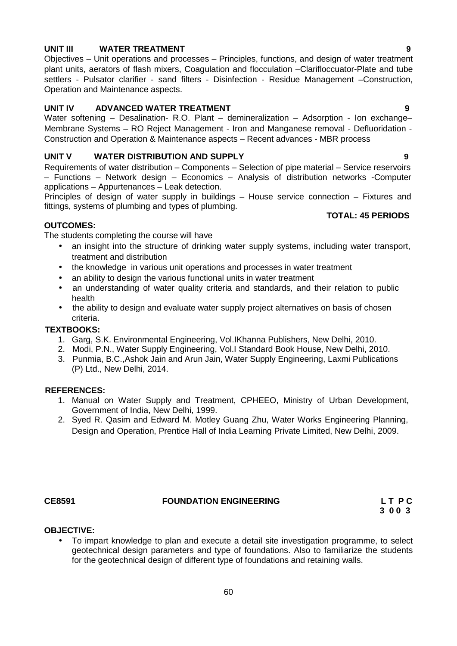### **UNIT III WATER TREATMENT 9**

Objectives – Unit operations and processes – Principles, functions, and design of water treatment plant units, aerators of flash mixers, Coagulation and flocculation –Clarifloccuator-Plate and tube settlers - Pulsator clarifier - sand filters - Disinfection - Residue Management –Construction, Operation and Maintenance aspects.

### **UNIT IV ADVANCED WATER TREATMENT 9**

Water softening – Desalination- R.O. Plant – demineralization – Adsorption - Ion exchange– Membrane Systems – RO Reject Management - Iron and Manganese removal - Defluoridation - Construction and Operation & Maintenance aspects – Recent advances - MBR process

### **UNIT V WATER DISTRIBUTION AND SUPPLY 9**

Requirements of water distribution – Components – Selection of pipe material – Service reservoirs – Functions – Network design – Economics – Analysis of distribution networks -Computer applications – Appurtenances – Leak detection.

Principles of design of water supply in buildings – House service connection – Fixtures and fittings, systems of plumbing and types of plumbing.

### **TOTAL: 45 PERIODS**

#### **OUTCOMES:**

The students completing the course will have

- an insight into the structure of drinking water supply systems, including water transport, treatment and distribution
- the knowledge in various unit operations and processes in water treatment
- an ability to design the various functional units in water treatment
- an understanding of water quality criteria and standards, and their relation to public health
- the ability to design and evaluate water supply project alternatives on basis of chosen criteria.

#### **TEXTBOOKS:**

- 1. Garg, S.K. Environmental Engineering, Vol.IKhanna Publishers, New Delhi, 2010.
- 2. Modi, P.N., Water Supply Engineering, Vol.I Standard Book House, New Delhi, 2010.
- 3. Punmia, B.C.,Ashok Jain and Arun Jain, Water Supply Engineering, Laxmi Publications (P) Ltd., New Delhi, 2014.

#### **REFERENCES:**

- 1. Manual on Water Supply and Treatment, CPHEEO, Ministry of Urban Development, Government of India, New Delhi, 1999.
- 2. Syed R. Qasim and Edward M. Motley Guang Zhu, Water Works Engineering Planning, Design and Operation, Prentice Hall of India Learning Private Limited, New Delhi, 2009.

#### **CE8591 FOUNDATION ENGINEERING L T P C**

**3 0 0 3**

### **OBJECTIVE:**

 To impart knowledge to plan and execute a detail site investigation programme, to select geotechnical design parameters and type of foundations. Also to familiarize the students for the geotechnical design of different type of foundations and retaining walls.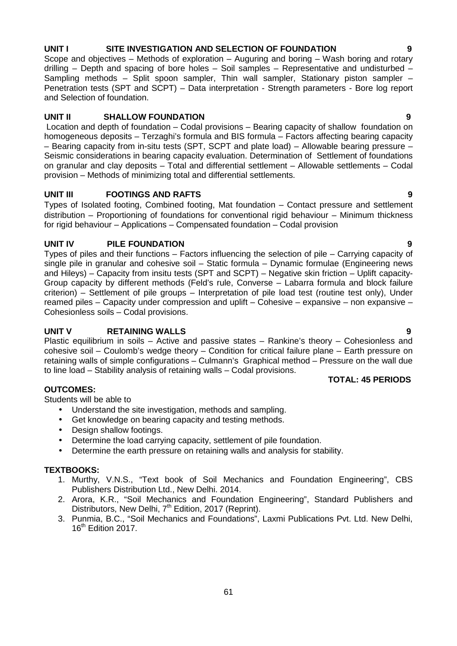#### **UNIT I SITE INVESTIGATION AND SELECTION OF FOUNDATION 9**

Scope and objectives – Methods of exploration – Auguring and boring – Wash boring and rotary drilling – Depth and spacing of bore holes – Soil samples – Representative and undisturbed – Sampling methods – Split spoon sampler, Thin wall sampler, Stationary piston sampler – Penetration tests (SPT and SCPT) – Data interpretation - Strength parameters - Bore log report and Selection of foundation.

### **UNIT II SHALLOW FOUNDATION 9**

Location and depth of foundation – Codal provisions – Bearing capacity of shallow foundation on homogeneous deposits – Terzaghi's formula and BIS formula – Factors affecting bearing capacity – Bearing capacity from in-situ tests (SPT, SCPT and plate load) – Allowable bearing pressure – Seismic considerations in bearing capacity evaluation. Determination of Settlement of foundations on granular and clay deposits – Total and differential settlement – Allowable settlements – Codal provision – Methods of minimizing total and differential settlements.

### **UNIT III FOOTINGS AND RAFTS 9**

Types of Isolated footing, Combined footing, Mat foundation – Contact pressure and settlement distribution – Proportioning of foundations for conventional rigid behaviour – Minimum thickness for rigid behaviour – Applications – Compensated foundation – Codal provision

### **UNIT IV PILE FOUNDATION 9**

Types of piles and their functions – Factors influencing the selection of pile – Carrying capacity of single pile in granular and cohesive soil – Static formula – Dynamic formulae (Engineering news and Hileys) – Capacity from insitu tests (SPT and SCPT) – Negative skin friction – Uplift capacity- Group capacity by different methods (Feld's rule, Converse – Labarra formula and block failure criterion) – Settlement of pile groups – Interpretation of pile load test (routine test only), Under reamed piles – Capacity under compression and uplift – Cohesive – expansive – non expansive – Cohesionless soils – Codal provisions.

### **UNIT V RETAINING WALLS 9**

Plastic equilibrium in soils – Active and passive states – Rankine's theory – Cohesionless and cohesive soil – Coulomb's wedge theory – Condition for critical failure plane – Earth pressure on retaining walls of simple configurations – Culmann's Graphical method – Pressure on the wall due to line load – Stability analysis of retaining walls – Codal provisions.

#### **TOTAL: 45 PERIODS**

**OUTCOMES:** Students will be able to

- Understand the site investigation, methods and sampling.
- Get knowledge on bearing capacity and testing methods.
- Design shallow footings.
- Determine the load carrying capacity, settlement of pile foundation.
- Determine the earth pressure on retaining walls and analysis for stability.

#### **TEXTBOOKS:**

- 1. Murthy, V.N.S., "Text book of Soil Mechanics and Foundation Engineering", CBS Publishers Distribution Ltd., New Delhi. 2014.
- 2. Arora, K.R., "Soil Mechanics and Foundation Engineering", Standard Publishers and Distributors, New Delhi,  $7<sup>th</sup>$  Edition, 2017 (Reprint).
- 3. Punmia, B.C., "Soil Mechanics and Foundations", Laxmi Publications Pvt. Ltd. New Delhi, 16<sup>th</sup> Edition 2017.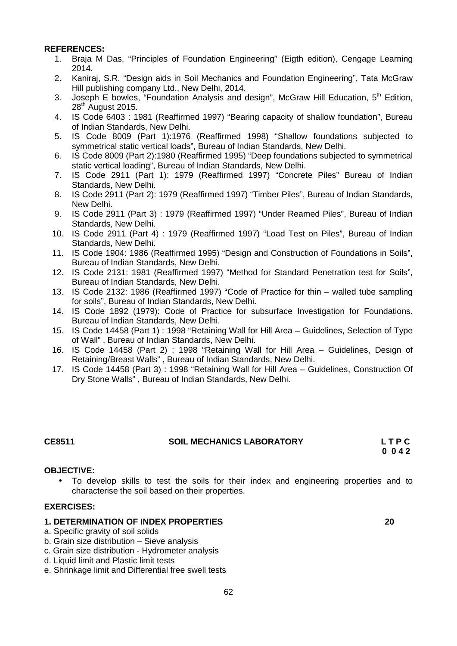#### **REFERENCES:**

- 1. Braja M Das, "Principles of Foundation Engineering" (Eigth edition), Cengage Learning 2014.
- 2. Kaniraj, S.R. "Design aids in Soil Mechanics and Foundation Engineering", Tata McGraw Hill publishing company Ltd., New Delhi, 2014.
- 3. Joseph E bowles, "Foundation Analysis and design", McGraw Hill Education,  $5<sup>th</sup>$  Edition, 28<sup>th</sup> August 2015.
- 4. IS Code 6403 : 1981 (Reaffirmed 1997) "Bearing capacity of shallow foundation", Bureau of Indian Standards, New Delhi.
- 5. IS Code 8009 (Part 1):1976 (Reaffirmed 1998) "Shallow foundations subjected to symmetrical static vertical loads", Bureau of Indian Standards, New Delhi.
- 6. IS Code 8009 (Part 2):1980 (Reaffirmed 1995) "Deep foundations subjected to symmetrical static vertical loading", Bureau of Indian Standards, New Delhi.
- 7. IS Code 2911 (Part 1): 1979 (Reaffirmed 1997) "Concrete Piles" Bureau of Indian Standards, New Delhi.
- 8. IS Code 2911 (Part 2): 1979 (Reaffirmed 1997) "Timber Piles", Bureau of Indian Standards, New Delhi.
- 9. IS Code 2911 (Part 3) : 1979 (Reaffirmed 1997) "Under Reamed Piles", Bureau of Indian Standards, New Delhi.
- 10. IS Code 2911 (Part 4) : 1979 (Reaffirmed 1997) "Load Test on Piles", Bureau of Indian Standards, New Delhi.
- 11. IS Code 1904: 1986 (Reaffirmed 1995) "Design and Construction of Foundations in Soils", Bureau of Indian Standards, New Delhi.
- 12. IS Code 2131: 1981 (Reaffirmed 1997) "Method for Standard Penetration test for Soils", Bureau of Indian Standards, New Delhi.
- 13. IS Code 2132: 1986 (Reaffirmed 1997) "Code of Practice for thin walled tube sampling for soils", Bureau of Indian Standards, New Delhi.
- 14. IS Code 1892 (1979): Code of Practice for subsurface Investigation for Foundations. Bureau of Indian Standards, New Delhi.
- 15. IS Code 14458 (Part 1) : 1998 "Retaining Wall for Hill Area Guidelines, Selection of Type of Wall" , Bureau of Indian Standards, New Delhi.
- 16. IS Code 14458 (Part 2) : 1998 "Retaining Wall for Hill Area Guidelines, Design of Retaining/Breast Walls" , Bureau of Indian Standards, New Delhi.
- 17. IS Code 14458 (Part 3) : 1998 "Retaining Wall for Hill Area Guidelines, Construction Of Dry Stone Walls" , Bureau of Indian Standards, New Delhi.

### **CE8511 SOIL MECHANICS LABORATORY L T P C**

**0 0 4 2**

#### **OBJECTIVE:**

 To develop skills to test the soils for their index and engineering properties and to characterise the soil based on their properties.

#### **EXERCISES:**

#### **1. DETERMINATION OF INDEX PROPERTIES 20**

- a. Specific gravity of soil solids
- b. Grain size distribution Sieve analysis
- c. Grain size distribution Hydrometer analysis
- d. Liquid limit and Plastic limit tests
- e. Shrinkage limit and Differential free swell tests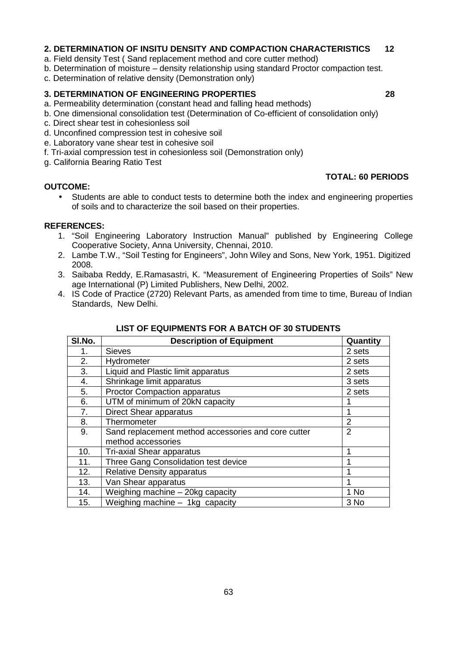### **2. DETERMINATION OF INSITU DENSITY AND COMPACTION CHARACTERISTICS 12**

- a. Field density Test ( Sand replacement method and core cutter method)
- b. Determination of moisture density relationship using standard Proctor compaction test.
- c. Determination of relative density (Demonstration only)

#### **3. DETERMINATION OF ENGINEERING PROPERTIES 28**

- a. Permeability determination (constant head and falling head methods)
- b. One dimensional consolidation test (Determination of Co-efficient of consolidation only)
- c. Direct shear test in cohesionless soil
- d. Unconfined compression test in cohesive soil
- e. Laboratory vane shear test in cohesive soil
- f. Tri-axial compression test in cohesionless soil (Demonstration only)

of soils and to characterize the soil based on their properties.

g. California Bearing Ratio Test

#### **OUTCOME:**

- Students are able to conduct tests to determine both the index and engineering properties
- **REFERENCES:**
	- 1. "Soil Engineering Laboratory Instruction Manual" published by Engineering College Cooperative Society, Anna University, Chennai, 2010.
	- 2. Lambe T.W., "Soil Testing for Engineers", John Wiley and Sons, New York, 1951. Digitized 2008.
	- 3. Saibaba Reddy, E.Ramasastri, K. "Measurement of Engineering Properties of Soils" New age International (P) Limited Publishers, New Delhi, 2002.
	- 4. IS Code of Practice (2720) Relevant Parts, as amended from time to time, Bureau of Indian Standards, New Delhi.

| SI.No. | <b>Description of Equipment</b>                     | Quantity       |
|--------|-----------------------------------------------------|----------------|
|        | <b>Sieves</b>                                       | 2 sets         |
| 2.     | Hydrometer                                          | 2 sets         |
| 3.     | Liquid and Plastic limit apparatus                  | 2 sets         |
| 4.     | Shrinkage limit apparatus                           | 3 sets         |
| 5.     | <b>Proctor Compaction apparatus</b>                 | 2 sets         |
| 6.     | UTM of minimum of 20kN capacity                     |                |
| 7.     | <b>Direct Shear apparatus</b>                       |                |
| 8.     | Thermometer                                         | $\overline{2}$ |
| 9.     | Sand replacement method accessories and core cutter | $\overline{2}$ |
|        | method accessories                                  |                |
| 10.    | Tri-axial Shear apparatus                           | 1              |
| 11.    | Three Gang Consolidation test device                | ۸              |
| 12.    | <b>Relative Density apparatus</b>                   |                |
| 13.    | Van Shear apparatus                                 | 4              |
| 14.    | Weighing machine - 20kg capacity                    | 1 No           |
| 15.    | Weighing machine - 1kg capacity                     | 3 No           |

#### **LIST OF EQUIPMENTS FOR A BATCH OF 30 STUDENTS**

**TOTAL: 60 PERIODS**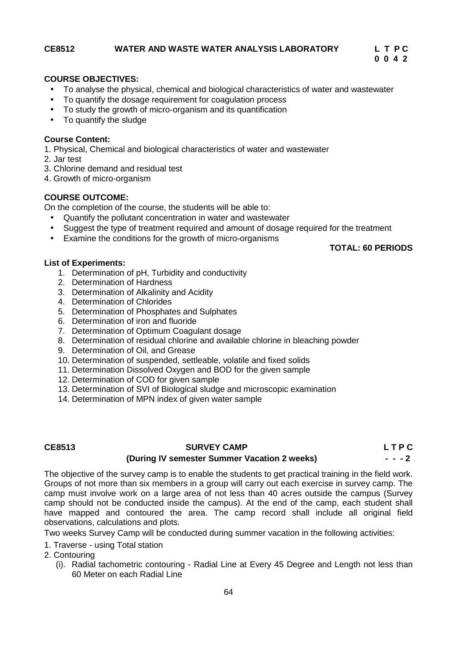#### **CE8512 WATER AND WASTE WATER ANALYSIS LABORATORY L T P C**

**0 0 4 2**

#### **COURSE OBJECTIVES:**

- To analyse the physical, chemical and biological characteristics of water and wastewater
- To quantify the dosage requirement for coagulation process
- To study the growth of micro-organism and its quantification
- To quantify the sludge

#### **Course Content:**

1. Physical, Chemical and biological characteristics of water and wastewater

- 2. Jar test
- 3. Chlorine demand and residual test
- 4. Growth of micro-organism

#### **COURSE OUTCOME:**

On the completion of the course, the students will be able to:

- Quantify the pollutant concentration in water and wastewater
- Suggest the type of treatment required and amount of dosage required for the treatment
- Examine the conditions for the growth of micro-organisms

#### **TOTAL: 60 PERIODS**

#### **List of Experiments:**

- 1. Determination of pH, Turbidity and conductivity
- 2. Determination of Hardness
- 3. Determination of Alkalinity and Acidity
- 4. Determination of Chlorides
- 5. Determination of Phosphates and Sulphates
- 6. Determination of iron and fluoride
- 7. Determination of Optimum Coagulant dosage
- 8. Determination of residual chlorine and available chlorine in bleaching powder
- 9. Determination of Oil, and Grease
- 10. Determination of suspended, settleable, volatile and fixed solids
- 11. Determination Dissolved Oxygen and BOD for the given sample
- 12. Determination of COD for given sample
- 13. Determination of SVI of Biological sludge and microscopic examination
- 14. Determination of MPN index of given water sample

### **CE8513 SURVEY CAMP L T P C (During IV semester Summer Vacation 2 weeks) - - - 2**

The objective of the survey camp is to enable the students to get practical training in the field work. Groups of not more than six members in a group will carry out each exercise in survey camp. The camp must involve work on a large area of not less than 40 acres outside the campus (Survey camp should not be conducted inside the campus). At the end of the camp, each student shall have mapped and contoured the area. The camp record shall include all original field observations, calculations and plots.

Two weeks Survey Camp will be conducted during summer vacation in the following activities:

- 1. Traverse using Total station
- 2. Contouring
	- (i). Radial tachometric contouring Radial Line at Every 45 Degree and Length not less than 60 Meter on each Radial Line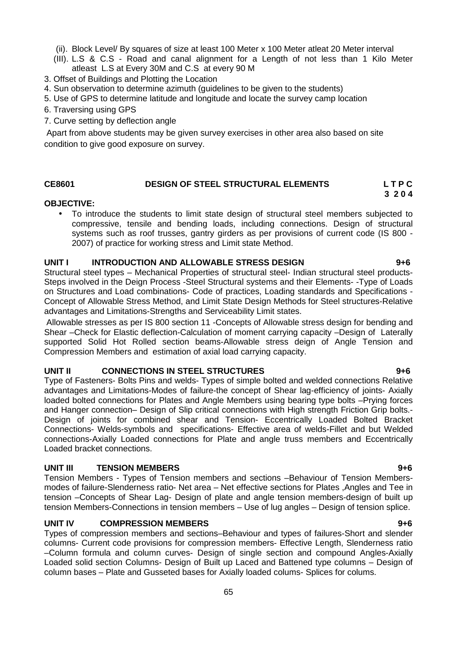- (ii). Block Level/ By squares of size at least 100 Meter x 100 Meter atleat 20 Meter interval
- (III). L.S & C.S Road and canal alignment for a Length of not less than 1 Kilo Meter atleast L.S at Every 30M and C.S at every 90 M
- 3. Offset of Buildings and Plotting the Location
- 4. Sun observation to determine azimuth (guidelines to be given to the students)
- 5. Use of GPS to determine latitude and longitude and locate the survey camp location
- 6. Traversing using GPS
- 7. Curve setting by deflection angle

Apart from above students may be given survey exercises in other area also based on site condition to give good exposure on survey.

### **CE8601 DESIGN OF STEEL STRUCTURAL ELEMENTS L T P C**

#### **OBJECTIVE:**

 To introduce the students to limit state design of structural steel members subjected to compressive, tensile and bending loads, including connections. Design of structural systems such as roof trusses, gantry girders as per provisions of current code (IS 800 - 2007) of practice for working stress and Limit state Method.

#### **UNIT I INTRODUCTION AND ALLOWABLE STRESS DESIGN 9+6**

Structural steel types – Mechanical Properties of structural steel- Indian structural steel products- Steps involved in the Deign Process -Steel Structural systems and their Elements- -Type of Loads on Structures and Load combinations- Code of practices, Loading standards and Specifications - Concept of Allowable Stress Method, and Limit State Design Methods for Steel structures-Relative advantages and Limitations-Strengths and Serviceability Limit states.

Allowable stresses as per IS 800 section 11 -Concepts of Allowable stress design for bending and Shear –Check for Elastic deflection-Calculation of moment carrying capacity –Design of Laterally supported Solid Hot Rolled section beams-Allowable stress deign of Angle Tension and Compression Members and estimation of axial load carrying capacity.

#### **UNIT II CONNECTIONS IN STEEL STRUCTURES 9+6**

Type of Fasteners- Bolts Pins and welds- Types of simple bolted and welded connections Relative advantages and Limitations-Modes of failure-the concept of Shear lag-efficiency of joints- Axially loaded bolted connections for Plates and Angle Members using bearing type bolts –Prying forces and Hanger connection– Design of Slip critical connections with High strength Friction Grip bolts.- Design of joints for combined shear and Tension- Eccentrically Loaded Bolted Bracket Connections- Welds-symbols and specifications- Effective area of welds-Fillet and but Welded connections-Axially Loaded connections for Plate and angle truss members and Eccentrically Loaded bracket connections.

### **UNIT III TENSION MEMBERS 9+6**

Tension Members - Types of Tension members and sections –Behaviour of Tension Members modes of failure-Slenderness ratio- Net area – Net effective sections for Plates ,Angles and Tee in tension –Concepts of Shear Lag- Design of plate and angle tension members-design of built up tension Members-Connections in tension members – Use of lug angles – Design of tension splice.

#### **UNIT IV COMPRESSION MEMBERS 9+6**

Types of compression members and sections–Behaviour and types of failures-Short and slender columns- Current code provisions for compression members- Effective Length, Slenderness ratio –Column formula and column curves- Design of single section and compound Angles-Axially Loaded solid section Columns- Design of Built up Laced and Battened type columns – Design of column bases – Plate and Gusseted bases for Axially loaded colums- Splices for colums.

**3 2 0 4**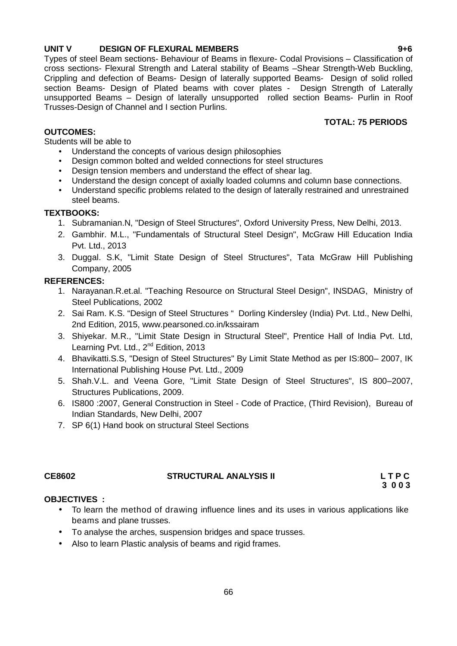#### Understand specific problems related to the design of laterally restrained and unrestrained

Understand the concepts of various design philosophies

• Design tension members and understand the effect of shear lag.

Design common bolted and welded connections for steel structures

steel beams.

Students will be able to

#### **TEXTBOOKS:**

**OUTCOMES:**

1. Subramanian.N, "Design of Steel Structures", Oxford University Press, New Delhi, 2013.

section Beams- Design of Plated beams with cover plates - Design Strength of Laterally unsupported Beams – Design of laterally unsupported rolled section Beams- Purlin in Roof

2. Gambhir. M.L., "Fundamentals of Structural Steel Design", McGraw Hill Education India Pvt. Ltd., 2013

Understand the design concept of axially loaded columns and column base connections.

3. Duggal. S.K, "Limit State Design of Steel Structures", Tata McGraw Hill Publishing Company, 2005

#### **REFERENCES:**

- 1. Narayanan.R.et.al. "Teaching Resource on Structural Steel Design", INSDAG, Ministry of Steel Publications, 2002
- 2. Sai Ram. K.S. "Design of Steel Structures " Dorling Kindersley (India) Pvt. Ltd., New Delhi, 2nd Edition, 2015, www.pearsoned.co.in/kssairam
- 3. Shiyekar. M.R., "Limit State Design in Structural Steel", Prentice Hall of India Pvt. Ltd, Learning Pvt. Ltd., 2<sup>nd</sup> Edition, 2013
- 4. Bhavikatti.S.S, "Design of Steel Structures" By Limit State Method as per IS:800– 2007, IK International Publishing House Pvt. Ltd., 2009
- 5. Shah.V.L. and Veena Gore, "Limit State Design of Steel Structures", IS 800–2007, Structures Publications, 2009.
- 6. IS800 :2007, General Construction in Steel Code of Practice, (Third Revision), Bureau of Indian Standards, New Delhi, 2007
- 7. SP 6(1) Hand book on structural Steel Sections

#### **CE8602 STRUCTURAL ANALYSIS II L T P C**

#### **OBJECTIVES :**

- To learn the method of drawing influence lines and its uses in various applications like beams and plane trusses.
- To analyse the arches, suspension bridges and space trusses.
- Also to learn Plastic analysis of beams and rigid frames.

#### **UNIT V DESIGN OF FLEXURAL MEMBERS 9+6**

Trusses-Design of Channel and I section Purlins.

**TOTAL: 75 PERIODS**

# **3 0 0 3**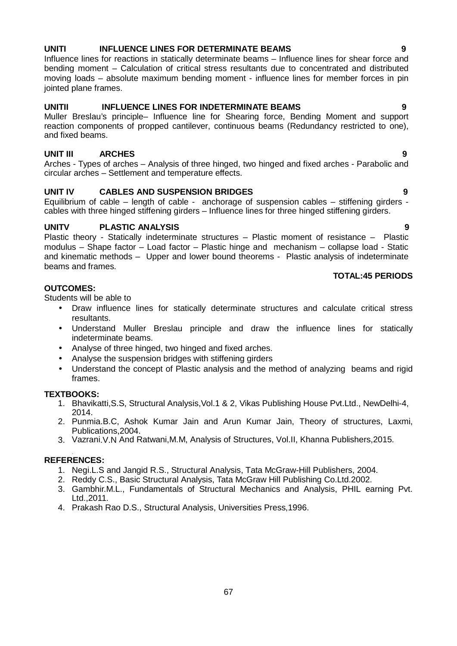### cables with three hinged stiffening girders – Influence lines for three hinged stiffening girders.

**UNITV PLASTIC ANALYSIS 9** Plastic theory - Statically indeterminate structures – Plastic moment of resistance – Plastic modulus – Shape factor – Load factor – Plastic hinge and mechanism – collapse load - Static and kinematic methods – Upper and lower bound theorems - Plastic analysis of indeterminate beams and frames.

#### **OUTCOMES:**

Students will be able to

- Draw influence lines for statically determinate structures and calculate critical stress resultants.
- Understand Muller Breslau principle and draw the influence lines for statically indeterminate beams.
- Analyse of three hinged, two hinged and fixed arches.
- Analyse the suspension bridges with stiffening girders
- Understand the concept of Plastic analysis and the method of analyzing beams and rigid frames.

#### **TEXTBOOKS:**

- 1. Bhavikatti,S.S, Structural Analysis,Vol.1 & 2, Vikas Publishing House Pvt.Ltd., NewDelhi-4, 2014.
- 2. Punmia.B.C, Ashok Kumar Jain and Arun Kumar Jain, Theory of structures, Laxmi, Publications,2004.
- 3. Vazrani.V.N And Ratwani,M.M, Analysis of Structures, Vol.II, Khanna Publishers,2015.

#### . **REFERENCES:**

- 1. Negi.L.S and Jangid R.S., Structural Analysis, Tata McGraw-Hill Publishers, 2004.
- 2. Reddy C.S., Basic Structural Analysis, Tata McGraw Hill Publishing Co.Ltd.2002.
- 3. Gambhir.M.L., Fundamentals of Structural Mechanics and Analysis, PHIL earning Pvt. Ltd.,2011.
- 4. Prakash Rao D.S., Structural Analysis, Universities Press,1996.

### **UNIT III ARCHES 9**

and fixed beams.

Arches - Types of arches – Analysis of three hinged, two hinged and fixed arches - Parabolic and circular arches – Settlement and temperature effects.

**UNIT IV CABLES AND SUSPENSION BRIDGES 9** Equilibrium of cable – length of cable - anchorage of suspension cables – stiffening girders -

reaction components of propped cantilever, continuous beams (Redundancy restricted to one),

Influence lines for reactions in statically determinate beams – Influence lines for shear force and bending moment – Calculation of critical stress resultants due to concentrated and distributed moving loads – absolute maximum bending moment - influence lines for member forces in pin jointed plane frames.

### **UNITI INFLUENCE LINES FOR DETERMINATE BEAMS 9**

#### **TOTAL:45 PERIODS**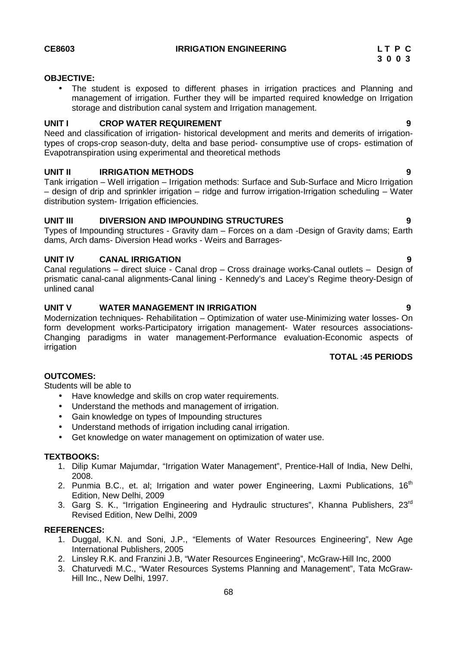#### **OBJECTIVE:**

 The student is exposed to different phases in irrigation practices and Planning and management of irrigation. Further they will be imparted required knowledge on Irrigation storage and distribution canal system and Irrigation management.

#### **UNIT I CROP WATER REQUIREMENT 9**

Need and classification of irrigation- historical development and merits and demerits of irrigationtypes of crops-crop season-duty, delta and base period- consumptive use of crops- estimation of Evapotranspiration using experimental and theoretical methods

#### **UNIT II IRRIGATION METHODS 9**

Tank irrigation – Well irrigation – Irrigation methods: Surface and Sub-Surface and Micro Irrigation – design of drip and sprinkler irrigation – ridge and furrow irrigation-Irrigation scheduling – Water distribution system- Irrigation efficiencies.

#### **UNIT III DIVERSION AND IMPOUNDING STRUCTURES 9**

Types of Impounding structures - Gravity dam – Forces on a dam -Design of Gravity dams; Earth dams, Arch dams- Diversion Head works - Weirs and Barrages-

### **UNIT IV CANAL IRRIGATION 9**

Canal regulations – direct sluice - Canal drop – Cross drainage works-Canal outlets – Design of prismatic canal-canal alignments-Canal lining - Kennedy's and Lacey's Regime theory-Design of unlined canal

#### **UNIT V WATER MANAGEMENT IN IRRIGATION 9**

Modernization techniques- Rehabilitation – Optimization of water use-Minimizing water losses- On form development works-Participatory irrigation management- Water resources associations- Changing paradigms in water management-Performance evaluation-Economic aspects of irrigation

#### **TOTAL :45 PERIODS**

#### **OUTCOMES:**

Students will be able to

- Have knowledge and skills on crop water requirements.
- Understand the methods and management of irrigation.
- Gain knowledge on types of Impounding structures
- Understand methods of irrigation including canal irrigation.
- Get knowledge on water management on optimization of water use.

#### **TEXTBOOKS:**

- 1. Dilip Kumar Majumdar, "Irrigation Water Management", Prentice-Hall of India, New Delhi, 2008.
- 2. Punmia B.C., et. al; Irrigation and water power Engineering, Laxmi Publications, 16<sup>th</sup> Edition, New Delhi, 2009
- 3. Garg S. K., "Irrigation Engineering and Hydraulic structures", Khanna Publishers, 23<sup>rd</sup> Revised Edition, New Delhi, 2009

#### **REFERENCES:**

- 1. Duggal, K.N. and Soni, J.P., "Elements of Water Resources Engineering", New Age International Publishers, 2005
- 2. Linsley R.K. and Franzini J.B, "Water Resources Engineering", McGraw-Hill Inc, 2000
- 3. Chaturvedi M.C., "Water Resources Systems Planning and Management", Tata McGraw- Hill Inc., New Delhi, 1997.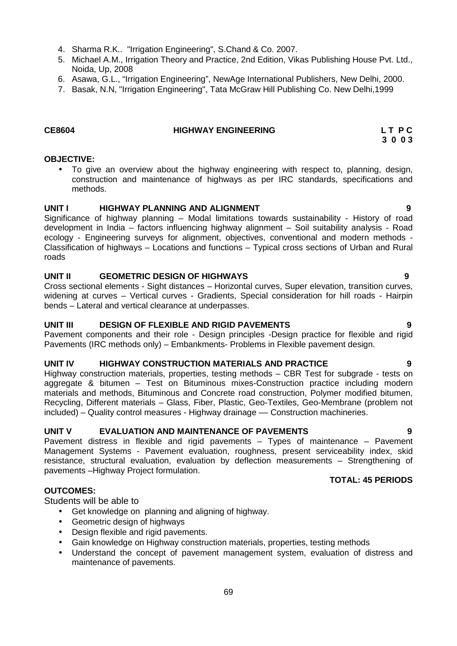- 4. Sharma R.K.. "Irrigation Engineering", S.Chand & Co. 2007.
- 5. Michael A.M., Irrigation Theory and Practice, 2nd Edition, Vikas Publishing House Pvt. Ltd., Noida, Up, 2008
- 6. Asawa, G.L., "Irrigation Engineering", NewAge International Publishers, New Delhi, 2000.
- 7. Basak, N.N, "Irrigation Engineering", Tata McGraw Hill Publishing Co. New Delhi,1999

### **CE8604 HIGHWAY ENGINEERING L T P C**

# **3 0 0 3**

#### **OBJECTIVE:**

 To give an overview about the highway engineering with respect to, planning, design, construction and maintenance of highways as per IRC standards, specifications and methods.

### **UNIT I HIGHWAY PLANNING AND ALIGNMENT 9**

Significance of highway planning – Modal limitations towards sustainability - History of road development in India – factors influencing highway alignment – Soil suitability analysis - Road ecology - Engineering surveys for alignment, objectives, conventional and modern methods - Classification of highways – Locations and functions – Typical cross sections of Urban and Rural roads

### **UNIT II GEOMETRIC DESIGN OF HIGHWAYS 9**

Cross sectional elements - Sight distances – Horizontal curves, Super elevation, transition curves, widening at curves – Vertical curves - Gradients, Special consideration for hill roads - Hairpin bends – Lateral and vertical clearance at underpasses.

### **UNIT III DESIGN OF FLEXIBLE AND RIGID PAVEMENTS 9**

Pavement components and their role - Design principles -Design practice for flexible and rigid Pavements (IRC methods only) – Embankments- Problems in Flexible pavement design.

#### **UNIT IV HIGHWAY CONSTRUCTION MATERIALS AND PRACTICE 9**

Highway construction materials, properties, testing methods – CBR Test for subgrade - tests on aggregate & bitumen – Test on Bituminous mixes-Construction practice including modern materials and methods, Bituminous and Concrete road construction, Polymer modified bitumen, Recycling, Different materials – Glass, Fiber, Plastic, Geo-Textiles, Geo-Membrane (problem not included) – Quality control measures - Highway drainage –– Construction machineries.

#### **UNIT V EVALUATION AND MAINTENANCE OF PAVEMENTS 9**

Pavement distress in flexible and rigid pavements – Types of maintenance – Pavement Management Systems - Pavement evaluation, roughness, present serviceability index, skid resistance, structural evaluation, evaluation by deflection measurements – Strengthening of pavements –Highway Project formulation.

### **OUTCOMES:**

Students will be able to

- Get knowledge on planning and aligning of highway.
- Geometric design of highways
- Design flexible and rigid pavements.
- Gain knowledge on Highway construction materials, properties, testing methods
- Understand the concept of pavement management system, evaluation of distress and maintenance of pavements.

**TOTAL: 45 PERIODS**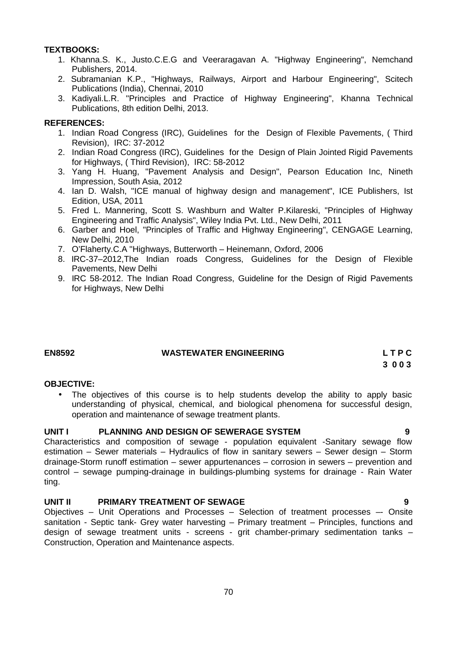#### **TEXTBOOKS:**

- 1. Khanna.S. K., Justo.C.E.G and Veeraragavan A. "Highway Engineering", Nemchand Publishers, 2014.
- 2. Subramanian K.P., "Highways, Railways, Airport and Harbour Engineering", Scitech Publications (India), Chennai, 2010
- 3. Kadiyali.L.R. "Principles and Practice of Highway Engineering", Khanna Technical Publications, 8th edition Delhi, 2013.

### **REFERENCES:**

- 1. Indian Road Congress (IRC), Guidelines for the Design of Flexible Pavements, ( Third Revision), IRC: 37-2012
- 2. Indian Road Congress (IRC), Guidelines for the Design of Plain Jointed Rigid Pavements for Highways, ( Third Revision), IRC: 58-2012
- 3. Yang H. Huang, "Pavement Analysis and Design", Pearson Education Inc, Nineth Impression, South Asia, 2012
- 4. Ian D. Walsh, "ICE manual of highway design and management", ICE Publishers, Ist Edition, USA, 2011
- 5. Fred L. Mannering, Scott S. Washburn and Walter P.Kilareski, "Principles of Highway Engineering and Traffic Analysis", Wiley India Pvt. Ltd., New Delhi, 2011
- 6. Garber and Hoel, "Principles of Traffic and Highway Engineering", CENGAGE Learning, New Delhi, 2010
- 7. O'Flaherty.C.A "Highways, Butterworth Heinemann, Oxford, 2006
- 8. IRC-37–2012,The Indian roads Congress, Guidelines for the Design of Flexible Pavements, New Delhi
- 9. IRC 58-2012. The Indian Road Congress, Guideline for the Design of Rigid Pavements for Highways, New Delhi

#### **EN8592 WASTEWATER ENGINEERING L T P C**

# **3 0 0 3**

#### **OBJECTIVE:**

 The objectives of this course is to help students develop the ability to apply basic understanding of physical, chemical, and biological phenomena for successful design, operation and maintenance of sewage treatment plants.

### **UNIT I PLANNING AND DESIGN OF SEWERAGE SYSTEM 9**

Characteristics and composition of sewage - population equivalent -Sanitary sewage flow estimation – Sewer materials – Hydraulics of flow in sanitary sewers – Sewer design – Storm drainage-Storm runoff estimation – sewer appurtenances – corrosion in sewers – prevention and control – sewage pumping-drainage in buildings-plumbing systems for drainage - Rain Water ting.

### **UNIT II PRIMARY TREATMENT OF SEWAGE 9**

Objectives – Unit Operations and Processes – Selection of treatment processes –- Onsite sanitation - Septic tank- Grey water harvesting – Primary treatment – Principles, functions and design of sewage treatment units - screens - grit chamber-primary sedimentation tanks – Construction, Operation and Maintenance aspects.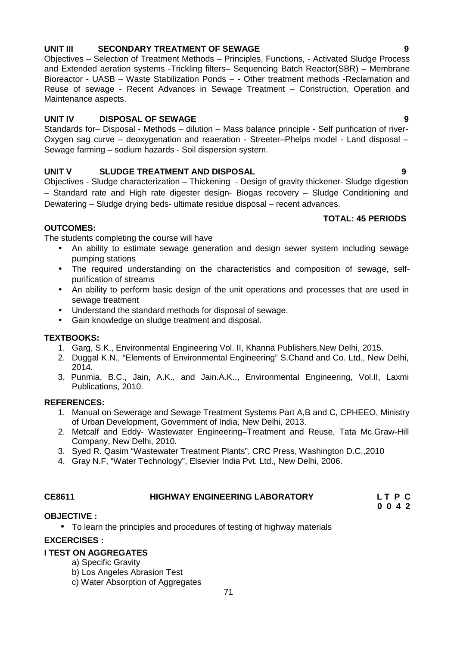Objectives - Sludge characterization – Thickening - Design of gravity thickener- Sludge digestion – Standard rate and High rate digester design- Biogas recovery – Sludge Conditioning and Dewatering – Sludge drying beds- ultimate residue disposal – recent advances.

#### **OUTCOMES:**

The students completing the course will have

- An ability to estimate sewage generation and design sewer system including sewage pumping stations
- The required understanding on the characteristics and composition of sewage, self purification of streams
- An ability to perform basic design of the unit operations and processes that are used in sewage treatment
- Understand the standard methods for disposal of sewage.
- Gain knowledge on sludge treatment and disposal.

#### **TEXTBOOKS:**

- 1. Garg, S.K., Environmental Engineering Vol. II, Khanna Publishers,New Delhi, 2015.
- 2. Duggal K.N., "Elements of Environmental Engineering" S.Chand and Co. Ltd., New Delhi, 2014.
- 3, Punmia, B.C., Jain, A.K., and Jain.A.K.., Environmental Engineering, Vol.II, Laxmi Publications, 2010.

#### **REFERENCES:**

- 1. Manual on Sewerage and Sewage Treatment Systems Part A,B and C, CPHEEO, Ministry of Urban Development, Government of India, New Delhi, 2013.
- 2. Metcalf and Eddy- Wastewater Engineering–Treatment and Reuse, Tata Mc.Graw-Hill Company, New Delhi, 2010.
- 3. Syed R. Qasim "Wastewater Treatment Plants", CRC Press, Washington D.C.,2010
- 4. Gray N.F, "Water Technology", Elsevier India Pvt. Ltd., New Delhi, 2006.

#### **CE8611 HIGHWAY ENGINEERING LABORATORY L T P C**

#### **OBJECTIVE :**

To learn the principles and procedures of testing of highway materials

#### **EXCERCISES :**

### **I TEST ON AGGREGATES**

- a) Specific Gravity
- b) Los Angeles Abrasion Test
- c) Water Absorption of Aggregates

#### **UNIT III SECONDARY TREATMENT OF SEWAGE 9**

Objectives – Selection of Treatment Methods – Principles, Functions, - Activated Sludge Process and Extended aeration systems -Trickling filters– Sequencing Batch Reactor(SBR) – Membrane Bioreactor - UASB – Waste Stabilization Ponds – - Other treatment methods -Reclamation and Reuse of sewage - Recent Advances in Sewage Treatment – Construction, Operation and Maintenance aspects.

#### **UNIT IV DISPOSAL OF SEWAGE 9**

Standards for– Disposal - Methods – dilution – Mass balance principle - Self purification of river- Oxygen sag curve – deoxygenation and reaeration - Streeter–Phelps model - Land disposal – Sewage farming – sodium hazards - Soil dispersion system.

#### **UNIT V SLUDGE TREATMENT AND DISPOSAL 9**

#### **TOTAL: 45 PERIODS**

# **0 0 4 2**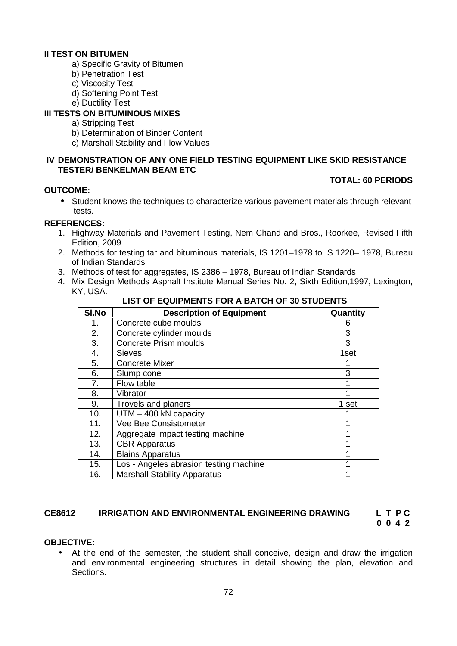#### **II TEST ON BITUMEN**

- a) Specific Gravity of Bitumen
- b) Penetration Test
- c) Viscosity Test
- d) Softening Point Test
- e) Ductility Test

### **III TESTS ON BITUMINOUS MIXES**

- a) Stripping Test
- b) Determination of Binder Content
- c) Marshall Stability and Flow Values

#### **IV DEMONSTRATION OF ANY ONE FIELD TESTING EQUIPMENT LIKE SKID RESISTANCE TESTER/ BENKELMAN BEAM ETC**

### **TOTAL: 60 PERIODS**

 Student knows the techniques to characterize various pavement materials through relevant tests.

#### **REFERENCES:**

**OUTCOME:**

- 1. Highway Materials and Pavement Testing, Nem Chand and Bros., Roorkee, Revised Fifth Edition, 2009
- 2. Methods for testing tar and bituminous materials, IS 1201–1978 to IS 1220– 1978, Bureau of Indian Standards
- 3. Methods of test for aggregates, IS 2386 1978, Bureau of Indian Standards
- 4. Mix Design Methods Asphalt Institute Manual Series No. 2, Sixth Edition,1997, Lexington, KY, USA.

| SI.No | <b>Description of Equipment</b>        | Quantity |
|-------|----------------------------------------|----------|
|       | Concrete cube moulds                   | 6        |
| 2.    | Concrete cylinder moulds               | 3        |
| 3.    | <b>Concrete Prism moulds</b>           | 3        |
| 4.    | <b>Sieves</b>                          | 1set     |
| 5.    | <b>Concrete Mixer</b>                  |          |
| 6.    | Slump cone                             | 3        |
| 7.    | Flow table                             |          |
| 8.    | Vibrator                               |          |
| 9.    | Trovels and planers                    | 1 set    |
| 10.   | $UTM - 400$ kN capacity                |          |
| 11.   | Vee Bee Consistometer                  |          |
| 12.   | Aggregate impact testing machine       |          |
| 13.   | <b>CBR</b> Apparatus                   |          |
| 14.   | <b>Blains Apparatus</b>                |          |
| 15.   | Los - Angeles abrasion testing machine |          |
| 16.   | <b>Marshall Stability Apparatus</b>    |          |

#### **LIST OF EQUIPMENTS FOR A BATCH OF 30 STUDENTS**

### **CE8612 IRRIGATION AND ENVIRONMENTAL ENGINEERING DRAWING L T P C**

### **0 0 4 2**

#### **OBJECTIVE:**

 At the end of the semester, the student shall conceive, design and draw the irrigation and environmental engineering structures in detail showing the plan, elevation and Sections.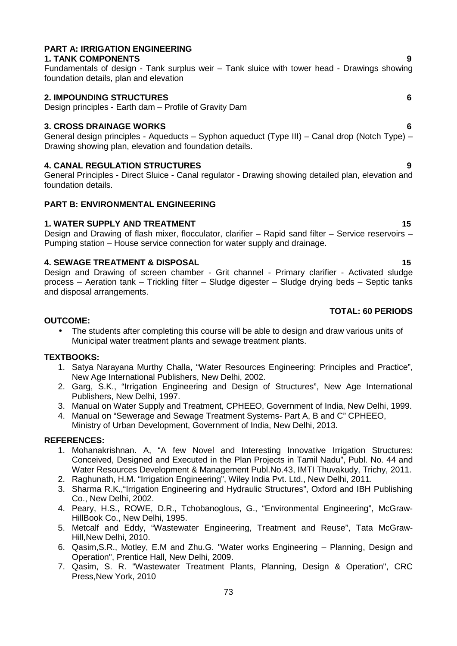#### **PART A: IRRIGATION ENGINEERING 1. TANK COMPONENTS 9**

Fundamentals of design - Tank surplus weir – Tank sluice with tower head - Drawings showing foundation details, plan and elevation

# **2. IMPOUNDING STRUCTURES 6**

Design principles - Earth dam – Profile of Gravity Dam

# **3. CROSS DRAINAGE WORKS 6**

General design principles - Aqueducts – Syphon aqueduct (Type III) – Canal drop (Notch Type) – Drawing showing plan, elevation and foundation details.

# **4. CANAL REGULATION STRUCTURES 9**

General Principles - Direct Sluice - Canal regulator - Drawing showing detailed plan, elevation and foundation details.

# **PART B: ENVIRONMENTAL ENGINEERING**

# **1. WATER SUPPLY AND TREATMENT 15**

Design and Drawing of flash mixer, flocculator, clarifier – Rapid sand filter – Service reservoirs – Pumping station – House service connection for water supply and drainage.

# **4. SEWAGE TREATMENT & DISPOSAL 15**

Design and Drawing of screen chamber - Grit channel - Primary clarifier - Activated sludge process – Aeration tank – Trickling filter – Sludge digester – Sludge drying beds – Septic tanks and disposal arrangements.

# **TOTAL: 60 PERIODS**

# **OUTCOME:**

 The students after completing this course will be able to design and draw various units of Municipal water treatment plants and sewage treatment plants.

### **TEXTBOOKS:**

- 1. Satya Narayana Murthy Challa, "Water Resources Engineering: Principles and Practice", New Age International Publishers, New Delhi, 2002.
- 2. Garg, S.K., "Irrigation Engineering and Design of Structures", New Age International Publishers, New Delhi, 1997.
- 3. Manual on Water Supply and Treatment, CPHEEO, Government of India, New Delhi, 1999.
- 4. Manual on "Sewerage and Sewage Treatment Systems- Part A, B and C" CPHEEO, Ministry of Urban Development, Government of India, New Delhi, 2013.

- 1. Mohanakrishnan. A, "A few Novel and Interesting Innovative Irrigation Structures: Conceived, Designed and Executed in the Plan Projects in Tamil Nadu", Publ. No. 44 and Water Resources Development & Management Publ.No.43, IMTI Thuvakudy, Trichy, 2011.
- 2. Raghunath, H.M. "Irrigation Engineering", Wiley India Pvt. Ltd., New Delhi, 2011.
- 3. Sharma R.K.,"Irrigation Engineering and Hydraulic Structures", Oxford and IBH Publishing Co., New Delhi, 2002.
- 4. Peary, H.S., ROWE, D.R., Tchobanoglous, G., "Environmental Engineering", McGraw- HillBook Co., New Delhi, 1995.
- 5. Metcalf and Eddy, "Wastewater Engineering, Treatment and Reuse", Tata McGraw- Hill,New Delhi, 2010.
- 6. Qasim,S.R., Motley, E.M and Zhu.G. "Water works Engineering Planning, Design and Operation", Prentice Hall, New Delhi, 2009.
- 7. Qasim, S. R. "Wastewater Treatment Plants, Planning, Design & Operation", CRC Press,New York, 2010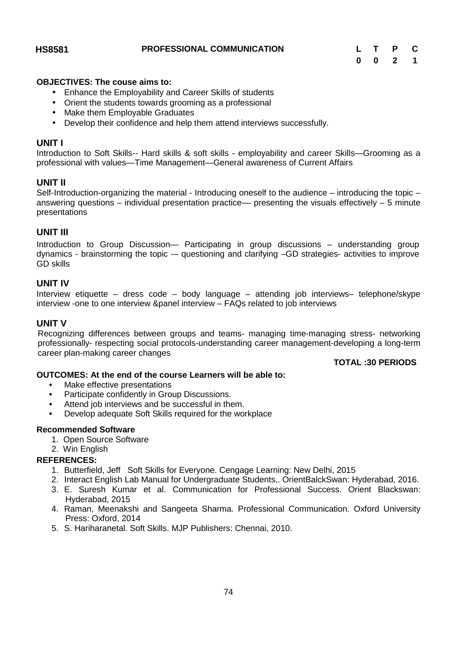#### **OBJECTIVES: The couse aims to:**

- Enhance the Employability and Career Skills of students
- Orient the students towards grooming as a professional
- Make them Employable Graduates
- Develop their confidence and help them attend interviews successfully.

#### **UNIT I**

Introduction to Soft Skills-- Hard skills & soft skills - employability and career Skills—Grooming as a professional with values—Time Management—General awareness of Current Affairs

### **UNIT II**

Self-Introduction-organizing the material - Introducing oneself to the audience – introducing the topic – answering questions – individual presentation practice— presenting the visuals effectively – 5 minute presentations

# **UNIT III**

Introduction to Group Discussion— Participating in group discussions – understanding group dynamics - brainstorming the topic -– questioning and clarifying –GD strategies- activities to improve GD skills

### **UNIT IV**

Interview etiquette – dress code – body language – attending job interviews– telephone/skype interview -one to one interview &panel interview – FAQs related to job interviews

### **UNIT V**

Recognizing differences between groups and teams- managing time-managing stress- networking professionally- respecting social protocols-understanding career management-developing a long-term career plan-making career changes

#### **TOTAL :30 PERIODS**

#### **OUTCOMES: At the end of the course Learners will be able to:**

- **•** Make effective presentations
- **•** Participate confidently in Group Discussions.
- **•** Attend job interviews and be successful in them.
- **•** Develop adequate Soft Skills required for the workplace

#### **Recommended Software**

- 1. Open Source Software
- 2. Win English

- 1. Butterfield, Jeff Soft Skills for Everyone. Cengage Learning: New Delhi, 2015
- 2. Interact English Lab Manual for Undergraduate Students,. OrientBalckSwan: Hyderabad, 2016.
- 3. E. Suresh Kumar et al. Communication for Professional Success. Orient Blackswan: Hyderabad, 2015
- 4. Raman, Meenakshi and Sangeeta Sharma. Professional Communication. Oxford University Press: Oxford, 2014
- 5. S. Hariharanetal. Soft Skills. MJP Publishers: Chennai, 2010.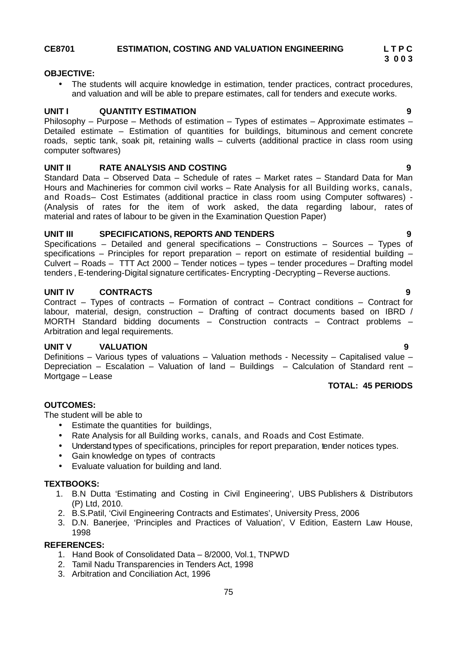#### **CE8701 ESTIMATION, COSTING AND VALUATION ENGINEERING L T P C**

#### **OBJECTIVE:**

 The students will acquire knowledge in estimation, tender practices, contract procedures, and valuation and will be able to prepare estimates, call for tenders and execute works.

#### **UNIT I QUANTITY ESTIMATION 9**

Philosophy – Purpose – Methods of estimation – Types of estimates – Approximate estimates – Detailed estimate – Estimation of quantities for buildings, bituminous and cement concrete roads, septic tank, soak pit, retaining walls – culverts (additional practice in class room using computer softwares)

#### **UNIT II RATE ANALYSIS AND COSTING 9**

Standard Data – Observed Data – Schedule of rates – Market rates – Standard Data for Man Hours and Machineries for common civil works – Rate Analysis for all Building works, canals, and Roads– Cost Estimates (additional practice in class room using Computer softwares) - (Analysis of rates for the item of work asked, the data regarding labour, rates of material and rates of labour to be given in the Examination Question Paper)

#### **UNIT III SPECIFICATIONS, REPORTS AND TENDERS 9**

Specifications – Detailed and general specifications – Constructions – Sources – Types of specifications – Principles for report preparation – report on estimate of residential building – Culvert – Roads – TTT Act 2000 – Tender notices – types – tender procedures – Drafting model tenders , E-tendering-Digital signature certificates- Encrypting -Decrypting – Reverse auctions.

# **UNIT IV CONTRACTS 9**

Contract – Types of contracts – Formation of contract – Contract conditions – Contract for labour, material, design, construction – Drafting of contract documents based on IBRD / MORTH Standard bidding documents – Construction contracts – Contract problems – Arbitration and legal requirements.

# **UNIT V VALUATION 9**

Definitions – Various types of valuations – Valuation methods - Necessity – Capitalised value – Depreciation – Escalation – Valuation of land – Buildings – Calculation of Standard rent – Mortgage – Lease

# **TOTAL: 45 PERIODS**

#### **OUTCOMES:**

The student will be able to

- Estimate the quantities for buildings,
- Rate Analysis for all Building works, canals, and Roads and Cost Estimate.
- Understand types of specifications, principles for report preparation, tender notices types.
- Gain knowledge on types of contracts
- Evaluate valuation for building and land.

#### **TEXTBOOKS:**

- 1. B.N Dutta 'Estimating and Costing in Civil Engineering', UBS Publishers & Distributors (P) Ltd, 2010.
- 2. B.S.Patil, 'Civil Engineering Contracts and Estimates', University Press, 2006
- 3. D.N. Banerjee, 'Principles and Practices of Valuation', V Edition, Eastern Law House, 1998

- 1. Hand Book of Consolidated Data 8/2000, Vol.1, TNPWD
- 2. Tamil Nadu Transparencies in Tenders Act, 1998
- 3. Arbitration and Conciliation Act, 1996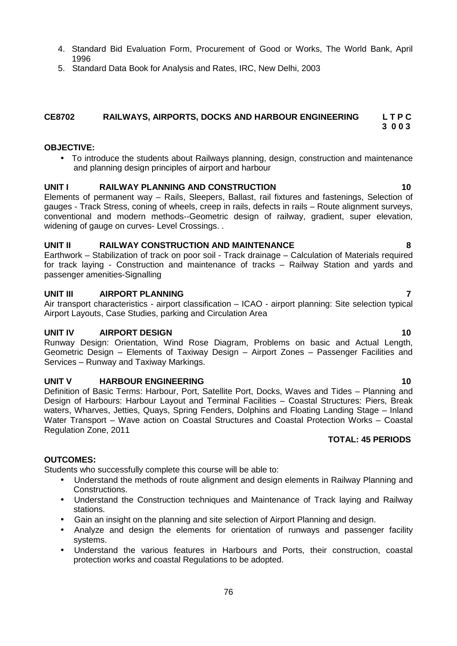- 4. Standard Bid Evaluation Form, Procurement of Good or Works, The World Bank, April 1996
- 5. Standard Data Book for Analysis and Rates, IRC, New Delhi, 2003

#### **CE8702 RAILWAYS, AIRPORTS, DOCKS AND HARBOUR ENGINEERING L T P C 3 0 0 3**

#### **OBJECTIVE:**

• To introduce the students about Railways planning, design, construction and maintenance and planning design principles of airport and harbour

### **UNIT I RAILWAY PLANNING AND CONSTRUCTION 10**

Elements of permanent way – Rails, Sleepers, Ballast, rail fixtures and fastenings, Selection of gauges - Track Stress, coning of wheels, creep in rails, defects in rails – Route alignment surveys, conventional and modern methods--Geometric design of railway, gradient, super elevation, widening of gauge on curves- Level Crossings. .

#### **UNIT II RAILWAY CONSTRUCTION AND MAINTENANCE 8**

Earthwork – Stabilization of track on poor soil - Track drainage – Calculation of Materials required for track laying - Construction and maintenance of tracks – Railway Station and yards and passenger amenities-Signalling

#### **UNIT III AIRPORT PLANNING 7**

Air transport characteristics - airport classification – ICAO - airport planning: Site selection typical Airport Layouts, Case Studies, parking and Circulation Area

#### **UNIT IV AIRPORT DESIGN 10**

Runway Design: Orientation, Wind Rose Diagram, Problems on basic and Actual Length, Geometric Design – Elements of Taxiway Design – Airport Zones – Passenger Facilities and Services – Runway and Taxiway Markings.

#### **UNIT V HARBOUR ENGINEERING 10**

Definition of Basic Terms: Harbour, Port, Satellite Port, Docks, Waves and Tides – Planning and Design of Harbours: Harbour Layout and Terminal Facilities – Coastal Structures: Piers, Break waters, Wharves, Jetties, Quays, Spring Fenders, Dolphins and Floating Landing Stage – Inland Water Transport – Wave action on Coastal Structures and Coastal Protection Works – Coastal Regulation Zone, 2011

#### **TOTAL: 45 PERIODS**

### **OUTCOMES:**

Students who successfully complete this course will be able to:

- Understand the methods of route alignment and design elements in Railway Planning and Constructions.
- Understand the Construction techniques and Maintenance of Track laying and Railway stations.
- Gain an insight on the planning and site selection of Airport Planning and design.
- Analyze and design the elements for orientation of runways and passenger facility systems.
- Understand the various features in Harbours and Ports, their construction, coastal protection works and coastal Regulations to be adopted.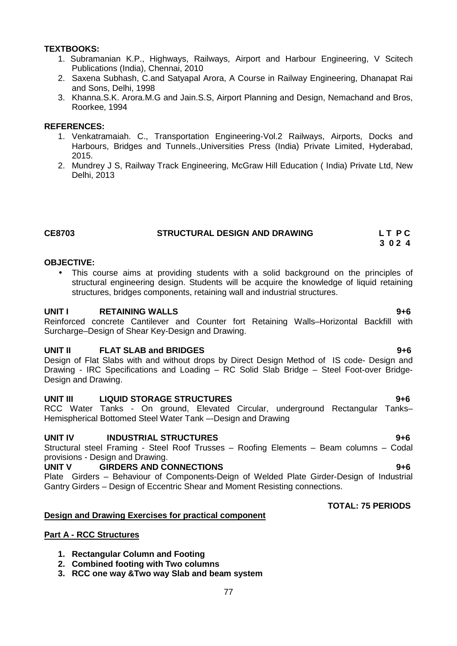#### **TEXTBOOKS:**

- 1. Subramanian K.P., Highways, Railways, Airport and Harbour Engineering, V Scitech Publications (India), Chennai, 2010
- 2. Saxena Subhash, C.and Satyapal Arora, A Course in Railway Engineering, Dhanapat Rai and Sons, Delhi, 1998
- 3. Khanna.S.K. Arora.M.G and Jain.S.S, Airport Planning and Design, Nemachand and Bros, Roorkee, 1994

#### **REFERENCES:**

- 1. Venkatramaiah. C., Transportation Engineering-Vol.2 Railways, Airports, Docks and Harbours, Bridges and Tunnels.,Universities Press (India) Private Limited, Hyderabad, 2015.
- 2. Mundrey J S, Railway Track Engineering, McGraw Hill Education ( India) Private Ltd, New Delhi, 2013

| <b>CE8703</b> | <b>STRUCTURAL DESIGN AND DRAWING</b> | LT PC   |  |
|---------------|--------------------------------------|---------|--|
|               |                                      | 3 0 2 4 |  |

#### **OBJECTIVE:**

 This course aims at providing students with a solid background on the principles of structural engineering design. Students will be acquire the knowledge of liquid retaining structures, bridges components, retaining wall and industrial structures.

#### **UNIT I RETAINING WALLS 9+6**

Reinforced concrete Cantilever and Counter fort Retaining Walls–Horizontal Backfill with Surcharge–Design of Shear Key-Design and Drawing.

### **UNIT II FLAT SLAB and BRIDGES 9+6**

Design of Flat Slabs with and without drops by Direct Design Method of IS code- Design and Drawing - IRC Specifications and Loading – RC Solid Slab Bridge – Steel Foot-over Bridge- Design and Drawing.

# **UNIT III LIQUID STORAGE STRUCTURES 9+6**

RCC Water Tanks - On ground, Elevated Circular, underground Rectangular Tanks-Hemispherical Bottomed Steel Water Tank –-Design and Drawing

### **UNIT IV INDUSTRIAL STRUCTURES 9+6**

Structural steel Framing - Steel Roof Trusses – Roofing Elements – Beam columns – Codal provisions - Design and Drawing.

#### **UNIT V GIRDERS AND CONNECTIONS 9+6**

Plate Girders – Behaviour of Components-Deign of Welded Plate Girder-Design of Industrial Gantry Girders – Design of Eccentric Shear and Moment Resisting connections.

#### **Design and Drawing Exercises for practical component**

#### **Part A - RCC Structures**

- **1. Rectangular Column and Footing**
- **2. Combined footing with Two columns**
- **3. RCC one way &Two way Slab and beam system**

# **TOTAL: 75 PERIODS**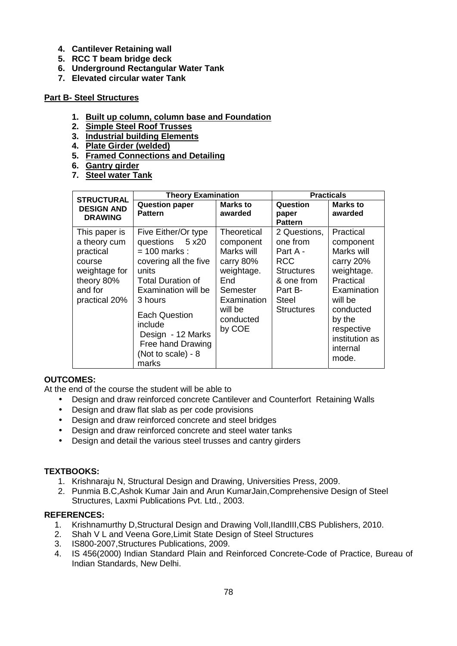- **4. Cantilever Retaining wall**
- **5. RCC T beam bridge deck**
- **6. Underground Rectangular Water Tank**
- **7. Elevated circular water Tank**

#### **Part B- Steel Structures**

- **1. Built up column, column base and Foundation**
- **2. Simple Steel Roof Trusses**
- **3. Industrial building Elements**
- **4. Plate Girder (welded)**
- **5. Framed Connections and Detailing**
- **6. Gantry girder**
- **7. Steel water Tank**

| <b>STRUCTURAL</b>                                                                                               | <b>Theory Examination</b>                                                                                                                                                                                                                                             |                                                                                                                                       | <b>Practicals</b>                                                                                                                     |                                                                                                                                                                                    |
|-----------------------------------------------------------------------------------------------------------------|-----------------------------------------------------------------------------------------------------------------------------------------------------------------------------------------------------------------------------------------------------------------------|---------------------------------------------------------------------------------------------------------------------------------------|---------------------------------------------------------------------------------------------------------------------------------------|------------------------------------------------------------------------------------------------------------------------------------------------------------------------------------|
| <b>DESIGN AND</b><br><b>DRAWING</b>                                                                             | <b>Question paper</b><br><b>Pattern</b>                                                                                                                                                                                                                               | <b>Marks to</b><br>awarded                                                                                                            | Question<br>paper<br><b>Pattern</b>                                                                                                   | <b>Marks to</b><br>awarded                                                                                                                                                         |
| This paper is<br>a theory cum<br>practical<br>course<br>weightage for<br>theory 80%<br>and for<br>practical 20% | Five Either/Or type<br>questions 5 x20<br>$= 100$ marks :<br>covering all the five<br>units<br><b>Total Duration of</b><br>Examination will be<br>3 hours<br><b>Each Question</b><br>include<br>Design - 12 Marks<br>Free hand Drawing<br>(Not to scale) - 8<br>marks | Theoretical<br>component<br>Marks will<br>carry 80%<br>weightage.<br>End<br>Semester<br>Examination<br>will be<br>conducted<br>by COE | 2 Questions,<br>one from<br>Part A -<br><b>RCC</b><br><b>Structures</b><br>& one from<br>Part B-<br><b>Steel</b><br><b>Structures</b> | Practical<br>component<br>Marks will<br>carry 20%<br>weightage.<br>Practical<br>Examination<br>will be<br>conducted<br>by the<br>respective<br>institution as<br>internal<br>mode. |

### **OUTCOMES:**

At the end of the course the student will be able to

- Design and draw reinforced concrete Cantilever and Counterfort Retaining Walls
- Design and draw flat slab as per code provisions
- Design and draw reinforced concrete and steel bridges
- Design and draw reinforced concrete and steel water tanks
- Design and detail the various steel trusses and cantry girders

#### **TEXTBOOKS:**

- 1. Krishnaraju N, Structural Design and Drawing, Universities Press, 2009.
- 2. Punmia B.C,Ashok Kumar Jain and Arun KumarJain,Comprehensive Design of Steel Structures, Laxmi Publications Pvt. Ltd., 2003.

- 1. Krishnamurthy D,Structural Design and Drawing VolI,IIandIII,CBS Publishers, 2010.
- 2. Shah V L and Veena Gore,Limit State Design of Steel Structures
- 3. IS800-2007,Structures Publications, 2009.
- 4. IS 456(2000) Indian Standard Plain and Reinforced Concrete-Code of Practice, Bureau of Indian Standards, New Delhi.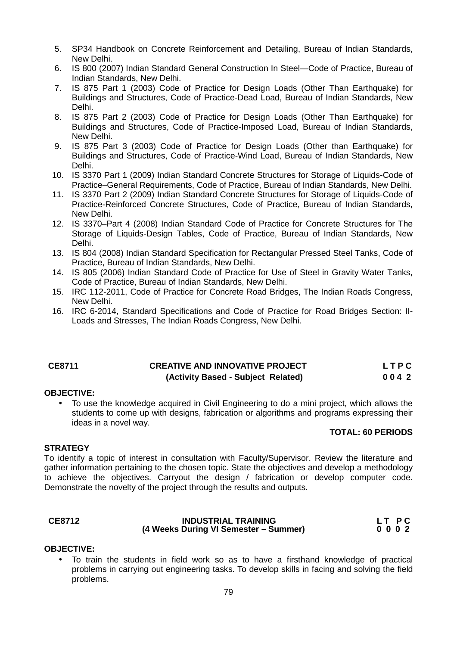- 5. SP34 Handbook on Concrete Reinforcement and Detailing, Bureau of Indian Standards, New Delhi.
- 6. IS 800 (2007) Indian Standard General Construction In Steel—Code of Practice, Bureau of Indian Standards, New Delhi.
- 7. IS 875 Part 1 (2003) Code of Practice for Design Loads (Other Than Earthquake) for Buildings and Structures, Code of Practice-Dead Load, Bureau of Indian Standards, New Delhi.
- 8. IS 875 Part 2 (2003) Code of Practice for Design Loads (Other Than Earthquake) for Buildings and Structures, Code of Practice-Imposed Load, Bureau of Indian Standards, New Delhi.
- 9. IS 875 Part 3 (2003) Code of Practice for Design Loads (Other than Earthquake) for Buildings and Structures, Code of Practice-Wind Load, Bureau of Indian Standards, New Delhi.
- 10. IS 3370 Part 1 (2009) Indian Standard Concrete Structures for Storage of Liquids-Code of Practice–General Requirements, Code of Practice, Bureau of Indian Standards, New Delhi.
- 11. IS 3370 Part 2 (2009) Indian Standard Concrete Structures for Storage of Liquids-Code of Practice-Reinforced Concrete Structures, Code of Practice, Bureau of Indian Standards, New Delhi.
- 12. IS 3370–Part 4 (2008) Indian Standard Code of Practice for Concrete Structures for The Storage of Liquids-Design Tables, Code of Practice, Bureau of Indian Standards, New Delhi.
- 13. IS 804 (2008) Indian Standard Specification for Rectangular Pressed Steel Tanks, Code of Practice, Bureau of Indian Standards, New Delhi.
- 14. IS 805 (2006) Indian Standard Code of Practice for Use of Steel in Gravity Water Tanks, Code of Practice, Bureau of Indian Standards, New Delhi.
- 15. IRC 112-2011, Code of Practice for Concrete Road Bridges, The Indian Roads Congress, New Delhi.
- 16. IRC 6-2014, Standard Specifications and Code of Practice for Road Bridges Section: II- Loads and Stresses, The Indian Roads Congress, New Delhi.

# **CE8711 CREATIVE AND INNOVATIVE PROJECT L T P C (Activity Based - Subject Related) 0 0 4 2**

### **OBJECTIVE:**

 To use the knowledge acquired in Civil Engineering to do a mini project, which allows the students to come up with designs, fabrication or algorithms and programs expressing their ideas in a novel way.

# **TOTAL: 60 PERIODS**

### **STRATEGY**

To identify a topic of interest in consultation with Faculty/Supervisor. Review the literature and gather information pertaining to the chosen topic. State the objectives and develop a methodology to achieve the objectives. Carryout the design / fabrication or develop computer code. Demonstrate the novelty of the project through the results and outputs.

### **CE8712 1NDUSTRIAL TRAINING LT PC**<br>
(4 Weeks During VI Semester – Summer) **6 0 0 0 2 (4 Weeks During VI Semester – Summer) 0 0 0 2**

### **OBJECTIVE:**

 To train the students in field work so as to have a firsthand knowledge of practical problems in carrying out engineering tasks. To develop skills in facing and solving the field problems.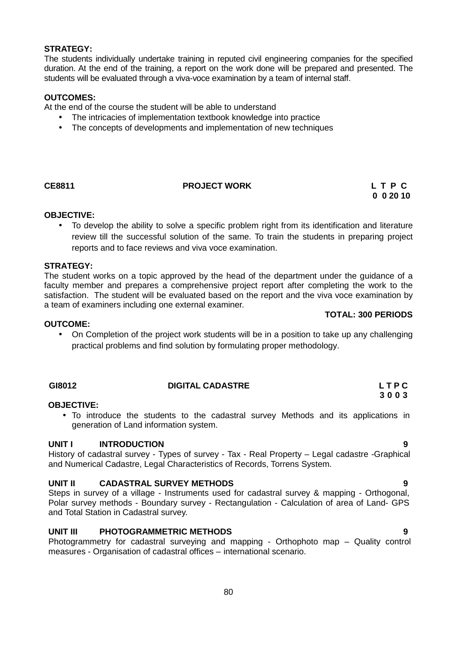#### **STRATEGY:**

The students individually undertake training in reputed civil engineering companies for the specified duration. At the end of the training, a report on the work done will be prepared and presented. The students will be evaluated through a viva-voce examination by a team of internal staff.

### **OUTCOMES:**

At the end of the course the student will be able to understand

- The intricacies of implementation textbook knowledge into practice
- The concepts of developments and implementation of new techniques

# **CE8811 PROJECT WORK L T P C**

#### **OBJECTIVE:**

 To develop the ability to solve a specific problem right from its identification and literature review till the successful solution of the same. To train the students in preparing project reports and to face reviews and viva voce examination.

#### **STRATEGY:**

The student works on a topic approved by the head of the department under the guidance of a faculty member and prepares a comprehensive project report after completing the work to the satisfaction. The student will be evaluated based on the report and the viva voce examination by a team of examiners including one external examiner.

#### **OUTCOME:**

• On Completion of the project work students will be in a position to take up any challenging practical problems and find solution by formulating proper methodology.

#### **GI8012 DIGITAL CADASTRE L T P C**

#### **OBJECTIVE:**

 To introduce the students to the cadastral survey Methods and its applications in generation of Land information system.

#### **UNIT I INTRODUCTION 9**

History of cadastral survey - Types of survey - Tax - Real Property – Legal cadastre -Graphical and Numerical Cadastre, Legal Characteristics of Records, Torrens System.

#### **UNIT II CADASTRAL SURVEY METHODS 9**

Steps in survey of a village - Instruments used for cadastral survey & mapping - Orthogonal, Polar survey methods - Boundary survey - Rectangulation - Calculation of area of Land- GPS and Total Station in Cadastral survey.

#### **UNIT III PHOTOGRAMMETRIC METHODS 9**

Photogrammetry for cadastral surveying and mapping - Orthophoto map – Quality control measures - Organisation of cadastral offices – international scenario.

### **TOTAL: 300 PERIODS**

**0 0 20 10**

**3 0 0 3**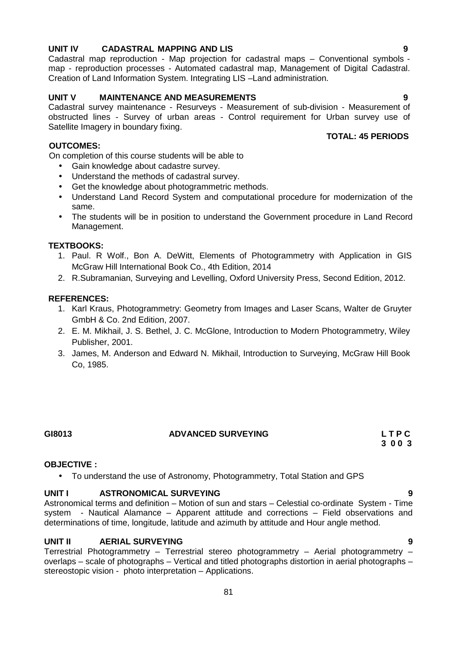# Understand the methods of cadastral survey.

On completion of this course students will be able to Gain knowledge about cadastre survey.

- Get the knowledge about photogrammetric methods.
- Understand Land Record System and computational procedure for modernization of the same.
- The students will be in position to understand the Government procedure in Land Record Management.

#### **TEXTBOOKS:**

**OUTCOMES:**

- 1. Paul. R Wolf., Bon A. DeWitt, Elements of Photogrammetry with Application in GIS McGraw Hill International Book Co., 4th Edition, 2014
- 2. R.Subramanian, Surveying and Levelling, Oxford University Press, Second Edition, 2012.

#### **REFERENCES:**

- 1. Karl Kraus, Photogrammetry: Geometry from Images and Laser Scans, Walter de Gruyter GmbH & Co. 2nd Edition, 2007.
- 2. E. M. Mikhail, J. S. Bethel, J. C. McGlone, Introduction to Modern Photogrammetry, Wiley Publisher, 2001.
- 3. James, M. Anderson and Edward N. Mikhail, Introduction to Surveying, McGraw Hill Book Co, 1985.

#### **OBJECTIVE :**

To understand the use of Astronomy, Photogrammetry, Total Station and GPS

#### **UNIT I ASTRONOMICAL SURVEYING 9**

Astronomical terms and definition – Motion of sun and stars – Celestial co-ordinate System - Time system - Nautical Alamance – Apparent attitude and corrections – Field observations and determinations of time, longitude, latitude and azimuth by attitude and Hour angle method.

**GI8013 ADVANCED SURVEYING L T P C**

# **UNIT II AERIAL SURVEYING 9**

Terrestrial Photogrammetry – Terrestrial stereo photogrammetry – Aerial photogrammetry – overlaps – scale of photographs – Vertical and titled photographs distortion in aerial photographs – stereostopic vision - photo interpretation – Applications.

#### **UNIT IV CADASTRAL MAPPING AND LIS 9**

Cadastral map reproduction - Map projection for cadastral maps – Conventional symbols map - reproduction processes - Automated cadastral map, Management of Digital Cadastral. Creation of Land Information System. Integrating LIS –Land administration.

#### **UNIT V MAINTENANCE AND MEASUREMENTS 9**

Cadastral survey maintenance - Resurveys - Measurement of sub-division - Measurement of obstructed lines - Survey of urban areas - Control requirement for Urban survey use of Satellite Imagery in boundary fixing.

# **TOTAL: 45 PERIODS**

**3 0 0 3**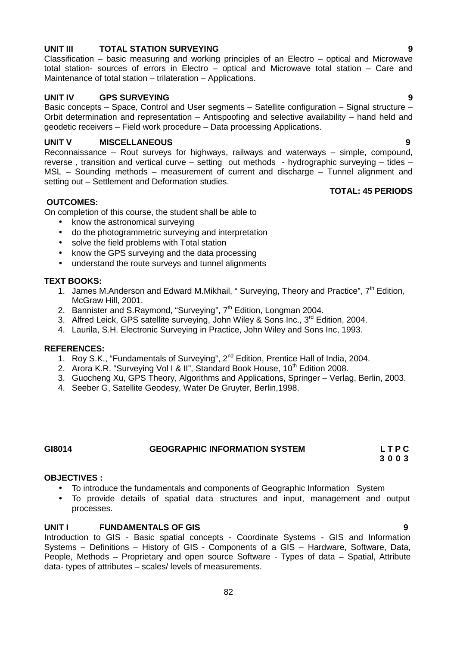# **OUTCOMES:**

On completion of this course, the student shall be able to

- know the astronomical surveying
- do the photogrammetric surveying and interpretation
- solve the field problems with Total station
- know the GPS surveying and the data processing
- understand the route surveys and tunnel alignments

#### **TEXT BOOKS:**

- 1. James M.Anderson and Edward M.Mikhail, "Surveying, Theory and Practice", 7<sup>th</sup> Edition, McGraw Hill, 2001.
- 2. Bannister and S.Raymond, "Surveying",  $7<sup>th</sup>$  Edition, Longman 2004.
- 3. Alfred Leick, GPS satellite surveying, John Wiley & Sons Inc., 3<sup>rd</sup> Edition, 2004.
- 4. Laurila, S.H. Electronic Surveying in Practice, John Wiley and Sons Inc, 1993.

#### **REFERENCES:**

- 1. Roy S.K., "Fundamentals of Surveying", 2<sup>nd</sup> Edition, Prentice Hall of India, 2004.
- 2. Arora K.R. "Surveying Vol I & II", Standard Book House, 10<sup>th</sup> Edition 2008.
- 3. Guocheng Xu, GPS Theory, Algorithms and Applications, Springer Verlag, Berlin, 2003.
- 4. Seeber G, Satellite Geodesy, Water De Gruyter, Berlin,1998.

#### **GI8014 GEOGRAPHIC INFORMATION SYSTEM L T P C**

**3 0 0 3**

#### **OBJECTIVES :**

- To introduce the fundamentals and components of Geographic Information System
- To provide details of spatial data structures and input, management and output processes.

#### **UNIT I FUNDAMENTALS OF GIS 9**

Introduction to GIS - Basic spatial concepts - Coordinate Systems - GIS and Information Systems – Definitions – History of GIS - Components of a GIS – Hardware, Software, Data, People, Methods – Proprietary and open source Software - Types of data – Spatial, Attribute data- types of attributes – scales/ levels of measurements.

### **UNIT III TOTAL STATION SURVEYING 9**

Classification – basic measuring and working principles of an Electro – optical and Microwave total station- sources of errors in Electro – optical and Microwave total station – Care and Maintenance of total station – trilateration – Applications.

#### **UNIT IV GPS SURVEYING 9**

Basic concepts – Space, Control and User segments – Satellite configuration – Signal structure – Orbit determination and representation – Antispoofing and selective availability – hand held and geodetic receivers – Field work procedure – Data processing Applications.

#### **UNIT V MISCELLANEOUS 9**

Reconnaissance – Rout surveys for highways, railways and waterways – simple, compound, reverse , transition and vertical curve – setting out methods - hydrographic surveying – tides – MSL – Sounding methods – measurement of current and discharge – Tunnel alignment and setting out – Settlement and Deformation studies.

#### **TOTAL: 45 PERIODS**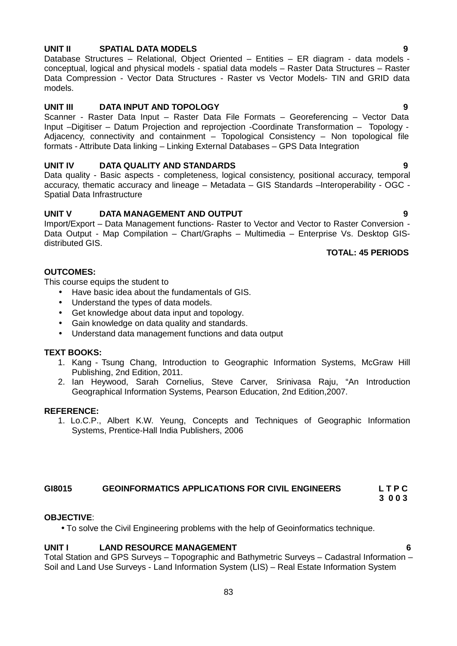### **UNIT II SPATIAL DATA MODELS 9**

Database Structures – Relational, Object Oriented – Entities – ER diagram - data models conceptual, logical and physical models - spatial data models – Raster Data Structures – Raster Data Compression - Vector Data Structures - Raster vs Vector Models- TIN and GRID data models.

# **UNIT III DATA INPUT AND TOPOLOGY 9**

Scanner - Raster Data Input – Raster Data File Formats – Georeferencing – Vector Data Input –Digitiser – Datum Projection and reprojection -Coordinate Transformation – Topology - Adjacency, connectivity and containment – Topological Consistency – Non topological file formats - Attribute Data linking – Linking External Databases – GPS Data Integration

#### **UNIT IV DATA QUALITY AND STANDARDS 9**

Data quality - Basic aspects - completeness, logical consistency, positional accuracy, temporal accuracy, thematic accuracy and lineage – Metadata – GIS Standards –Interoperability - OGC - Spatial Data Infrastructure

### **UNIT V DATA MANAGEMENT AND OUTPUT 9**

Import/Export – Data Management functions- Raster to Vector and Vector to Raster Conversion - Data Output - Map Compilation – Chart/Graphs – Multimedia – Enterprise Vs. Desktop GIS distributed GIS.

#### **TOTAL: 45 PERIODS**

# **OUTCOMES:**

This course equips the student to

- Have basic idea about the fundamentals of GIS.
- Understand the types of data models.
- Get knowledge about data input and topology.
- Gain knowledge on data quality and standards.
- Understand data management functions and data output

#### **TEXT BOOKS:**

- 1. Kang Tsung Chang, Introduction to Geographic Information Systems, McGraw Hill Publishing, 2nd Edition, 2011.
- 2. Ian Heywood, Sarah Cornelius, Steve Carver, Srinivasa Raju, "An Introduction Geographical Information Systems, Pearson Education, 2nd Edition,2007.

#### **REFERENCE:**

1. Lo.C.P., Albert K.W. Yeung, Concepts and Techniques of Geographic Information Systems, Prentice-Hall India Publishers, 2006

### **GI8015 GEOINFORMATICS APPLICATIONS FOR CIVIL ENGINEERS L T P C**

**3 0 0 3**

#### **OBJECTIVE**:

To solve the Civil Engineering problems with the help of Geoinformatics technique.

#### **UNIT I LAND RESOURCE MANAGEMENT 6**

Total Station and GPS Surveys – Topographic and Bathymetric Surveys – Cadastral Information – Soil and Land Use Surveys - Land Information System (LIS) – Real Estate Information System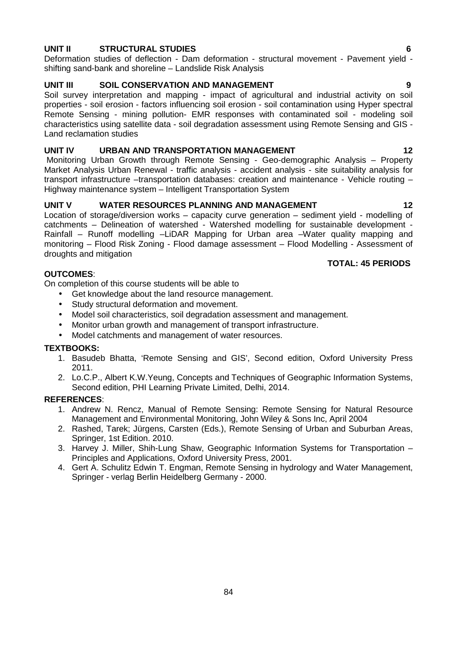# **UNIT II STRUCTURAL STUDIES 6**

Deformation studies of deflection - Dam deformation - structural movement - Pavement yield shifting sand-bank and shoreline – Landslide Risk Analysis

# **UNIT III SOIL CONSERVATION AND MANAGEMENT 9**

Soil survey interpretation and mapping - impact of agricultural and industrial activity on soil properties - soil erosion - factors influencing soil erosion - soil contamination using Hyper spectral Remote Sensing - mining pollution- EMR responses with contaminated soil - modeling soil characteristics using satellite data - soil degradation assessment using Remote Sensing and GIS - Land reclamation studies

### **UNIT IV URBAN AND TRANSPORTATION MANAGEMENT 12**

Monitoring Urban Growth through Remote Sensing - Geo-demographic Analysis – Property Market Analysis Urban Renewal - traffic analysis - accident analysis - site suitability analysis for transport infrastructure –transportation databases: creation and maintenance - Vehicle routing – Highway maintenance system – Intelligent Transportation System

#### **UNIT V WATER RESOURCES PLANNING AND MANAGEMENT 12**

Location of storage/diversion works – capacity curve generation – sediment yield - modelling of catchments – Delineation of watershed - Watershed modelling for sustainable development - Rainfall – Runoff modelling –LiDAR Mapping for Urban area –Water quality mapping and monitoring – Flood Risk Zoning - Flood damage assessment – Flood Modelling - Assessment of droughts and mitigation

#### **TOTAL: 45 PERIODS**

## **OUTCOMES**:

On completion of this course students will be able to

- Get knowledge about the land resource management.
- Study structural deformation and movement.
- Model soil characteristics, soil degradation assessment and management.
- Monitor urban growth and management of transport infrastructure.
- Model catchments and management of water resources.

#### **TEXTBOOKS:**

- 1. Basudeb Bhatta, 'Remote Sensing and GIS', Second edition, Oxford University Press 2011.
- 2. Lo.C.P., Albert K.W.Yeung, Concepts and Techniques of Geographic Information Systems, Second edition, PHI Learning Private Limited, Delhi, 2014.

- 1. Andrew N. Rencz, Manual of Remote Sensing: Remote Sensing for Natural Resource Management and Environmental Monitoring, John Wiley & Sons Inc, April 2004
- 2. Rashed, Tarek; Jürgens, Carsten (Eds.), Remote Sensing of Urban and Suburban Areas, Springer, 1st Edition. 2010.
- 3. Harvey J. Miller, Shih-Lung Shaw, Geographic Information Systems for Transportation Principles and Applications, Oxford University Press, 2001.
- 4. Gert A. Schulitz Edwin T. Engman, Remote Sensing in hydrology and Water Management, Springer - verlag Berlin Heidelberg Germany - 2000.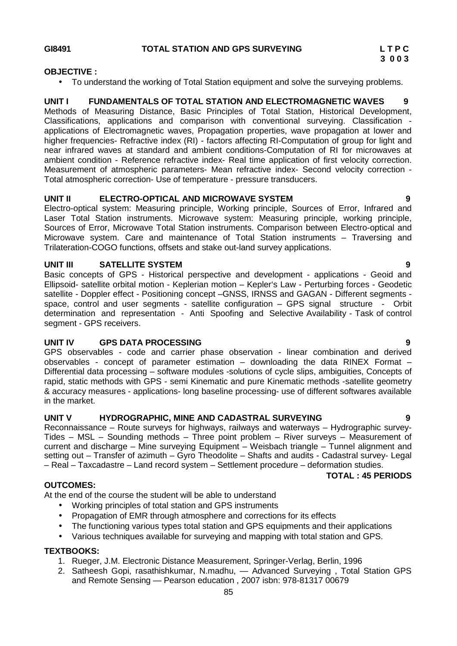#### **OBJECTIVE :**

To understand the working of Total Station equipment and solve the surveying problems.

**UNIT I FUNDAMENTALS OF TOTAL STATION AND ELECTROMAGNETIC WAVES 9** Methods of Measuring Distance, Basic Principles of Total Station, Historical Development, Classifications, applications and comparison with conventional surveying. Classification applications of Electromagnetic waves, Propagation properties, wave propagation at lower and higher frequencies- Refractive index (RI) - factors affecting RI-Computation of group for light and near infrared waves at standard and ambient conditions-Computation of RI for microwaves at ambient condition - Reference refractive index- Real time application of first velocity correction. Measurement of atmospheric parameters- Mean refractive index- Second velocity correction - Total atmospheric correction- Use of temperature - pressure transducers.

# **UNIT II ELECTRO-OPTICAL AND MICROWAVE SYSTEM 9**

Electro-optical system: Measuring principle, Working principle, Sources of Error, Infrared and Laser Total Station instruments. Microwave system: Measuring principle, working principle, Sources of Error, Microwave Total Station instruments. Comparison between Electro-optical and Microwave system. Care and maintenance of Total Station instruments – Traversing and Trilateration-COGO functions, offsets and stake out-land survey applications.

### **UNIT III SATELLITE SYSTEM 9**

Basic concepts of GPS - Historical perspective and development - applications - Geoid and Ellipsoid- satellite orbital motion - Keplerian motion – Kepler's Law - Perturbing forces - Geodetic satellite - Doppler effect - Positioning concept –GNSS, IRNSS and GAGAN - Different segments space, control and user segments - satellite configuration – GPS signal structure - Orbit determination and representation - Anti Spoofing and Selective Availability - Task of control segment - GPS receivers.

### **UNIT IV GPS DATA PROCESSING 9**

GPS observables - code and carrier phase observation - linear combination and derived observables - concept of parameter estimation – downloading the data RINEX Format – Differential data processing – software modules -solutions of cycle slips, ambiguities, Concepts of rapid, static methods with GPS - semi Kinematic and pure Kinematic methods -satellite geometry & accuracy measures - applications- long baseline processing- use of different softwares available in the market.

# **UNIT V HYDROGRAPHIC, MINE AND CADASTRAL SURVEYING 9**

Reconnaissance – Route surveys for highways, railways and waterways – Hydrographic survey- Tides – MSL – Sounding methods – Three point problem – River surveys – Measurement of current and discharge – Mine surveying Equipment – Weisbach triangle – Tunnel alignment and setting out – Transfer of azimuth – Gyro Theodolite – Shafts and audits - Cadastral survey- Legal – Real – Taxcadastre – Land record system – Settlement procedure – deformation studies.

### **TOTAL : 45 PERIODS**

### **OUTCOMES:**

At the end of the course the student will be able to understand

- Working principles of total station and GPS instruments
- Propagation of EMR through atmosphere and corrections for its effects
- The functioning various types total station and GPS equipments and their applications
- Various techniques available for surveying and mapping with total station and GPS.

### **TEXTBOOKS:**

- 
- 1. Rueger, J.M. Electronic Distance Measurement, Springer-Verlag, Berlin, 1996<br>2. Satheesh Gopi, rasathishkumar, N.madhu, Advanced Surveving, Total Station GPS 2. Satheesh Gopi, rasathishkumar, N.madhu, and Remote Sensing ― Pearson education , 2007 isbn: 978-81317 00679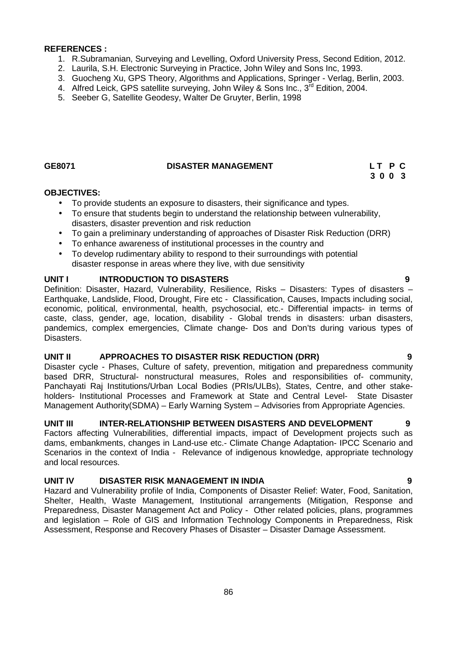#### **REFERENCES :**

- 1. R.Subramanian, Surveying and Levelling, Oxford University Press, Second Edition, 2012.
- 2. Laurila, S.H. Electronic Surveying in Practice, John Wiley and Sons Inc, 1993.
- 3. Guocheng Xu, GPS Theory, Algorithms and Applications, Springer Verlag, Berlin, 2003.
- 4. Alfred Leick, GPS satellite surveying, John Wiley & Sons Inc., 3<sup>rd</sup> Edition, 2004.
- 5. Seeber G, Satellite Geodesy, Walter De Gruyter, Berlin, 1998

### **GE8071 DISASTER MANAGEMENT L T P C**

# **3 0 0 3**

#### **OBJECTIVES:**

- To provide students an exposure to disasters, their significance and types.
- To ensure that students begin to understand the relationship between vulnerability, disasters, disaster prevention and risk reduction
- To gain a preliminary understanding of approaches of Disaster Risk Reduction (DRR)
- To enhance awareness of institutional processes in the country and
- To develop rudimentary ability to respond to their surroundings with potential disaster response in areas where they live, with due sensitivity

### **UNIT I INTRODUCTION TO DISASTERS 9**

Definition: Disaster, Hazard, Vulnerability, Resilience, Risks - Disasters: Types of disasters -Earthquake, Landslide, Flood, Drought, Fire etc - Classification, Causes, Impacts including social, economic, political, environmental, health, psychosocial, etc.- Differential impacts- in terms of caste, class, gender, age, location, disability - Global trends in disasters: urban disasters, pandemics, complex emergencies, Climate change- Dos and Don'ts during various types of Disasters.

### **UNIT II APPROACHES TO DISASTER RISK REDUCTION (DRR) 9**

Disaster cycle - Phases, Culture of safety, prevention, mitigation and preparedness community based DRR, Structural- nonstructural measures, Roles and responsibilities of- community, Panchayati Raj Institutions/Urban Local Bodies (PRIs/ULBs), States, Centre, and other stake holders- Institutional Processes and Framework at State and Central Level- State Disaster Management Authority(SDMA) – Early Warning System – Advisories from Appropriate Agencies.

### **UNIT III INTER-RELATIONSHIP BETWEEN DISASTERS AND DEVELOPMENT 9**

Factors affecting Vulnerabilities, differential impacts, impact of Development projects such as dams, embankments, changes in Land-use etc.- Climate Change Adaptation- IPCC Scenario and Scenarios in the context of India - Relevance of indigenous knowledge, appropriate technology and local resources.

#### **UNIT IV DISASTER RISK MANAGEMENT IN INDIA 9**

Hazard and Vulnerability profile of India, Components of Disaster Relief: Water, Food, Sanitation, Shelter, Health, Waste Management, Institutional arrangements (Mitigation, Response and Preparedness, Disaster Management Act and Policy - Other related policies, plans, programmes and legislation – Role of GIS and Information Technology Components in Preparedness, Risk Assessment, Response and Recovery Phases of Disaster – Disaster Damage Assessment.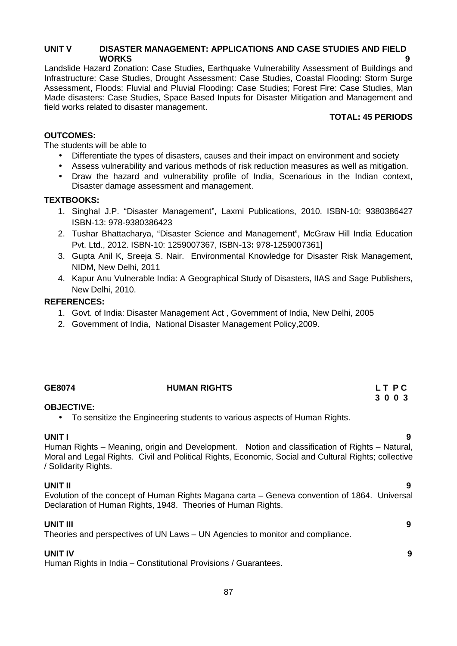# **UNIT V DISASTER MANAGEMENT: APPLICATIONS AND CASE STUDIES AND FIELD WORKS 9**

Landslide Hazard Zonation: Case Studies, Earthquake Vulnerability Assessment of Buildings and Infrastructure: Case Studies, Drought Assessment: Case Studies, Coastal Flooding: Storm Surge Assessment, Floods: Fluvial and Pluvial Flooding: Case Studies; Forest Fire: Case Studies, Man Made disasters: Case Studies, Space Based Inputs for Disaster Mitigation and Management and field works related to disaster management.

#### **TOTAL: 45 PERIODS**

#### **OUTCOMES:**

The students will be able to

- Differentiate the types of disasters, causes and their impact on environment and society
- Assess vulnerability and various methods of risk reduction measures as well as mitigation.
- Draw the hazard and vulnerability profile of India, Scenarious in the Indian context, Disaster damage assessment and management.

#### **TEXTBOOKS:**

- 1. Singhal J.P. "Disaster Management", Laxmi Publications, 2010. ISBN-10: 9380386427 ISBN-13: 978-9380386423
- 2. Tushar Bhattacharya, "Disaster Science and Management", McGraw Hill India Education Pvt. Ltd., 2012. ISBN-10: 1259007367, ISBN-13**:** 978-1259007361]
- 3. Gupta Anil K, Sreeja S. Nair. Environmental Knowledge for Disaster Risk Management, NIDM, New Delhi, 2011
- 4. Kapur Anu Vulnerable India: A Geographical Study of Disasters, IIAS and Sage Publishers, New Delhi, 2010.

### **REFERENCES:**

- 1. Govt. of India: Disaster Management Act , Government of India, New Delhi, 2005
- 2. Government of India, National Disaster Management Policy,2009.

### **GE8074 HUMAN RIGHTS L T P C**

**3 0 0 3**

#### **OBJECTIVE:**

To sensitize the Engineering students to various aspects of Human Rights.

**UNIT I 9** Human Rights – Meaning, origin and Development. Notion and classification of Rights – Natural, Moral and Legal Rights. Civil and Political Rights, Economic, Social and Cultural Rights; collective / Solidarity Rights.

**UNIT II 9** Evolution of the concept of Human Rights Magana carta – Geneva convention of 1864. Universal Declaration of Human Rights, 1948. Theories of Human Rights.

#### **UNIT III 9**

Theories and perspectives of UN Laws – UN Agencies to monitor and compliance.

# **UNIT IV 9**

Human Rights in India – Constitutional Provisions / Guarantees.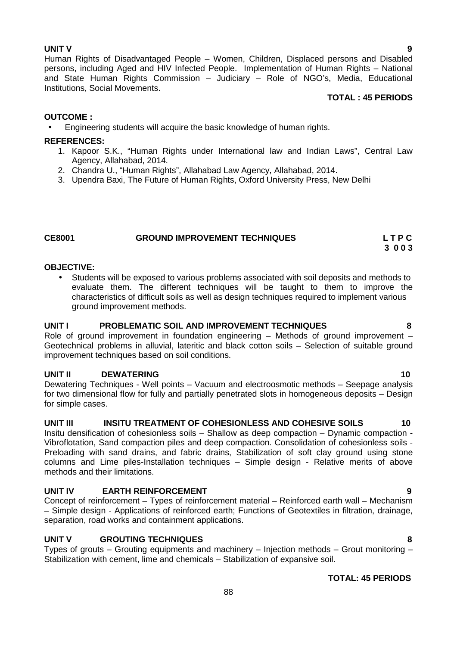**UNIT V 9** Human Rights of Disadvantaged People – Women, Children, Displaced persons and Disabled persons, including Aged and HIV Infected People. Implementation of Human Rights – National and State Human Rights Commission – Judiciary – Role of NGO's, Media, Educational Institutions, Social Movements.

#### **TOTAL : 45 PERIODS**

#### **OUTCOME :**

Engineering students will acquire the basic knowledge of human rights.

### **REFERENCES:**

- 1. Kapoor S.K., "Human Rights under International law and Indian Laws", Central Law Agency, Allahabad, 2014.
- 2. Chandra U., "Human Rights", Allahabad Law Agency, Allahabad, 2014.
- 3. Upendra Baxi, The Future of Human Rights, Oxford University Press, New Delhi

#### **CE8001 GROUND IMPROVEMENT TECHNIQUES L T P C 3 0 0 3**

#### **OBJECTIVE:**

 Students will be exposed to various problems associated with soil deposits and methods to evaluate them. The different techniques will be taught to them to improve the characteristics of difficult soils as well as design techniques required to implement various ground improvement methods.

### **UNIT I PROBLEMATIC SOIL AND IMPROVEMENT TECHNIQUES 8**

Role of ground improvement in foundation engineering – Methods of ground improvement – Geotechnical problems in alluvial, lateritic and black cotton soils – Selection of suitable ground improvement techniques based on soil conditions.

### **UNIT II DEWATERING 10**

Dewatering Techniques - Well points – Vacuum and electroosmotic methods – Seepage analysis for two dimensional flow for fully and partially penetrated slots in homogeneous deposits – Design for simple cases.

### **UNIT III INSITU TREATMENT OF COHESIONLESS AND COHESIVE SOILS 10**

Insitu densification of cohesionless soils – Shallow as deep compaction – Dynamic compaction - Vibroflotation, Sand compaction piles and deep compaction. Consolidation of cohesionless soils - Preloading with sand drains, and fabric drains, Stabilization of soft clay ground using stone columns and Lime piles-Installation techniques – Simple design - Relative merits of above methods and their limitations.

### **UNIT IV EARTH REINFORCEMENT 9**

Concept of reinforcement – Types of reinforcement material – Reinforced earth wall – Mechanism – Simple design - Applications of reinforced earth; Functions of Geotextiles in filtration, drainage, separation, road works and containment applications.

### **UNIT V GROUTING TECHNIQUES 8**

Types of grouts – Grouting equipments and machinery – Injection methods – Grout monitoring – Stabilization with cement, lime and chemicals – Stabilization of expansive soil.

### **TOTAL: 45 PERIODS**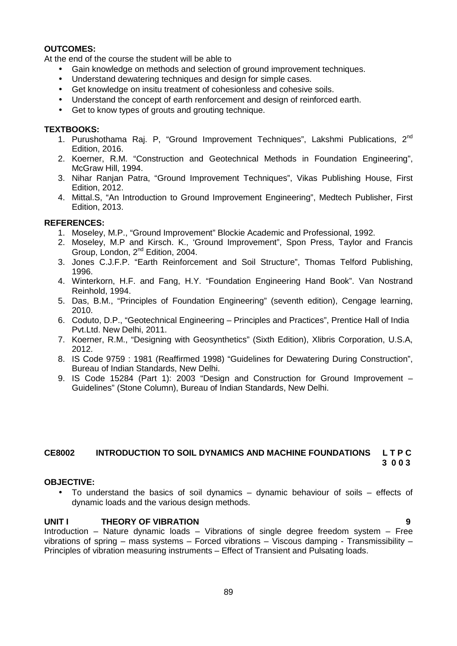#### **OUTCOMES:**

At the end of the course the student will be able to

- Gain knowledge on methods and selection of ground improvement techniques.
- Understand dewatering techniques and design for simple cases.
- Get knowledge on insitu treatment of cohesionless and cohesive soils.
- Understand the concept of earth renforcement and design of reinforced earth.
- Get to know types of grouts and grouting technique.

#### **TEXTBOOKS:**

- 1. Purushothama Raj. P, "Ground Improvement Techniques", Lakshmi Publications, 2nd Edition, 2016.
- 2. Koerner, R.M. "Construction and Geotechnical Methods in Foundation Engineering", McGraw Hill, 1994.
- 3. Nihar Ranjan Patra, "Ground Improvement Techniques", Vikas Publishing House, First Edition, 2012.
- 4. Mittal.S, "An Introduction to Ground Improvement Engineering", Medtech Publisher, First Edition, 2013.

#### **REFERENCES:**

- 1. Moseley, M.P., "Ground Improvement" Blockie Academic and Professional, 1992.
- 2. Moseley, M.P and Kirsch. K., 'Ground Improvement", Spon Press, Taylor and Francis Group, London, 2nd Edition, 2004.
- 3. Jones C.J.F.P. "Earth Reinforcement and Soil Structure", Thomas Telford Publishing, 1996.
- 4. Winterkorn, H.F. and Fang, H.Y. "Foundation Engineering Hand Book". Van Nostrand Reinhold, 1994.
- 5. Das, B.M., "Principles of Foundation Engineering" (seventh edition), Cengage learning, 2010.
- 6. Coduto, D.P., "Geotechnical Engineering Principles and Practices", Prentice Hall of India Pvt.Ltd. New Delhi, 2011.
- 7. Koerner, R.M., "Designing with Geosynthetics" (Sixth Edition), Xlibris Corporation, U.S.A, 2012.
- 8. IS Code 9759 : 1981 (Reaffirmed 1998) "Guidelines for Dewatering During Construction", Bureau of Indian Standards, New Delhi.
- 9. IS Code 15284 (Part 1): 2003 "Design and Construction for Ground Improvement Guidelines" (Stone Column), Bureau of Indian Standards, New Delhi.

#### **CE8002 INTRODUCTION TO SOIL DYNAMICS AND MACHINE FOUNDATIONS L T P C 3 0 0 3**

#### **OBJECTIVE:**

 To understand the basics of soil dynamics – dynamic behaviour of soils – effects of dynamic loads and the various design methods.

#### **UNIT I THEORY OF VIBRATION 9**

Introduction – Nature dynamic loads – Vibrations of single degree freedom system – Free vibrations of spring – mass systems – Forced vibrations – Viscous damping - Transmissibility – Principles of vibration measuring instruments – Effect of Transient and Pulsating loads.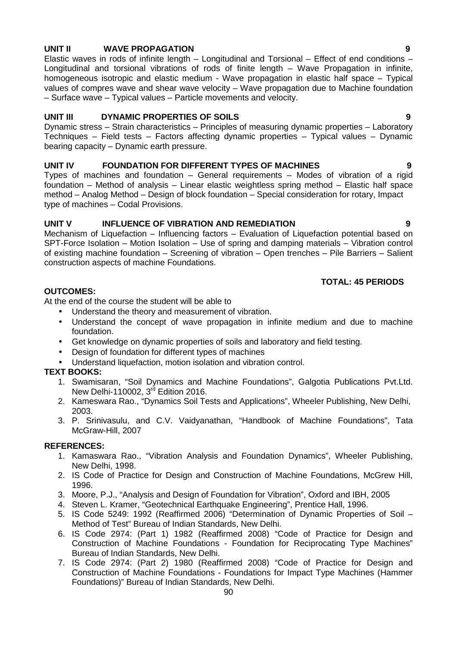# 90

# **OUTCOMES:**

At the end of the course the student will be able to

- Understand the theory and measurement of vibration.
- Understand the concept of wave propagation in infinite medium and due to machine foundation.
- Get knowledge on dynamic properties of soils and laboratory and field testing.
- Design of foundation for different types of machines
- Understand liquefaction, motion isolation and vibration control.

# **TEXT BOOKS:**

- 1. Swamisaran, "Soil Dynamics and Machine Foundations", Galgotia Publications Pvt.Ltd. New Delhi-110002, 3<sup>rd</sup> Edition 2016.
- 2. Kameswara Rao., "Dynamics Soil Tests and Applications", Wheeler Publishing, New Delhi, 2003.
- 3. P. Srinivasulu, and C.V. Vaidyanathan, "Handbook of Machine Foundations", Tata McGraw-Hill, 2007

# **REFERENCES:**

- 1. Kamaswara Rao., "Vibration Analysis and Foundation Dynamics", Wheeler Publishing, New Delhi, 1998.
- 2. IS Code of Practice for Design and Construction of Machine Foundations, McGrew Hill, 1996.
- 3. Moore, P.J., "Analysis and Design of Foundation for Vibration", Oxford and IBH, 2005
- 4. Steven L. Kramer, "Geotechnical Earthquake Engineering", Prentice Hall, 1996.
- 5. IS Code 5249: 1992 (Reaffirmed 2006) "Determination of Dynamic Properties of Soil Method of Test" Bureau of Indian Standards, New Delhi.
- 6. IS Code 2974: (Part 1) 1982 (Reaffirmed 2008) "Code of Practice for Design and Construction of Machine Foundations - Foundation for Reciprocating Type Machines" Bureau of Indian Standards, New Delhi.
- 7. IS Code 2974: (Part 2) 1980 (Reaffirmed 2008) "Code of Practice for Design and Construction of Machine Foundations - Foundations for Impact Type Machines (Hammer Foundations)" Bureau of Indian Standards, New Delhi.

# **UNIT II WAVE PROPAGATION 9**

Elastic waves in rods of infinite length – Longitudinal and Torsional – Effect of end conditions – Longitudinal and torsional vibrations of rods of finite length – Wave Propagation in infinite, homogeneous isotropic and elastic medium - Wave propagation in elastic half space – Typical values of compres wave and shear wave velocity – Wave propagation due to Machine foundation – Surface wave – Typical values – Particle movements and velocity.

# **UNIT III DYNAMIC PROPERTIES OF SOILS 9**

Dynamic stress – Strain characteristics – Principles of measuring dynamic properties – Laboratory Techniques – Field tests – Factors affecting dynamic properties – Typical values – Dynamic bearing capacity – Dynamic earth pressure.

# **UNIT IV FOUNDATION FOR DIFFERENT TYPES OF MACHINES 9**

Types of machines and foundation – General requirements – Modes of vibration of a rigid foundation – Method of analysis – Linear elastic weightless spring method – Elastic half space method – Analog Method – Design of block foundation – Special consideration for rotary, Impact type of machines – Codal Provisions.

# **UNIT V INFLUENCE OF VIBRATION AND REMEDIATION 9**

Mechanism of Liquefaction – Influencing factors – Evaluation of Liquefaction potential based on SPT-Force Isolation – Motion Isolation – Use of spring and damping materials – Vibration control of existing machine foundation – Screening of vibration – Open trenches – Pile Barriers – Salient construction aspects of machine Foundations.

# **TOTAL: 45 PERIODS**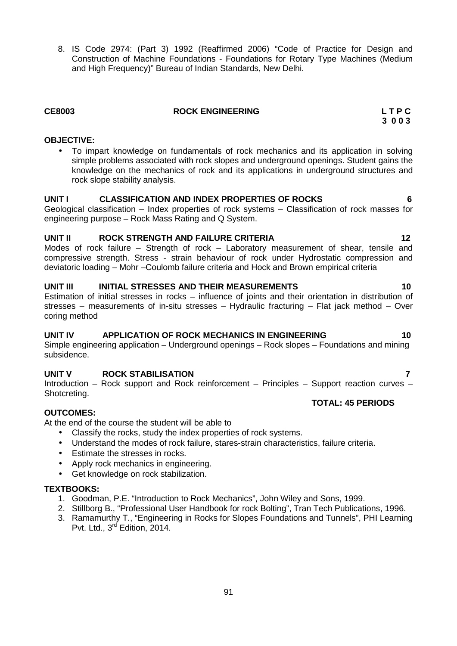8. IS Code 2974: (Part 3) 1992 (Reaffirmed 2006) "Code of Practice for Design and Construction of Machine Foundations - Foundations for Rotary Type Machines (Medium and High Frequency)" Bureau of Indian Standards, New Delhi.

### **CE8003 ROCK ENGINEERING L T P C**

**3 0 0 3**

# **OBJECTIVE:**

 To impart knowledge on fundamentals of rock mechanics and its application in solving simple problems associated with rock slopes and underground openings. Student gains the knowledge on the mechanics of rock and its applications in underground structures and rock slope stability analysis.

# **UNIT I CLASSIFICATION AND INDEX PROPERTIES OF ROCKS 6**

Geological classification – Index properties of rock systems – Classification of rock masses for engineering purpose – Rock Mass Rating and Q System.

### **UNIT II ROCK STRENGTH AND FAILURE CRITERIA 12**

Modes of rock failure – Strength of rock – Laboratory measurement of shear, tensile and compressive strength. Stress - strain behaviour of rock under Hydrostatic compression and deviatoric loading – Mohr –Coulomb failure criteria and Hock and Brown empirical criteria

# **UNIT III INITIAL STRESSES AND THEIR MEASUREMENTS 10**

Estimation of initial stresses in rocks – influence of joints and their orientation in distribution of stresses – measurements of in-situ stresses – Hydraulic fracturing – Flat jack method – Over coring method

# **UNIT IV APPLICATION OF ROCK MECHANICS IN ENGINEERING 10**

Simple engineering application – Underground openings – Rock slopes – Foundations and mining subsidence.

# **UNIT V ROCK STABILISATION 7**

Introduction – Rock support and Rock reinforcement – Principles – Support reaction curves – Shotcreting.

# **TOTAL: 45 PERIODS**

**OUTCOMES:** At the end of the course the student will be able to

- Classify the rocks, study the index properties of rock systems.
- Understand the modes of rock failure, stares-strain characteristics, failure criteria.
- Estimate the stresses in rocks.
- Apply rock mechanics in engineering.
- Get knowledge on rock stabilization.

### **TEXTBOOKS:**

- 1. Goodman, P.E. "Introduction to Rock Mechanics", John Wiley and Sons, 1999.
- 2. Stillborg B., "Professional User Handbook for rock Bolting", Tran Tech Publications, 1996.
- 3. Ramamurthy T., "Engineering in Rocks for Slopes Foundations and Tunnels", PHI Learning Pvt. Ltd.,  $3<sup>rd</sup>$  Edition, 2014.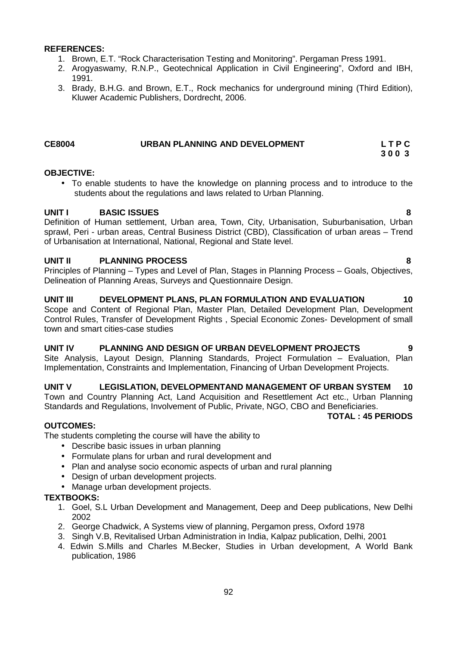#### **REFERENCES:**

- 1. Brown, E.T. "Rock Characterisation Testing and Monitoring". Pergaman Press 1991.
- 2. Arogyaswamy, R.N.P., Geotechnical Application in Civil Engineering", Oxford and IBH, 1991.
- 3. Brady, B.H.G. and Brown, E.T., Rock mechanics for underground mining (Third Edition), Kluwer Academic Publishers, Dordrecht, 2006.

#### **CE8004 URBAN PLANNING AND DEVELOPMENT L T P C 3 0 0 3**

#### **OBJECTIVE:**

 To enable students to have the knowledge on planning process and to introduce to the students about the regulations and laws related to Urban Planning.

#### **UNIT I BASIC ISSUES 8**

Definition of Human settlement, Urban area, Town, City, Urbanisation, Suburbanisation, Urban sprawl, Peri - urban areas, Central Business District (CBD), Classification of urban areas – Trend of Urbanisation at International, National, Regional and State level.

#### **UNIT II PLANNING PROCESS 8**

Principles of Planning – Types and Level of Plan, Stages in Planning Process – Goals, Objectives, Delineation of Planning Areas, Surveys and Questionnaire Design.

#### **UNIT III DEVELOPMENT PLANS, PLAN FORMULATION AND EVALUATION 10**

Scope and Content of Regional Plan, Master Plan, Detailed Development Plan, Development Control Rules, Transfer of Development Rights , Special Economic Zones- Development of small town and smart cities-case studies

#### **UNIT IV PLANNING AND DESIGN OF URBAN DEVELOPMENT PROJECTS 9**

Site Analysis, Layout Design, Planning Standards, Project Formulation – Evaluation, Plan Implementation, Constraints and Implementation, Financing of Urban Development Projects.

### **UNIT V LEGISLATION, DEVELOPMENTAND MANAGEMENT OF URBAN SYSTEM 10**

Town and Country Planning Act, Land Acquisition and Resettlement Act etc., Urban Planning Standards and Regulations, Involvement of Public, Private, NGO, CBO and Beneficiaries.

**TOTAL : 45 PERIODS**

### **OUTCOMES:**

The students completing the course will have the ability to

- Describe basic issues in urban planning
- Formulate plans for urban and rural development and
- Plan and analyse socio economic aspects of urban and rural planning
- Design of urban development projects.
- Manage urban development projects.

#### **TEXTBOOKS:**

- 1. Goel, S.L Urban Development and Management, Deep and Deep publications, New Delhi 2002
- 2. George Chadwick, A Systems view of planning, Pergamon press, Oxford 1978
- 3. Singh V.B, Revitalised Urban Administration in India, Kalpaz publication, Delhi, 2001
- 4. Edwin S.Mills and Charles M.Becker, Studies in Urban development, A World Bank publication, 1986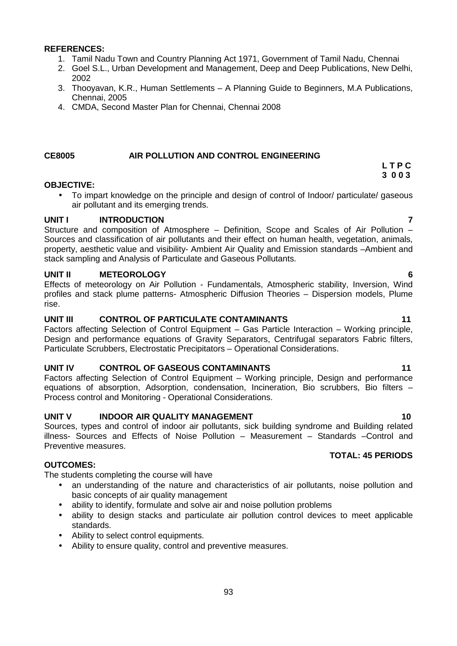#### **REFERENCES:**

- 1. Tamil Nadu Town and Country Planning Act 1971, Government of Tamil Nadu, Chennai
- 2. Goel S.L., Urban Development and Management, Deep and Deep Publications, New Delhi, 2002
- 3. Thooyavan, K.R., Human Settlements A Planning Guide to Beginners, M.A Publications, Chennai, 2005
- 4. CMDA, Second Master Plan for Chennai, Chennai 2008

### **CE8005 AIR POLLUTION AND CONTROL ENGINEERING**

#### **OBJECTIVE:**

 To impart knowledge on the principle and design of control of Indoor/ particulate/ gaseous air pollutant and its emerging trends.

#### **UNIT I INTRODUCTION 7**

Structure and composition of Atmosphere – Definition, Scope and Scales of Air Pollution – Sources and classification of air pollutants and their effect on human health, vegetation, animals, property, aesthetic value and visibility- Ambient Air Quality and Emission standards –Ambient and stack sampling and Analysis of Particulate and Gaseous Pollutants.

#### **UNIT II METEOROLOGY 6**

Effects of meteorology on Air Pollution - Fundamentals, Atmospheric stability, Inversion, Wind profiles and stack plume patterns- Atmospheric Diffusion Theories – Dispersion models, Plume rise.

#### **UNIT III CONTROL OF PARTICULATE CONTAMINANTS 11**

Factors affecting Selection of Control Equipment – Gas Particle Interaction – Working principle, Design and performance equations of Gravity Separators, Centrifugal separators Fabric filters, Particulate Scrubbers, Electrostatic Precipitators – Operational Considerations.

#### **UNIT IV CONTROL OF GASEOUS CONTAMINANTS 11**

Factors affecting Selection of Control Equipment – Working principle, Design and performance equations of absorption, Adsorption, condensation, Incineration, Bio scrubbers, Bio filters – Process control and Monitoring - Operational Considerations.

### **UNIT V INDOOR AIR QUALITY MANAGEMENT 10**

Sources, types and control of indoor air pollutants, sick building syndrome and Building related illness- Sources and Effects of Noise Pollution – Measurement – Standards –Control and Preventive measures.

#### **OUTCOMES:**

The students completing the course will have

- an understanding of the nature and characteristics of air pollutants, noise pollution and basic concepts of air quality management
- ability to identify, formulate and solve air and noise pollution problems
- ability to design stacks and particulate air pollution control devices to meet applicable standards.
- Ability to select control equipments.
- Ability to ensure quality, control and preventive measures.

### **TOTAL: 45 PERIODS**

## **L T P C 3 0 0 3**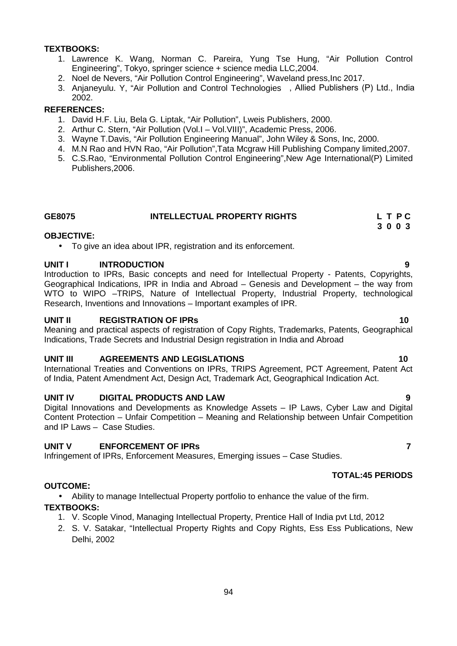### **TEXTBOOKS:**

- 1. Lawrence K. Wang, Norman C. Pareira, Yung Tse Hung, "Air Pollution Control Engineering", Tokyo, springer science + science media LLC,2004.
- 2. Noel de Nevers, "Air Pollution Control Engineering", Waveland press,Inc 2017.
- 3. Anjaneyulu. Y, "Air Pollution and Control Technologies, Allied Publishers (P) Ltd., India 2002.

### **REFERENCES:**

- 1. David H.F. Liu, Bela G. Liptak, "Air Pollution", Lweis Publishers, 2000.
- 2. Arthur C. Stern, "Air Pollution (Vol.I Vol.VIII)", Academic Press, 2006.
- 3. Wayne T.Davis, "Air Pollution Engineering Manual", John Wiley & Sons, Inc, 2000.
- 4. M.N Rao and HVN Rao, "Air Pollution",Tata Mcgraw Hill Publishing Company limited,2007.
- 5. C.S.Rao, "Environmental Pollution Control Engineering",New Age International(P) Limited Publishers,2006.

| GE8075 | <b>INTELLECTUAL PROPERTY RIGHTS</b> | L T P C |
|--------|-------------------------------------|---------|
|        |                                     | 3003    |

### **OBJECTIVE:**

To give an idea about IPR, registration and its enforcement.

# **UNIT I INTRODUCTION 9**

Introduction to IPRs, Basic concepts and need for Intellectual Property - Patents, Copyrights, Geographical Indications, IPR in India and Abroad – Genesis and Development – the way from WTO to WIPO –TRIPS, Nature of Intellectual Property, Industrial Property, technological Research, Inventions and Innovations – Important examples of IPR.

#### **UNIT II REGISTRATION OF IPRs 10**

Meaning and practical aspects of registration of Copy Rights, Trademarks, Patents, Geographical Indications, Trade Secrets and Industrial Design registration in India and Abroad

### **UNIT III AGREEMENTS AND LEGISLATIONS 10**

International Treaties and Conventions on IPRs, TRIPS Agreement, PCT Agreement, Patent Act of India, Patent Amendment Act, Design Act, Trademark Act, Geographical Indication Act.

### **UNIT IV DIGITAL PRODUCTS AND LAW 9**

Digital Innovations and Developments as Knowledge Assets – IP Laws, Cyber Law and Digital Content Protection – Unfair Competition – Meaning and Relationship between Unfair Competition and IP Laws – Case Studies.

### **UNIT V ENFORCEMENT OF IPRs 7**

Infringement of IPRs, Enforcement Measures, Emerging issues – Case Studies.

### **TOTAL:45 PERIODS**

# **OUTCOME:**

Ability to manage Intellectual Property portfolio to enhance the value of the firm.

### **TEXTBOOKS:**

- 1. V. Scople Vinod, Managing Intellectual Property, Prentice Hall of India pvt Ltd, 2012
- 2. S. V. Satakar, "Intellectual Property Rights and Copy Rights, Ess Ess Publications, New Delhi, 2002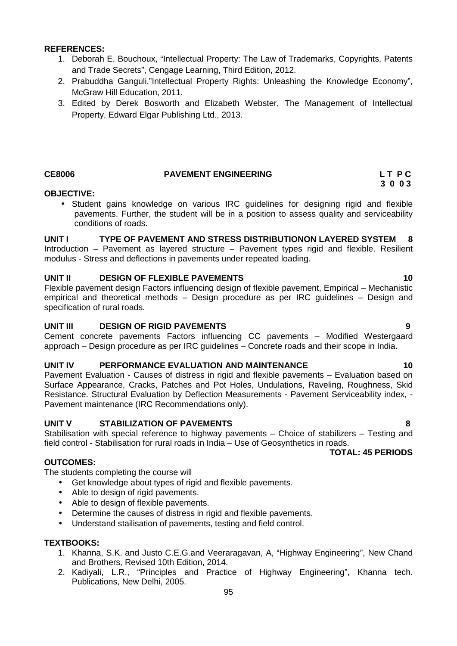#### **REFERENCES:**

- 1. Deborah E. Bouchoux, "Intellectual Property: The Law of Trademarks, Copyrights, Patents and Trade Secrets", Cengage Learning, Third Edition, 2012.
- 2. Prabuddha Ganguli,"Intellectual Property Rights: Unleashing the Knowledge Economy", McGraw Hill Education, 2011.
- 3. Edited by Derek Bosworth and Elizabeth Webster, The Management of Intellectual Property, Edward Elgar Publishing Ltd., 2013.

# **CE8006 PAVEMENT ENGINEERING L T P C**

# **3 0 0 3**

### **OBJECTIVE:**

 Student gains knowledge on various IRC guidelines for designing rigid and flexible pavements. Further, the student will be in a position to assess quality and serviceability conditions of roads.

# **UNIT I TYPE OF PAVEMENT AND STRESS DISTRIBUTIONON LAYERED SYSTEM 8**

Introduction – Pavement as layered structure – Pavement types rigid and flexible. Resilient modulus - Stress and deflections in pavements under repeated loading.

### **UNIT II DESIGN OF FLEXIBLE PAVEMENTS 10**

Flexible pavement design Factors influencing design of flexible pavement, Empirical – Mechanistic empirical and theoretical methods – Design procedure as per IRC guidelines – Design and specification of rural roads.

### **UNIT III DESIGN OF RIGID PAVEMENTS 9**

Cement concrete pavements Factors influencing CC pavements – Modified Westergaard approach – Design procedure as per IRC guidelines – Concrete roads and their scope in India.

## **UNIT IV PERFORMANCE EVALUATION AND MAINTENANCE 10**

Pavement Evaluation - Causes of distress in rigid and flexible pavements – Evaluation based on Surface Appearance, Cracks, Patches and Pot Holes, Undulations, Raveling, Roughness, Skid Resistance. Structural Evaluation by Deflection Measurements - Pavement Serviceability index, - Pavement maintenance (IRC Recommendations only).

### **UNIT V STABILIZATION OF PAVEMENTS 8**

Stabilisation with special reference to highway pavements – Choice of stabilizers – Testing and field control - Stabilisation for rural roads in India – Use of Geosynthetics in roads.

#### **TOTAL: 45 PERIODS**

### **OUTCOMES:**

The students completing the course will

- Get knowledge about types of rigid and flexible pavements.
- Able to design of rigid pavements.
- Able to design of flexible pavements.
- Determine the causes of distress in rigid and flexible pavements.
- Understand stailisation of pavements, testing and field control.

#### **TEXTBOOKS:**

- 1. Khanna, S.K. and Justo C.E.G.and Veeraragavan, A, "Highway Engineering", New Chand and Brothers, Revised 10th Edition, 2014.
- 2. Kadiyali, L.R., "Principles and Practice of Highway Engineering", Khanna tech. Publications, New Delhi, 2005.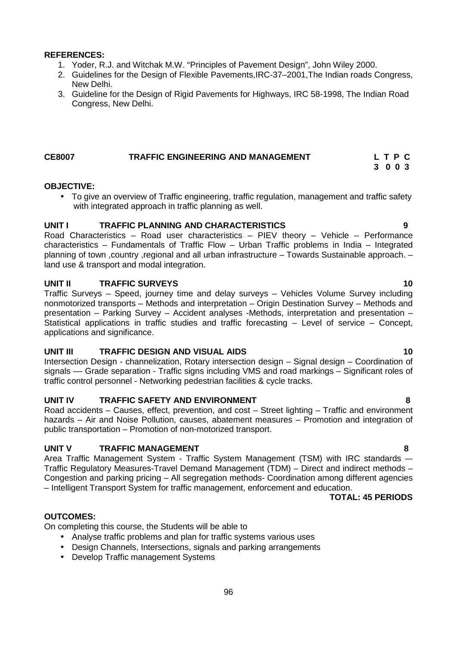#### **REFERENCES:**

- 1. Yoder, R.J. and Witchak M.W. "Principles of Pavement Design", John Wiley 2000.
- 2. Guidelines for the Design of Flexible Pavements,IRC-37–2001,The Indian roads Congress, New Delhi.
- 3. Guideline for the Design of Rigid Pavements for Highways, IRC 58-1998, The Indian Road Congress, New Delhi.

## **CE8007 TRAFFIC ENGINEERING AND MANAGEMENT L T P C**

#### **OBJECTIVE:**

 To give an overview of Traffic engineering, traffic regulation, management and traffic safety with integrated approach in traffic planning as well.

### **UNIT I TRAFFIC PLANNING AND CHARACTERISTICS 9**

Road Characteristics – Road user characteristics – PIEV theory – Vehicle – Performance characteristics – Fundamentals of Traffic Flow – Urban Traffic problems in India – Integrated planning of town ,country ,regional and all urban infrastructure – Towards Sustainable approach. – land use & transport and modal integration.

### **UNIT II TRAFFIC SURVEYS 10**

Traffic Surveys – Speed, journey time and delay surveys – Vehicles Volume Survey including nonmotorized transports – Methods and interpretation – Origin Destination Survey – Methods and presentation – Parking Survey – Accident analyses -Methods, interpretation and presentation – Statistical applications in traffic studies and traffic forecasting – Level of service – Concept, applications and significance.

### **UNIT III TRAFFIC DESIGN AND VISUAL AIDS 10**

Intersection Design - channelization, Rotary intersection design – Signal design – Coordination of signals –– Grade separation - Traffic signs including VMS and road markings – Significant roles of traffic control personnel - Networking pedestrian facilities & cycle tracks.

### **UNIT IV TRAFFIC SAFETY AND ENVIRONMENT 8**

Road accidents – Causes, effect, prevention, and cost – Street lighting – Traffic and environment hazards – Air and Noise Pollution, causes, abatement measures – Promotion and integration of public transportation – Promotion of non-motorized transport.

### **UNIT V TRAFFIC MANAGEMENT 8**

Area Traffic Management System - Traffic System Management (TSM) with IRC standards –- Traffic Regulatory Measures-Travel Demand Management (TDM) – Direct and indirect methods – Congestion and parking pricing – All segregation methods- Coordination among different agencies – Intelligent Transport System for traffic management, enforcement and education.

#### **TOTAL: 45 PERIODS**

**3 0 0 3**

### **OUTCOMES:**

On completing this course, the Students will be able to

- Analyse traffic problems and plan for traffic systems various uses
- Design Channels, Intersections, signals and parking arrangements
- Develop Traffic management Systems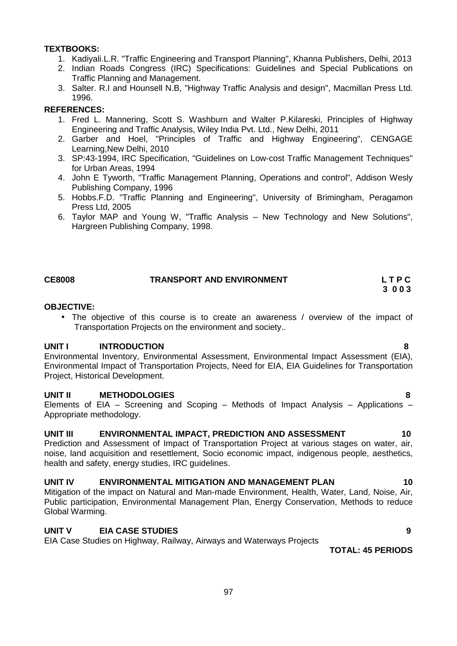#### **TEXTBOOKS:**

- 1. Kadiyali.L.R. "Traffic Engineering and Transport Planning", Khanna Publishers, Delhi, 2013
- 2. Indian Roads Congress (IRC) Specifications: Guidelines and Special Publications on Traffic Planning and Management.
- 3. Salter. R.I and Hounsell N.B, "Highway Traffic Analysis and design", Macmillan Press Ltd. 1996.

### **REFERENCES:**

- 1. Fred L. Mannering, Scott S. Washburn and Walter P.Kilareski, Principles of Highway Engineering and Traffic Analysis, Wiley India Pvt. Ltd., New Delhi, 2011
- 2. Garber and Hoel, "Principles of Traffic and Highway Engineering", CENGAGE Learning,New Delhi, 2010
- 3. SP:43-1994, IRC Specification, "Guidelines on Low-cost Traffic Management Techniques" for Urban Areas, 1994
- 4. John E Tyworth, "Traffic Management Planning, Operations and control", Addison Wesly Publishing Company, 1996
- 5. Hobbs.F.D. "Traffic Planning and Engineering", University of Brimingham, Peragamon Press Ltd, 2005
- 6. Taylor MAP and Young W, "Traffic Analysis New Technology and New Solutions", Hargreen Publishing Company, 1998.

| <b>CE8008</b> | <b>TRANSPORT AND ENVIRONMENT</b> | LTPC    |
|---------------|----------------------------------|---------|
|               |                                  | 3 0 0 3 |

#### **OBJECTIVE:**

 The objective of this course is to create an awareness / overview of the impact of Transportation Projects on the environment and society..

### **UNIT I INTRODUCTION 8**

Environmental Inventory, Environmental Assessment, Environmental Impact Assessment (EIA), Environmental Impact of Transportation Projects, Need for EIA, EIA Guidelines for Transportation Project, Historical Development.

### **UNIT II METHODOLOGIES 8**

Elements of EIA – Screening and Scoping – Methods of Impact Analysis – Applications – Appropriate methodology.

## **UNIT III ENVIRONMENTAL IMPACT, PREDICTION AND ASSESSMENT 10**

Prediction and Assessment of Impact of Transportation Project at various stages on water, air, noise, land acquisition and resettlement, Socio economic impact, indigenous people, aesthetics, health and safety, energy studies, IRC guidelines.

#### **UNIT IV ENVIRONMENTAL MITIGATION AND MANAGEMENT PLAN 10**

Mitigation of the impact on Natural and Man-made Environment, Health, Water, Land, Noise, Air, Public participation, Environmental Management Plan, Energy Conservation, Methods to reduce Global Warming.

### **UNIT V EIA CASE STUDIES 9**

EIA Case Studies on Highway, Railway, Airways and Waterways Projects

**TOTAL: 45 PERIODS**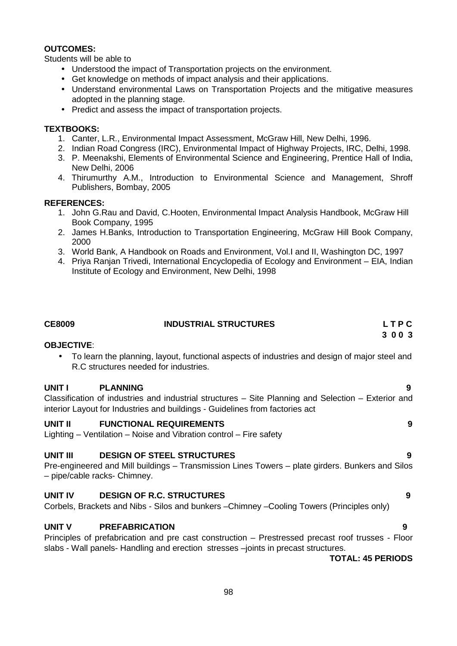### **OUTCOMES:**

Students will be able to

- Understood the impact of Transportation projects on the environment.
- Get knowledge on methods of impact analysis and their applications.
- Understand environmental Laws on Transportation Projects and the mitigative measures adopted in the planning stage.
- Predict and assess the impact of transportation projects.

## **TEXTBOOKS:**

- 1. Canter, L.R., Environmental Impact Assessment, McGraw Hill, New Delhi, 1996.
- 2. Indian Road Congress (IRC), Environmental Impact of Highway Projects, IRC, Delhi, 1998.
- 3. P. Meenakshi, Elements of Environmental Science and Engineering, Prentice Hall of India, New Delhi, 2006
- 4. Thirumurthy A.M., Introduction to Environmental Science and Management, Shroff Publishers, Bombay, 2005

### **REFERENCES:**

- 1. John G.Rau and David, C.Hooten, Environmental Impact Analysis Handbook, McGraw Hill Book Company, 1995
- 2. James H.Banks, Introduction to Transportation Engineering, McGraw Hill Book Company, 2000
- 3. World Bank, A Handbook on Roads and Environment, Vol.I and II, Washington DC, 1997
- 4. Priya Ranjan Trivedi, International Encyclopedia of Ecology and Environment EIA, Indian Institute of Ecology and Environment, New Delhi, 1998

| <b>CE8009</b> | <b>INDUSTRIAL STRUCTURES</b> | LTPC |
|---------------|------------------------------|------|
|               |                              | 3003 |

### **OBJECTIVE**:

 To learn the planning, layout, functional aspects of industries and design of major steel and R.C structures needed for industries.

# **UNIT I PLANNING 9**

Classification of industries and industrial structures – Site Planning and Selection – Exterior and interior Layout for Industries and buildings - Guidelines from factories act

### **UNIT II FUNCTIONAL REQUIREMENTS 9**

Lighting – Ventilation – Noise and Vibration control – Fire safety

### **UNIT III DESIGN OF STEEL STRUCTURES 9**

Pre-engineered and Mill buildings – Transmission Lines Towers – plate girders. Bunkers and Silos – pipe/cable racks- Chimney.

# **UNIT IV DESIGN OF R.C. STRUCTURES 9**

Corbels, Brackets and Nibs - Silos and bunkers –Chimney –Cooling Towers (Principles only)

### **UNIT V PREFABRICATION 9**

Principles of prefabrication and pre cast construction – Prestressed precast roof trusses - Floor slabs - Wall panels- Handling and erection stresses –joints in precast structures.

**TOTAL: 45 PERIODS**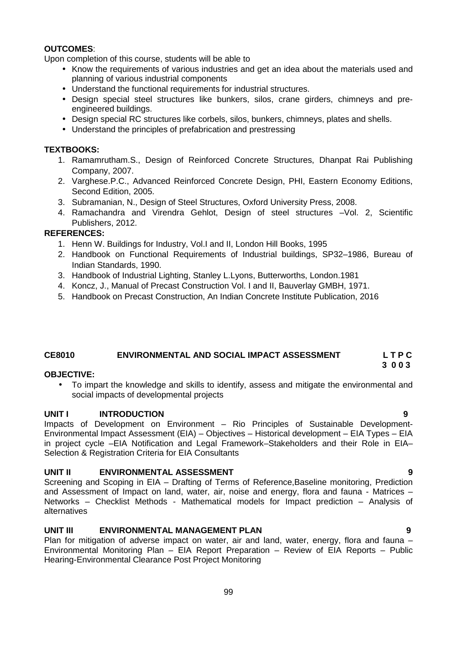### **OUTCOMES**:

Upon completion of this course, students will be able to

- Know the requirements of various industries and get an idea about the materials used and planning of various industrial components
- Understand the functional requirements for industrial structures.
- Design special steel structures like bunkers, silos, crane girders, chimneys and pre engineered buildings.
- Design special RC structures like corbels, silos, bunkers, chimneys, plates and shells.
- Understand the principles of prefabrication and prestressing

#### **TEXTBOOKS:**

- 1. Ramamrutham.S., Design of Reinforced Concrete Structures, Dhanpat Rai Publishing Company, 2007.
- 2. Varghese.P.C., Advanced Reinforced Concrete Design, PHI, Eastern Economy Editions, Second Edition, 2005.
- 3. Subramanian, N., Design of Steel Structures, Oxford University Press, 2008.
- 4. Ramachandra and Virendra Gehlot, Design of steel structures –Vol. 2, Scientific Publishers, 2012.

#### **REFERENCES:**

- 1. Henn W. Buildings for Industry, Vol.I and II, London Hill Books, 1995
- 2. Handbook on Functional Requirements of Industrial buildings, SP32–1986, Bureau of Indian Standards, 1990.
- 3. Handbook of Industrial Lighting, Stanley L.Lyons, Butterworths, London.1981
- 4. Koncz, J., Manual of Precast Construction Vol. I and II, Bauverlay GMBH, 1971.
- 5. Handbook on Precast Construction, An Indian Concrete Institute Publication, 2016

### **CE8010 ENVIRONMENTAL AND SOCIAL IMPACT ASSESSMENT L T P C**

#### **OBJECTIVE:**

 To impart the knowledge and skills to identify, assess and mitigate the environmental and social impacts of developmental projects

### **UNIT I INTRODUCTION 9**

Impacts of Development on Environment – Rio Principles of Sustainable Development- Environmental Impact Assessment (EIA) – Objectives – Historical development – EIA Types – EIA in project cycle –EIA Notification and Legal Framework–Stakeholders and their Role in EIA– Selection & Registration Criteria for EIA Consultants

#### **UNIT II ENVIRONMENTAL ASSESSMENT 9**

Screening and Scoping in EIA – Drafting of Terms of Reference,Baseline monitoring, Prediction and Assessment of Impact on land, water, air, noise and energy, flora and fauna - Matrices – Networks – Checklist Methods - Mathematical models for Impact prediction – Analysis of alternatives

### **UNIT III ENVIRONMENTAL MANAGEMENT PLAN 9**

Plan for mitigation of adverse impact on water, air and land, water, energy, flora and fauna – Environmental Monitoring Plan – EIA Report Preparation – Review of EIA Reports – Public Hearing-Environmental Clearance Post Project Monitoring

**3 0 0 3**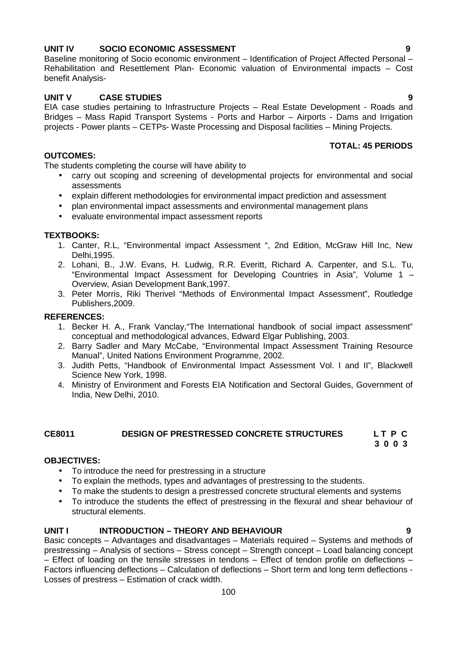# **UNIT IV SOCIO ECONOMIC ASSESSMENT 9**

Baseline monitoring of Socio economic environment - Identification of Project Affected Personal -Rehabilitation and Resettlement Plan- Economic valuation of Environmental impacts – Cost benefit Analysis-

# **UNIT V CASE STUDIES 9**

EIA case studies pertaining to Infrastructure Projects – Real Estate Development - Roads and Bridges – Mass Rapid Transport Systems - Ports and Harbor – Airports - Dams and Irrigation projects - Power plants – CETPs- Waste Processing and Disposal facilities – Mining Projects.

# **TOTAL: 45 PERIODS**

The students completing the course will have ability to

- carry out scoping and screening of developmental projects for environmental and social assessments
- explain different methodologies for environmental impact prediction and assessment
- plan environmental impact assessments and environmental management plans
- evaluate environmental impact assessment reports

### **TEXTBOOKS:**

**OUTCOMES:**

- 1. Canter, R.L, "Environmental impact Assessment ", 2nd Edition, McGraw Hill Inc, New Delhi,1995.
- 2. Lohani, B., J.W. Evans, H. Ludwig, R.R. Everitt, Richard A. Carpenter, and S.L. Tu, "Environmental Impact Assessment for Developing Countries in Asia", Volume 1 – Overview, Asian Development Bank,1997.
- 3. Peter Morris, Riki Therivel "Methods of Environmental Impact Assessment", Routledge Publishers,2009.

### **REFERENCES:**

- 1. Becker H. A., Frank Vanclay,"The International handbook of social impact assessment" conceptual and methodological advances, Edward Elgar Publishing, 2003.
- 2. Barry Sadler and Mary McCabe, "Environmental Impact Assessment Training Resource Manual", United Nations Environment Programme, 2002.
- 3. Judith Petts, "Handbook of Environmental Impact Assessment Vol. I and II", Blackwell Science New York, 1998.
- 4. Ministry of Environment and Forests EIA Notification and Sectoral Guides, Government of India, New Delhi, 2010.

# **CE8011 DESIGN OF PRESTRESSED CONCRETE STRUCTURES L T P C**

# **3 0 0 3**

# **OBJECTIVES:**

- To introduce the need for prestressing in a structure
- To explain the methods, types and advantages of prestressing to the students.
- To make the students to design a prestressed concrete structural elements and systems
- To introduce the students the effect of prestressing in the flexural and shear behaviour of structural elements.

### **UNIT I INTRODUCTION – THEORY AND BEHAVIOUR 9**

Basic concepts – Advantages and disadvantages – Materials required – Systems and methods of prestressing – Analysis of sections – Stress concept – Strength concept – Load balancing concept – Effect of loading on the tensile stresses in tendons – Effect of tendon profile on deflections – Factors influencing deflections – Calculation of deflections – Short term and long term deflections - Losses of prestress – Estimation of crack width.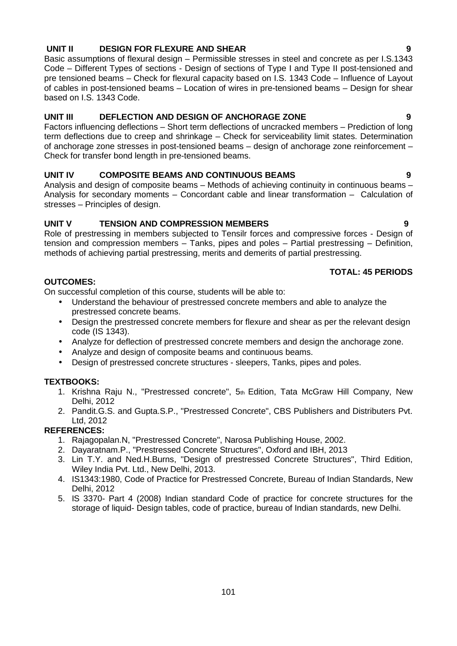# **UNIT II DESIGN FOR FLEXURE AND SHEAR 9**

Basic assumptions of flexural design – Permissible stresses in steel and concrete as per I.S.1343 Code – Different Types of sections - Design of sections of Type I and Type II post-tensioned and pre tensioned beams – Check for flexural capacity based on I.S. 1343 Code – Influence of Layout of cables in post-tensioned beams – Location of wires in pre-tensioned beams – Design for shear based on I.S. 1343 Code.

# **UNIT III DEFLECTION AND DESIGN OF ANCHORAGE ZONE 9**

Factors influencing deflections – Short term deflections of uncracked members – Prediction of long term deflections due to creep and shrinkage – Check for serviceability limit states. Determination of anchorage zone stresses in post-tensioned beams – design of anchorage zone reinforcement – Check for transfer bond length in pre-tensioned beams.

# **UNIT IV COMPOSITE BEAMS AND CONTINUOUS BEAMS 9**

Analysis and design of composite beams – Methods of achieving continuity in continuous beams – Analysis for secondary moments – Concordant cable and linear transformation – Calculation of stresses – Principles of design.

# **UNIT V TENSION AND COMPRESSION MEMBERS 9**

Role of prestressing in members subjected to Tensilr forces and compressive forces - Design of tension and compression members – Tanks, pipes and poles – Partial prestressing – Definition, methods of achieving partial prestressing, merits and demerits of partial prestressing.

# **TOTAL: 45 PERIODS**

# **OUTCOMES:**

On successful completion of this course, students will be able to:

- Understand the behaviour of prestressed concrete members and able to analyze the prestressed concrete beams.
- Design the prestressed concrete members for flexure and shear as per the relevant design code (IS 1343).
- Analyze for deflection of prestressed concrete members and design the anchorage zone.
- Analyze and design of composite beams and continuous beams.
- Design of prestressed concrete structures sleepers, Tanks, pipes and poles.

# **TEXTBOOKS:**

- 1. Krishna Raju N., "Prestressed concrete", 5th Edition, Tata McGraw Hill Company, New Delhi, 2012
- 2. Pandit.G.S. and Gupta.S.P., "Prestressed Concrete", CBS Publishers and Distributers Pvt. Ltd, 2012

- 1. Rajagopalan.N, "Prestressed Concrete", Narosa Publishing House, 2002.
- 2. Dayaratnam.P., "Prestressed Concrete Structures", Oxford and IBH, 2013
- 3. Lin T.Y. and Ned.H.Burns, "Design of prestressed Concrete Structures", Third Edition, Wiley India Pvt. Ltd., New Delhi, 2013.
- 4. IS1343:1980, Code of Practice for Prestressed Concrete, Bureau of Indian Standards, New Delhi, 2012
- 5. IS 3370- Part 4 (2008) Indian standard Code of practice for concrete structures for the storage of liquid- Design tables, code of practice, bureau of Indian standards, new Delhi.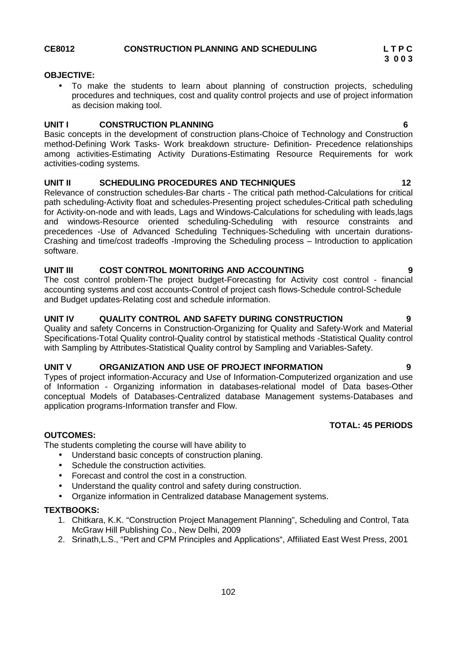# **OBJECTIVE:**

 To make the students to learn about planning of construction projects, scheduling procedures and techniques, cost and quality control projects and use of project information as decision making tool.

#### **UNIT I CONSTRUCTION PLANNING 6**

Basic concepts in the development of construction plans-Choice of Technology and Construction method-Defining Work Tasks- Work breakdown structure- Definition- Precedence relationships among activities-Estimating Activity Durations-Estimating Resource Requirements for work activities-coding systems.

### **UNIT II SCHEDULING PROCEDURES AND TECHNIQUES 12**

Relevance of construction schedules-Bar charts - The critical path method-Calculations for critical path scheduling-Activity float and schedules-Presenting project schedules-Critical path scheduling for Activity-on-node and with leads, Lags and Windows-Calculations for scheduling with leads,lags and windows-Resource oriented scheduling-Scheduling with resource constraints and precedences -Use of Advanced Scheduling Techniques-Scheduling with uncertain durations- Crashing and time/cost tradeoffs -Improving the Scheduling process – Introduction to application software.

### **UNIT III COST CONTROL MONITORING AND ACCOUNTING 9**

The cost control problem-The project budget-Forecasting for Activity cost control - financial accounting systems and cost accounts-Control of project cash flows-Schedule control-Schedule and Budget updates-Relating cost and schedule information.

#### **UNIT IV QUALITY CONTROL AND SAFETY DURING CONSTRUCTION 9**

Quality and safety Concerns in Construction-Organizing for Quality and Safety-Work and Material Specifications-Total Quality control-Quality control by statistical methods -Statistical Quality control with Sampling by Attributes-Statistical Quality control by Sampling and Variables-Safety.

### **UNIT V ORGANIZATION AND USE OF PROJECT INFORMATION 9**

Types of project information-Accuracy and Use of Information-Computerized organization and use of Information - Organizing information in databases-relational model of Data bases-Other conceptual Models of Databases-Centralized database Management systems-Databases and application programs-Information transfer and Flow.

# **TOTAL: 45 PERIODS**

#### **OUTCOMES:**

The students completing the course will have ability to

- Understand basic concepts of construction planing.
	- Schedule the construction activities.
	- Forecast and control the cost in a construction.
	- Understand the quality control and safety during construction.
	- Organize information in Centralized database Management systems.

### **TEXTBOOKS:**

- 1. Chitkara, K.K. "Construction Project Management Planning", Scheduling and Control, Tata McGraw Hill Publishing Co., New Delhi, 2009
- 2. Srinath,L.S., "Pert and CPM Principles and Applications", Affiliated East West Press, 2001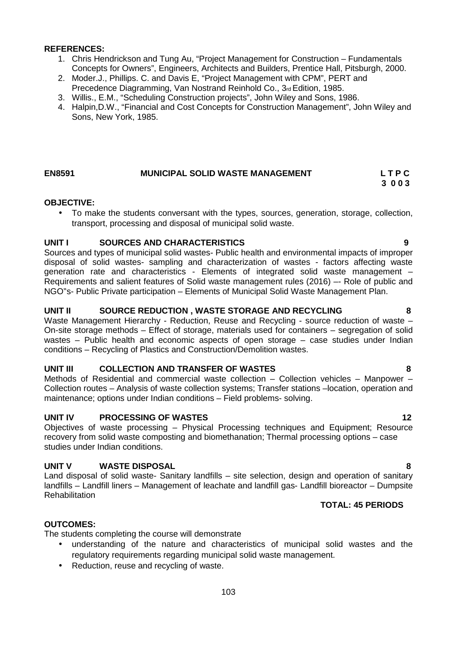#### **REFERENCES:**

- 1. Chris Hendrickson and Tung Au, "Project Management for Construction Fundamentals Concepts for Owners", Engineers, Architects and Builders, Prentice Hall, Pitsburgh, 2000.
- 2. Moder.J., Phillips. C. and Davis E, "Project Management with CPM", PERT and Precedence Diagramming, Van Nostrand Reinhold Co., 3rd Edition, 1985.
- 3. Willis., E.M., "Scheduling Construction projects", John Wiley and Sons, 1986.
- 4. Halpin,D.W., "Financial and Cost Concepts for Construction Management", John Wiley and Sons, New York, 1985.

### **EN8591 MUNICIPAL SOLID WASTE MANAGEMENT L T P C**

#### **OBJECTIVE:**

 To make the students conversant with the types, sources, generation, storage, collection, transport, processing and disposal of municipal solid waste.

#### **UNIT I SOURCES AND CHARACTERISTICS 9**

Sources and types of municipal solid wastes- Public health and environmental impacts of improper disposal of solid wastes- sampling and characterization of wastes - factors affecting waste generation rate and characteristics - Elements of integrated solid waste management – Requirements and salient features of Solid waste management rules (2016) –- Role of public and NGO"s- Public Private participation – Elements of Municipal Solid Waste Management Plan.

#### **UNIT II SOURCE REDUCTION , WASTE STORAGE AND RECYCLING 8**

Waste Management Hierarchy - Reduction, Reuse and Recycling - source reduction of waste – On-site storage methods – Effect of storage, materials used for containers – segregation of solid wastes – Public health and economic aspects of open storage – case studies under Indian conditions – Recycling of Plastics and Construction/Demolition wastes.

#### **UNIT III COLLECTION AND TRANSFER OF WASTES 8**

Methods of Residential and commercial waste collection – Collection vehicles – Manpower – Collection routes – Analysis of waste collection systems; Transfer stations –location, operation and maintenance; options under Indian conditions – Field problems- solving.

### **UNIT IV PROCESSING OF WASTES 12**

Objectives of waste processing – Physical Processing techniques and Equipment; Resource recovery from solid waste composting and biomethanation; Thermal processing options – case studies under Indian conditions.

#### **UNIT V WASTE DISPOSAL 8**

Land disposal of solid waste- Sanitary landfills – site selection, design and operation of sanitary landfills – Landfill liners – Management of leachate and landfill gas- Landfill bioreactor – Dumpsite Rehabilitation

#### **TOTAL: 45 PERIODS**

#### **OUTCOMES:**

The students completing the course will demonstrate

- understanding of the nature and characteristics of municipal solid wastes and the regulatory requirements regarding municipal solid waste management.
- Reduction, reuse and recycling of waste.

# **3 0 0 3**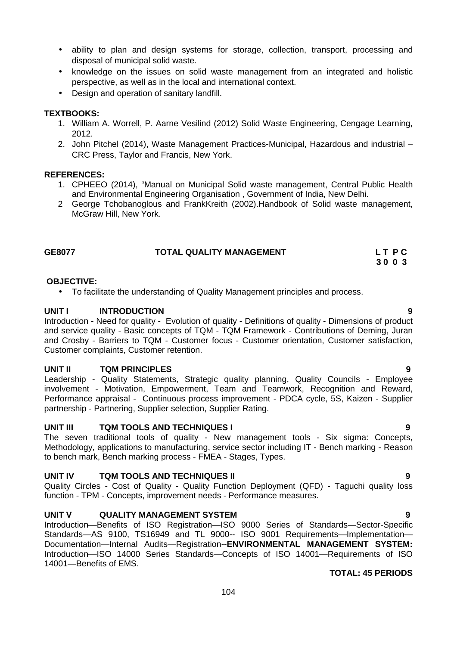- ability to plan and design systems for storage, collection, transport, processing and disposal of municipal solid waste.
- knowledge on the issues on solid waste management from an integrated and holistic perspective, as well as in the local and international context.
- Design and operation of sanitary landfill.

#### **TEXTBOOKS:**

- 1. William A. Worrell, P. Aarne Vesilind (2012) Solid Waste Engineering, Cengage Learning, 2012.
- 2. John Pitchel (2014), Waste Management Practices-Municipal, Hazardous and industrial CRC Press, Taylor and Francis, New York.

#### **REFERENCES:**

- 1. CPHEEO (2014), "Manual on Municipal Solid waste management, Central Public Health and Environmental Engineering Organisation , Government of India, New Delhi.
- 2 George Tchobanoglous and FrankKreith (2002).Handbook of Solid waste management, McGraw Hill, New York.

| GE8077 | <b>TOTAL QUALITY MANAGEMENT</b> | LT PC |
|--------|---------------------------------|-------|
|        |                                 | 3003  |

#### **OBJECTIVE:**

To facilitate the understanding of Quality Management principles and process.

#### **UNIT I INTRODUCTION 9**

Introduction - Need for quality - Evolution of quality - Definitions of quality - Dimensions of product and service quality - Basic concepts of TQM - TQM Framework - Contributions of Deming, Juran and Crosby - Barriers to TQM - Customer focus - Customer orientation, Customer satisfaction, Customer complaints, Customer retention.

#### **UNIT II TQM PRINCIPLES 9**

Leadership - Quality Statements, Strategic quality planning, Quality Councils - Employee involvement - Motivation, Empowerment, Team and Teamwork, Recognition and Reward, Performance appraisal - Continuous process improvement - PDCA cycle, 5S, Kaizen - Supplier partnership - Partnering, Supplier selection, Supplier Rating.

### **UNIT III TQM TOOLS AND TECHNIQUES I 9**

The seven traditional tools of quality - New management tools - Six sigma: Concepts, Methodology, applications to manufacturing, service sector including IT - Bench marking - Reason to bench mark, Bench marking process - FMEA - Stages, Types.

### **UNIT IV TQM TOOLS AND TECHNIQUES II 9**

Quality Circles - Cost of Quality - Quality Function Deployment (QFD) - Taguchi quality loss function - TPM - Concepts, improvement needs - Performance measures.

### **UNIT V QUALITY MANAGEMENT SYSTEM 9**

Introduction—Benefits of ISO Registration—ISO 9000 Series of Standards—Sector-Specific Standards—AS 9100, TS16949 and TL 9000-- ISO 9001 Requirements—Implementation— Documentation—Internal Audits—Registration--**ENVIRONMENTAL MANAGEMENT SYSTEM:** Introduction—ISO 14000 Series Standards—Concepts of ISO 14001—Requirements of ISO 14001—Benefits of EMS.

#### **TOTAL: 45 PERIODS**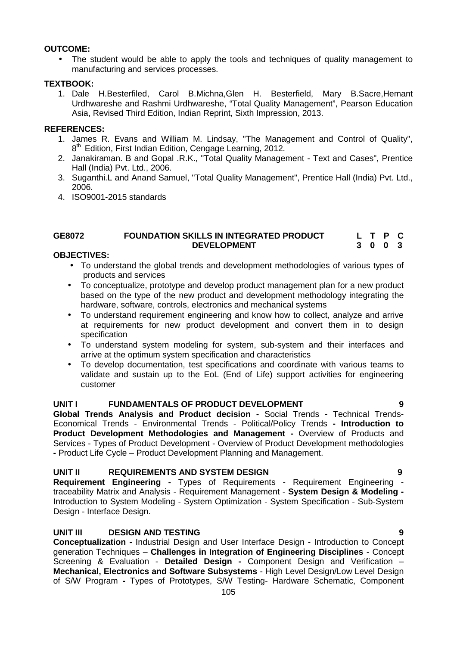### **OUTCOME:**

 The student would be able to apply the tools and techniques of quality management to manufacturing and services processes.

#### **TEXTBOOK:**

1. Dale H.Besterfiled, Carol B.Michna,Glen H. Besterfield, Mary B.Sacre,Hemant Urdhwareshe and Rashmi Urdhwareshe, "Total Quality Management", Pearson Education Asia, Revised Third Edition, Indian Reprint, Sixth Impression, 2013.

#### **REFERENCES:**

- 1. James R. Evans and William M. Lindsay, "The Management and Control of Quality", 8<sup>th</sup> Edition, First Indian Edition, Cengage Learning, 2012.
- 2. Janakiraman. B and Gopal .R.K., "Total Quality Management Text and Cases", Prentice Hall (India) Pvt. Ltd., 2006.
- 3. Suganthi.L and Anand Samuel, "Total Quality Management", Prentice Hall (India) Pvt. Ltd., 2006.
- 4. ISO9001-2015 standards

#### **GE8072 FOUNDATION SKILLS IN INTEGRATED PRODUCT DEVELOPMENT L T P C 3 0 0 3**

#### **OBJECTIVES:**

- To understand the global trends and development methodologies of various types of products and services
- To conceptualize, prototype and develop product management plan for a new product based on the type of the new product and development methodology integrating the hardware, software, controls, electronics and mechanical systems
- To understand requirement engineering and know how to collect, analyze and arrive at requirements for new product development and convert them in to design specification
- To understand system modeling for system, sub-system and their interfaces and arrive at the optimum system specification and characteristics
- To develop documentation, test specifications and coordinate with various teams to validate and sustain up to the EoL (End of Life) support activities for engineering customer

### **UNIT I FUNDAMENTALS OF PRODUCT DEVELOPMENT 9**

**Global Trends Analysis and Product decision -** Social Trends - Technical Trends- Economical Trends - Environmental Trends - Political/Policy Trends **- Introduction to Product Development Methodologies and Management -** Overview of Products and Services - Types of Product Development - Overview of Product Development methodologies **-** Product Life Cycle – Product Development Planning and Management.

#### **UNIT II REQUIREMENTS AND SYSTEM DESIGN 9**

**Requirement Engineering -** Types of Requirements - Requirement Engineering traceability Matrix and Analysis - Requirement Management - **System Design & Modeling -** Introduction to System Modeling - System Optimization - System Specification - Sub-System Design - Interface Design.

# **UNIT III DESIGN AND TESTING 9**

**Conceptualization -** Industrial Design and User Interface Design - Introduction to Concept generation Techniques – **Challenges in Integration of Engineering Disciplines** - Concept Screening & Evaluation - **Detailed Design -** Component Design and Verification – **Mechanical, Electronics and Software Subsystems** - High Level Design/Low Level Design of S/W Program **-** Types of Prototypes, S/W Testing- Hardware Schematic, Component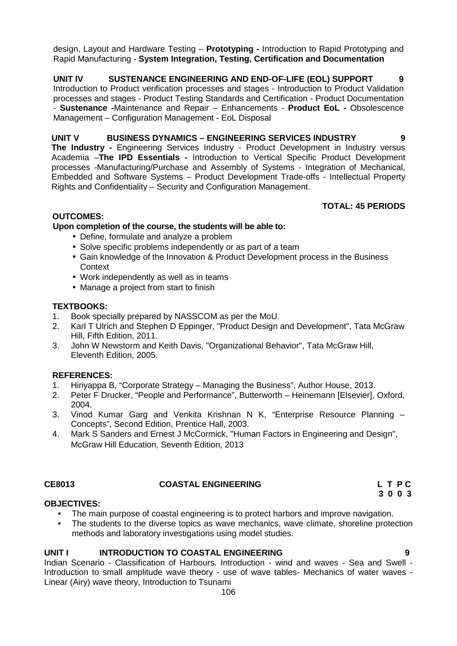design, Layout and Hardware Testing – **Prototyping -** Introduction to Rapid Prototyping and Rapid Manufacturing - **System Integration, Testing, Certification and Documentation**

# **UNIT IV SUSTENANCE ENGINEERING AND END-OF-LIFE (EOL) SUPPORT 9**

Introduction to Product verification processes and stages - Introduction to Product Validation processes and stages - Product Testing Standards and Certification - Product Documentation - **Sustenance -**Maintenance and Repair – Enhancements - **Product EoL -** Obsolescence Management – Configuration Management - EoL Disposal

## **UNIT V BUSINESS DYNAMICS –ENGINEERING SERVICES INDUSTRY 9**

**The Industry -** Engineering Services Industry - Product Development in Industry versus Academia –**The IPD Essentials -** Introduction to Vertical Specific Product Development processes -Manufacturing/Purchase and Assembly of Systems - Integration of Mechanical, Embedded and Software Systems – Product Development Trade-offs - Intellectual Property Rights and Confidentiality – Security and Configuration Management.

# **TOTAL: 45 PERIODS**

# **OUTCOMES:**

# **Upon completion of the course, the students will be able to:**

- Define, formulate and analyze a problem
- Solve specific problems independently or as part of a team
- Gain knowledge of the Innovation & Product Development process in the Business **Context**
- Work independently as well as in teams
- Manage a project from start to finish

# **TEXTBOOKS:**

- 1. Book specially prepared by NASSCOM as per the MoU.
- 2. Karl T Ulrich and Stephen D Eppinger, "Product Design and Development", Tata McGraw Hill, Fifth Edition, 2011.
- 3. John W Newstorm and Keith Davis, "Organizational Behavior", Tata McGraw Hill, Eleventh Edition, 2005.

### **REFERENCES:**

- 1. Hiriyappa B, "Corporate Strategy Managing the Business", Author House, 2013.
- 2. Peter F Drucker, "People and Performance", Butterworth Heinemann [Elsevier], Oxford, 2004.
- 3. Vinod Kumar Garg and Venkita Krishnan N K, "Enterprise Resource Planning Concepts", Second Edition, Prentice Hall, 2003.
- 4. Mark S Sanders and Ernest J McCormick, "Human Factors in Engineering and Design", McGraw Hill Education, Seventh Edition, 2013

# **CE8013 COASTAL ENGINEERING L T P C**

**3 0 0 3**

### **OBJECTIVES:**

- The main purpose of coastal engineering is to protect harbors and improve navigation.
- The students to the diverse topics as wave mechanics, wave climate, shoreline protection methods and laboratory investigations using model studies.

# **UNIT I INTRODUCTION TO COASTAL ENGINEERING 9**

Indian Scenario - Classification of Harbours. Introduction - wind and waves - Sea and Swell - Introduction to small amplitude wave theory - use of wave tables- Mechanics of water waves - Linear (Airy) wave theory, Introduction to Tsunami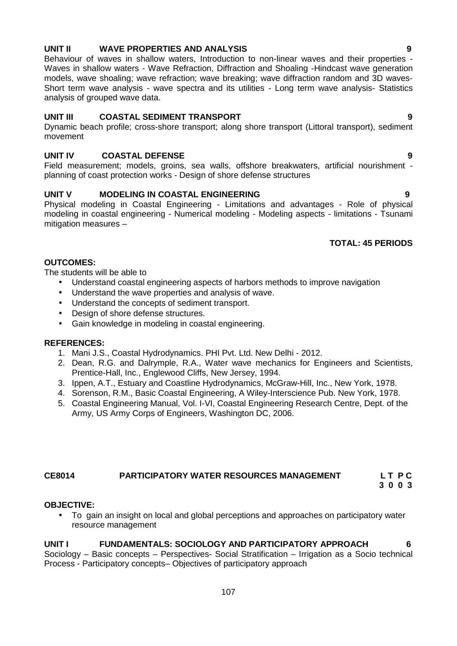modeling in coastal engineering - Numerical modeling - Modeling aspects - limitations - Tsunami mitigation measures –

# **OUTCOMES:**

The students will be able to

- Understand coastal engineering aspects of harbors methods to improve navigation
- Understand the wave properties and analysis of wave.
- Understand the concepts of sediment transport.
- Design of shore defense structures.
- Gain knowledge in modeling in coastal engineering.

#### **REFERENCES:**

- 1. Mani J.S., Coastal Hydrodynamics. PHI Pvt. Ltd. New Delhi 2012.
- 2. Dean, R.G. and Dalrymple, R.A., Water wave mechanics for Engineers and Scientists, Prentice-Hall, Inc., Englewood Cliffs, New Jersey, 1994.
- 3. Ippen, A.T., Estuary and Coastline Hydrodynamics, McGraw-Hill, Inc., New York, 1978.
- 4. Sorenson, R.M., Basic Coastal Engineering, A Wiley-Interscience Pub. New York, 1978.
- 5. Coastal Engineering Manual, Vol. I-VI, Coastal Engineering Research Centre, Dept. of the Army, US Army Corps of Engineers, Washington DC, 2006.

# **CE8014 PARTICIPATORY WATER RESOURCES MANAGEMENT L T P C**

**3 0 0 3**

#### **OBJECTIVE:**

 To gain an insight on local and global perceptions and approaches on participatory water resource management

#### **UNIT I FUNDAMENTALS: SOCIOLOGY AND PARTICIPATORY APPROACH 6**

Sociology – Basic concepts – Perspectives- Social Stratification – Irrigation as a Socio technical Process - Participatory concepts– Objectives of participatory approach

# **UNIT II WAVE PROPERTIES AND ANALYSIS 9**

Behaviour of waves in shallow waters, Introduction to non-linear waves and their properties - Waves in shallow waters - Wave Refraction, Diffraction and Shoaling -Hindcast wave generation models, wave shoaling; wave refraction; wave breaking; wave diffraction random and 3D waves- Short term wave analysis - wave spectra and its utilities - Long term wave analysis- Statistics analysis of grouped wave data.

#### **UNIT III COASTAL SEDIMENT TRANSPORT 9**

Dynamic beach profile; cross-shore transport; along shore transport (Littoral transport), sediment movement

# **UNIT IV COASTAL DEFENSE 9**

Field measurement; models, groins, sea walls, offshore breakwaters, artificial nourishment planning of coast protection works - Design of shore defense structures

# **UNIT V MODELING IN COASTAL ENGINEERING 9**

Physical modeling in Coastal Engineering - Limitations and advantages - Role of physical

# **TOTAL: 45 PERIODS**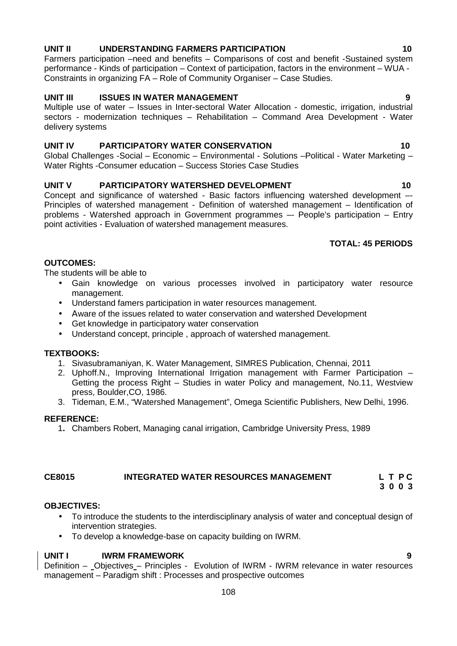Concept and significance of watershed - Basic factors influencing watershed development –- Principles of watershed management - Definition of watershed management – Identification of problems - Watershed approach in Government programmes –- People's participation – Entry point activities - Evaluation of watershed management measures.

# **OUTCOMES:**

The students will be able to

- Gain knowledge on various processes involved in participatory water resource management.
- Understand famers participation in water resources management.
- Aware of the issues related to water conservation and watershed Development
- Get knowledge in participatory water conservation
- Understand concept, principle , approach of watershed management.

## **TEXTBOOKS:**

- 1. Sivasubramaniyan, K. Water Management, SIMRES Publication, Chennai, 2011
- 2. Uphoff.N., Improving International Irrigation management with Farmer Participation Getting the process Right – Studies in water Policy and management, No.11, Westview press, Boulder,CO, 1986.
- 3. Tideman, E.M., "Watershed Management", Omega Scientific Publishers, New Delhi, 1996.

#### **REFERENCE:**

1**.** Chambers Robert, Managing canal irrigation, Cambridge University Press, 1989

#### **CE8015 INTEGRATED WATER RESOURCES MANAGEMENT L T P C**

#### **OBJECTIVES:**

- To introduce the students to the interdisciplinary analysis of water and conceptual design of intervention strategies.
- To develop a knowledge-base on capacity building on IWRM.

#### **UNIT I IWRM FRAMEWORK 9**

Definition – Objectives – Principles - Evolution of IWRM - IWRM relevance in water resources management – Paradigm shift : Processes and prospective outcomes

#### **UNIT II UNDERSTANDING FARMERS PARTICIPATION 10**

Farmers participation –need and benefits – Comparisons of cost and benefit -Sustained system performance - Kinds of participation – Context of participation, factors in the environment – WUA - Constraints in organizing FA – Role of Community Organiser – Case Studies.

# **UNIT III ISSUES IN WATER MANAGEMENT 9**

Multiple use of water – Issues in Inter-sectoral Water Allocation - domestic, irrigation, industrial sectors - modernization techniques – Rehabilitation – Command Area Development - Water delivery systems

#### **UNIT IV PARTICIPATORY WATER CONSERVATION 10**

Global Challenges -Social – Economic – Environmental - Solutions –Political - Water Marketing – Water Rights -Consumer education – Success Stories Case Studies

#### **UNIT V PARTICIPATORY WATERSHED DEVELOPMENT 40**

# **TOTAL: 45 PERIODS**

**3 0 0 3**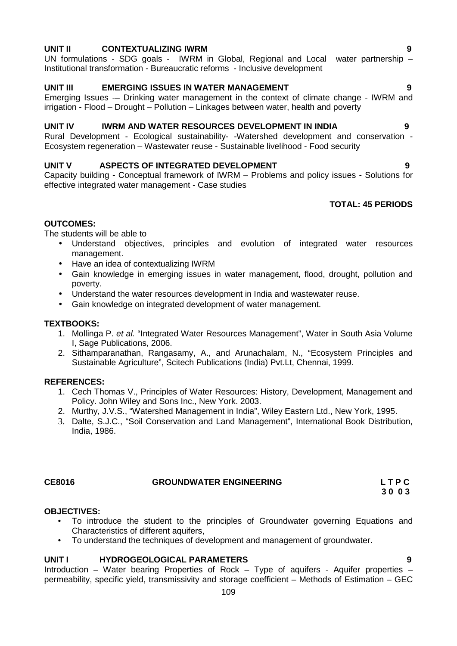#### **UNIT II CONTEXTUALIZING IWRM 9**

UN formulations - SDG goals - IWRM in Global, Regional and Local water partnership – Institutional transformation - Bureaucratic reforms - Inclusive development

#### **UNIT III EMERGING ISSUES IN WATER MANAGEMENT 9**

Emerging Issues -– Drinking water management in the context of climate change - IWRM and irrigation - Flood – Drought – Pollution – Linkages between water, health and poverty

#### **UNIT IV IWRM AND WATER RESOURCES DEVELOPMENT IN INDIA 9**

Rural Development - Ecological sustainability- -Watershed development and conservation - Ecosystem regeneration – Wastewater reuse - Sustainable livelihood - Food security

#### **UNIT V ASPECTS OF INTEGRATED DEVELOPMENT 9**

Capacity building - Conceptual framework of IWRM – Problems and policy issues - Solutions for effective integrated water management - Case studies

#### **TOTAL: 45 PERIODS**

#### **OUTCOMES:**

The students will be able to

- Understand objectives, principles and evolution of integrated water resources management.
- Have an idea of contextualizing IWRM
- Gain knowledge in emerging issues in water management, flood, drought, pollution and poverty.
- Understand the water resources development in India and wastewater reuse.
- Gain knowledge on integrated development of water management.

#### **TEXTBOOKS:**

- 1. Mollinga P. *et al.* "Integrated Water Resources Management", Water in South Asia Volume I, Sage Publications, 2006.
- 2. Sithamparanathan, Rangasamy, A., and Arunachalam, N., "Ecosystem Principles and Sustainable Agriculture", Scitech Publications (India) Pvt.Lt, Chennai, 1999.

#### **REFERENCES:**

- 1. Cech Thomas V., Principles of Water Resources: History, Development, Management and Policy. John Wiley and Sons Inc., New York. 2003.
- 2. Murthy, J.V.S., "Watershed Management in India", Wiley Eastern Ltd., New York, 1995.
- 3. Dalte, S.J.C., "Soil Conservation and Land Management", International Book Distribution, India, 1986.

| <b>CE8016</b> | <b>GROUNDWATER ENGINEERING</b> | LTPC |
|---------------|--------------------------------|------|
|               |                                |      |

#### **OBJECTIVES:**

- To introduce the student to the principles of Groundwater governing Equations and Characteristics of different aquifers,
- To understand the techniques of development and management of groundwater.

### **UNIT I HYDROGEOLOGICAL PARAMETERS 9**

Introduction – Water bearing Properties of Rock – Type of aquifers - Aquifer properties – permeability, specific yield, transmissivity and storage coefficient – Methods of Estimation – GEC

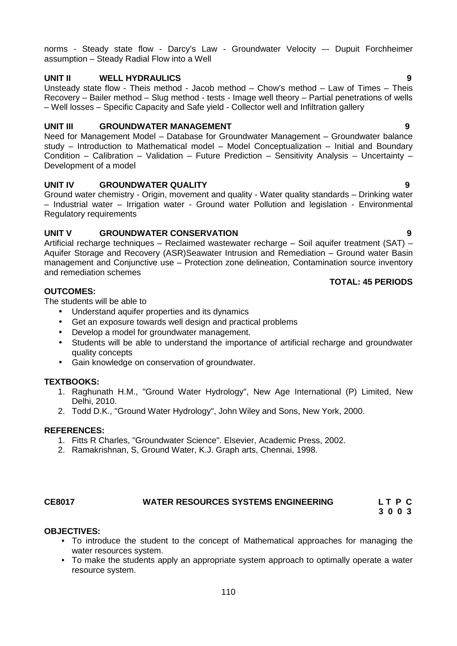norms - Steady state flow - Darcy's Law - Groundwater Velocity –- Dupuit Forchheimer assumption – Steady Radial Flow into a Well

### **UNIT II WELL HYDRAULICS 9**

Unsteady state flow - Theis method - Jacob method – Chow's method – Law of Times – Theis Recovery – Bailer method – Slug method - tests - Image well theory – Partial penetrations of wells – Well losses – Specific Capacity and Safe yield - Collector well and Infiltration gallery

### **UNIT III GROUNDWATER MANAGEMENT 9**

Need for Management Model – Database for Groundwater Management – Groundwater balance study – Introduction to Mathematical model – Model Conceptualization – Initial and Boundary Condition – Calibration – Validation – Future Prediction – Sensitivity Analysis – Uncertainty – Development of a model

### **UNIT IV GROUNDWATER QUALITY 9**

Ground water chemistry - Origin, movement and quality - Water quality standards – Drinking water – Industrial water – Irrigation water - Ground water Pollution and legislation - Environmental Regulatory requirements

#### **UNIT V GROUNDWATER CONSERVATION 9**

Artificial recharge techniques – Reclaimed wastewater recharge – Soil aquifer treatment (SAT) – Aquifer Storage and Recovery (ASR)Seawater Intrusion and Remediation – Ground water Basin management and Conjunctive use – Protection zone delineation, Contamination source inventory and remediation schemes

#### **OUTCOMES:**

The students will be able to

- Understand aquifer properties and its dynamics
- Get an exposure towards well design and practical problems
- Develop a model for groundwater management.
- Students will be able to understand the importance of artificial recharge and groundwater quality concepts
- Gain knowledge on conservation of groundwater.

#### **TEXTBOOKS:**

- 1. Raghunath H.M., "Ground Water Hydrology", New Age International (P) Limited, New Delhi, 2010.
- 2. Todd D.K., "Ground Water Hydrology", John Wiley and Sons, New York, 2000.

#### **REFERENCES:**

- 1. Fitts R Charles, "Groundwater Science". Elsevier, Academic Press, 2002.
- 2. Ramakrishnan, S, Ground Water, K.J. Graph arts, Chennai, 1998.

# **CE8017 WATER RESOURCES SYSTEMS ENGINEERING L T P C**

# **3 0 0 3**

**TOTAL: 45 PERIODS**

### **OBJECTIVES:**

- To introduce the student to the concept of Mathematical approaches for managing the water resources system.
- To make the students apply an appropriate system approach to optimally operate a water resource system.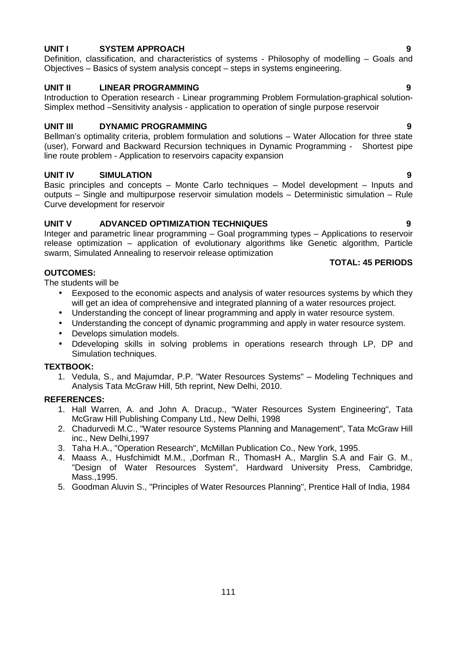**UNIT V ADVANCED OPTIMIZATION TECHNIQUES 9** Integer and parametric linear programming – Goal programming types – Applications to reservoir release optimization – application of evolutionary algorithms like Genetic algorithm, Particle swarm, Simulated Annealing to reservoir release optimization

outputs – Single and multipurpose reservoir simulation models – Deterministic simulation – Rule

#### **OUTCOMES:**

The students will be

- Eexposed to the economic aspects and analysis of water resources systems by which they will get an idea of comprehensive and integrated planning of a water resources project.
- Understanding the concept of linear programming and apply in water resource system.
- Understanding the concept of dynamic programming and apply in water resource system.
- Develops simulation models.
- Ddeveloping skills in solving problems in operations research through LP, DP and Simulation techniques.

#### **TEXTBOOK:**

1. Vedula, S., and Majumdar, P.P. "Water Resources Systems" – Modeling Techniques and Analysis Tata McGraw Hill, 5th reprint, New Delhi, 2010.

### **REFERENCES:**

- 1. Hall Warren, A. and John A. Dracup., "Water Resources System Engineering", Tata McGraw Hill Publishing Company Ltd., New Delhi, 1998
- 2. Chadurvedi M.C., "Water resource Systems Planning and Management", Tata McGraw Hill inc., New Delhi,1997
- 3. Taha H.A., "Operation Research", McMillan Publication Co., New York, 1995.
- 4. Maass A., Husfchimidt M.M., ,Dorfman R., ThomasH A., Marglin S.A and Fair G. M., "Design of Water Resources System", Hardward University Press, Cambridge, Mass.,1995.
- 5. Goodman Aluvin S., "Principles of Water Resources Planning", Prentice Hall of India, 1984

### **UNIT II LINEAR PROGRAMMING 9**

Introduction to Operation research - Linear programming Problem Formulation-graphical solution- Simplex method –Sensitivity analysis - application to operation of single purpose reservoir

**UNIT III DYNAMIC PROGRAMMING 9** Bellman's optimality criteria, problem formulation and solutions – Water Allocation for three state (user), Forward and Backward Recursion techniques in Dynamic Programming - Shortest pipe line route problem - Application to reservoirs capacity expansion

# **UNIT IV SIMULATION 9**

Curve development for reservoir

Objectives – Basics of system analysis concept – steps in systems engineering.

#### **UNIT I SYSTEM APPROACH 9**

Basic principles and concepts – Monte Carlo techniques – Model development – Inputs and

# **TOTAL: 45 PERIODS**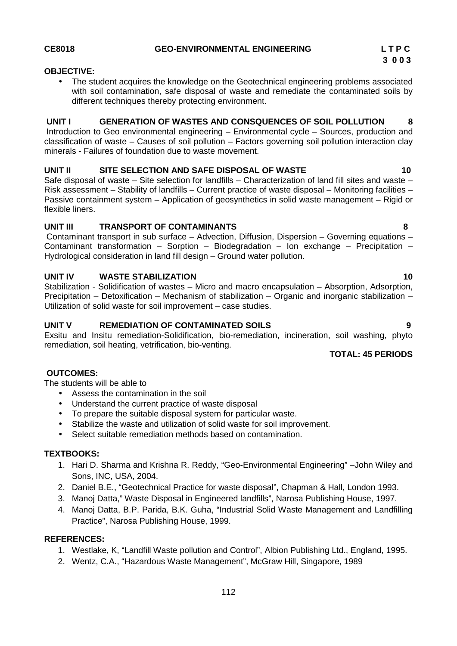**UNIT I GENERATION OF WASTES AND CONSQUENCES OF SOIL POLLUTION 8** Introduction to Geo environmental engineering – Environmental cycle – Sources, production and

# **UNIT II SITE SELECTION AND SAFE DISPOSAL OF WASTE 10**

different techniques thereby protecting environment.

Safe disposal of waste – Site selection for landfills – Characterization of land fill sites and waste – Risk assessment – Stability of landfills – Current practice of waste disposal – Monitoring facilities – Passive containment system – Application of geosynthetics in solid waste management – Rigid or flexible liners.

#### **UNIT III TRANSPORT OF CONTAMINANTS 8**

Contaminant transport in sub surface – Advection, Diffusion, Dispersion – Governing equations – Contaminant transformation – Sorption – Biodegradation – Ion exchange – Precipitation – Hydrological consideration in land fill design – Ground water pollution.

#### **UNIT IV WASTE STABILIZATION 10**

Stabilization - Solidification of wastes – Micro and macro encapsulation – Absorption, Adsorption, Precipitation – Detoxification – Mechanism of stabilization – Organic and inorganic stabilization – Utilization of solid waste for soil improvement – case studies.

#### **UNIT V REMEDIATION OF CONTAMINATED SOILS 9**

Exsitu and Insitu remediation-Solidification, bio-remediation, incineration, soil washing, phyto remediation, soil heating, vetrification, bio-venting.

#### **OUTCOMES:**

**OBJECTIVE:**

The students will be able to

- Assess the contamination in the soil
- Understand the current practice of waste disposal
- To prepare the suitable disposal system for particular waste.
- Stabilize the waste and utilization of solid waste for soil improvement.
- Select suitable remediation methods based on contamination.

#### **TEXTBOOKS:**

- 1. Hari D. Sharma and Krishna R. Reddy, "Geo-Environmental Engineering" –John Wiley and Sons, INC, USA, 2004.
- 2. Daniel B.E., "Geotechnical Practice for waste disposal", Chapman & Hall, London 1993.
- 3. Manoj Datta," Waste Disposal in Engineered landfills", Narosa Publishing House, 1997.
- 4. Manoj Datta, B.P. Parida, B.K. Guha, "Industrial Solid Waste Management and Landfilling Practice", Narosa Publishing House, 1999.

#### **REFERENCES:**

- 1. Westlake, K, "Landfill Waste pollution and Control", Albion Publishing Ltd., England, 1995.
- 2. Wentz, C.A., "Hazardous Waste Management", McGraw Hill, Singapore, 1989

# **CE8018 GEO-ENVIRONMENTAL ENGINEERING L T P C**

 The student acquires the knowledge on the Geotechnical engineering problems associated with soil contamination, safe disposal of waste and remediate the contaminated soils by

**TOTAL: 45 PERIODS**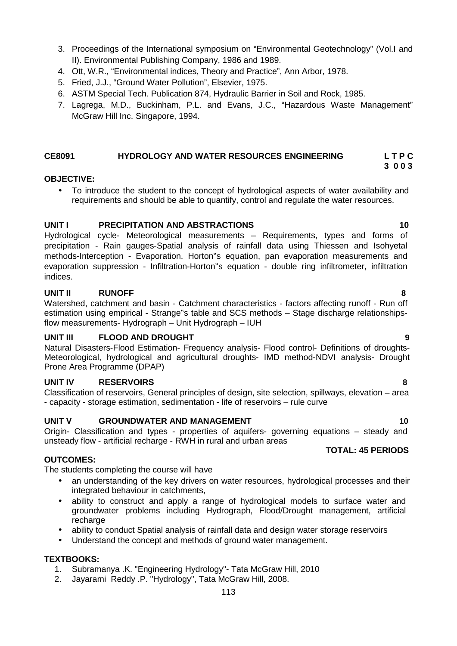- 3. Proceedings of the International symposium on "Environmental Geotechnology" (Vol.I and II). Environmental Publishing Company, 1986 and 1989.
- 4. Ott, W.R., "Environmental indices, Theory and Practice", Ann Arbor, 1978.
- 5. Fried, J.J., "Ground Water Pollution", Elsevier, 1975.
- 6. ASTM Special Tech. Publication 874, Hydraulic Barrier in Soil and Rock, 1985.
- 7. Lagrega, M.D., Buckinham, P.L. and Evans, J.C., "Hazardous Waste Management" McGraw Hill Inc. Singapore, 1994.

### **CE8091 HYDROLOGY AND WATER RESOURCES ENGINEERING L T P C**

### **OBJECTIVE:**

 To introduce the student to the concept of hydrological aspects of water availability and requirements and should be able to quantify, control and regulate the water resources.

# **UNIT I PRECIPITATION AND ABSTRACTIONS 10**

Hydrological cycle- Meteorological measurements – Requirements, types and forms of precipitation - Rain gauges-Spatial analysis of rainfall data using Thiessen and Isohyetal methods-Interception - Evaporation. Horton"s equation, pan evaporation measurements and evaporation suppression - Infiltration-Horton"s equation - double ring infiltrometer, infiltration indices.

# **UNIT II RUNOFF 8**

Watershed, catchment and basin - Catchment characteristics - factors affecting runoff - Run off estimation using empirical - Strange"s table and SCS methods – Stage discharge relationshipsflow measurements- Hydrograph – Unit Hydrograph – IUH

# **UNIT III FLOOD AND DROUGHT 9**

Natural Disasters-Flood Estimation- Frequency analysis- Flood control- Definitions of droughts- Meteorological, hydrological and agricultural droughts- IMD method-NDVI analysis- Drought Prone Area Programme (DPAP)

### **UNIT IV RESERVOIRS 8**

Classification of reservoirs, General principles of design, site selection, spillways, elevation – area - capacity - storage estimation, sedimentation - life of reservoirs – rule curve

### **UNIT V GROUNDWATER AND MANAGEMENT 10**

Origin- Classification and types - properties of aquifers- governing equations – steady and unsteady flow - artificial recharge - RWH in rural and urban areas

### **TOTAL: 45 PERIODS**

### **OUTCOMES:**

The students completing the course will have

- an understanding of the key drivers on water resources, hydrological processes and their integrated behaviour in catchments,
- ability to construct and apply a range of hydrological models to surface water and groundwater problems including Hydrograph, Flood/Drought management, artificial recharge
- ability to conduct Spatial analysis of rainfall data and design water storage reservoirs
- Understand the concept and methods of ground water management.

# **TEXTBOOKS:**

- 1. Subramanya .K. "Engineering Hydrology"- Tata McGraw Hill, 2010
- 2. Jayarami Reddy .P. "Hydrology", Tata McGraw Hill, 2008.

**3 0 0 3**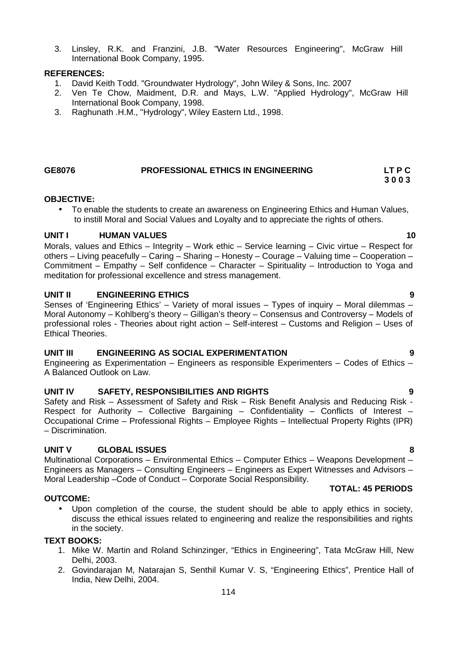3. Linsley, R.K. and Franzini, J.B. "Water Resources Engineering", McGraw Hill International Book Company, 1995.

#### **REFERENCES:**

- 1. David Keith Todd. "Groundwater Hydrology", John Wiley & Sons, Inc. 2007
- 2. Ven Te Chow, Maidment, D.R. and Mays, L.W. "Applied Hydrology", McGraw Hill International Book Company, 1998.
- 3. Raghunath .H.M., "Hydrology", Wiley Eastern Ltd., 1998.

# **GE8076 PROFESSIONAL ETHICS IN ENGINEERING LT P C**

#### **OBJECTIVE:**

 To enable the students to create an awareness on Engineering Ethics and Human Values, to instill Moral and Social Values and Loyalty and to appreciate the rights of others.

#### **UNIT I HUMAN VALUES 10**

Morals, values and Ethics – Integrity – Work ethic – Service learning – Civic virtue – Respect for others – Living peacefully – Caring – Sharing – Honesty – Courage – Valuing time – Cooperation – Commitment – Empathy – Self confidence – Character – Spirituality – Introduction to Yoga and meditation for professional excellence and stress management.

#### **UNIT II ENGINEERING ETHICS 9**

Senses of 'Engineering Ethics' – Variety of moral issues – Types of inquiry – Moral dilemmas – Moral Autonomy – Kohlberg's theory – Gilligan's theory – Consensus and Controversy – Models of professional roles - Theories about right action – Self-interest – Customs and Religion – Uses of Ethical Theories.

#### **UNIT III ENGINEERING AS SOCIAL EXPERIMENTATION 9**

Engineering as Experimentation – Engineers as responsible Experimenters – Codes of Ethics – A Balanced Outlook on Law.

### **UNIT IV SAFETY, RESPONSIBILITIES AND RIGHTS 9**

Safety and Risk – Assessment of Safety and Risk – Risk Benefit Analysis and Reducing Risk - Respect for Authority – Collective Bargaining – Confidentiality – Conflicts of Interest – Occupational Crime – Professional Rights – Employee Rights – Intellectual Property Rights (IPR) – Discrimination.

#### **UNIT V GLOBAL ISSUES 8**

Multinational Corporations – Environmental Ethics – Computer Ethics – Weapons Development – Engineers as Managers – Consulting Engineers – Engineers as Expert Witnesses and Advisors – Moral Leadership –Code of Conduct – Corporate Social Responsibility.

#### **TOTAL: 45 PERIODS**

- **OUTCOME:**
	- Upon completion of the course, the student should be able to apply ethics in society, discuss the ethical issues related to engineering and realize the responsibilities and rights in the society.

#### **TEXT BOOKS:**

- 1. Mike W. Martin and Roland Schinzinger, "Ethics in Engineering", Tata McGraw Hill, New Delhi, 2003.
- 2. Govindarajan M, Natarajan S, Senthil Kumar V. S, "Engineering Ethics", Prentice Hall of India, New Delhi, 2004.

**3 0 0 3**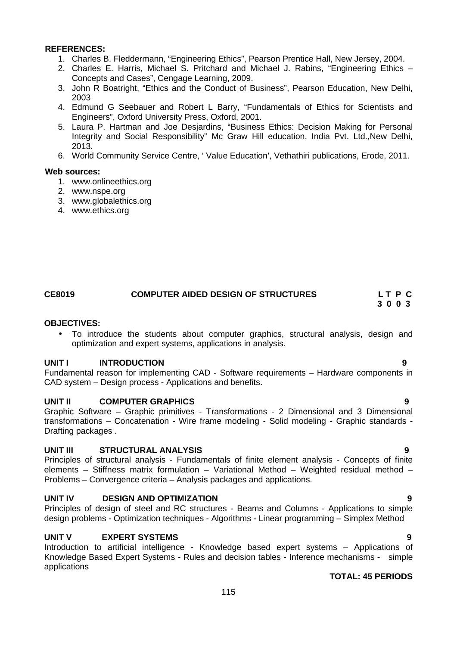#### **REFERENCES:**

- 1. Charles B. Fleddermann, "Engineering Ethics", Pearson Prentice Hall, New Jersey, 2004.
- 2. Charles E. Harris, Michael S. Pritchard and Michael J. Rabins, "Engineering Ethics Concepts and Cases", Cengage Learning, 2009.
- 3. John R Boatright, "Ethics and the Conduct of Business", Pearson Education, New Delhi, 2003
- 4. Edmund G Seebauer and Robert L Barry, "Fundamentals of Ethics for Scientists and Engineers", Oxford University Press, Oxford, 2001.
- 5. Laura P. Hartman and Joe Desjardins, "Business Ethics: Decision Making for Personal Integrity and Social Responsibility" Mc Graw Hill education, India Pvt. Ltd.,New Delhi, 2013.
- 6. World Community Service Centre, ' Value Education', Vethathiri publications, Erode, 2011.

#### **Web sources:**

- 1. www.onlineethics.org
- 2. www.nspe.org
- 3. www.globalethics.org
- 4. www.ethics.org

#### **CE8019 COMPUTER AIDED DESIGN OF STRUCTURES L T P C 3 0 0 3**

#### **OBJECTIVES:**

 To introduce the students about computer graphics, structural analysis, design and optimization and expert systems, applications in analysis.

#### **UNIT I INTRODUCTION 9**

Fundamental reason for implementing CAD - Software requirements – Hardware components in CAD system – Design process - Applications and benefits.

#### **UNIT II COMPUTER GRAPHICS 9**

Graphic Software – Graphic primitives - Transformations - 2 Dimensional and 3 Dimensional transformations – Concatenation - Wire frame modeling - Solid modeling - Graphic standards - Drafting packages .

#### **UNIT III STRUCTURAL ANALYSIS 9**

Principles of structural analysis - Fundamentals of finite element analysis - Concepts of finite elements – Stiffness matrix formulation – Variational Method – Weighted residual method – Problems – Convergence criteria – Analysis packages and applications.

#### **UNIT IV DESIGN AND OPTIMIZATION 9**

Principles of design of steel and RC structures - Beams and Columns - Applications to simple design problems - Optimization techniques - Algorithms - Linear programming – Simplex Method

#### **UNIT V EXPERT SYSTEMS 9**

Introduction to artificial intelligence - Knowledge based expert systems – Applications of Knowledge Based Expert Systems - Rules and decision tables - Inference mechanisms - simple applications

#### **TOTAL: 45 PERIODS**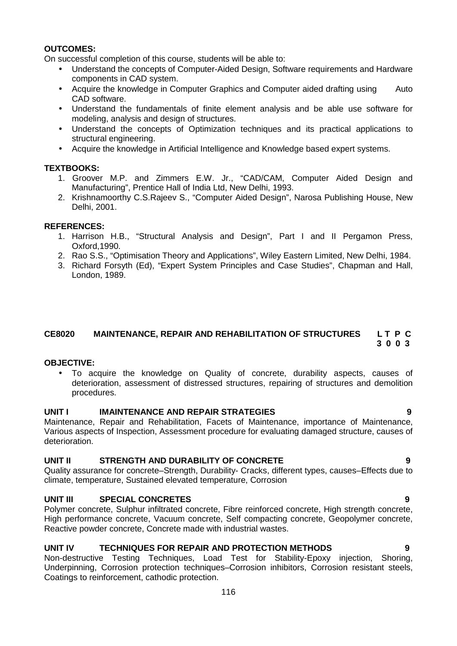### **OUTCOMES:**

On successful completion of this course, students will be able to:

- Understand the concepts of Computer-Aided Design, Software requirements and Hardware components in CAD system.
- Acquire the knowledge in Computer Graphics and Computer aided drafting using Auto CAD software.
- Understand the fundamentals of finite element analysis and be able use software for modeling, analysis and design of structures.
- Understand the concepts of Optimization techniques and its practical applications to structural engineering.
- Acquire the knowledge in Artificial Intelligence and Knowledge based expert systems.

#### **TEXTBOOKS:**

- 1. Groover M.P. and Zimmers E.W. Jr., "CAD/CAM, Computer Aided Design and Manufacturing", Prentice Hall of India Ltd, New Delhi, 1993.
- 2. Krishnamoorthy C.S.Rajeev S., "Computer Aided Design", Narosa Publishing House, New Delhi, 2001.

#### **REFERENCES:**

- 1. Harrison H.B., "Structural Analysis and Design", Part I and II Pergamon Press, Oxford,1990.
- 2. Rao S.S., "Optimisation Theory and Applications", Wiley Eastern Limited, New Delhi, 1984.
- 3. Richard Forsyth (Ed), "Expert System Principles and Case Studies", Chapman and Hall, London, 1989.

#### **CE8020 MAINTENANCE, REPAIR AND REHABILITATION OF STRUCTURES L T P C 3 0 0 3**

### **OBJECTIVE:**

 To acquire the knowledge on Quality of concrete, durability aspects, causes of deterioration, assessment of distressed structures, repairing of structures and demolition procedures.

### **UNIT I IMAINTENANCE AND REPAIR STRATEGIES 9**

Maintenance, Repair and Rehabilitation, Facets of Maintenance, importance of Maintenance, Various aspects of Inspection, Assessment procedure for evaluating damaged structure, causes of deterioration.

### **UNIT II STRENGTH AND DURABILITY OF CONCRETE 9**

Quality assurance for concrete–Strength, Durability- Cracks, different types, causes–Effects due to climate, temperature, Sustained elevated temperature, Corrosion

### **UNIT III SPECIAL CONCRETES 9**

Polymer concrete, Sulphur infiltrated concrete, Fibre reinforced concrete, High strength concrete, High performance concrete, Vacuum concrete, Self compacting concrete, Geopolymer concrete, Reactive powder concrete, Concrete made with industrial wastes.

### **UNIT IV TECHNIQUES FOR REPAIR AND PROTECTION METHODS 9**

Non-destructive Testing Techniques, Load Test for Stability-Epoxy injection, Shoring, Underpinning, Corrosion protection techniques–Corrosion inhibitors, Corrosion resistant steels, Coatings to reinforcement, cathodic protection.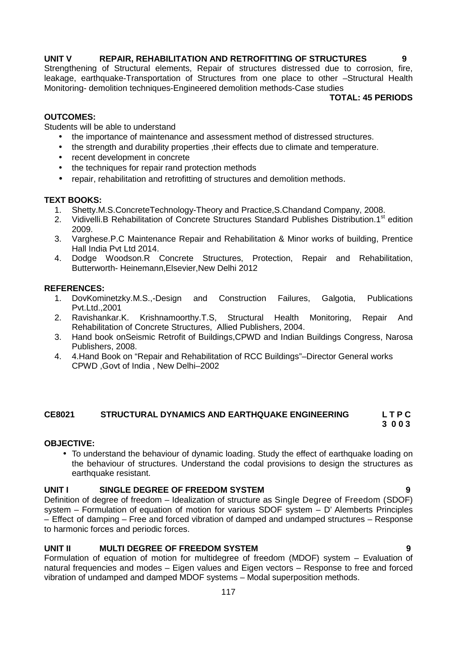### **UNIT V REPAIR, REHABILITATION AND RETROFITTING OF STRUCTURES 9**

Strengthening of Structural elements, Repair of structures distressed due to corrosion, fire, leakage, earthquake-Transportation of Structures from one place to other –Structural Health Monitoring- demolition techniques-Engineered demolition methods-Case studies

#### **TOTAL: 45 PERIODS**

#### **OUTCOMES:**

Students will be able to understand

- the importance of maintenance and assessment method of distressed structures.
- the strength and durability properties , their effects due to climate and temperature.
- recent development in concrete
- the techniques for repair rand protection methods
- repair, rehabilitation and retrofitting of structures and demolition methods.

#### **TEXT BOOKS:**

- 1. Shetty.M.S.ConcreteTechnology-Theory and Practice,S.Chandand Company, 2008.
- 2. Vidivelli.B Rehabilitation of Concrete Structures Standard Publishes Distribution.1<sup>st</sup> edition 2009.
- 3. Varghese.P.C Maintenance Repair and Rehabilitation & Minor works of building, Prentice Hall India Pvt Ltd 2014.
- 4. Dodge Woodson.R Concrete Structures, Protection, Repair and Rehabilitation, Butterworth- Heinemann,Elsevier,New Delhi 2012

#### **REFERENCES:**

- 1. DovKominetzky.M.S.,-Design and Construction Failures, Galgotia, Publications Pvt.Ltd.,2001
- 2. Ravishankar.K. Krishnamoorthy.T.S, Structural Health Monitoring, Repair And Rehabilitation of Concrete Structures, Allied Publishers, 2004.
- 3. Hand book onSeismic Retrofit of Buildings,CPWD and Indian Buildings Congress, Narosa Publishers, 2008.
- 4. 4.Hand Book on "Repair and Rehabilitation of RCC Buildings"–Director General works CPWD ,Govt of India , New Delhi–2002

# **CE8021 STRUCTURAL DYNAMICS AND EARTHQUAKE ENGINEERING L T P C**

#### **3 0 0 3**

### **OBJECTIVE:**

• To understand the behaviour of dynamic loading. Study the effect of earthquake loading on the behaviour of structures. Understand the codal provisions to design the structures as earthquake resistant.

### **UNIT I SINGLE DEGREE OF FREEDOM SYSTEM 9**

Definition of degree of freedom – Idealization of structure as Single Degree of Freedom (SDOF) system  $-$  Formulation of equation of motion for various SDOF system  $-$  D' Alemberts Principles – Effect of damping – Free and forced vibration of damped and undamped structures – Response to harmonic forces and periodic forces.

### **UNIT II MULTI DEGREE OF FREEDOM SYSTEM 9**

Formulation of equation of motion for multidegree of freedom (MDOF) system - Evaluation of natural frequencies and modes – Eigen values and Eigen vectors – Response to free and forced vibration of undamped and damped MDOF systems – Modal superposition methods.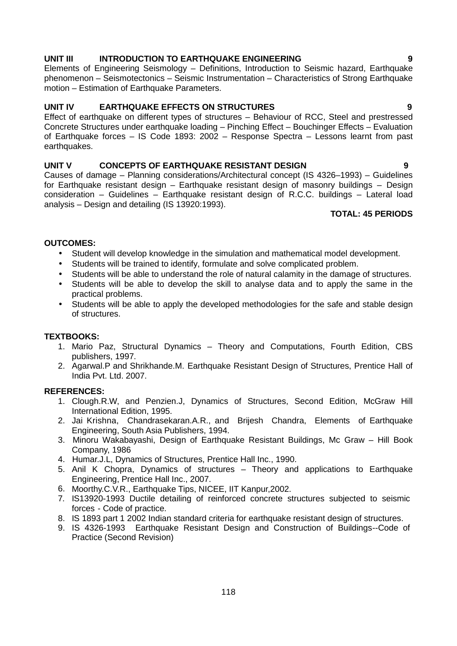### **UNIT III INTRODUCTION TO EARTHQUAKE ENGINEERING 9**

Elements of Engineering Seismology – Definitions, Introduction to Seismic hazard, Earthquake phenomenon – Seismotectonics – Seismic Instrumentation – Characteristics of Strong Earthquake motion – Estimation of Earthquake Parameters.

### **UNIT IV EARTHQUAKE EFFECTS ON STRUCTURES 9**

Effect of earthquake on different types of structures – Behaviour of RCC, Steel and prestressed Concrete Structures under earthquake loading – Pinching Effect – Bouchinger Effects – Evaluation of Earthquake forces – IS Code 1893: 2002 – Response Spectra – Lessons learnt from past earthquakes.

### **UNIT V CONCEPTS OF EARTHQUAKE RESISTANT DESIGN 9**

Causes of damage – Planning considerations/Architectural concept (IS 4326–1993) – Guidelines for Earthquake resistant design – Earthquake resistant design of masonry buildings – Design consideration – Guidelines – Earthquake resistant design of R.C.C. buildings – Lateral load analysis – Design and detailing (IS 13920:1993).

### **TOTAL: 45 PERIODS**

#### **OUTCOMES:**

- Student will develop knowledge in the simulation and mathematical model development.
- Students will be trained to identify, formulate and solve complicated problem.
- Students will be able to understand the role of natural calamity in the damage of structures.
- Students will be able to develop the skill to analyse data and to apply the same in the practical problems.
- Students will be able to apply the developed methodologies for the safe and stable design of structures.

#### **TEXTBOOKS:**

- 1. Mario Paz, Structural Dynamics Theory and Computations, Fourth Edition, CBS publishers, 1997.
- 2. Agarwal.P and Shrikhande.M. Earthquake Resistant Design of Structures, Prentice Hall of India Pvt. Ltd. 2007.

#### **REFERENCES:**

- 1. Clough.R.W, and Penzien.J, Dynamics of Structures, Second Edition, McGraw Hill International Edition, 1995.
- 2. Jai Krishna, Chandrasekaran.A.R., and Brijesh Chandra, Elements of Earthquake Engineering, South Asia Publishers, 1994.
- 3. Minoru Wakabayashi, Design of Earthquake Resistant Buildings, Mc Graw Hill Book Company, 1986
- 4. Humar.J.L, Dynamics of Structures, Prentice Hall Inc., 1990.
- 5. Anil K Chopra, Dynamics of structures Theory and applications to Earthquake Engineering, Prentice Hall Inc., 2007.
- 6. Moorthy.C.V.R., Earthquake Tips, NICEE, IIT Kanpur,2002.
- 7. IS13920-1993 Ductile detailing of reinforced concrete structures subjected to seismic forces - Code of practice.
- 8. IS 1893 part 1 2002 Indian standard criteria for earthquake resistant design of structures.
- 9. IS 4326-1993 Earthquake Resistant Design and Construction of Buildings--Code of Practice (Second Revision)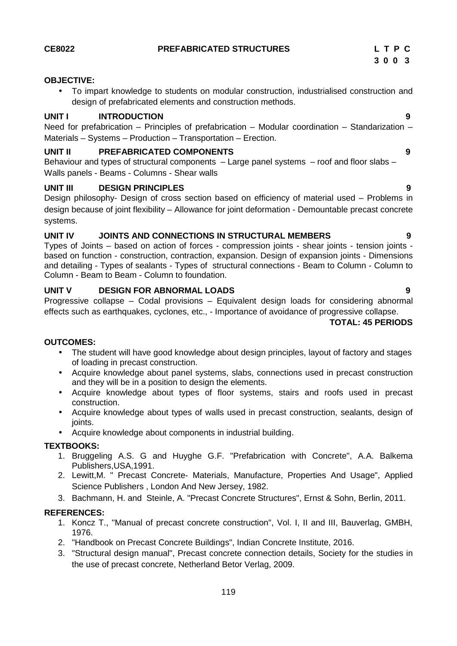#### **CE8022 PREFABRICATED STRUCTURES L T P C**

# **OBJECTIVE:**

 To impart knowledge to students on modular construction, industrialised construction and design of prefabricated elements and construction methods.

#### **UNIT I INTRODUCTION 9**

Need for prefabrication – Principles of prefabrication – Modular coordination – Standarization – Materials – Systems – Production – Transportation – Erection.

#### **UNIT II PREFABRICATED COMPONENTS 9**

Behaviour and types of structural components - Large panel systems - roof and floor slabs -Walls panels - Beams - Columns - Shear walls

### **UNIT III DESIGN PRINCIPLES 9**

Design philosophy- Design of cross section based on efficiency of material used – Problems in design because of joint flexibility – Allowance for joint deformation - Demountable precast concrete systems.

### **UNIT IV JOINTS AND CONNECTIONS IN STRUCTURAL MEMBERS 9**

Types of Joints – based on action of forces - compression joints - shear joints - tension joints based on function - construction, contraction, expansion. Design of expansion joints - Dimensions and detailing - Types of sealants - Types of structural connections - Beam to Column - Column to Column - Beam to Beam - Column to foundation.

# **UNIT V DESIGN FOR ABNORMAL LOADS 9**

Progressive collapse – Codal provisions – Equivalent design loads for considering abnormal effects such as earthquakes, cyclones, etc., - Importance of avoidance of progressive collapse.

### **TOTAL: 45 PERIODS**

### **OUTCOMES:**

- The student will have good knowledge about design principles, layout of factory and stages of loading in precast construction.
- Acquire knowledge about panel systems, slabs, connections used in precast construction and they will be in a position to design the elements.
- Acquire knowledge about types of floor systems, stairs and roofs used in precast construction.
- Acquire knowledge about types of walls used in precast construction, sealants, design of ioints.
- Acquire knowledge about components in industrial building.

### **TEXTBOOKS:**

- 1. Bruggeling A.S. G and Huyghe G.F. "Prefabrication with Concrete", A.A. Balkema Publishers,USA,1991.
- 2. Lewitt,M. " Precast Concrete- Materials, Manufacture, Properties And Usage", Applied Science Publishers , London And New Jersey, 1982.
- 3. Bachmann, H. and Steinle, A. "Precast Concrete Structures", Ernst & Sohn, Berlin, 2011.

### **REFERENCES:**

- 1. Koncz T., "Manual of precast concrete construction", Vol. I, II and III, Bauverlag, GMBH, 1976.
- 2. "Handbook on Precast Concrete Buildings", Indian Concrete Institute, 2016.
- 3. "Structural design manual", Precast concrete connection details, Society for the studies in the use of precast concrete, Netherland Betor Verlag, 2009.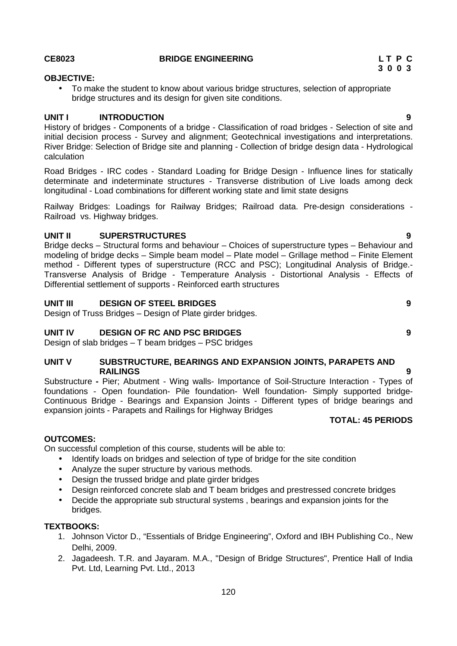To make the student to know about various bridge structures, selection of appropriate

**UNIT I INTRODUCTION 9** History of bridges - Components of a bridge - Classification of road bridges - Selection of site and initial decision process - Survey and alignment; Geotechnical investigations and interpretations.

Road Bridges - IRC codes - Standard Loading for Bridge Design - Influence lines for statically determinate and indeterminate structures - Transverse distribution of Live loads among deck longitudinal - Load combinations for different working state and limit state designs

Railway Bridges: Loadings for Railway Bridges; Railroad data. Pre-design considerations - Railroad vs. Highway bridges.

#### **UNIT II SUPERSTRUCTURES 9**

Bridge decks – Structural forms and behaviour – Choices of superstructure types – Behaviour and modeling of bridge decks – Simple beam model – Plate model – Grillage method – Finite Element method - Different types of superstructure (RCC and PSC); Longitudinal Analysis of Bridge.- Transverse Analysis of Bridge - Temperature Analysis - Distortional Analysis - Effects of Differential settlement of supports - Reinforced earth structures

#### **UNIT III DESIGN OF STEEL BRIDGES 9**

Design of Truss Bridges – Design of Plate girder bridges.

#### **UNIT IV DESIGN OF RC AND PSC BRIDGES 9**

Design of slab bridges – T beam bridges – PSC bridges

#### **UNIT V SUBSTRUCTURE, BEARINGS AND EXPANSION JOINTS, PARAPETS AND RAILINGS 9**

Substructure **-** Pier; Abutment - Wing walls- Importance of Soil-Structure Interaction - Types of foundations - Open foundation- Pile foundation- Well foundation- Simply supported bridge- Continuous Bridge - Bearings and Expansion Joints - Different types of bridge bearings and expansion joints - Parapets and Railings for Highway Bridges

# **TOTAL: 45 PERIODS**

#### **OUTCOMES:**

On successful completion of this course, students will be able to:

- Identify loads on bridges and selection of type of bridge for the site condition
- Analyze the super structure by various methods.
- Design the trussed bridge and plate girder bridges
- Design reinforced concrete slab and T beam bridges and prestressed concrete bridges
- Decide the appropriate sub structural systems , bearings and expansion joints for the bridges.

#### **TEXTBOOKS:**

- 1. Johnson Victor D., "Essentials of Bridge Engineering", Oxford and IBH Publishing Co., New Delhi, 2009.
- 2. Jagadeesh. T.R. and Jayaram. M.A., "Design of Bridge Structures", Prentice Hall of India Pvt. Ltd, Learning Pvt. Ltd., 2013

#### **CE8023 BRIDGE ENGINEERING L T P C**

bridge structures and its design for given site conditions.

calculation

**OBJECTIVE:**

River Bridge: Selection of Bridge site and planning - Collection of bridge design data - Hydrological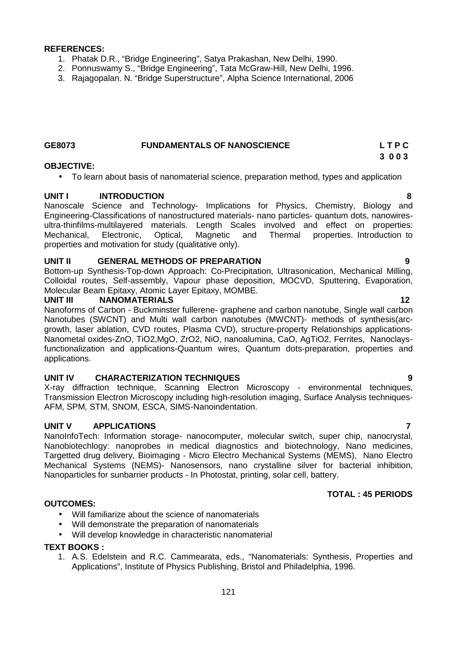#### **REFERENCES:**

- 1. Phatak D.R., "Bridge Engineering", Satya Prakashan, New Delhi, 1990.
- 2. Ponnuswamy S., "Bridge Engineering", Tata McGraw-Hill, New Delhi, 1996.
- 3. Rajagopalan. N. "Bridge Superstructure", Alpha Science International, 2006

# **GE8073 FUNDAMENTALS OF NANOSCIENCE L T P C**

#### **OBJECTIVE:**

To learn about basis of nanomaterial science, preparation method, types and application

#### **UNIT I INTRODUCTION 8**

Nanoscale Science and Technology- Implications for Physics, Chemistry, Biology and Engineering-Classifications of nanostructured materials- nano particles- quantum dots, nanowires ultra-thinfilms-multilayered materials. Length Scales involved and effect on properties: Mechanical, Electronic, Optical, Magnetic and Thermal properties. Introduction to properties and motivation for study (qualitative only).

#### **UNIT II GENERAL METHODS OF PREPARATION 9**

Bottom-up Synthesis-Top-down Approach: Co-Precipitation, Ultrasonication, Mechanical Milling, Colloidal routes, Self-assembly, Vapour phase deposition, MOCVD, Sputtering, Evaporation, Molecular Beam Epitaxy, Atomic Layer Epitaxy, MOMBE.<br>
UNIT III NANOMATERIALS

#### **NANOMATERIALS** 12

Nanoforms of Carbon - Buckminster fullerene- graphene and carbon nanotube, Single wall carbon Nanotubes (SWCNT) and Multi wall carbon nanotubes (MWCNT)- methods of synthesis(arc growth, laser ablation, CVD routes, Plasma CVD), structure-property Relationships applications- Nanometal oxides-ZnO, TiO2,MgO, ZrO2, NiO, nanoalumina, CaO, AgTiO2, Ferrites, Nanoclaysfunctionalization and applications-Quantum wires, Quantum dots-preparation, properties and applications.

# **UNIT IV CHARACTERIZATION TECHNIQUES 9**

X-ray diffraction technique, Scanning Electron Microscopy - environmental techniques, Transmission Electron Microscopy including high-resolution imaging, Surface Analysis techniques- AFM, SPM, STM, SNOM, ESCA, SIMS-Nanoindentation.

#### **UNIT V APPLICATIONS 7**

NanoInfoTech: Information storage- nanocomputer, molecular switch, super chip, nanocrystal, Nanobiotechlogy: nanoprobes in medical diagnostics and biotechnology, Nano medicines, Targetted drug delivery, Bioimaging - Micro Electro Mechanical Systems (MEMS), Nano Electro Mechanical Systems (NEMS)- Nanosensors, nano crystalline silver for bacterial inhibition, Nanoparticles for sunbarrier products - In Photostat, printing, solar cell, battery.

#### **TOTAL : 45 PERIODS**

### **OUTCOMES:**

- Will familiarize about the science of nanomaterials
- Will demonstrate the preparation of nanomaterials
- Will develop knowledge in characteristic nanomaterial

#### **TEXT BOOKS :**

1. A.S. Edelstein and R.C. Cammearata, eds., "Nanomaterials: Synthesis, Properties and Applications", Institute of Physics Publishing, Bristol and Philadelphia, 1996.

**3 0 0 3**